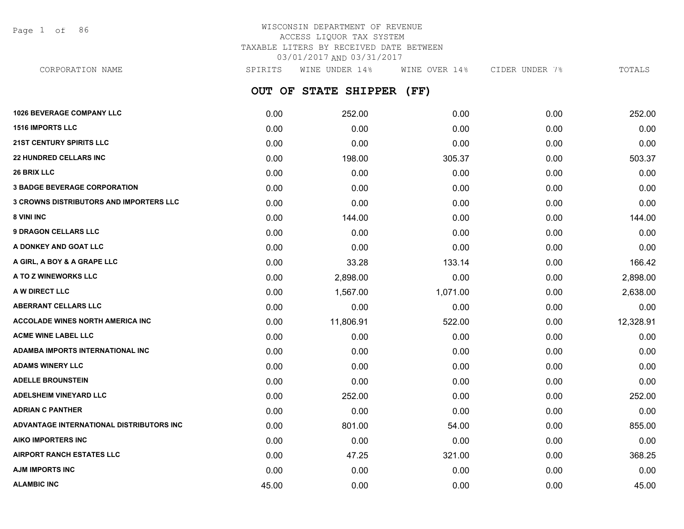Page 1 of 86

# WISCONSIN DEPARTMENT OF REVENUE ACCESS LIQUOR TAX SYSTEM TAXABLE LITERS BY RECEIVED DATE BETWEEN 03/01/2017 AND 03/31/2017

**OUT OF STATE SHIPPER (FF)** CORPORATION NAME SPIRITS WINE UNDER 14% WINE OVER 14% CIDER UNDER 7% TOTALS

| <b>1026 BEVERAGE COMPANY LLC</b>               | 0.00  | 252.00    | 0.00     | 0.00 | 252.00    |
|------------------------------------------------|-------|-----------|----------|------|-----------|
| <b>1516 IMPORTS LLC</b>                        | 0.00  | 0.00      | 0.00     | 0.00 | 0.00      |
| <b>21ST CENTURY SPIRITS LLC</b>                | 0.00  | 0.00      | 0.00     | 0.00 | 0.00      |
| <b>22 HUNDRED CELLARS INC</b>                  | 0.00  | 198.00    | 305.37   | 0.00 | 503.37    |
| <b>26 BRIX LLC</b>                             | 0.00  | 0.00      | 0.00     | 0.00 | 0.00      |
| <b>3 BADGE BEVERAGE CORPORATION</b>            | 0.00  | 0.00      | 0.00     | 0.00 | 0.00      |
| <b>3 CROWNS DISTRIBUTORS AND IMPORTERS LLC</b> | 0.00  | 0.00      | 0.00     | 0.00 | 0.00      |
| <b>8 VINI INC</b>                              | 0.00  | 144.00    | 0.00     | 0.00 | 144.00    |
| <b>9 DRAGON CELLARS LLC</b>                    | 0.00  | 0.00      | 0.00     | 0.00 | 0.00      |
| A DONKEY AND GOAT LLC                          | 0.00  | 0.00      | 0.00     | 0.00 | 0.00      |
| A GIRL, A BOY & A GRAPE LLC                    | 0.00  | 33.28     | 133.14   | 0.00 | 166.42    |
| A TO Z WINEWORKS LLC                           | 0.00  | 2,898.00  | 0.00     | 0.00 | 2,898.00  |
| A W DIRECT LLC                                 | 0.00  | 1,567.00  | 1,071.00 | 0.00 | 2,638.00  |
| <b>ABERRANT CELLARS LLC</b>                    | 0.00  | 0.00      | 0.00     | 0.00 | 0.00      |
| <b>ACCOLADE WINES NORTH AMERICA INC</b>        | 0.00  | 11,806.91 | 522.00   | 0.00 | 12,328.91 |
| <b>ACME WINE LABEL LLC</b>                     | 0.00  | 0.00      | 0.00     | 0.00 | 0.00      |
| ADAMBA IMPORTS INTERNATIONAL INC               | 0.00  | 0.00      | 0.00     | 0.00 | 0.00      |
| <b>ADAMS WINERY LLC</b>                        | 0.00  | 0.00      | 0.00     | 0.00 | 0.00      |
| <b>ADELLE BROUNSTEIN</b>                       | 0.00  | 0.00      | 0.00     | 0.00 | 0.00      |
| <b>ADELSHEIM VINEYARD LLC</b>                  | 0.00  | 252.00    | 0.00     | 0.00 | 252.00    |
| <b>ADRIAN C PANTHER</b>                        | 0.00  | 0.00      | 0.00     | 0.00 | 0.00      |
| ADVANTAGE INTERNATIONAL DISTRIBUTORS INC       | 0.00  | 801.00    | 54.00    | 0.00 | 855.00    |
| AIKO IMPORTERS INC                             | 0.00  | 0.00      | 0.00     | 0.00 | 0.00      |
| <b>AIRPORT RANCH ESTATES LLC</b>               | 0.00  | 47.25     | 321.00   | 0.00 | 368.25    |
| AJM IMPORTS INC                                | 0.00  | 0.00      | 0.00     | 0.00 | 0.00      |
| <b>ALAMBIC INC</b>                             | 45.00 | 0.00      | 0.00     | 0.00 | 45.00     |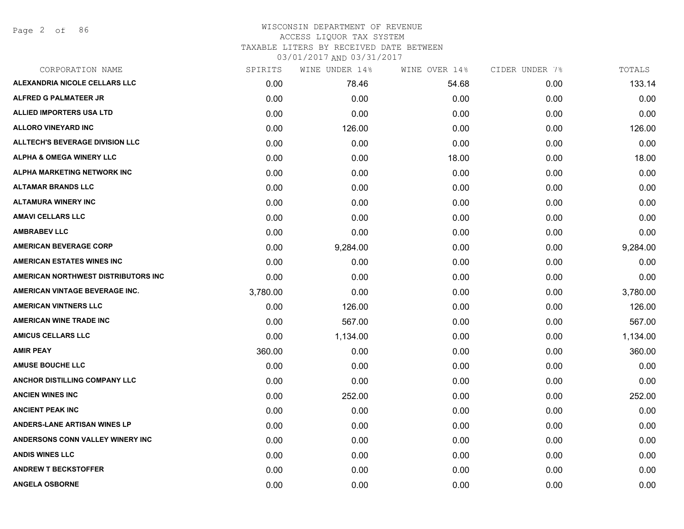Page 2 of 86

# WISCONSIN DEPARTMENT OF REVENUE ACCESS LIQUOR TAX SYSTEM

TAXABLE LITERS BY RECEIVED DATE BETWEEN

| CORPORATION NAME                       | SPIRITS  | WINE UNDER 14% | WINE OVER 14% | CIDER UNDER 7% | TOTALS   |
|----------------------------------------|----------|----------------|---------------|----------------|----------|
| ALEXANDRIA NICOLE CELLARS LLC          | 0.00     | 78.46          | 54.68         | 0.00           | 133.14   |
| <b>ALFRED G PALMATEER JR</b>           | 0.00     | 0.00           | 0.00          | 0.00           | 0.00     |
| <b>ALLIED IMPORTERS USA LTD</b>        | 0.00     | 0.00           | 0.00          | 0.00           | 0.00     |
| <b>ALLORO VINEYARD INC</b>             | 0.00     | 126.00         | 0.00          | 0.00           | 126.00   |
| <b>ALLTECH'S BEVERAGE DIVISION LLC</b> | 0.00     | 0.00           | 0.00          | 0.00           | 0.00     |
| <b>ALPHA &amp; OMEGA WINERY LLC</b>    | 0.00     | 0.00           | 18.00         | 0.00           | 18.00    |
| <b>ALPHA MARKETING NETWORK INC</b>     | 0.00     | 0.00           | 0.00          | 0.00           | 0.00     |
| <b>ALTAMAR BRANDS LLC</b>              | 0.00     | 0.00           | 0.00          | 0.00           | 0.00     |
| <b>ALTAMURA WINERY INC</b>             | 0.00     | 0.00           | 0.00          | 0.00           | 0.00     |
| <b>AMAVI CELLARS LLC</b>               | 0.00     | 0.00           | 0.00          | 0.00           | 0.00     |
| <b>AMBRABEV LLC</b>                    | 0.00     | 0.00           | 0.00          | 0.00           | 0.00     |
| <b>AMERICAN BEVERAGE CORP</b>          | 0.00     | 9,284.00       | 0.00          | 0.00           | 9,284.00 |
| <b>AMERICAN ESTATES WINES INC</b>      | 0.00     | 0.00           | 0.00          | 0.00           | 0.00     |
| AMERICAN NORTHWEST DISTRIBUTORS INC    | 0.00     | 0.00           | 0.00          | 0.00           | 0.00     |
| AMERICAN VINTAGE BEVERAGE INC.         | 3,780.00 | 0.00           | 0.00          | 0.00           | 3,780.00 |
| <b>AMERICAN VINTNERS LLC</b>           | 0.00     | 126.00         | 0.00          | 0.00           | 126.00   |
| <b>AMERICAN WINE TRADE INC</b>         | 0.00     | 567.00         | 0.00          | 0.00           | 567.00   |
| <b>AMICUS CELLARS LLC</b>              | 0.00     | 1,134.00       | 0.00          | 0.00           | 1,134.00 |
| <b>AMIR PEAY</b>                       | 360.00   | 0.00           | 0.00          | 0.00           | 360.00   |
| <b>AMUSE BOUCHE LLC</b>                | 0.00     | 0.00           | 0.00          | 0.00           | 0.00     |
| ANCHOR DISTILLING COMPANY LLC          | 0.00     | 0.00           | 0.00          | 0.00           | 0.00     |
| <b>ANCIEN WINES INC</b>                | 0.00     | 252.00         | 0.00          | 0.00           | 252.00   |
| <b>ANCIENT PEAK INC</b>                | 0.00     | 0.00           | 0.00          | 0.00           | 0.00     |
| <b>ANDERS-LANE ARTISAN WINES LP</b>    | 0.00     | 0.00           | 0.00          | 0.00           | 0.00     |
| ANDERSONS CONN VALLEY WINERY INC       | 0.00     | 0.00           | 0.00          | 0.00           | 0.00     |
| <b>ANDIS WINES LLC</b>                 | 0.00     | 0.00           | 0.00          | 0.00           | 0.00     |
| <b>ANDREW T BECKSTOFFER</b>            | 0.00     | 0.00           | 0.00          | 0.00           | 0.00     |
| <b>ANGELA OSBORNE</b>                  | 0.00     | 0.00           | 0.00          | 0.00           | 0.00     |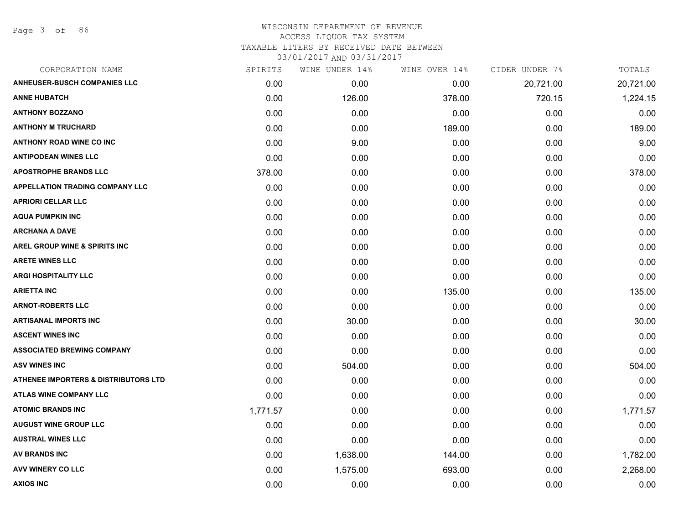Page 3 of 86

| SPIRITS  | WINE UNDER 14% | WINE OVER 14% | CIDER UNDER 7% | TOTALS    |
|----------|----------------|---------------|----------------|-----------|
| 0.00     | 0.00           | 0.00          | 20,721.00      | 20,721.00 |
| 0.00     | 126.00         | 378.00        | 720.15         | 1,224.15  |
| 0.00     | 0.00           | 0.00          | 0.00           | 0.00      |
| 0.00     | 0.00           | 189.00        | 0.00           | 189.00    |
| 0.00     | 9.00           | 0.00          | 0.00           | 9.00      |
| 0.00     | 0.00           | 0.00          | 0.00           | 0.00      |
| 378.00   | 0.00           | 0.00          | 0.00           | 378.00    |
| 0.00     | 0.00           | 0.00          | 0.00           | 0.00      |
| 0.00     | 0.00           | 0.00          | 0.00           | 0.00      |
| 0.00     | 0.00           | 0.00          | 0.00           | 0.00      |
| 0.00     | 0.00           | 0.00          | 0.00           | 0.00      |
| 0.00     | 0.00           | 0.00          | 0.00           | 0.00      |
| 0.00     | 0.00           | 0.00          | 0.00           | 0.00      |
| 0.00     | 0.00           | 0.00          | 0.00           | 0.00      |
| 0.00     | 0.00           | 135.00        | 0.00           | 135.00    |
| 0.00     | 0.00           | 0.00          | 0.00           | 0.00      |
| 0.00     | 30.00          | 0.00          | 0.00           | 30.00     |
| 0.00     | 0.00           | 0.00          | 0.00           | 0.00      |
| 0.00     | 0.00           | 0.00          | 0.00           | 0.00      |
| 0.00     | 504.00         | 0.00          | 0.00           | 504.00    |
| 0.00     | 0.00           | 0.00          | 0.00           | 0.00      |
| 0.00     | 0.00           | 0.00          | 0.00           | 0.00      |
| 1,771.57 | 0.00           | 0.00          | 0.00           | 1,771.57  |
| 0.00     | 0.00           | 0.00          | 0.00           | 0.00      |
| 0.00     | 0.00           | 0.00          | 0.00           | 0.00      |
| 0.00     | 1,638.00       | 144.00        | 0.00           | 1,782.00  |
| 0.00     | 1,575.00       | 693.00        | 0.00           | 2,268.00  |
| 0.00     | 0.00           | 0.00          | 0.00           | 0.00      |
|          |                |               |                |           |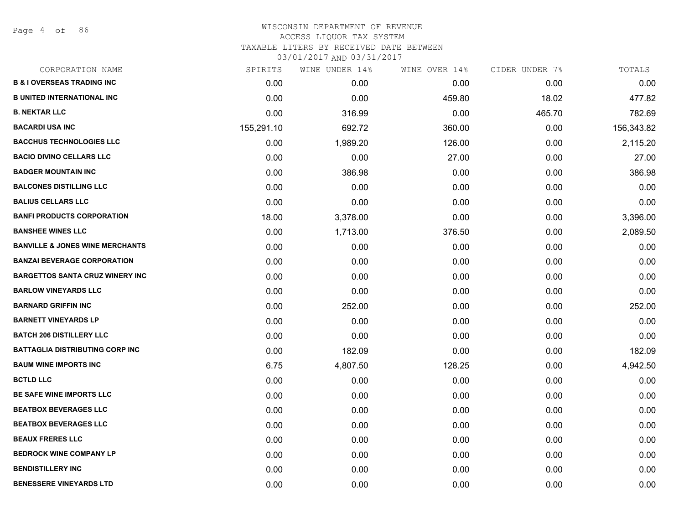Page 4 of 86

## WISCONSIN DEPARTMENT OF REVENUE ACCESS LIQUOR TAX SYSTEM TAXABLE LITERS BY RECEIVED DATE BETWEEN

| CORPORATION NAME                           | SPIRITS    | WINE UNDER 14% | WINE OVER 14% | CIDER UNDER 7% | TOTALS     |
|--------------------------------------------|------------|----------------|---------------|----------------|------------|
| <b>B &amp; I OVERSEAS TRADING INC</b>      | 0.00       | 0.00           | 0.00          | 0.00           | 0.00       |
| <b>B UNITED INTERNATIONAL INC</b>          | 0.00       | 0.00           | 459.80        | 18.02          | 477.82     |
| <b>B. NEKTAR LLC</b>                       | 0.00       | 316.99         | 0.00          | 465.70         | 782.69     |
| <b>BACARDI USA INC</b>                     | 155,291.10 | 692.72         | 360.00        | 0.00           | 156,343.82 |
| <b>BACCHUS TECHNOLOGIES LLC</b>            | 0.00       | 1,989.20       | 126.00        | 0.00           | 2,115.20   |
| <b>BACIO DIVINO CELLARS LLC</b>            | 0.00       | 0.00           | 27.00         | 0.00           | 27.00      |
| <b>BADGER MOUNTAIN INC</b>                 | 0.00       | 386.98         | 0.00          | 0.00           | 386.98     |
| <b>BALCONES DISTILLING LLC</b>             | 0.00       | 0.00           | 0.00          | 0.00           | 0.00       |
| <b>BALIUS CELLARS LLC</b>                  | 0.00       | 0.00           | 0.00          | 0.00           | 0.00       |
| <b>BANFI PRODUCTS CORPORATION</b>          | 18.00      | 3,378.00       | 0.00          | 0.00           | 3,396.00   |
| <b>BANSHEE WINES LLC</b>                   | 0.00       | 1,713.00       | 376.50        | 0.00           | 2,089.50   |
| <b>BANVILLE &amp; JONES WINE MERCHANTS</b> | 0.00       | 0.00           | 0.00          | 0.00           | 0.00       |
| <b>BANZAI BEVERAGE CORPORATION</b>         | 0.00       | 0.00           | 0.00          | 0.00           | 0.00       |
| <b>BARGETTOS SANTA CRUZ WINERY INC</b>     | 0.00       | 0.00           | 0.00          | 0.00           | 0.00       |
| <b>BARLOW VINEYARDS LLC</b>                | 0.00       | 0.00           | 0.00          | 0.00           | 0.00       |
| <b>BARNARD GRIFFIN INC</b>                 | 0.00       | 252.00         | 0.00          | 0.00           | 252.00     |
| <b>BARNETT VINEYARDS LP</b>                | 0.00       | 0.00           | 0.00          | 0.00           | 0.00       |
| <b>BATCH 206 DISTILLERY LLC</b>            | 0.00       | 0.00           | 0.00          | 0.00           | 0.00       |
| <b>BATTAGLIA DISTRIBUTING CORP INC</b>     | 0.00       | 182.09         | 0.00          | 0.00           | 182.09     |
| <b>BAUM WINE IMPORTS INC</b>               | 6.75       | 4,807.50       | 128.25        | 0.00           | 4,942.50   |
| <b>BCTLD LLC</b>                           | 0.00       | 0.00           | 0.00          | 0.00           | 0.00       |
| BE SAFE WINE IMPORTS LLC                   | 0.00       | 0.00           | 0.00          | 0.00           | 0.00       |
| <b>BEATBOX BEVERAGES LLC</b>               | 0.00       | 0.00           | 0.00          | 0.00           | 0.00       |
| <b>BEATBOX BEVERAGES LLC</b>               | 0.00       | 0.00           | 0.00          | 0.00           | 0.00       |
| <b>BEAUX FRERES LLC</b>                    | 0.00       | 0.00           | 0.00          | 0.00           | 0.00       |
| <b>BEDROCK WINE COMPANY LP</b>             | 0.00       | 0.00           | 0.00          | 0.00           | 0.00       |
| <b>BENDISTILLERY INC</b>                   | 0.00       | 0.00           | 0.00          | 0.00           | 0.00       |
| <b>BENESSERE VINEYARDS LTD</b>             | 0.00       | 0.00           | 0.00          | 0.00           | 0.00       |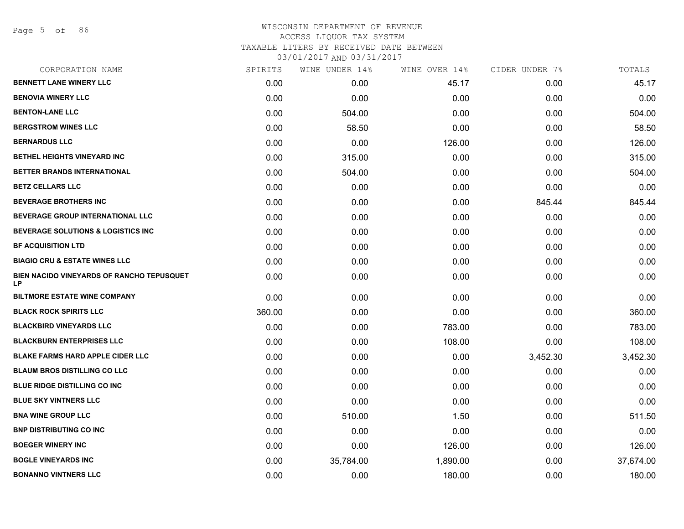#### WISCONSIN DEPARTMENT OF REVENUE ACCESS LIQUOR TAX SYSTEM TAXABLE LITERS BY RECEIVED DATE BETWEEN

| CORPORATION NAME                                | SPIRITS | WINE UNDER 14% | WINE OVER 14% | CIDER UNDER 7% | TOTALS    |
|-------------------------------------------------|---------|----------------|---------------|----------------|-----------|
| <b>BENNETT LANE WINERY LLC</b>                  | 0.00    | 0.00           | 45.17         | 0.00           | 45.17     |
| <b>BENOVIA WINERY LLC</b>                       | 0.00    | 0.00           | 0.00          | 0.00           | 0.00      |
| <b>BENTON-LANE LLC</b>                          | 0.00    | 504.00         | 0.00          | 0.00           | 504.00    |
| <b>BERGSTROM WINES LLC</b>                      | 0.00    | 58.50          | 0.00          | 0.00           | 58.50     |
| <b>BERNARDUS LLC</b>                            | 0.00    | 0.00           | 126.00        | 0.00           | 126.00    |
| BETHEL HEIGHTS VINEYARD INC                     | 0.00    | 315.00         | 0.00          | 0.00           | 315.00    |
| BETTER BRANDS INTERNATIONAL                     | 0.00    | 504.00         | 0.00          | 0.00           | 504.00    |
| <b>BETZ CELLARS LLC</b>                         | 0.00    | 0.00           | 0.00          | 0.00           | 0.00      |
| <b>BEVERAGE BROTHERS INC</b>                    | 0.00    | 0.00           | 0.00          | 845.44         | 845.44    |
| <b>BEVERAGE GROUP INTERNATIONAL LLC</b>         | 0.00    | 0.00           | 0.00          | 0.00           | 0.00      |
| <b>BEVERAGE SOLUTIONS &amp; LOGISTICS INC</b>   | 0.00    | 0.00           | 0.00          | 0.00           | 0.00      |
| <b>BF ACQUISITION LTD</b>                       | 0.00    | 0.00           | 0.00          | 0.00           | 0.00      |
| <b>BIAGIO CRU &amp; ESTATE WINES LLC</b>        | 0.00    | 0.00           | 0.00          | 0.00           | 0.00      |
| BIEN NACIDO VINEYARDS OF RANCHO TEPUSQUET<br>LP | 0.00    | 0.00           | 0.00          | 0.00           | 0.00      |
| <b>BILTMORE ESTATE WINE COMPANY</b>             | 0.00    | 0.00           | 0.00          | 0.00           | 0.00      |
| <b>BLACK ROCK SPIRITS LLC</b>                   | 360.00  | 0.00           | 0.00          | 0.00           | 360.00    |
| <b>BLACKBIRD VINEYARDS LLC</b>                  | 0.00    | 0.00           | 783.00        | 0.00           | 783.00    |
| <b>BLACKBURN ENTERPRISES LLC</b>                | 0.00    | 0.00           | 108.00        | 0.00           | 108.00    |
| <b>BLAKE FARMS HARD APPLE CIDER LLC</b>         | 0.00    | 0.00           | 0.00          | 3,452.30       | 3,452.30  |
| <b>BLAUM BROS DISTILLING CO LLC</b>             | 0.00    | 0.00           | 0.00          | 0.00           | 0.00      |
| BLUE RIDGE DISTILLING CO INC                    | 0.00    | 0.00           | 0.00          | 0.00           | 0.00      |
| <b>BLUE SKY VINTNERS LLC</b>                    | 0.00    | 0.00           | 0.00          | 0.00           | 0.00      |
| <b>BNA WINE GROUP LLC</b>                       | 0.00    | 510.00         | 1.50          | 0.00           | 511.50    |
| <b>BNP DISTRIBUTING CO INC</b>                  | 0.00    | 0.00           | 0.00          | 0.00           | 0.00      |
| <b>BOEGER WINERY INC</b>                        | 0.00    | 0.00           | 126.00        | 0.00           | 126.00    |
| <b>BOGLE VINEYARDS INC</b>                      | 0.00    | 35,784.00      | 1,890.00      | 0.00           | 37,674.00 |
| <b>BONANNO VINTNERS LLC</b>                     | 0.00    | 0.00           | 180.00        | 0.00           | 180.00    |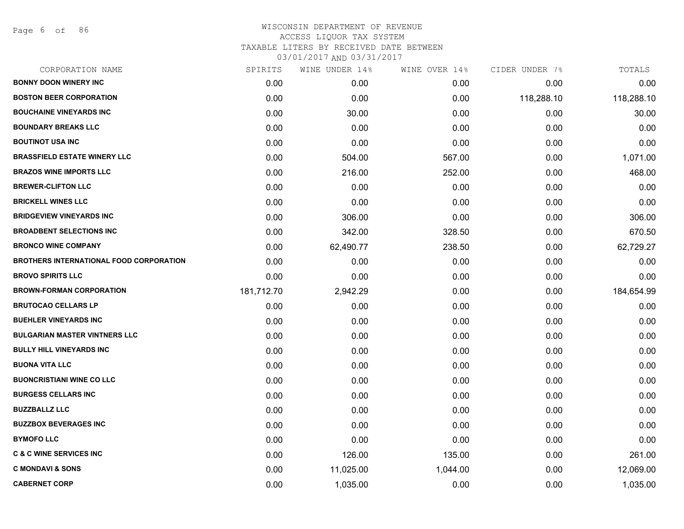Page 6 of 86

| CORPORATION NAME                        | SPIRITS    | WINE UNDER 14% | WINE OVER 14% | CIDER UNDER 7% | TOTALS     |
|-----------------------------------------|------------|----------------|---------------|----------------|------------|
| <b>BONNY DOON WINERY INC</b>            | 0.00       | 0.00           | 0.00          | 0.00           | 0.00       |
| <b>BOSTON BEER CORPORATION</b>          | 0.00       | 0.00           | 0.00          | 118,288.10     | 118,288.10 |
| <b>BOUCHAINE VINEYARDS INC</b>          | 0.00       | 30.00          | 0.00          | 0.00           | 30.00      |
| <b>BOUNDARY BREAKS LLC</b>              | 0.00       | 0.00           | 0.00          | 0.00           | 0.00       |
| <b>BOUTINOT USA INC</b>                 | 0.00       | 0.00           | 0.00          | 0.00           | 0.00       |
| <b>BRASSFIELD ESTATE WINERY LLC</b>     | 0.00       | 504.00         | 567.00        | 0.00           | 1,071.00   |
| <b>BRAZOS WINE IMPORTS LLC</b>          | 0.00       | 216.00         | 252.00        | 0.00           | 468.00     |
| <b>BREWER-CLIFTON LLC</b>               | 0.00       | 0.00           | 0.00          | 0.00           | 0.00       |
| <b>BRICKELL WINES LLC</b>               | 0.00       | 0.00           | 0.00          | 0.00           | 0.00       |
| <b>BRIDGEVIEW VINEYARDS INC</b>         | 0.00       | 306.00         | 0.00          | 0.00           | 306.00     |
| <b>BROADBENT SELECTIONS INC</b>         | 0.00       | 342.00         | 328.50        | 0.00           | 670.50     |
| <b>BRONCO WINE COMPANY</b>              | 0.00       | 62,490.77      | 238.50        | 0.00           | 62,729.27  |
| BROTHERS INTERNATIONAL FOOD CORPORATION | 0.00       | 0.00           | 0.00          | 0.00           | 0.00       |
| <b>BROVO SPIRITS LLC</b>                | 0.00       | 0.00           | 0.00          | 0.00           | 0.00       |
| <b>BROWN-FORMAN CORPORATION</b>         | 181,712.70 | 2,942.29       | 0.00          | 0.00           | 184,654.99 |
| <b>BRUTOCAO CELLARS LP</b>              | 0.00       | 0.00           | 0.00          | 0.00           | 0.00       |
| <b>BUEHLER VINEYARDS INC</b>            | 0.00       | 0.00           | 0.00          | 0.00           | 0.00       |
| <b>BULGARIAN MASTER VINTNERS LLC</b>    | 0.00       | 0.00           | 0.00          | 0.00           | 0.00       |
| <b>BULLY HILL VINEYARDS INC</b>         | 0.00       | 0.00           | 0.00          | 0.00           | 0.00       |
| <b>BUONA VITA LLC</b>                   | 0.00       | 0.00           | 0.00          | 0.00           | 0.00       |
| <b>BUONCRISTIANI WINE CO LLC</b>        | 0.00       | 0.00           | 0.00          | 0.00           | 0.00       |
| <b>BURGESS CELLARS INC</b>              | 0.00       | 0.00           | 0.00          | 0.00           | 0.00       |
| <b>BUZZBALLZ LLC</b>                    | 0.00       | 0.00           | 0.00          | 0.00           | 0.00       |
| <b>BUZZBOX BEVERAGES INC</b>            | 0.00       | 0.00           | 0.00          | 0.00           | 0.00       |
| <b>BYMOFO LLC</b>                       | 0.00       | 0.00           | 0.00          | 0.00           | 0.00       |
| <b>C &amp; C WINE SERVICES INC</b>      | 0.00       | 126.00         | 135.00        | 0.00           | 261.00     |
| <b>C MONDAVI &amp; SONS</b>             | 0.00       | 11,025.00      | 1,044.00      | 0.00           | 12,069.00  |
| <b>CABERNET CORP</b>                    | 0.00       | 1,035.00       | 0.00          | 0.00           | 1,035.00   |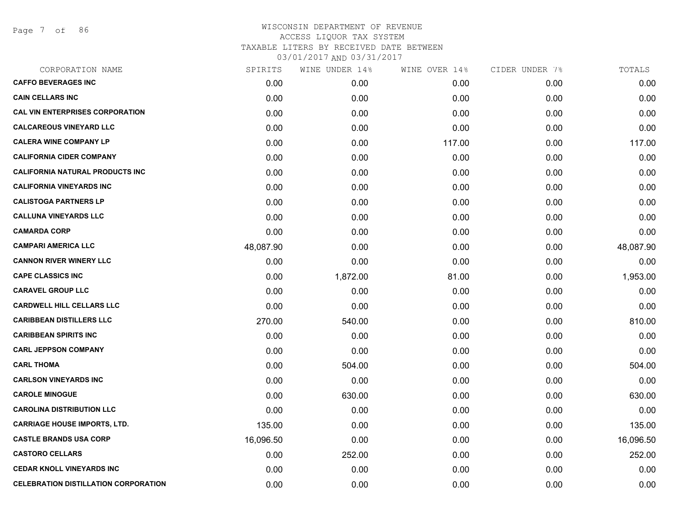Page 7 of 86

| CORPORATION NAME                            | SPIRITS   | WINE UNDER 14% | WINE OVER 14% | CIDER UNDER 7% | TOTALS    |
|---------------------------------------------|-----------|----------------|---------------|----------------|-----------|
| <b>CAFFO BEVERAGES INC</b>                  | 0.00      | 0.00           | 0.00          | 0.00           | 0.00      |
| <b>CAIN CELLARS INC</b>                     | 0.00      | 0.00           | 0.00          | 0.00           | 0.00      |
| <b>CAL VIN ENTERPRISES CORPORATION</b>      | 0.00      | 0.00           | 0.00          | 0.00           | 0.00      |
| <b>CALCAREOUS VINEYARD LLC</b>              | 0.00      | 0.00           | 0.00          | 0.00           | 0.00      |
| <b>CALERA WINE COMPANY LP</b>               | 0.00      | 0.00           | 117.00        | 0.00           | 117.00    |
| <b>CALIFORNIA CIDER COMPANY</b>             | 0.00      | 0.00           | 0.00          | 0.00           | 0.00      |
| <b>CALIFORNIA NATURAL PRODUCTS INC</b>      | 0.00      | 0.00           | 0.00          | 0.00           | 0.00      |
| <b>CALIFORNIA VINEYARDS INC</b>             | 0.00      | 0.00           | 0.00          | 0.00           | 0.00      |
| <b>CALISTOGA PARTNERS LP</b>                | 0.00      | 0.00           | 0.00          | 0.00           | 0.00      |
| <b>CALLUNA VINEYARDS LLC</b>                | 0.00      | 0.00           | 0.00          | 0.00           | 0.00      |
| <b>CAMARDA CORP</b>                         | 0.00      | 0.00           | 0.00          | 0.00           | 0.00      |
| <b>CAMPARI AMERICA LLC</b>                  | 48,087.90 | 0.00           | 0.00          | 0.00           | 48,087.90 |
| <b>CANNON RIVER WINERY LLC</b>              | 0.00      | 0.00           | 0.00          | 0.00           | 0.00      |
| <b>CAPE CLASSICS INC</b>                    | 0.00      | 1,872.00       | 81.00         | 0.00           | 1,953.00  |
| <b>CARAVEL GROUP LLC</b>                    | 0.00      | 0.00           | 0.00          | 0.00           | 0.00      |
| <b>CARDWELL HILL CELLARS LLC</b>            | 0.00      | 0.00           | 0.00          | 0.00           | 0.00      |
| <b>CARIBBEAN DISTILLERS LLC</b>             | 270.00    | 540.00         | 0.00          | 0.00           | 810.00    |
| <b>CARIBBEAN SPIRITS INC</b>                | 0.00      | 0.00           | 0.00          | 0.00           | 0.00      |
| <b>CARL JEPPSON COMPANY</b>                 | 0.00      | 0.00           | 0.00          | 0.00           | 0.00      |
| <b>CARL THOMA</b>                           | 0.00      | 504.00         | 0.00          | 0.00           | 504.00    |
| <b>CARLSON VINEYARDS INC</b>                | 0.00      | 0.00           | 0.00          | 0.00           | 0.00      |
| <b>CAROLE MINOGUE</b>                       | 0.00      | 630.00         | 0.00          | 0.00           | 630.00    |
| <b>CAROLINA DISTRIBUTION LLC</b>            | 0.00      | 0.00           | 0.00          | 0.00           | 0.00      |
| <b>CARRIAGE HOUSE IMPORTS, LTD.</b>         | 135.00    | 0.00           | 0.00          | 0.00           | 135.00    |
| <b>CASTLE BRANDS USA CORP</b>               | 16,096.50 | 0.00           | 0.00          | 0.00           | 16,096.50 |
| <b>CASTORO CELLARS</b>                      | 0.00      | 252.00         | 0.00          | 0.00           | 252.00    |
| <b>CEDAR KNOLL VINEYARDS INC</b>            | 0.00      | 0.00           | 0.00          | 0.00           | 0.00      |
| <b>CELEBRATION DISTILLATION CORPORATION</b> | 0.00      | 0.00           | 0.00          | 0.00           | 0.00      |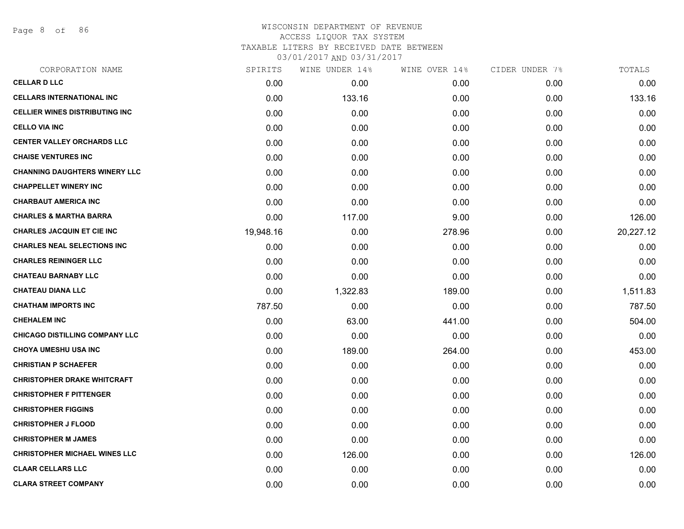Page 8 of 86

# WISCONSIN DEPARTMENT OF REVENUE ACCESS LIQUOR TAX SYSTEM TAXABLE LITERS BY RECEIVED DATE BETWEEN

| CORPORATION NAME                      | SPIRITS   | WINE UNDER 14% | WINE OVER 14% | CIDER UNDER 7% | TOTALS    |
|---------------------------------------|-----------|----------------|---------------|----------------|-----------|
| <b>CELLAR D LLC</b>                   | 0.00      | 0.00           | 0.00          | 0.00           | 0.00      |
| <b>CELLARS INTERNATIONAL INC</b>      | 0.00      | 133.16         | 0.00          | 0.00           | 133.16    |
| <b>CELLIER WINES DISTRIBUTING INC</b> | 0.00      | 0.00           | 0.00          | 0.00           | 0.00      |
| <b>CELLO VIA INC</b>                  | 0.00      | 0.00           | 0.00          | 0.00           | 0.00      |
| <b>CENTER VALLEY ORCHARDS LLC</b>     | 0.00      | 0.00           | 0.00          | 0.00           | 0.00      |
| <b>CHAISE VENTURES INC</b>            | 0.00      | 0.00           | 0.00          | 0.00           | 0.00      |
| <b>CHANNING DAUGHTERS WINERY LLC</b>  | 0.00      | 0.00           | 0.00          | 0.00           | 0.00      |
| <b>CHAPPELLET WINERY INC</b>          | 0.00      | 0.00           | 0.00          | 0.00           | 0.00      |
| <b>CHARBAUT AMERICA INC</b>           | 0.00      | 0.00           | 0.00          | 0.00           | 0.00      |
| <b>CHARLES &amp; MARTHA BARRA</b>     | 0.00      | 117.00         | 9.00          | 0.00           | 126.00    |
| <b>CHARLES JACQUIN ET CIE INC</b>     | 19,948.16 | 0.00           | 278.96        | 0.00           | 20,227.12 |
| <b>CHARLES NEAL SELECTIONS INC</b>    | 0.00      | 0.00           | 0.00          | 0.00           | 0.00      |
| <b>CHARLES REININGER LLC</b>          | 0.00      | 0.00           | 0.00          | 0.00           | 0.00      |
| <b>CHATEAU BARNABY LLC</b>            | 0.00      | 0.00           | 0.00          | 0.00           | 0.00      |
| <b>CHATEAU DIANA LLC</b>              | 0.00      | 1,322.83       | 189.00        | 0.00           | 1,511.83  |
| <b>CHATHAM IMPORTS INC</b>            | 787.50    | 0.00           | 0.00          | 0.00           | 787.50    |
| <b>CHEHALEM INC</b>                   | 0.00      | 63.00          | 441.00        | 0.00           | 504.00    |
| <b>CHICAGO DISTILLING COMPANY LLC</b> | 0.00      | 0.00           | 0.00          | 0.00           | 0.00      |
| <b>CHOYA UMESHU USA INC</b>           | 0.00      | 189.00         | 264.00        | 0.00           | 453.00    |
| <b>CHRISTIAN P SCHAEFER</b>           | 0.00      | 0.00           | 0.00          | 0.00           | 0.00      |
| <b>CHRISTOPHER DRAKE WHITCRAFT</b>    | 0.00      | 0.00           | 0.00          | 0.00           | 0.00      |
| <b>CHRISTOPHER F PITTENGER</b>        | 0.00      | 0.00           | 0.00          | 0.00           | 0.00      |
| <b>CHRISTOPHER FIGGINS</b>            | 0.00      | 0.00           | 0.00          | 0.00           | 0.00      |
| <b>CHRISTOPHER J FLOOD</b>            | 0.00      | 0.00           | 0.00          | 0.00           | 0.00      |
| <b>CHRISTOPHER M JAMES</b>            | 0.00      | 0.00           | 0.00          | 0.00           | 0.00      |
| <b>CHRISTOPHER MICHAEL WINES LLC</b>  | 0.00      | 126.00         | 0.00          | 0.00           | 126.00    |
| <b>CLAAR CELLARS LLC</b>              | 0.00      | 0.00           | 0.00          | 0.00           | 0.00      |
| <b>CLARA STREET COMPANY</b>           | 0.00      | 0.00           | 0.00          | 0.00           | 0.00      |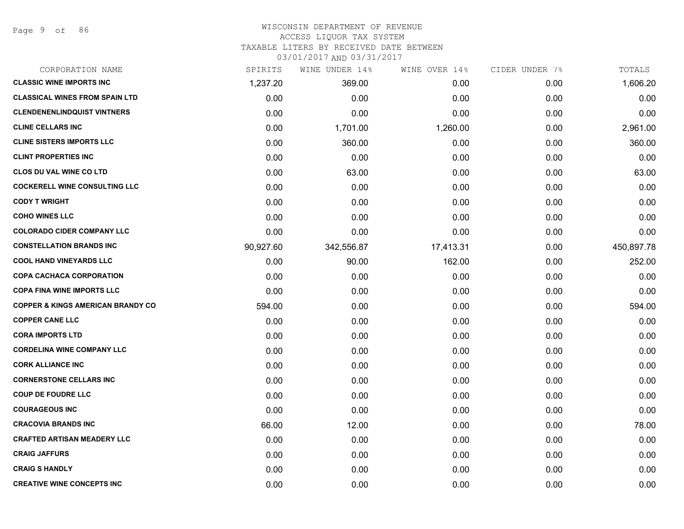Page 9 of 86

### WISCONSIN DEPARTMENT OF REVENUE ACCESS LIQUOR TAX SYSTEM TAXABLE LITERS BY RECEIVED DATE BETWEEN

| CORPORATION NAME                             | SPIRITS   | WINE UNDER 14% | WINE OVER 14% | CIDER UNDER 7% | TOTALS     |
|----------------------------------------------|-----------|----------------|---------------|----------------|------------|
| <b>CLASSIC WINE IMPORTS INC</b>              | 1,237.20  | 369.00         | 0.00          | 0.00           | 1,606.20   |
| <b>CLASSICAL WINES FROM SPAIN LTD</b>        | 0.00      | 0.00           | 0.00          | 0.00           | 0.00       |
| <b>CLENDENENLINDQUIST VINTNERS</b>           | 0.00      | 0.00           | 0.00          | 0.00           | 0.00       |
| <b>CLINE CELLARS INC</b>                     | 0.00      | 1,701.00       | 1,260.00      | 0.00           | 2,961.00   |
| <b>CLINE SISTERS IMPORTS LLC</b>             | 0.00      | 360.00         | 0.00          | 0.00           | 360.00     |
| <b>CLINT PROPERTIES INC</b>                  | 0.00      | 0.00           | 0.00          | 0.00           | 0.00       |
| <b>CLOS DU VAL WINE CO LTD</b>               | 0.00      | 63.00          | 0.00          | 0.00           | 63.00      |
| <b>COCKERELL WINE CONSULTING LLC</b>         | 0.00      | 0.00           | 0.00          | 0.00           | 0.00       |
| <b>CODY T WRIGHT</b>                         | 0.00      | 0.00           | 0.00          | 0.00           | 0.00       |
| <b>COHO WINES LLC</b>                        | 0.00      | 0.00           | 0.00          | 0.00           | 0.00       |
| <b>COLORADO CIDER COMPANY LLC</b>            | 0.00      | 0.00           | 0.00          | 0.00           | 0.00       |
| <b>CONSTELLATION BRANDS INC</b>              | 90,927.60 | 342,556.87     | 17,413.31     | 0.00           | 450,897.78 |
| <b>COOL HAND VINEYARDS LLC</b>               | 0.00      | 90.00          | 162.00        | 0.00           | 252.00     |
| <b>COPA CACHACA CORPORATION</b>              | 0.00      | 0.00           | 0.00          | 0.00           | 0.00       |
| <b>COPA FINA WINE IMPORTS LLC</b>            | 0.00      | 0.00           | 0.00          | 0.00           | 0.00       |
| <b>COPPER &amp; KINGS AMERICAN BRANDY CO</b> | 594.00    | 0.00           | 0.00          | 0.00           | 594.00     |
| <b>COPPER CANE LLC</b>                       | 0.00      | 0.00           | 0.00          | 0.00           | 0.00       |
| <b>CORA IMPORTS LTD</b>                      | 0.00      | 0.00           | 0.00          | 0.00           | 0.00       |
| <b>CORDELINA WINE COMPANY LLC</b>            | 0.00      | 0.00           | 0.00          | 0.00           | 0.00       |
| <b>CORK ALLIANCE INC</b>                     | 0.00      | 0.00           | 0.00          | 0.00           | 0.00       |
| <b>CORNERSTONE CELLARS INC</b>               | 0.00      | 0.00           | 0.00          | 0.00           | 0.00       |
| <b>COUP DE FOUDRE LLC</b>                    | 0.00      | 0.00           | 0.00          | 0.00           | 0.00       |
| <b>COURAGEOUS INC</b>                        | 0.00      | 0.00           | 0.00          | 0.00           | 0.00       |
| <b>CRACOVIA BRANDS INC</b>                   | 66.00     | 12.00          | 0.00          | 0.00           | 78.00      |
| <b>CRAFTED ARTISAN MEADERY LLC</b>           | 0.00      | 0.00           | 0.00          | 0.00           | 0.00       |
| <b>CRAIG JAFFURS</b>                         | 0.00      | 0.00           | 0.00          | 0.00           | 0.00       |
| <b>CRAIG S HANDLY</b>                        | 0.00      | 0.00           | 0.00          | 0.00           | 0.00       |
| <b>CREATIVE WINE CONCEPTS INC</b>            | 0.00      | 0.00           | 0.00          | 0.00           | 0.00       |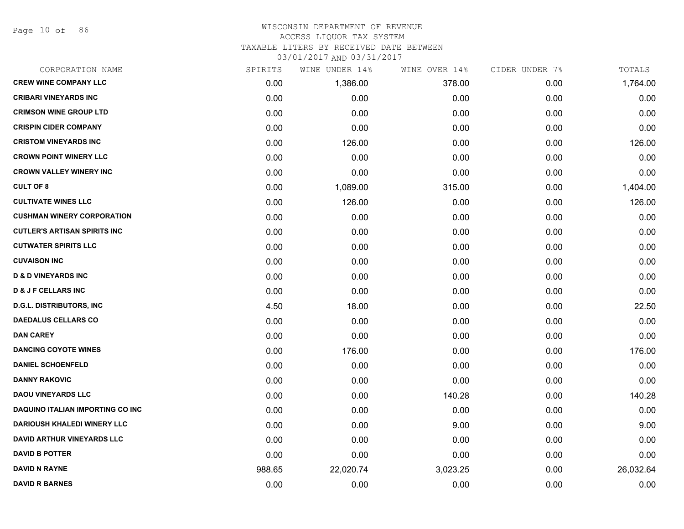Page 10 of 86

#### WISCONSIN DEPARTMENT OF REVENUE ACCESS LIQUOR TAX SYSTEM

TAXABLE LITERS BY RECEIVED DATE BETWEEN

| CORPORATION NAME                        | SPIRITS | WINE UNDER 14% | WINE OVER 14% | CIDER UNDER 7% | TOTALS    |
|-----------------------------------------|---------|----------------|---------------|----------------|-----------|
| <b>CREW WINE COMPANY LLC</b>            | 0.00    | 1,386.00       | 378.00        | 0.00           | 1,764.00  |
| <b>CRIBARI VINEYARDS INC</b>            | 0.00    | 0.00           | 0.00          | 0.00           | 0.00      |
| <b>CRIMSON WINE GROUP LTD</b>           | 0.00    | 0.00           | 0.00          | 0.00           | 0.00      |
| <b>CRISPIN CIDER COMPANY</b>            | 0.00    | 0.00           | 0.00          | 0.00           | 0.00      |
| <b>CRISTOM VINEYARDS INC</b>            | 0.00    | 126.00         | 0.00          | 0.00           | 126.00    |
| <b>CROWN POINT WINERY LLC</b>           | 0.00    | 0.00           | 0.00          | 0.00           | 0.00      |
| <b>CROWN VALLEY WINERY INC</b>          | 0.00    | 0.00           | 0.00          | 0.00           | 0.00      |
| <b>CULT OF 8</b>                        | 0.00    | 1,089.00       | 315.00        | 0.00           | 1,404.00  |
| <b>CULTIVATE WINES LLC</b>              | 0.00    | 126.00         | 0.00          | 0.00           | 126.00    |
| <b>CUSHMAN WINERY CORPORATION</b>       | 0.00    | 0.00           | 0.00          | 0.00           | 0.00      |
| <b>CUTLER'S ARTISAN SPIRITS INC</b>     | 0.00    | 0.00           | 0.00          | 0.00           | 0.00      |
| <b>CUTWATER SPIRITS LLC</b>             | 0.00    | 0.00           | 0.00          | 0.00           | 0.00      |
| <b>CUVAISON INC</b>                     | 0.00    | 0.00           | 0.00          | 0.00           | 0.00      |
| <b>D &amp; D VINEYARDS INC</b>          | 0.00    | 0.00           | 0.00          | 0.00           | 0.00      |
| <b>D &amp; J F CELLARS INC</b>          | 0.00    | 0.00           | 0.00          | 0.00           | 0.00      |
| <b>D.G.L. DISTRIBUTORS, INC</b>         | 4.50    | 18.00          | 0.00          | 0.00           | 22.50     |
| <b>DAEDALUS CELLARS CO</b>              | 0.00    | 0.00           | 0.00          | 0.00           | 0.00      |
| <b>DAN CAREY</b>                        | 0.00    | 0.00           | 0.00          | 0.00           | 0.00      |
| <b>DANCING COYOTE WINES</b>             | 0.00    | 176.00         | 0.00          | 0.00           | 176.00    |
| <b>DANIEL SCHOENFELD</b>                | 0.00    | 0.00           | 0.00          | 0.00           | 0.00      |
| <b>DANNY RAKOVIC</b>                    | 0.00    | 0.00           | 0.00          | 0.00           | 0.00      |
| <b>DAOU VINEYARDS LLC</b>               | 0.00    | 0.00           | 140.28        | 0.00           | 140.28    |
| <b>DAQUINO ITALIAN IMPORTING CO INC</b> | 0.00    | 0.00           | 0.00          | 0.00           | 0.00      |
| <b>DARIOUSH KHALEDI WINERY LLC</b>      | 0.00    | 0.00           | 9.00          | 0.00           | 9.00      |
| <b>DAVID ARTHUR VINEYARDS LLC</b>       | 0.00    | 0.00           | 0.00          | 0.00           | 0.00      |
| <b>DAVID B POTTER</b>                   | 0.00    | 0.00           | 0.00          | 0.00           | 0.00      |
| <b>DAVID N RAYNE</b>                    | 988.65  | 22,020.74      | 3,023.25      | 0.00           | 26,032.64 |
| <b>DAVID R BARNES</b>                   | 0.00    | 0.00           | 0.00          | 0.00           | 0.00      |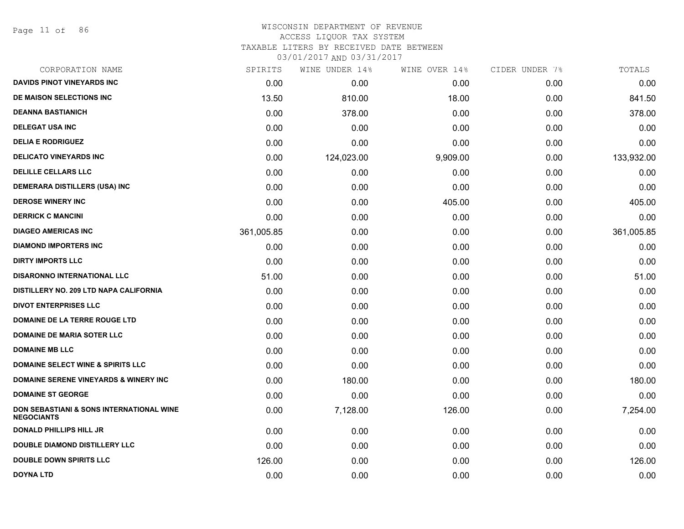Page 11 of 86

#### WISCONSIN DEPARTMENT OF REVENUE ACCESS LIQUOR TAX SYSTEM

TAXABLE LITERS BY RECEIVED DATE BETWEEN

| CORPORATION NAME                                              | SPIRITS    | WINE UNDER 14% | WINE OVER 14% | CIDER UNDER 7% | TOTALS     |
|---------------------------------------------------------------|------------|----------------|---------------|----------------|------------|
| <b>DAVIDS PINOT VINEYARDS INC</b>                             | 0.00       | 0.00           | 0.00          | 0.00           | 0.00       |
| DE MAISON SELECTIONS INC                                      | 13.50      | 810.00         | 18.00         | 0.00           | 841.50     |
| <b>DEANNA BASTIANICH</b>                                      | 0.00       | 378.00         | 0.00          | 0.00           | 378.00     |
| <b>DELEGAT USA INC</b>                                        | 0.00       | 0.00           | 0.00          | 0.00           | 0.00       |
| <b>DELIA E RODRIGUEZ</b>                                      | 0.00       | 0.00           | 0.00          | 0.00           | 0.00       |
| <b>DELICATO VINEYARDS INC</b>                                 | 0.00       | 124,023.00     | 9,909.00      | 0.00           | 133,932.00 |
| <b>DELILLE CELLARS LLC</b>                                    | 0.00       | 0.00           | 0.00          | 0.00           | 0.00       |
| DEMERARA DISTILLERS (USA) INC                                 | 0.00       | 0.00           | 0.00          | 0.00           | 0.00       |
| <b>DEROSE WINERY INC</b>                                      | 0.00       | 0.00           | 405.00        | 0.00           | 405.00     |
| <b>DERRICK C MANCINI</b>                                      | 0.00       | 0.00           | 0.00          | 0.00           | 0.00       |
| <b>DIAGEO AMERICAS INC</b>                                    | 361,005.85 | 0.00           | 0.00          | 0.00           | 361,005.85 |
| <b>DIAMOND IMPORTERS INC</b>                                  | 0.00       | 0.00           | 0.00          | 0.00           | 0.00       |
| <b>DIRTY IMPORTS LLC</b>                                      | 0.00       | 0.00           | 0.00          | 0.00           | 0.00       |
| DISARONNO INTERNATIONAL LLC                                   | 51.00      | 0.00           | 0.00          | 0.00           | 51.00      |
| DISTILLERY NO. 209 LTD NAPA CALIFORNIA                        | 0.00       | 0.00           | 0.00          | 0.00           | 0.00       |
| <b>DIVOT ENTERPRISES LLC</b>                                  | 0.00       | 0.00           | 0.00          | 0.00           | 0.00       |
| <b>DOMAINE DE LA TERRE ROUGE LTD</b>                          | 0.00       | 0.00           | 0.00          | 0.00           | 0.00       |
| <b>DOMAINE DE MARIA SOTER LLC</b>                             | 0.00       | 0.00           | 0.00          | 0.00           | 0.00       |
| <b>DOMAINE MB LLC</b>                                         | 0.00       | 0.00           | 0.00          | 0.00           | 0.00       |
| <b>DOMAINE SELECT WINE &amp; SPIRITS LLC</b>                  | 0.00       | 0.00           | 0.00          | 0.00           | 0.00       |
| <b>DOMAINE SERENE VINEYARDS &amp; WINERY INC</b>              | 0.00       | 180.00         | 0.00          | 0.00           | 180.00     |
| <b>DOMAINE ST GEORGE</b>                                      | 0.00       | 0.00           | 0.00          | 0.00           | 0.00       |
| DON SEBASTIANI & SONS INTERNATIONAL WINE<br><b>NEGOCIANTS</b> | 0.00       | 7,128.00       | 126.00        | 0.00           | 7,254.00   |
| <b>DONALD PHILLIPS HILL JR</b>                                | 0.00       | 0.00           | 0.00          | 0.00           | 0.00       |
| <b>DOUBLE DIAMOND DISTILLERY LLC</b>                          | 0.00       | 0.00           | 0.00          | 0.00           | 0.00       |
| <b>DOUBLE DOWN SPIRITS LLC</b>                                | 126.00     | 0.00           | 0.00          | 0.00           | 126.00     |
| DOYNA LTD                                                     | 0.00       | 0.00           | 0.00          | 0.00           | 0.00       |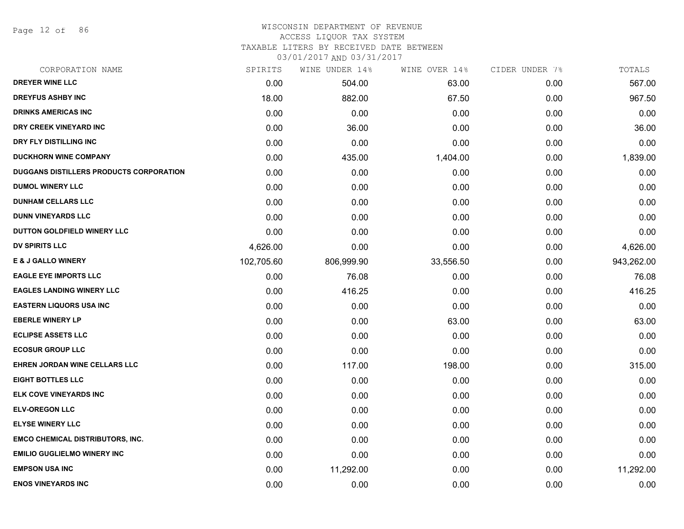Page 12 of 86

# WISCONSIN DEPARTMENT OF REVENUE

# ACCESS LIQUOR TAX SYSTEM

TAXABLE LITERS BY RECEIVED DATE BETWEEN

| CORPORATION NAME                        | SPIRITS    | WINE UNDER 14% | WINE OVER 14% | CIDER UNDER 7% | TOTALS     |
|-----------------------------------------|------------|----------------|---------------|----------------|------------|
| DREYER WINE LLC                         | 0.00       | 504.00         | 63.00         | 0.00           | 567.00     |
| <b>DREYFUS ASHBY INC</b>                | 18.00      | 882.00         | 67.50         | 0.00           | 967.50     |
| <b>DRINKS AMERICAS INC</b>              | 0.00       | 0.00           | 0.00          | 0.00           | 0.00       |
| DRY CREEK VINEYARD INC                  | 0.00       | 36.00          | 0.00          | 0.00           | 36.00      |
| DRY FLY DISTILLING INC                  | 0.00       | 0.00           | 0.00          | 0.00           | 0.00       |
| <b>DUCKHORN WINE COMPANY</b>            | 0.00       | 435.00         | 1,404.00      | 0.00           | 1,839.00   |
| DUGGANS DISTILLERS PRODUCTS CORPORATION | 0.00       | 0.00           | 0.00          | 0.00           | 0.00       |
| <b>DUMOL WINERY LLC</b>                 | 0.00       | 0.00           | 0.00          | 0.00           | 0.00       |
| <b>DUNHAM CELLARS LLC</b>               | 0.00       | 0.00           | 0.00          | 0.00           | 0.00       |
| <b>DUNN VINEYARDS LLC</b>               | 0.00       | 0.00           | 0.00          | 0.00           | 0.00       |
| DUTTON GOLDFIELD WINERY LLC             | 0.00       | 0.00           | 0.00          | 0.00           | 0.00       |
| <b>DV SPIRITS LLC</b>                   | 4,626.00   | 0.00           | 0.00          | 0.00           | 4,626.00   |
| <b>E &amp; J GALLO WINERY</b>           | 102,705.60 | 806,999.90     | 33,556.50     | 0.00           | 943,262.00 |
| <b>EAGLE EYE IMPORTS LLC</b>            | 0.00       | 76.08          | 0.00          | 0.00           | 76.08      |
| <b>EAGLES LANDING WINERY LLC</b>        | 0.00       | 416.25         | 0.00          | 0.00           | 416.25     |
| <b>EASTERN LIQUORS USA INC</b>          | 0.00       | 0.00           | 0.00          | 0.00           | 0.00       |
| <b>EBERLE WINERY LP</b>                 | 0.00       | 0.00           | 63.00         | 0.00           | 63.00      |
| <b>ECLIPSE ASSETS LLC</b>               | 0.00       | 0.00           | 0.00          | 0.00           | 0.00       |
| <b>ECOSUR GROUP LLC</b>                 | 0.00       | 0.00           | 0.00          | 0.00           | 0.00       |
| EHREN JORDAN WINE CELLARS LLC           | 0.00       | 117.00         | 198.00        | 0.00           | 315.00     |
| <b>EIGHT BOTTLES LLC</b>                | 0.00       | 0.00           | 0.00          | 0.00           | 0.00       |
| ELK COVE VINEYARDS INC                  | 0.00       | 0.00           | 0.00          | 0.00           | 0.00       |
| <b>ELV-OREGON LLC</b>                   | 0.00       | 0.00           | 0.00          | 0.00           | 0.00       |
| <b>ELYSE WINERY LLC</b>                 | 0.00       | 0.00           | 0.00          | 0.00           | 0.00       |
| <b>EMCO CHEMICAL DISTRIBUTORS, INC.</b> | 0.00       | 0.00           | 0.00          | 0.00           | 0.00       |
| <b>EMILIO GUGLIELMO WINERY INC</b>      | 0.00       | 0.00           | 0.00          | 0.00           | 0.00       |
| <b>EMPSON USA INC</b>                   | 0.00       | 11,292.00      | 0.00          | 0.00           | 11,292.00  |
| <b>ENOS VINEYARDS INC</b>               | 0.00       | 0.00           | 0.00          | 0.00           | 0.00       |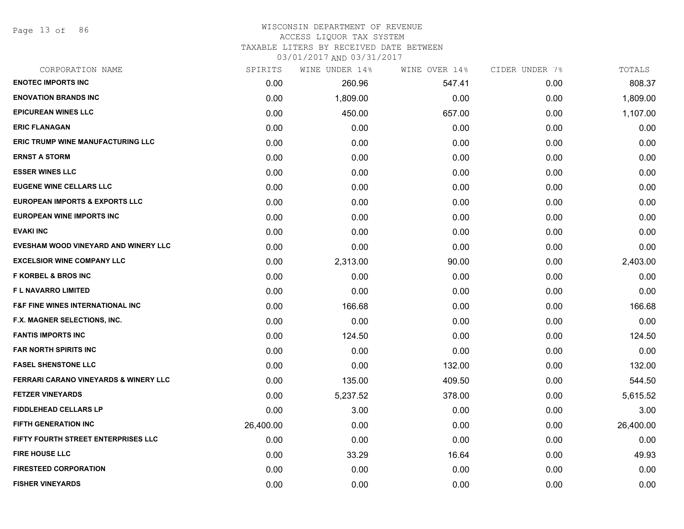Page 13 of 86

#### WISCONSIN DEPARTMENT OF REVENUE ACCESS LIQUOR TAX SYSTEM

# TAXABLE LITERS BY RECEIVED DATE BETWEEN

| CORPORATION NAME                                 | SPIRITS   | WINE UNDER 14% | WINE OVER 14% | CIDER UNDER 7% | TOTALS    |
|--------------------------------------------------|-----------|----------------|---------------|----------------|-----------|
| <b>ENOTEC IMPORTS INC</b>                        | 0.00      | 260.96         | 547.41        | 0.00           | 808.37    |
| <b>ENOVATION BRANDS INC</b>                      | 0.00      | 1,809.00       | 0.00          | 0.00           | 1,809.00  |
| <b>EPICUREAN WINES LLC</b>                       | 0.00      | 450.00         | 657.00        | 0.00           | 1,107.00  |
| <b>ERIC FLANAGAN</b>                             | 0.00      | 0.00           | 0.00          | 0.00           | 0.00      |
| ERIC TRUMP WINE MANUFACTURING LLC                | 0.00      | 0.00           | 0.00          | 0.00           | 0.00      |
| <b>ERNST A STORM</b>                             | 0.00      | 0.00           | 0.00          | 0.00           | 0.00      |
| <b>ESSER WINES LLC</b>                           | 0.00      | 0.00           | 0.00          | 0.00           | 0.00      |
| <b>EUGENE WINE CELLARS LLC</b>                   | 0.00      | 0.00           | 0.00          | 0.00           | 0.00      |
| <b>EUROPEAN IMPORTS &amp; EXPORTS LLC</b>        | 0.00      | 0.00           | 0.00          | 0.00           | 0.00      |
| <b>EUROPEAN WINE IMPORTS INC</b>                 | 0.00      | 0.00           | 0.00          | 0.00           | 0.00      |
| <b>EVAKI INC</b>                                 | 0.00      | 0.00           | 0.00          | 0.00           | 0.00      |
| EVESHAM WOOD VINEYARD AND WINERY LLC             | 0.00      | 0.00           | 0.00          | 0.00           | 0.00      |
| <b>EXCELSIOR WINE COMPANY LLC</b>                | 0.00      | 2,313.00       | 90.00         | 0.00           | 2,403.00  |
| <b>F KORBEL &amp; BROS INC</b>                   | 0.00      | 0.00           | 0.00          | 0.00           | 0.00      |
| F L NAVARRO LIMITED                              | 0.00      | 0.00           | 0.00          | 0.00           | 0.00      |
| <b>F&amp;F FINE WINES INTERNATIONAL INC</b>      | 0.00      | 166.68         | 0.00          | 0.00           | 166.68    |
| F.X. MAGNER SELECTIONS, INC.                     | 0.00      | 0.00           | 0.00          | 0.00           | 0.00      |
| <b>FANTIS IMPORTS INC</b>                        | 0.00      | 124.50         | 0.00          | 0.00           | 124.50    |
| <b>FAR NORTH SPIRITS INC</b>                     | 0.00      | 0.00           | 0.00          | 0.00           | 0.00      |
| <b>FASEL SHENSTONE LLC</b>                       | 0.00      | 0.00           | 132.00        | 0.00           | 132.00    |
| <b>FERRARI CARANO VINEYARDS &amp; WINERY LLC</b> | 0.00      | 135.00         | 409.50        | 0.00           | 544.50    |
| <b>FETZER VINEYARDS</b>                          | 0.00      | 5,237.52       | 378.00        | 0.00           | 5,615.52  |
| <b>FIDDLEHEAD CELLARS LP</b>                     | 0.00      | 3.00           | 0.00          | 0.00           | 3.00      |
| <b>FIFTH GENERATION INC</b>                      | 26,400.00 | 0.00           | 0.00          | 0.00           | 26,400.00 |
| FIFTY FOURTH STREET ENTERPRISES LLC              | 0.00      | 0.00           | 0.00          | 0.00           | 0.00      |
| <b>FIRE HOUSE LLC</b>                            | 0.00      | 33.29          | 16.64         | 0.00           | 49.93     |
| <b>FIRESTEED CORPORATION</b>                     | 0.00      | 0.00           | 0.00          | 0.00           | 0.00      |
| <b>FISHER VINEYARDS</b>                          | 0.00      | 0.00           | 0.00          | 0.00           | 0.00      |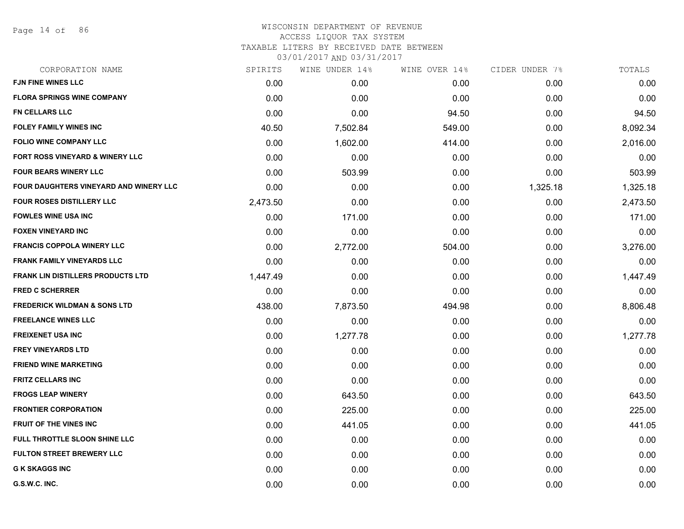Page 14 of 86

## WISCONSIN DEPARTMENT OF REVENUE ACCESS LIQUOR TAX SYSTEM TAXABLE LITERS BY RECEIVED DATE BETWEEN

| CORPORATION NAME                              | SPIRITS  | WINE UNDER 14% | WINE OVER 14% | CIDER UNDER 7% | TOTALS   |
|-----------------------------------------------|----------|----------------|---------------|----------------|----------|
| FJN FINE WINES LLC                            | 0.00     | 0.00           | 0.00          | 0.00           | 0.00     |
| <b>FLORA SPRINGS WINE COMPANY</b>             | 0.00     | 0.00           | 0.00          | 0.00           | 0.00     |
| <b>FN CELLARS LLC</b>                         | 0.00     | 0.00           | 94.50         | 0.00           | 94.50    |
| <b>FOLEY FAMILY WINES INC</b>                 | 40.50    | 7,502.84       | 549.00        | 0.00           | 8,092.34 |
| <b>FOLIO WINE COMPANY LLC</b>                 | 0.00     | 1,602.00       | 414.00        | 0.00           | 2,016.00 |
| FORT ROSS VINEYARD & WINERY LLC               | 0.00     | 0.00           | 0.00          | 0.00           | 0.00     |
| <b>FOUR BEARS WINERY LLC</b>                  | 0.00     | 503.99         | 0.00          | 0.00           | 503.99   |
| <b>FOUR DAUGHTERS VINEYARD AND WINERY LLC</b> | 0.00     | 0.00           | 0.00          | 1,325.18       | 1,325.18 |
| <b>FOUR ROSES DISTILLERY LLC</b>              | 2,473.50 | 0.00           | 0.00          | 0.00           | 2,473.50 |
| <b>FOWLES WINE USA INC</b>                    | 0.00     | 171.00         | 0.00          | 0.00           | 171.00   |
| <b>FOXEN VINEYARD INC</b>                     | 0.00     | 0.00           | 0.00          | 0.00           | 0.00     |
| <b>FRANCIS COPPOLA WINERY LLC</b>             | 0.00     | 2,772.00       | 504.00        | 0.00           | 3,276.00 |
| <b>FRANK FAMILY VINEYARDS LLC</b>             | 0.00     | 0.00           | 0.00          | 0.00           | 0.00     |
| <b>FRANK LIN DISTILLERS PRODUCTS LTD</b>      | 1,447.49 | 0.00           | 0.00          | 0.00           | 1,447.49 |
| <b>FRED C SCHERRER</b>                        | 0.00     | 0.00           | 0.00          | 0.00           | 0.00     |
| <b>FREDERICK WILDMAN &amp; SONS LTD</b>       | 438.00   | 7,873.50       | 494.98        | 0.00           | 8,806.48 |
| <b>FREELANCE WINES LLC</b>                    | 0.00     | 0.00           | 0.00          | 0.00           | 0.00     |
| <b>FREIXENET USA INC</b>                      | 0.00     | 1,277.78       | 0.00          | 0.00           | 1,277.78 |
| <b>FREY VINEYARDS LTD</b>                     | 0.00     | 0.00           | 0.00          | 0.00           | 0.00     |
| <b>FRIEND WINE MARKETING</b>                  | 0.00     | 0.00           | 0.00          | 0.00           | 0.00     |
| <b>FRITZ CELLARS INC</b>                      | 0.00     | 0.00           | 0.00          | 0.00           | 0.00     |
| <b>FROGS LEAP WINERY</b>                      | 0.00     | 643.50         | 0.00          | 0.00           | 643.50   |
| <b>FRONTIER CORPORATION</b>                   | 0.00     | 225.00         | 0.00          | 0.00           | 225.00   |
| <b>FRUIT OF THE VINES INC</b>                 | 0.00     | 441.05         | 0.00          | 0.00           | 441.05   |
| FULL THROTTLE SLOON SHINE LLC                 | 0.00     | 0.00           | 0.00          | 0.00           | 0.00     |
| <b>FULTON STREET BREWERY LLC</b>              | 0.00     | 0.00           | 0.00          | 0.00           | 0.00     |
| <b>G K SKAGGS INC</b>                         | 0.00     | 0.00           | 0.00          | 0.00           | 0.00     |
| G.S.W.C. INC.                                 | 0.00     | 0.00           | 0.00          | 0.00           | 0.00     |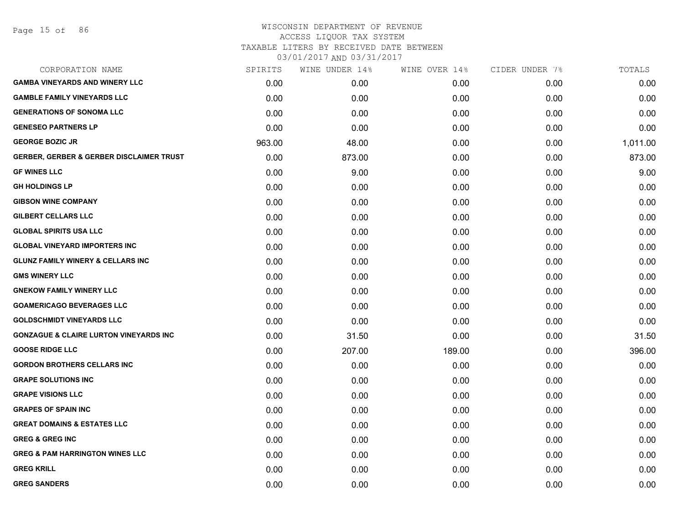Page 15 of 86

## WISCONSIN DEPARTMENT OF REVENUE ACCESS LIQUOR TAX SYSTEM

TAXABLE LITERS BY RECEIVED DATE BETWEEN

| CORPORATION NAME                                    | SPIRITS | WINE UNDER 14% | WINE OVER 14% | CIDER UNDER 7% | TOTALS   |
|-----------------------------------------------------|---------|----------------|---------------|----------------|----------|
| <b>GAMBA VINEYARDS AND WINERY LLC</b>               | 0.00    | 0.00           | 0.00          | 0.00           | 0.00     |
| <b>GAMBLE FAMILY VINEYARDS LLC</b>                  | 0.00    | 0.00           | 0.00          | 0.00           | 0.00     |
| <b>GENERATIONS OF SONOMA LLC</b>                    | 0.00    | 0.00           | 0.00          | 0.00           | 0.00     |
| <b>GENESEO PARTNERS LP</b>                          | 0.00    | 0.00           | 0.00          | 0.00           | 0.00     |
| <b>GEORGE BOZIC JR</b>                              | 963.00  | 48.00          | 0.00          | 0.00           | 1,011.00 |
| <b>GERBER, GERBER &amp; GERBER DISCLAIMER TRUST</b> | 0.00    | 873.00         | 0.00          | 0.00           | 873.00   |
| <b>GF WINES LLC</b>                                 | 0.00    | 9.00           | 0.00          | 0.00           | 9.00     |
| <b>GH HOLDINGS LP</b>                               | 0.00    | 0.00           | 0.00          | 0.00           | 0.00     |
| <b>GIBSON WINE COMPANY</b>                          | 0.00    | 0.00           | 0.00          | 0.00           | 0.00     |
| GILBERT CELLARS LLC                                 | 0.00    | 0.00           | 0.00          | 0.00           | 0.00     |
| <b>GLOBAL SPIRITS USA LLC</b>                       | 0.00    | 0.00           | 0.00          | 0.00           | 0.00     |
| <b>GLOBAL VINEYARD IMPORTERS INC</b>                | 0.00    | 0.00           | 0.00          | 0.00           | 0.00     |
| <b>GLUNZ FAMILY WINERY &amp; CELLARS INC</b>        | 0.00    | 0.00           | 0.00          | 0.00           | 0.00     |
| <b>GMS WINERY LLC</b>                               | 0.00    | 0.00           | 0.00          | 0.00           | 0.00     |
| <b>GNEKOW FAMILY WINERY LLC</b>                     | 0.00    | 0.00           | 0.00          | 0.00           | 0.00     |
| <b>GOAMERICAGO BEVERAGES LLC</b>                    | 0.00    | 0.00           | 0.00          | 0.00           | 0.00     |
| <b>GOLDSCHMIDT VINEYARDS LLC</b>                    | 0.00    | 0.00           | 0.00          | 0.00           | 0.00     |
| <b>GONZAGUE &amp; CLAIRE LURTON VINEYARDS INC</b>   | 0.00    | 31.50          | 0.00          | 0.00           | 31.50    |
| <b>GOOSE RIDGE LLC</b>                              | 0.00    | 207.00         | 189.00        | 0.00           | 396.00   |
| <b>GORDON BROTHERS CELLARS INC</b>                  | 0.00    | 0.00           | 0.00          | 0.00           | 0.00     |
| <b>GRAPE SOLUTIONS INC</b>                          | 0.00    | 0.00           | 0.00          | 0.00           | 0.00     |
| <b>GRAPE VISIONS LLC</b>                            | 0.00    | 0.00           | 0.00          | 0.00           | 0.00     |
| <b>GRAPES OF SPAIN INC</b>                          | 0.00    | 0.00           | 0.00          | 0.00           | 0.00     |
| <b>GREAT DOMAINS &amp; ESTATES LLC</b>              | 0.00    | 0.00           | 0.00          | 0.00           | 0.00     |
| <b>GREG &amp; GREG INC</b>                          | 0.00    | 0.00           | 0.00          | 0.00           | 0.00     |
| <b>GREG &amp; PAM HARRINGTON WINES LLC</b>          | 0.00    | 0.00           | 0.00          | 0.00           | 0.00     |
| <b>GREG KRILL</b>                                   | 0.00    | 0.00           | 0.00          | 0.00           | 0.00     |
| <b>GREG SANDERS</b>                                 | 0.00    | 0.00           | 0.00          | 0.00           | 0.00     |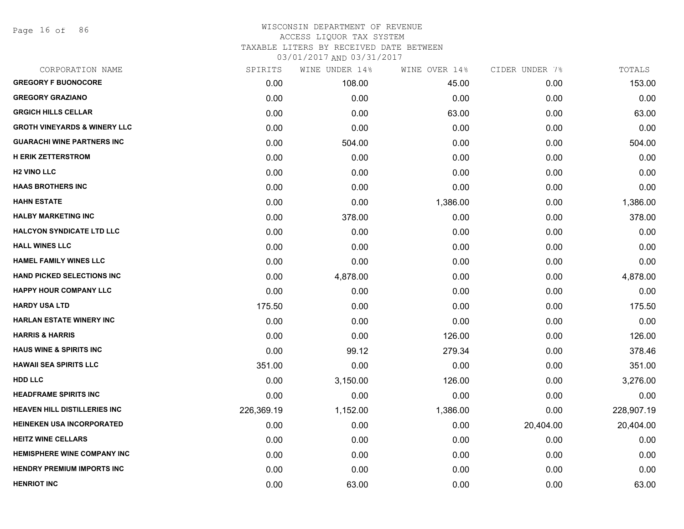Page 16 of 86

# WISCONSIN DEPARTMENT OF REVENUE ACCESS LIQUOR TAX SYSTEM TAXABLE LITERS BY RECEIVED DATE BETWEEN

| CORPORATION NAME                        | SPIRITS    | WINE UNDER 14% | WINE OVER 14% | CIDER UNDER 7% | TOTALS     |
|-----------------------------------------|------------|----------------|---------------|----------------|------------|
| <b>GREGORY F BUONOCORE</b>              | 0.00       | 108.00         | 45.00         | 0.00           | 153.00     |
| <b>GREGORY GRAZIANO</b>                 | 0.00       | 0.00           | 0.00          | 0.00           | 0.00       |
| <b>GRGICH HILLS CELLAR</b>              | 0.00       | 0.00           | 63.00         | 0.00           | 63.00      |
| <b>GROTH VINEYARDS &amp; WINERY LLC</b> | 0.00       | 0.00           | 0.00          | 0.00           | 0.00       |
| <b>GUARACHI WINE PARTNERS INC</b>       | 0.00       | 504.00         | 0.00          | 0.00           | 504.00     |
| <b>H ERIK ZETTERSTROM</b>               | 0.00       | 0.00           | 0.00          | 0.00           | 0.00       |
| <b>H2 VINO LLC</b>                      | 0.00       | 0.00           | 0.00          | 0.00           | 0.00       |
| <b>HAAS BROTHERS INC</b>                | 0.00       | 0.00           | 0.00          | 0.00           | 0.00       |
| <b>HAHN ESTATE</b>                      | 0.00       | 0.00           | 1,386.00      | 0.00           | 1,386.00   |
| <b>HALBY MARKETING INC</b>              | 0.00       | 378.00         | 0.00          | 0.00           | 378.00     |
| <b>HALCYON SYNDICATE LTD LLC</b>        | 0.00       | 0.00           | 0.00          | 0.00           | 0.00       |
| <b>HALL WINES LLC</b>                   | 0.00       | 0.00           | 0.00          | 0.00           | 0.00       |
| <b>HAMEL FAMILY WINES LLC</b>           | 0.00       | 0.00           | 0.00          | 0.00           | 0.00       |
| <b>HAND PICKED SELECTIONS INC</b>       | 0.00       | 4,878.00       | 0.00          | 0.00           | 4,878.00   |
| <b>HAPPY HOUR COMPANY LLC</b>           | 0.00       | 0.00           | 0.00          | 0.00           | 0.00       |
| <b>HARDY USA LTD</b>                    | 175.50     | 0.00           | 0.00          | 0.00           | 175.50     |
| <b>HARLAN ESTATE WINERY INC</b>         | 0.00       | 0.00           | 0.00          | 0.00           | 0.00       |
| <b>HARRIS &amp; HARRIS</b>              | 0.00       | 0.00           | 126.00        | 0.00           | 126.00     |
| <b>HAUS WINE &amp; SPIRITS INC</b>      | 0.00       | 99.12          | 279.34        | 0.00           | 378.46     |
| <b>HAWAII SEA SPIRITS LLC</b>           | 351.00     | 0.00           | 0.00          | 0.00           | 351.00     |
| <b>HDD LLC</b>                          | 0.00       | 3,150.00       | 126.00        | 0.00           | 3,276.00   |
| <b>HEADFRAME SPIRITS INC</b>            | 0.00       | 0.00           | 0.00          | 0.00           | 0.00       |
| <b>HEAVEN HILL DISTILLERIES INC</b>     | 226,369.19 | 1,152.00       | 1,386.00      | 0.00           | 228,907.19 |
| <b>HEINEKEN USA INCORPORATED</b>        | 0.00       | 0.00           | 0.00          | 20,404.00      | 20,404.00  |
| <b>HEITZ WINE CELLARS</b>               | 0.00       | 0.00           | 0.00          | 0.00           | 0.00       |
| <b>HEMISPHERE WINE COMPANY INC</b>      | 0.00       | 0.00           | 0.00          | 0.00           | 0.00       |
| <b>HENDRY PREMIUM IMPORTS INC</b>       | 0.00       | 0.00           | 0.00          | 0.00           | 0.00       |
| <b>HENRIOT INC</b>                      | 0.00       | 63.00          | 0.00          | 0.00           | 63.00      |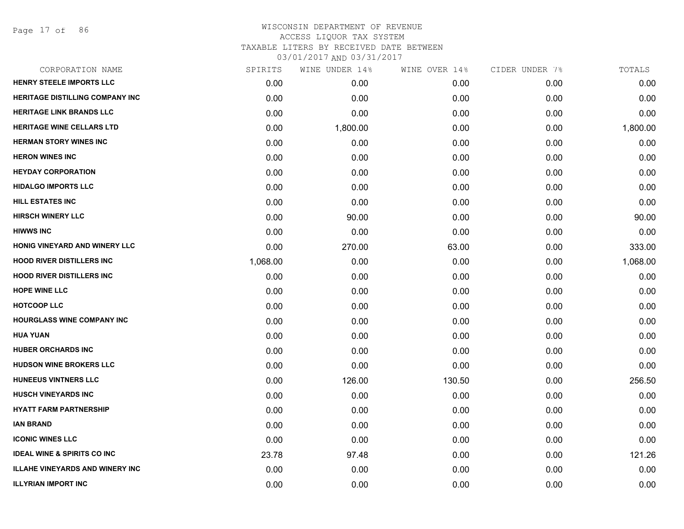Page 17 of 86

| CORPORATION NAME                       | SPIRITS  | WINE UNDER 14% | WINE OVER 14% | CIDER UNDER 7% | TOTALS   |
|----------------------------------------|----------|----------------|---------------|----------------|----------|
| <b>HENRY STEELE IMPORTS LLC</b>        | 0.00     | 0.00           | 0.00          | 0.00           | 0.00     |
| <b>HERITAGE DISTILLING COMPANY INC</b> | 0.00     | 0.00           | 0.00          | 0.00           | 0.00     |
| <b>HERITAGE LINK BRANDS LLC</b>        | 0.00     | 0.00           | 0.00          | 0.00           | 0.00     |
| HERITAGE WINE CELLARS LTD              | 0.00     | 1,800.00       | 0.00          | 0.00           | 1,800.00 |
| <b>HERMAN STORY WINES INC</b>          | 0.00     | 0.00           | 0.00          | 0.00           | 0.00     |
| <b>HERON WINES INC</b>                 | 0.00     | 0.00           | 0.00          | 0.00           | 0.00     |
| <b>HEYDAY CORPORATION</b>              | 0.00     | 0.00           | 0.00          | 0.00           | 0.00     |
| <b>HIDALGO IMPORTS LLC</b>             | 0.00     | 0.00           | 0.00          | 0.00           | 0.00     |
| <b>HILL ESTATES INC</b>                | 0.00     | 0.00           | 0.00          | 0.00           | 0.00     |
| <b>HIRSCH WINERY LLC</b>               | 0.00     | 90.00          | 0.00          | 0.00           | 90.00    |
| <b>HIWWS INC</b>                       | 0.00     | 0.00           | 0.00          | 0.00           | 0.00     |
| HONIG VINEYARD AND WINERY LLC          | 0.00     | 270.00         | 63.00         | 0.00           | 333.00   |
| <b>HOOD RIVER DISTILLERS INC</b>       | 1,068.00 | 0.00           | 0.00          | 0.00           | 1,068.00 |
| <b>HOOD RIVER DISTILLERS INC</b>       | 0.00     | 0.00           | 0.00          | 0.00           | 0.00     |
| <b>HOPE WINE LLC</b>                   | 0.00     | 0.00           | 0.00          | 0.00           | 0.00     |
| <b>HOTCOOP LLC</b>                     | 0.00     | 0.00           | 0.00          | 0.00           | 0.00     |
| <b>HOURGLASS WINE COMPANY INC</b>      | 0.00     | 0.00           | 0.00          | 0.00           | 0.00     |
| <b>HUA YUAN</b>                        | 0.00     | 0.00           | 0.00          | 0.00           | 0.00     |
| <b>HUBER ORCHARDS INC</b>              | 0.00     | 0.00           | 0.00          | 0.00           | 0.00     |
| <b>HUDSON WINE BROKERS LLC</b>         | 0.00     | 0.00           | 0.00          | 0.00           | 0.00     |
| <b>HUNEEUS VINTNERS LLC</b>            | 0.00     | 126.00         | 130.50        | 0.00           | 256.50   |
| <b>HUSCH VINEYARDS INC</b>             | 0.00     | 0.00           | 0.00          | 0.00           | 0.00     |
| <b>HYATT FARM PARTNERSHIP</b>          | 0.00     | 0.00           | 0.00          | 0.00           | 0.00     |
| <b>IAN BRAND</b>                       | 0.00     | 0.00           | 0.00          | 0.00           | 0.00     |
| <b>ICONIC WINES LLC</b>                | 0.00     | 0.00           | 0.00          | 0.00           | 0.00     |
| <b>IDEAL WINE &amp; SPIRITS CO INC</b> | 23.78    | 97.48          | 0.00          | 0.00           | 121.26   |
| <b>ILLAHE VINEYARDS AND WINERY INC</b> | 0.00     | 0.00           | 0.00          | 0.00           | 0.00     |
| <b>ILLYRIAN IMPORT INC</b>             | 0.00     | 0.00           | 0.00          | 0.00           | 0.00     |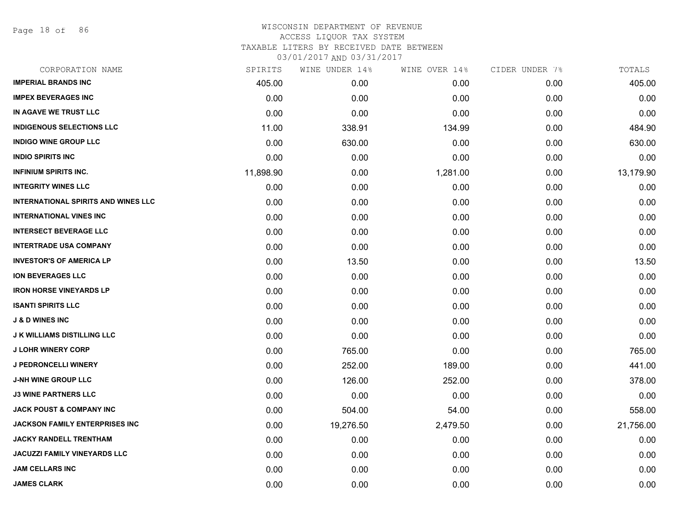Page 18 of 86

| CORPORATION NAME                           | SPIRITS   | WINE UNDER 14% | WINE OVER 14% | CIDER UNDER 7% | TOTALS    |
|--------------------------------------------|-----------|----------------|---------------|----------------|-----------|
| <b>IMPERIAL BRANDS INC</b>                 | 405.00    | 0.00           | 0.00          | 0.00           | 405.00    |
| <b>IMPEX BEVERAGES INC</b>                 | 0.00      | 0.00           | 0.00          | 0.00           | 0.00      |
| IN AGAVE WE TRUST LLC                      | 0.00      | 0.00           | 0.00          | 0.00           | 0.00      |
| <b>INDIGENOUS SELECTIONS LLC</b>           | 11.00     | 338.91         | 134.99        | 0.00           | 484.90    |
| <b>INDIGO WINE GROUP LLC</b>               | 0.00      | 630.00         | 0.00          | 0.00           | 630.00    |
| <b>INDIO SPIRITS INC</b>                   | 0.00      | 0.00           | 0.00          | 0.00           | 0.00      |
| <b>INFINIUM SPIRITS INC.</b>               | 11,898.90 | 0.00           | 1,281.00      | 0.00           | 13,179.90 |
| <b>INTEGRITY WINES LLC</b>                 | 0.00      | 0.00           | 0.00          | 0.00           | 0.00      |
| <b>INTERNATIONAL SPIRITS AND WINES LLC</b> | 0.00      | 0.00           | 0.00          | 0.00           | 0.00      |
| <b>INTERNATIONAL VINES INC</b>             | 0.00      | 0.00           | 0.00          | 0.00           | 0.00      |
| <b>INTERSECT BEVERAGE LLC</b>              | 0.00      | 0.00           | 0.00          | 0.00           | 0.00      |
| <b>INTERTRADE USA COMPANY</b>              | 0.00      | 0.00           | 0.00          | 0.00           | 0.00      |
| <b>INVESTOR'S OF AMERICA LP</b>            | 0.00      | 13.50          | 0.00          | 0.00           | 13.50     |
| <b>ION BEVERAGES LLC</b>                   | 0.00      | 0.00           | 0.00          | 0.00           | 0.00      |
| <b>IRON HORSE VINEYARDS LP</b>             | 0.00      | 0.00           | 0.00          | 0.00           | 0.00      |
| <b>ISANTI SPIRITS LLC</b>                  | 0.00      | 0.00           | 0.00          | 0.00           | 0.00      |
| <b>J &amp; D WINES INC</b>                 | 0.00      | 0.00           | 0.00          | 0.00           | 0.00      |
| <b>J K WILLIAMS DISTILLING LLC</b>         | 0.00      | 0.00           | 0.00          | 0.00           | 0.00      |
| <b>J LOHR WINERY CORP</b>                  | 0.00      | 765.00         | 0.00          | 0.00           | 765.00    |
| J PEDRONCELLI WINERY                       | 0.00      | 252.00         | 189.00        | 0.00           | 441.00    |
| <b>J-NH WINE GROUP LLC</b>                 | 0.00      | 126.00         | 252.00        | 0.00           | 378.00    |
| <b>J3 WINE PARTNERS LLC</b>                | 0.00      | 0.00           | 0.00          | 0.00           | 0.00      |
| <b>JACK POUST &amp; COMPANY INC</b>        | 0.00      | 504.00         | 54.00         | 0.00           | 558.00    |
| <b>JACKSON FAMILY ENTERPRISES INC</b>      | 0.00      | 19,276.50      | 2,479.50      | 0.00           | 21,756.00 |
| <b>JACKY RANDELL TRENTHAM</b>              | 0.00      | 0.00           | 0.00          | 0.00           | 0.00      |
| JACUZZI FAMILY VINEYARDS LLC               | 0.00      | 0.00           | 0.00          | 0.00           | 0.00      |
| <b>JAM CELLARS INC</b>                     | 0.00      | 0.00           | 0.00          | 0.00           | 0.00      |
| <b>JAMES CLARK</b>                         | 0.00      | 0.00           | 0.00          | 0.00           | 0.00      |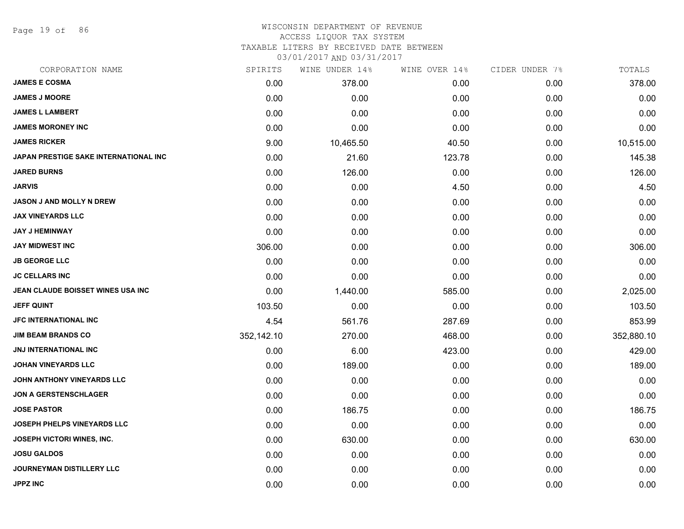Page 19 of 86

#### WISCONSIN DEPARTMENT OF REVENUE ACCESS LIQUOR TAX SYSTEM

TAXABLE LITERS BY RECEIVED DATE BETWEEN

| CORPORATION NAME                         | SPIRITS    | WINE UNDER 14% | WINE OVER 14% | CIDER UNDER 7% | TOTALS     |
|------------------------------------------|------------|----------------|---------------|----------------|------------|
| <b>JAMES E COSMA</b>                     | 0.00       | 378.00         | 0.00          | 0.00           | 378.00     |
| <b>JAMES J MOORE</b>                     | 0.00       | 0.00           | 0.00          | 0.00           | 0.00       |
| <b>JAMES L LAMBERT</b>                   | 0.00       | 0.00           | 0.00          | 0.00           | 0.00       |
| <b>JAMES MORONEY INC</b>                 | 0.00       | 0.00           | 0.00          | 0.00           | 0.00       |
| <b>JAMES RICKER</b>                      | 9.00       | 10,465.50      | 40.50         | 0.00           | 10,515.00  |
| JAPAN PRESTIGE SAKE INTERNATIONAL INC    | 0.00       | 21.60          | 123.78        | 0.00           | 145.38     |
| <b>JARED BURNS</b>                       | 0.00       | 126.00         | 0.00          | 0.00           | 126.00     |
| <b>JARVIS</b>                            | 0.00       | 0.00           | 4.50          | 0.00           | 4.50       |
| <b>JASON J AND MOLLY N DREW</b>          | 0.00       | 0.00           | 0.00          | 0.00           | 0.00       |
| <b>JAX VINEYARDS LLC</b>                 | 0.00       | 0.00           | 0.00          | 0.00           | 0.00       |
| <b>JAY J HEMINWAY</b>                    | 0.00       | 0.00           | 0.00          | 0.00           | 0.00       |
| <b>JAY MIDWEST INC</b>                   | 306.00     | 0.00           | 0.00          | 0.00           | 306.00     |
| <b>JB GEORGE LLC</b>                     | 0.00       | 0.00           | 0.00          | 0.00           | 0.00       |
| <b>JC CELLARS INC</b>                    | 0.00       | 0.00           | 0.00          | 0.00           | 0.00       |
| <b>JEAN CLAUDE BOISSET WINES USA INC</b> | 0.00       | 1,440.00       | 585.00        | 0.00           | 2,025.00   |
| <b>JEFF QUINT</b>                        | 103.50     | 0.00           | 0.00          | 0.00           | 103.50     |
| <b>JFC INTERNATIONAL INC</b>             | 4.54       | 561.76         | 287.69        | 0.00           | 853.99     |
| <b>JIM BEAM BRANDS CO</b>                | 352,142.10 | 270.00         | 468.00        | 0.00           | 352,880.10 |
| JNJ INTERNATIONAL INC                    | 0.00       | 6.00           | 423.00        | 0.00           | 429.00     |
| <b>JOHAN VINEYARDS LLC</b>               | 0.00       | 189.00         | 0.00          | 0.00           | 189.00     |
| JOHN ANTHONY VINEYARDS LLC               | 0.00       | 0.00           | 0.00          | 0.00           | 0.00       |
| <b>JON A GERSTENSCHLAGER</b>             | 0.00       | 0.00           | 0.00          | 0.00           | 0.00       |
| <b>JOSE PASTOR</b>                       | 0.00       | 186.75         | 0.00          | 0.00           | 186.75     |
| JOSEPH PHELPS VINEYARDS LLC              | 0.00       | 0.00           | 0.00          | 0.00           | 0.00       |
| <b>JOSEPH VICTORI WINES, INC.</b>        | 0.00       | 630.00         | 0.00          | 0.00           | 630.00     |
| <b>JOSU GALDOS</b>                       | 0.00       | 0.00           | 0.00          | 0.00           | 0.00       |
| <b>JOURNEYMAN DISTILLERY LLC</b>         | 0.00       | 0.00           | 0.00          | 0.00           | 0.00       |
| <b>JPPZ INC</b>                          | 0.00       | 0.00           | 0.00          | 0.00           | 0.00       |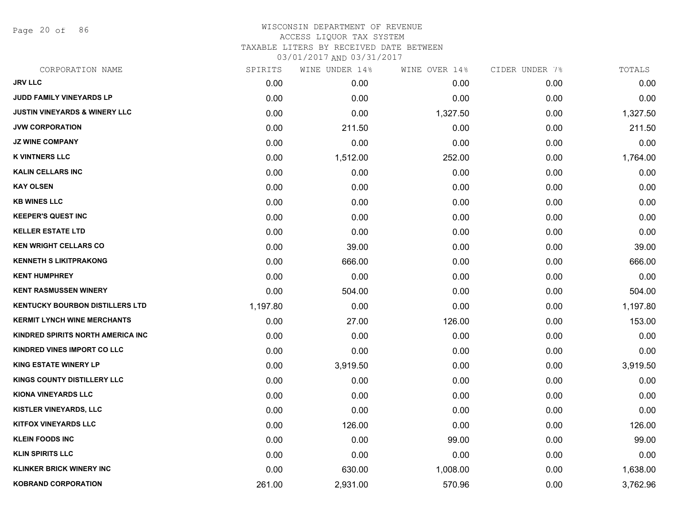Page 20 of 86

# WISCONSIN DEPARTMENT OF REVENUE ACCESS LIQUOR TAX SYSTEM TAXABLE LITERS BY RECEIVED DATE BETWEEN

| CORPORATION NAME                         | SPIRITS  | WINE UNDER 14% | WINE OVER 14% | CIDER UNDER 7% | TOTALS   |
|------------------------------------------|----------|----------------|---------------|----------------|----------|
| <b>JRV LLC</b>                           | 0.00     | 0.00           | 0.00          | 0.00           | 0.00     |
| <b>JUDD FAMILY VINEYARDS LP</b>          | 0.00     | 0.00           | 0.00          | 0.00           | 0.00     |
| <b>JUSTIN VINEYARDS &amp; WINERY LLC</b> | 0.00     | 0.00           | 1,327.50      | 0.00           | 1,327.50 |
| <b>JVW CORPORATION</b>                   | 0.00     | 211.50         | 0.00          | 0.00           | 211.50   |
| <b>JZ WINE COMPANY</b>                   | 0.00     | 0.00           | 0.00          | 0.00           | 0.00     |
| <b>K VINTNERS LLC</b>                    | 0.00     | 1,512.00       | 252.00        | 0.00           | 1,764.00 |
| <b>KALIN CELLARS INC</b>                 | 0.00     | 0.00           | 0.00          | 0.00           | 0.00     |
| <b>KAY OLSEN</b>                         | 0.00     | 0.00           | 0.00          | 0.00           | 0.00     |
| <b>KB WINES LLC</b>                      | 0.00     | 0.00           | 0.00          | 0.00           | 0.00     |
| <b>KEEPER'S QUEST INC</b>                | 0.00     | 0.00           | 0.00          | 0.00           | 0.00     |
| <b>KELLER ESTATE LTD</b>                 | 0.00     | 0.00           | 0.00          | 0.00           | 0.00     |
| <b>KEN WRIGHT CELLARS CO</b>             | 0.00     | 39.00          | 0.00          | 0.00           | 39.00    |
| <b>KENNETH S LIKITPRAKONG</b>            | 0.00     | 666.00         | 0.00          | 0.00           | 666.00   |
| <b>KENT HUMPHREY</b>                     | 0.00     | 0.00           | 0.00          | 0.00           | 0.00     |
| <b>KENT RASMUSSEN WINERY</b>             | 0.00     | 504.00         | 0.00          | 0.00           | 504.00   |
| <b>KENTUCKY BOURBON DISTILLERS LTD</b>   | 1,197.80 | 0.00           | 0.00          | 0.00           | 1,197.80 |
| <b>KERMIT LYNCH WINE MERCHANTS</b>       | 0.00     | 27.00          | 126.00        | 0.00           | 153.00   |
| KINDRED SPIRITS NORTH AMERICA INC        | 0.00     | 0.00           | 0.00          | 0.00           | 0.00     |
| KINDRED VINES IMPORT CO LLC              | 0.00     | 0.00           | 0.00          | 0.00           | 0.00     |
| <b>KING ESTATE WINERY LP</b>             | 0.00     | 3,919.50       | 0.00          | 0.00           | 3,919.50 |
| KINGS COUNTY DISTILLERY LLC              | 0.00     | 0.00           | 0.00          | 0.00           | 0.00     |
| KIONA VINEYARDS LLC                      | 0.00     | 0.00           | 0.00          | 0.00           | 0.00     |
| <b>KISTLER VINEYARDS, LLC</b>            | 0.00     | 0.00           | 0.00          | 0.00           | 0.00     |
| <b>KITFOX VINEYARDS LLC</b>              | 0.00     | 126.00         | 0.00          | 0.00           | 126.00   |
| <b>KLEIN FOODS INC</b>                   | 0.00     | 0.00           | 99.00         | 0.00           | 99.00    |
| <b>KLIN SPIRITS LLC</b>                  | 0.00     | 0.00           | 0.00          | 0.00           | 0.00     |
| <b>KLINKER BRICK WINERY INC</b>          | 0.00     | 630.00         | 1,008.00      | 0.00           | 1,638.00 |
| <b>KOBRAND CORPORATION</b>               | 261.00   | 2,931.00       | 570.96        | 0.00           | 3,762.96 |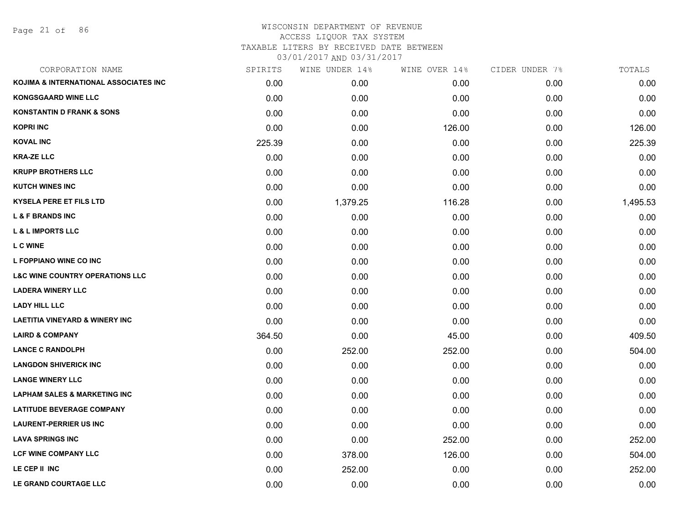Page 21 of 86

| CORPORATION NAME                           | SPIRITS | WINE UNDER 14% | WINE OVER 14% | CIDER UNDER 7% | TOTALS   |
|--------------------------------------------|---------|----------------|---------------|----------------|----------|
| KOJIMA & INTERNATIONAL ASSOCIATES INC      | 0.00    | 0.00           | 0.00          | 0.00           | 0.00     |
| <b>KONGSGAARD WINE LLC</b>                 | 0.00    | 0.00           | 0.00          | 0.00           | 0.00     |
| <b>KONSTANTIN D FRANK &amp; SONS</b>       | 0.00    | 0.00           | 0.00          | 0.00           | 0.00     |
| <b>KOPRI INC</b>                           | 0.00    | 0.00           | 126.00        | 0.00           | 126.00   |
| <b>KOVAL INC</b>                           | 225.39  | 0.00           | 0.00          | 0.00           | 225.39   |
| <b>KRA-ZE LLC</b>                          | 0.00    | 0.00           | 0.00          | 0.00           | 0.00     |
| <b>KRUPP BROTHERS LLC</b>                  | 0.00    | 0.00           | 0.00          | 0.00           | 0.00     |
| <b>KUTCH WINES INC</b>                     | 0.00    | 0.00           | 0.00          | 0.00           | 0.00     |
| <b>KYSELA PERE ET FILS LTD</b>             | 0.00    | 1,379.25       | 116.28        | 0.00           | 1,495.53 |
| <b>L &amp; F BRANDS INC</b>                | 0.00    | 0.00           | 0.00          | 0.00           | 0.00     |
| <b>L &amp; L IMPORTS LLC</b>               | 0.00    | 0.00           | 0.00          | 0.00           | 0.00     |
| <b>L C WINE</b>                            | 0.00    | 0.00           | 0.00          | 0.00           | 0.00     |
| L FOPPIANO WINE CO INC                     | 0.00    | 0.00           | 0.00          | 0.00           | 0.00     |
| <b>L&amp;C WINE COUNTRY OPERATIONS LLC</b> | 0.00    | 0.00           | 0.00          | 0.00           | 0.00     |
| <b>LADERA WINERY LLC</b>                   | 0.00    | 0.00           | 0.00          | 0.00           | 0.00     |
| <b>LADY HILL LLC</b>                       | 0.00    | 0.00           | 0.00          | 0.00           | 0.00     |
| <b>LAETITIA VINEYARD &amp; WINERY INC</b>  | 0.00    | 0.00           | 0.00          | 0.00           | 0.00     |
| <b>LAIRD &amp; COMPANY</b>                 | 364.50  | 0.00           | 45.00         | 0.00           | 409.50   |
| <b>LANCE C RANDOLPH</b>                    | 0.00    | 252.00         | 252.00        | 0.00           | 504.00   |
| <b>LANGDON SHIVERICK INC</b>               | 0.00    | 0.00           | 0.00          | 0.00           | 0.00     |
| <b>LANGE WINERY LLC</b>                    | 0.00    | 0.00           | 0.00          | 0.00           | 0.00     |
| <b>LAPHAM SALES &amp; MARKETING INC</b>    | 0.00    | 0.00           | 0.00          | 0.00           | 0.00     |
| <b>LATITUDE BEVERAGE COMPANY</b>           | 0.00    | 0.00           | 0.00          | 0.00           | 0.00     |
| <b>LAURENT-PERRIER US INC</b>              | 0.00    | 0.00           | 0.00          | 0.00           | 0.00     |
| <b>LAVA SPRINGS INC</b>                    | 0.00    | 0.00           | 252.00        | 0.00           | 252.00   |
| <b>LCF WINE COMPANY LLC</b>                | 0.00    | 378.00         | 126.00        | 0.00           | 504.00   |
| LE CEP II INC                              | 0.00    | 252.00         | 0.00          | 0.00           | 252.00   |
| LE GRAND COURTAGE LLC                      | 0.00    | 0.00           | 0.00          | 0.00           | 0.00     |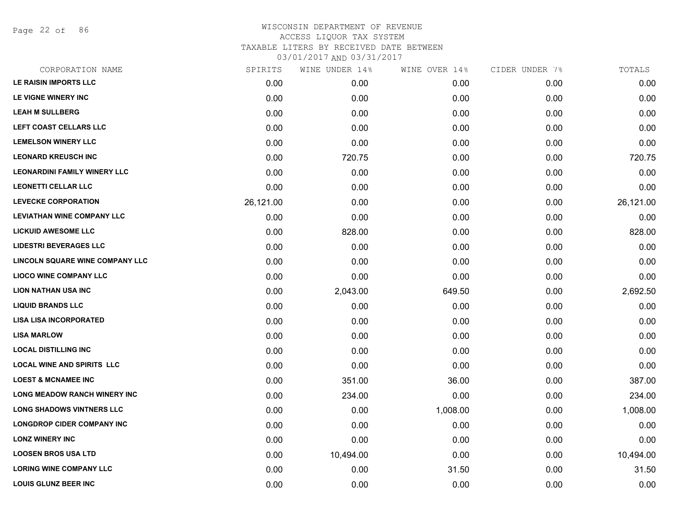Page 22 of 86

| CORPORATION NAME                    | SPIRITS   | WINE UNDER 14% | WINE OVER 14% | CIDER UNDER 7% | TOTALS    |
|-------------------------------------|-----------|----------------|---------------|----------------|-----------|
| LE RAISIN IMPORTS LLC               | 0.00      | 0.00           | 0.00          | 0.00           | 0.00      |
| LE VIGNE WINERY INC                 | 0.00      | 0.00           | 0.00          | 0.00           | 0.00      |
| <b>LEAH M SULLBERG</b>              | 0.00      | 0.00           | 0.00          | 0.00           | 0.00      |
| <b>LEFT COAST CELLARS LLC</b>       | 0.00      | 0.00           | 0.00          | 0.00           | 0.00      |
| <b>LEMELSON WINERY LLC</b>          | 0.00      | 0.00           | 0.00          | 0.00           | 0.00      |
| <b>LEONARD KREUSCH INC</b>          | 0.00      | 720.75         | 0.00          | 0.00           | 720.75    |
| <b>LEONARDINI FAMILY WINERY LLC</b> | 0.00      | 0.00           | 0.00          | 0.00           | 0.00      |
| <b>LEONETTI CELLAR LLC</b>          | 0.00      | 0.00           | 0.00          | 0.00           | 0.00      |
| <b>LEVECKE CORPORATION</b>          | 26,121.00 | 0.00           | 0.00          | 0.00           | 26,121.00 |
| <b>LEVIATHAN WINE COMPANY LLC</b>   | 0.00      | 0.00           | 0.00          | 0.00           | 0.00      |
| <b>LICKUID AWESOME LLC</b>          | 0.00      | 828.00         | 0.00          | 0.00           | 828.00    |
| <b>LIDESTRI BEVERAGES LLC</b>       | 0.00      | 0.00           | 0.00          | 0.00           | 0.00      |
| LINCOLN SQUARE WINE COMPANY LLC     | 0.00      | 0.00           | 0.00          | 0.00           | 0.00      |
| <b>LIOCO WINE COMPANY LLC</b>       | 0.00      | 0.00           | 0.00          | 0.00           | 0.00      |
| <b>LION NATHAN USA INC</b>          | 0.00      | 2,043.00       | 649.50        | 0.00           | 2,692.50  |
| <b>LIQUID BRANDS LLC</b>            | 0.00      | 0.00           | 0.00          | 0.00           | 0.00      |
| <b>LISA LISA INCORPORATED</b>       | 0.00      | 0.00           | 0.00          | 0.00           | 0.00      |
| <b>LISA MARLOW</b>                  | 0.00      | 0.00           | 0.00          | 0.00           | 0.00      |
| <b>LOCAL DISTILLING INC</b>         | 0.00      | 0.00           | 0.00          | 0.00           | 0.00      |
| <b>LOCAL WINE AND SPIRITS LLC</b>   | 0.00      | 0.00           | 0.00          | 0.00           | 0.00      |
| <b>LOEST &amp; MCNAMEE INC</b>      | 0.00      | 351.00         | 36.00         | 0.00           | 387.00    |
| <b>LONG MEADOW RANCH WINERY INC</b> | 0.00      | 234.00         | 0.00          | 0.00           | 234.00    |
| <b>LONG SHADOWS VINTNERS LLC</b>    | 0.00      | 0.00           | 1,008.00      | 0.00           | 1,008.00  |
| <b>LONGDROP CIDER COMPANY INC</b>   | 0.00      | 0.00           | 0.00          | 0.00           | 0.00      |
| <b>LONZ WINERY INC</b>              | 0.00      | 0.00           | 0.00          | 0.00           | 0.00      |
| <b>LOOSEN BROS USA LTD</b>          | 0.00      | 10,494.00      | 0.00          | 0.00           | 10,494.00 |
| <b>LORING WINE COMPANY LLC</b>      | 0.00      | 0.00           | 31.50         | 0.00           | 31.50     |
| <b>LOUIS GLUNZ BEER INC</b>         | 0.00      | 0.00           | 0.00          | 0.00           | 0.00      |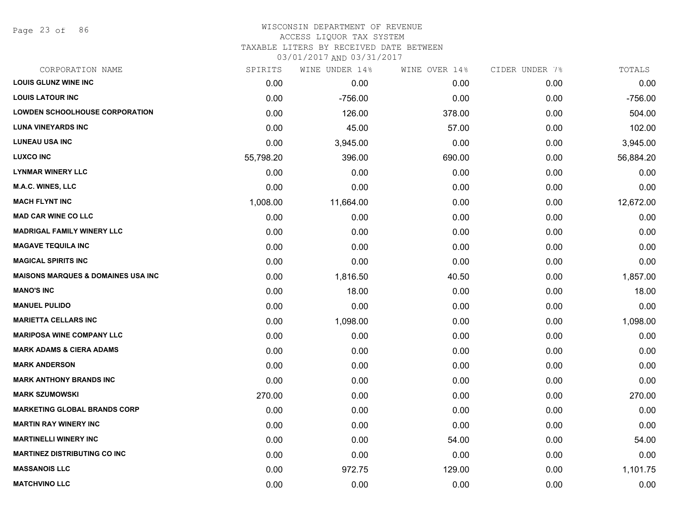Page 23 of 86

#### WISCONSIN DEPARTMENT OF REVENUE ACCESS LIQUOR TAX SYSTEM TAXABLE LITERS BY RECEIVED DATE BETWEEN

| CORPORATION NAME                              | SPIRITS   | WINE UNDER 14% | WINE OVER 14% | CIDER UNDER 7% | TOTALS    |
|-----------------------------------------------|-----------|----------------|---------------|----------------|-----------|
| <b>LOUIS GLUNZ WINE INC</b>                   | 0.00      | 0.00           | 0.00          | 0.00           | 0.00      |
| <b>LOUIS LATOUR INC</b>                       | 0.00      | $-756.00$      | 0.00          | 0.00           | $-756.00$ |
| <b>LOWDEN SCHOOLHOUSE CORPORATION</b>         | 0.00      | 126.00         | 378.00        | 0.00           | 504.00    |
| <b>LUNA VINEYARDS INC</b>                     | 0.00      | 45.00          | 57.00         | 0.00           | 102.00    |
| <b>LUNEAU USA INC</b>                         | 0.00      | 3,945.00       | 0.00          | 0.00           | 3,945.00  |
| <b>LUXCO INC</b>                              | 55,798.20 | 396.00         | 690.00        | 0.00           | 56,884.20 |
| <b>LYNMAR WINERY LLC</b>                      | 0.00      | 0.00           | 0.00          | 0.00           | 0.00      |
| <b>M.A.C. WINES, LLC</b>                      | 0.00      | 0.00           | 0.00          | 0.00           | 0.00      |
| <b>MACH FLYNT INC</b>                         | 1,008.00  | 11,664.00      | 0.00          | 0.00           | 12,672.00 |
| <b>MAD CAR WINE CO LLC</b>                    | 0.00      | 0.00           | 0.00          | 0.00           | 0.00      |
| <b>MADRIGAL FAMILY WINERY LLC</b>             | 0.00      | 0.00           | 0.00          | 0.00           | 0.00      |
| <b>MAGAVE TEQUILA INC</b>                     | 0.00      | 0.00           | 0.00          | 0.00           | 0.00      |
| <b>MAGICAL SPIRITS INC</b>                    | 0.00      | 0.00           | 0.00          | 0.00           | 0.00      |
| <b>MAISONS MARQUES &amp; DOMAINES USA INC</b> | 0.00      | 1,816.50       | 40.50         | 0.00           | 1,857.00  |
| <b>MANO'S INC</b>                             | 0.00      | 18.00          | 0.00          | 0.00           | 18.00     |
| <b>MANUEL PULIDO</b>                          | 0.00      | 0.00           | 0.00          | 0.00           | 0.00      |
| <b>MARIETTA CELLARS INC</b>                   | 0.00      | 1,098.00       | 0.00          | 0.00           | 1,098.00  |
| <b>MARIPOSA WINE COMPANY LLC</b>              | 0.00      | 0.00           | 0.00          | 0.00           | 0.00      |
| <b>MARK ADAMS &amp; CIERA ADAMS</b>           | 0.00      | 0.00           | 0.00          | 0.00           | 0.00      |
| <b>MARK ANDERSON</b>                          | 0.00      | 0.00           | 0.00          | 0.00           | 0.00      |
| <b>MARK ANTHONY BRANDS INC</b>                | 0.00      | 0.00           | 0.00          | 0.00           | 0.00      |
| <b>MARK SZUMOWSKI</b>                         | 270.00    | 0.00           | 0.00          | 0.00           | 270.00    |
| <b>MARKETING GLOBAL BRANDS CORP</b>           | 0.00      | 0.00           | 0.00          | 0.00           | 0.00      |
| <b>MARTIN RAY WINERY INC</b>                  | 0.00      | 0.00           | 0.00          | 0.00           | 0.00      |
| <b>MARTINELLI WINERY INC</b>                  | 0.00      | 0.00           | 54.00         | 0.00           | 54.00     |
| <b>MARTINEZ DISTRIBUTING CO INC</b>           | 0.00      | 0.00           | 0.00          | 0.00           | 0.00      |
| <b>MASSANOIS LLC</b>                          | 0.00      | 972.75         | 129.00        | 0.00           | 1,101.75  |
| <b>MATCHVINO LLC</b>                          | 0.00      | 0.00           | 0.00          | 0.00           | 0.00      |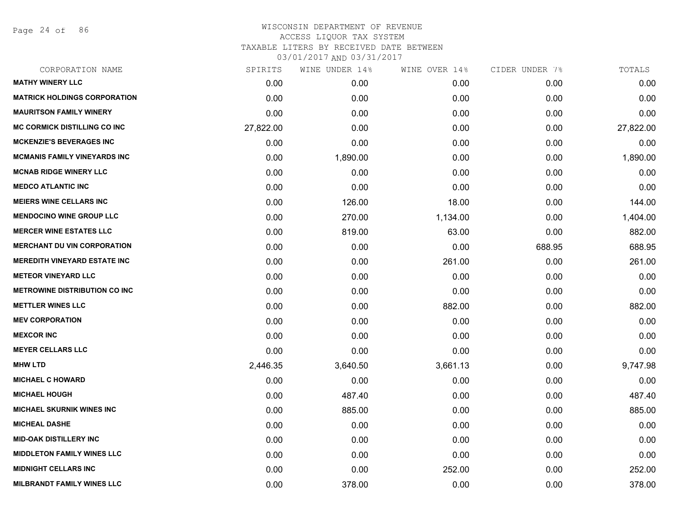Page 24 of 86

| CORPORATION NAME                     | SPIRITS   | WINE UNDER 14% | WINE OVER 14% | CIDER UNDER 7% | TOTALS    |
|--------------------------------------|-----------|----------------|---------------|----------------|-----------|
| <b>MATHY WINERY LLC</b>              | 0.00      | 0.00           | 0.00          | 0.00           | 0.00      |
| <b>MATRICK HOLDINGS CORPORATION</b>  | 0.00      | 0.00           | 0.00          | 0.00           | 0.00      |
| <b>MAURITSON FAMILY WINERY</b>       | 0.00      | 0.00           | 0.00          | 0.00           | 0.00      |
| <b>MC CORMICK DISTILLING CO INC</b>  | 27,822.00 | 0.00           | 0.00          | 0.00           | 27,822.00 |
| <b>MCKENZIE'S BEVERAGES INC</b>      | 0.00      | 0.00           | 0.00          | 0.00           | 0.00      |
| <b>MCMANIS FAMILY VINEYARDS INC</b>  | 0.00      | 1,890.00       | 0.00          | 0.00           | 1,890.00  |
| <b>MCNAB RIDGE WINERY LLC</b>        | 0.00      | 0.00           | 0.00          | 0.00           | 0.00      |
| <b>MEDCO ATLANTIC INC</b>            | 0.00      | 0.00           | 0.00          | 0.00           | 0.00      |
| <b>MEIERS WINE CELLARS INC</b>       | 0.00      | 126.00         | 18.00         | 0.00           | 144.00    |
| <b>MENDOCINO WINE GROUP LLC</b>      | 0.00      | 270.00         | 1,134.00      | 0.00           | 1,404.00  |
| <b>MERCER WINE ESTATES LLC</b>       | 0.00      | 819.00         | 63.00         | 0.00           | 882.00    |
| <b>MERCHANT DU VIN CORPORATION</b>   | 0.00      | 0.00           | 0.00          | 688.95         | 688.95    |
| <b>MEREDITH VINEYARD ESTATE INC</b>  | 0.00      | 0.00           | 261.00        | 0.00           | 261.00    |
| <b>METEOR VINEYARD LLC</b>           | 0.00      | 0.00           | 0.00          | 0.00           | 0.00      |
| <b>METROWINE DISTRIBUTION CO INC</b> | 0.00      | 0.00           | 0.00          | 0.00           | 0.00      |
| <b>METTLER WINES LLC</b>             | 0.00      | 0.00           | 882.00        | 0.00           | 882.00    |
| <b>MEV CORPORATION</b>               | 0.00      | 0.00           | 0.00          | 0.00           | 0.00      |
| <b>MEXCOR INC</b>                    | 0.00      | 0.00           | 0.00          | 0.00           | 0.00      |
| <b>MEYER CELLARS LLC</b>             | 0.00      | 0.00           | 0.00          | 0.00           | 0.00      |
| <b>MHW LTD</b>                       | 2,446.35  | 3,640.50       | 3,661.13      | 0.00           | 9,747.98  |
| <b>MICHAEL C HOWARD</b>              | 0.00      | 0.00           | 0.00          | 0.00           | 0.00      |
| <b>MICHAEL HOUGH</b>                 | 0.00      | 487.40         | 0.00          | 0.00           | 487.40    |
| <b>MICHAEL SKURNIK WINES INC</b>     | 0.00      | 885.00         | 0.00          | 0.00           | 885.00    |
| <b>MICHEAL DASHE</b>                 | 0.00      | 0.00           | 0.00          | 0.00           | 0.00      |
| <b>MID-OAK DISTILLERY INC</b>        | 0.00      | 0.00           | 0.00          | 0.00           | 0.00      |
| <b>MIDDLETON FAMILY WINES LLC</b>    | 0.00      | 0.00           | 0.00          | 0.00           | 0.00      |
| <b>MIDNIGHT CELLARS INC</b>          | 0.00      | 0.00           | 252.00        | 0.00           | 252.00    |
| <b>MILBRANDT FAMILY WINES LLC</b>    | 0.00      | 378.00         | 0.00          | 0.00           | 378.00    |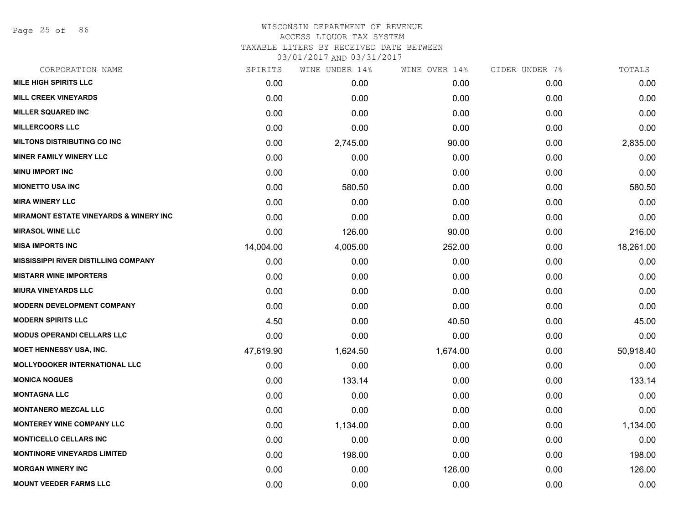Page 25 of 86

#### WISCONSIN DEPARTMENT OF REVENUE ACCESS LIQUOR TAX SYSTEM

TAXABLE LITERS BY RECEIVED DATE BETWEEN

| CORPORATION NAME                                  | SPIRITS   | WINE UNDER 14% | WINE OVER 14% | CIDER UNDER 7% | TOTALS    |
|---------------------------------------------------|-----------|----------------|---------------|----------------|-----------|
| <b>MILE HIGH SPIRITS LLC</b>                      | 0.00      | 0.00           | 0.00          | 0.00           | 0.00      |
| <b>MILL CREEK VINEYARDS</b>                       | 0.00      | 0.00           | 0.00          | 0.00           | 0.00      |
| <b>MILLER SQUARED INC</b>                         | 0.00      | 0.00           | 0.00          | 0.00           | 0.00      |
| <b>MILLERCOORS LLC</b>                            | 0.00      | 0.00           | 0.00          | 0.00           | 0.00      |
| <b>MILTONS DISTRIBUTING CO INC</b>                | 0.00      | 2,745.00       | 90.00         | 0.00           | 2,835.00  |
| <b>MINER FAMILY WINERY LLC</b>                    | 0.00      | 0.00           | 0.00          | 0.00           | 0.00      |
| <b>MINU IMPORT INC</b>                            | 0.00      | 0.00           | 0.00          | 0.00           | 0.00      |
| <b>MIONETTO USA INC</b>                           | 0.00      | 580.50         | 0.00          | 0.00           | 580.50    |
| <b>MIRA WINERY LLC</b>                            | 0.00      | 0.00           | 0.00          | 0.00           | 0.00      |
| <b>MIRAMONT ESTATE VINEYARDS &amp; WINERY INC</b> | 0.00      | 0.00           | 0.00          | 0.00           | 0.00      |
| <b>MIRASOL WINE LLC</b>                           | 0.00      | 126.00         | 90.00         | 0.00           | 216.00    |
| <b>MISA IMPORTS INC</b>                           | 14,004.00 | 4,005.00       | 252.00        | 0.00           | 18,261.00 |
| <b>MISSISSIPPI RIVER DISTILLING COMPANY</b>       | 0.00      | 0.00           | 0.00          | 0.00           | 0.00      |
| <b>MISTARR WINE IMPORTERS</b>                     | 0.00      | 0.00           | 0.00          | 0.00           | 0.00      |
| <b>MIURA VINEYARDS LLC</b>                        | 0.00      | 0.00           | 0.00          | 0.00           | 0.00      |
| <b>MODERN DEVELOPMENT COMPANY</b>                 | 0.00      | 0.00           | 0.00          | 0.00           | 0.00      |
| <b>MODERN SPIRITS LLC</b>                         | 4.50      | 0.00           | 40.50         | 0.00           | 45.00     |
| <b>MODUS OPERANDI CELLARS LLC</b>                 | 0.00      | 0.00           | 0.00          | 0.00           | 0.00      |
| MOET HENNESSY USA, INC.                           | 47,619.90 | 1,624.50       | 1,674.00      | 0.00           | 50,918.40 |
| <b>MOLLYDOOKER INTERNATIONAL LLC</b>              | 0.00      | 0.00           | 0.00          | 0.00           | 0.00      |
| <b>MONICA NOGUES</b>                              | 0.00      | 133.14         | 0.00          | 0.00           | 133.14    |
| <b>MONTAGNA LLC</b>                               | 0.00      | 0.00           | 0.00          | 0.00           | 0.00      |
| <b>MONTANERO MEZCAL LLC</b>                       | 0.00      | 0.00           | 0.00          | 0.00           | 0.00      |
| <b>MONTEREY WINE COMPANY LLC</b>                  | 0.00      | 1,134.00       | 0.00          | 0.00           | 1,134.00  |
| <b>MONTICELLO CELLARS INC</b>                     | 0.00      | 0.00           | 0.00          | 0.00           | 0.00      |
| <b>MONTINORE VINEYARDS LIMITED</b>                | 0.00      | 198.00         | 0.00          | 0.00           | 198.00    |
| <b>MORGAN WINERY INC</b>                          | 0.00      | 0.00           | 126.00        | 0.00           | 126.00    |
| <b>MOUNT VEEDER FARMS LLC</b>                     | 0.00      | 0.00           | 0.00          | 0.00           | 0.00      |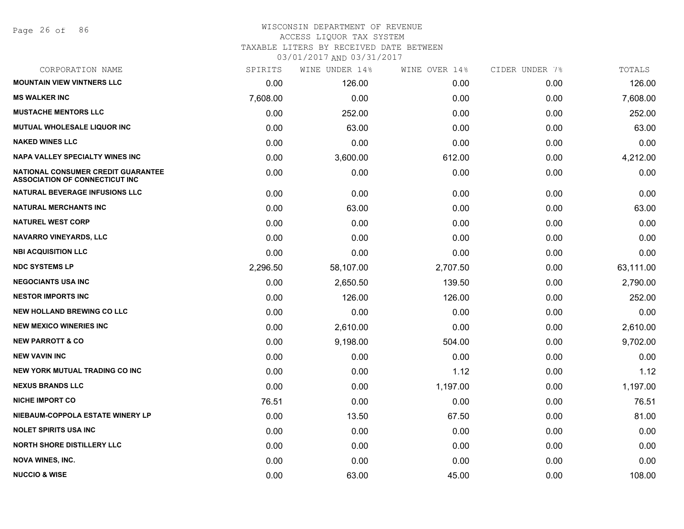#### WISCONSIN DEPARTMENT OF REVENUE ACCESS LIQUOR TAX SYSTEM TAXABLE LITERS BY RECEIVED DATE BETWEEN

| CORPORATION NAME                                                                   | SPIRITS  | WINE UNDER 14% | WINE OVER 14% | CIDER UNDER 7% | TOTALS    |
|------------------------------------------------------------------------------------|----------|----------------|---------------|----------------|-----------|
| <b>MOUNTAIN VIEW VINTNERS LLC</b>                                                  | 0.00     | 126.00         | 0.00          | 0.00           | 126.00    |
| <b>MS WALKER INC</b>                                                               | 7,608.00 | 0.00           | 0.00          | 0.00           | 7,608.00  |
| <b>MUSTACHE MENTORS LLC</b>                                                        | 0.00     | 252.00         | 0.00          | 0.00           | 252.00    |
| <b>MUTUAL WHOLESALE LIQUOR INC</b>                                                 | 0.00     | 63.00          | 0.00          | 0.00           | 63.00     |
| <b>NAKED WINES LLC</b>                                                             | 0.00     | 0.00           | 0.00          | 0.00           | 0.00      |
| <b>NAPA VALLEY SPECIALTY WINES INC</b>                                             | 0.00     | 3,600.00       | 612.00        | 0.00           | 4,212.00  |
| <b>NATIONAL CONSUMER CREDIT GUARANTEE</b><br><b>ASSOCIATION OF CONNECTICUT INC</b> | 0.00     | 0.00           | 0.00          | 0.00           | 0.00      |
| <b>NATURAL BEVERAGE INFUSIONS LLC</b>                                              | 0.00     | 0.00           | 0.00          | 0.00           | 0.00      |
| <b>NATURAL MERCHANTS INC</b>                                                       | 0.00     | 63.00          | 0.00          | 0.00           | 63.00     |
| <b>NATUREL WEST CORP</b>                                                           | 0.00     | 0.00           | 0.00          | 0.00           | 0.00      |
| <b>NAVARRO VINEYARDS, LLC</b>                                                      | 0.00     | 0.00           | 0.00          | 0.00           | 0.00      |
| <b>NBI ACQUISITION LLC</b>                                                         | 0.00     | 0.00           | 0.00          | 0.00           | 0.00      |
| <b>NDC SYSTEMS LP</b>                                                              | 2,296.50 | 58,107.00      | 2,707.50      | 0.00           | 63,111.00 |
| <b>NEGOCIANTS USA INC</b>                                                          | 0.00     | 2,650.50       | 139.50        | 0.00           | 2,790.00  |
| <b>NESTOR IMPORTS INC</b>                                                          | 0.00     | 126.00         | 126.00        | 0.00           | 252.00    |
| <b>NEW HOLLAND BREWING CO LLC</b>                                                  | 0.00     | 0.00           | 0.00          | 0.00           | 0.00      |
| <b>NEW MEXICO WINERIES INC</b>                                                     | 0.00     | 2,610.00       | 0.00          | 0.00           | 2,610.00  |
| <b>NEW PARROTT &amp; CO</b>                                                        | 0.00     | 9,198.00       | 504.00        | 0.00           | 9,702.00  |
| <b>NEW VAVIN INC</b>                                                               | 0.00     | 0.00           | 0.00          | 0.00           | 0.00      |
| <b>NEW YORK MUTUAL TRADING CO INC</b>                                              | 0.00     | 0.00           | 1.12          | 0.00           | 1.12      |
| <b>NEXUS BRANDS LLC</b>                                                            | 0.00     | 0.00           | 1,197.00      | 0.00           | 1,197.00  |
| <b>NICHE IMPORT CO</b>                                                             | 76.51    | 0.00           | 0.00          | 0.00           | 76.51     |
| NIEBAUM-COPPOLA ESTATE WINERY LP                                                   | 0.00     | 13.50          | 67.50         | 0.00           | 81.00     |
| <b>NOLET SPIRITS USA INC</b>                                                       | 0.00     | 0.00           | 0.00          | 0.00           | 0.00      |
| <b>NORTH SHORE DISTILLERY LLC</b>                                                  | 0.00     | 0.00           | 0.00          | 0.00           | 0.00      |
| <b>NOVA WINES, INC.</b>                                                            | 0.00     | 0.00           | 0.00          | 0.00           | 0.00      |
| <b>NUCCIO &amp; WISE</b>                                                           | 0.00     | 63.00          | 45.00         | 0.00           | 108.00    |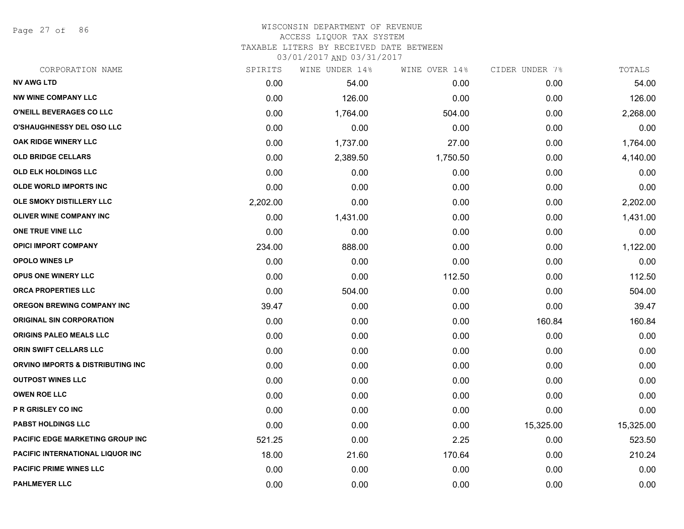Page 27 of 86

# WISCONSIN DEPARTMENT OF REVENUE ACCESS LIQUOR TAX SYSTEM

TAXABLE LITERS BY RECEIVED DATE BETWEEN

| CORPORATION NAME                        | SPIRITS  | WINE UNDER 14% | WINE OVER 14% | CIDER UNDER 7% | TOTALS    |
|-----------------------------------------|----------|----------------|---------------|----------------|-----------|
| <b>NV AWG LTD</b>                       | 0.00     | 54.00          | 0.00          | 0.00           | 54.00     |
| <b>NW WINE COMPANY LLC</b>              | 0.00     | 126.00         | 0.00          | 0.00           | 126.00    |
| O'NEILL BEVERAGES CO LLC                | 0.00     | 1,764.00       | 504.00        | 0.00           | 2,268.00  |
| <b>O'SHAUGHNESSY DEL OSO LLC</b>        | 0.00     | 0.00           | 0.00          | 0.00           | 0.00      |
| OAK RIDGE WINERY LLC                    | 0.00     | 1,737.00       | 27.00         | 0.00           | 1,764.00  |
| <b>OLD BRIDGE CELLARS</b>               | 0.00     | 2,389.50       | 1,750.50      | 0.00           | 4,140.00  |
| OLD ELK HOLDINGS LLC                    | 0.00     | 0.00           | 0.00          | 0.00           | 0.00      |
| <b>OLDE WORLD IMPORTS INC</b>           | 0.00     | 0.00           | 0.00          | 0.00           | 0.00      |
| OLE SMOKY DISTILLERY LLC                | 2,202.00 | 0.00           | 0.00          | 0.00           | 2,202.00  |
| OLIVER WINE COMPANY INC                 | 0.00     | 1,431.00       | 0.00          | 0.00           | 1,431.00  |
| ONE TRUE VINE LLC                       | 0.00     | 0.00           | 0.00          | 0.00           | 0.00      |
| <b>OPICI IMPORT COMPANY</b>             | 234.00   | 888.00         | 0.00          | 0.00           | 1,122.00  |
| <b>OPOLO WINES LP</b>                   | 0.00     | 0.00           | 0.00          | 0.00           | 0.00      |
| <b>OPUS ONE WINERY LLC</b>              | 0.00     | 0.00           | 112.50        | 0.00           | 112.50    |
| ORCA PROPERTIES LLC                     | 0.00     | 504.00         | 0.00          | 0.00           | 504.00    |
| <b>OREGON BREWING COMPANY INC</b>       | 39.47    | 0.00           | 0.00          | 0.00           | 39.47     |
| <b>ORIGINAL SIN CORPORATION</b>         | 0.00     | 0.00           | 0.00          | 160.84         | 160.84    |
| ORIGINS PALEO MEALS LLC                 | 0.00     | 0.00           | 0.00          | 0.00           | 0.00      |
| ORIN SWIFT CELLARS LLC                  | 0.00     | 0.00           | 0.00          | 0.00           | 0.00      |
| ORVINO IMPORTS & DISTRIBUTING INC       | 0.00     | 0.00           | 0.00          | 0.00           | 0.00      |
| <b>OUTPOST WINES LLC</b>                | 0.00     | 0.00           | 0.00          | 0.00           | 0.00      |
| <b>OWEN ROE LLC</b>                     | 0.00     | 0.00           | 0.00          | 0.00           | 0.00      |
| P R GRISLEY CO INC                      | 0.00     | 0.00           | 0.00          | 0.00           | 0.00      |
| <b>PABST HOLDINGS LLC</b>               | 0.00     | 0.00           | 0.00          | 15,325.00      | 15,325.00 |
| PACIFIC EDGE MARKETING GROUP INC        | 521.25   | 0.00           | 2.25          | 0.00           | 523.50    |
| <b>PACIFIC INTERNATIONAL LIQUOR INC</b> | 18.00    | 21.60          | 170.64        | 0.00           | 210.24    |
| <b>PACIFIC PRIME WINES LLC</b>          | 0.00     | 0.00           | 0.00          | 0.00           | 0.00      |
| <b>PAHLMEYER LLC</b>                    | 0.00     | 0.00           | 0.00          | 0.00           | 0.00      |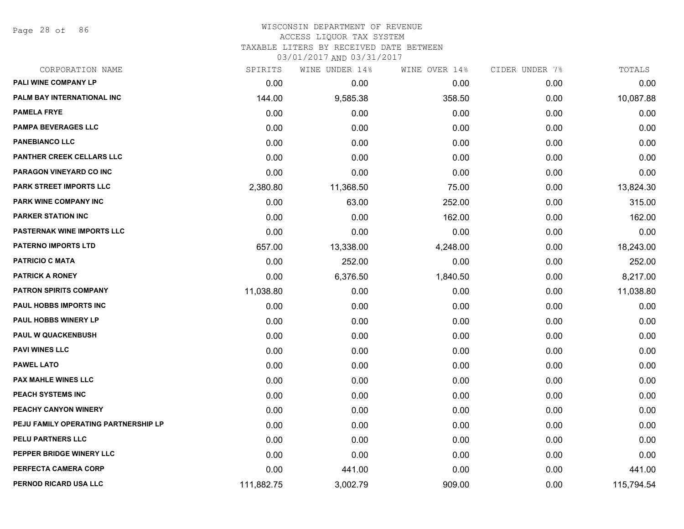Page 28 of 86

#### WISCONSIN DEPARTMENT OF REVENUE ACCESS LIQUOR TAX SYSTEM

TAXABLE LITERS BY RECEIVED DATE BETWEEN

| CORPORATION NAME                     | SPIRITS    | WINE UNDER 14% | WINE OVER 14% | CIDER UNDER 7% | TOTALS     |
|--------------------------------------|------------|----------------|---------------|----------------|------------|
| PALI WINE COMPANY LP                 | 0.00       | 0.00           | 0.00          | 0.00           | 0.00       |
| <b>PALM BAY INTERNATIONAL INC</b>    | 144.00     | 9,585.38       | 358.50        | 0.00           | 10,087.88  |
| <b>PAMELA FRYE</b>                   | 0.00       | 0.00           | 0.00          | 0.00           | 0.00       |
| <b>PAMPA BEVERAGES LLC</b>           | 0.00       | 0.00           | 0.00          | 0.00           | 0.00       |
| <b>PANEBIANCO LLC</b>                | 0.00       | 0.00           | 0.00          | 0.00           | 0.00       |
| PANTHER CREEK CELLARS LLC            | 0.00       | 0.00           | 0.00          | 0.00           | 0.00       |
| PARAGON VINEYARD CO INC              | 0.00       | 0.00           | 0.00          | 0.00           | 0.00       |
| PARK STREET IMPORTS LLC              | 2,380.80   | 11,368.50      | 75.00         | 0.00           | 13,824.30  |
| PARK WINE COMPANY INC                | 0.00       | 63.00          | 252.00        | 0.00           | 315.00     |
| <b>PARKER STATION INC</b>            | 0.00       | 0.00           | 162.00        | 0.00           | 162.00     |
| PASTERNAK WINE IMPORTS LLC           | 0.00       | 0.00           | 0.00          | 0.00           | 0.00       |
| <b>PATERNO IMPORTS LTD</b>           | 657.00     | 13,338.00      | 4,248.00      | 0.00           | 18,243.00  |
| <b>PATRICIO C MATA</b>               | 0.00       | 252.00         | 0.00          | 0.00           | 252.00     |
| <b>PATRICK A RONEY</b>               | 0.00       | 6,376.50       | 1,840.50      | 0.00           | 8,217.00   |
| <b>PATRON SPIRITS COMPANY</b>        | 11,038.80  | 0.00           | 0.00          | 0.00           | 11,038.80  |
| PAUL HOBBS IMPORTS INC               | 0.00       | 0.00           | 0.00          | 0.00           | 0.00       |
| <b>PAUL HOBBS WINERY LP</b>          | 0.00       | 0.00           | 0.00          | 0.00           | 0.00       |
| <b>PAUL W QUACKENBUSH</b>            | 0.00       | 0.00           | 0.00          | 0.00           | 0.00       |
| <b>PAVI WINES LLC</b>                | 0.00       | 0.00           | 0.00          | 0.00           | 0.00       |
| <b>PAWEL LATO</b>                    | 0.00       | 0.00           | 0.00          | 0.00           | 0.00       |
| <b>PAX MAHLE WINES LLC</b>           | 0.00       | 0.00           | 0.00          | 0.00           | 0.00       |
| PEACH SYSTEMS INC                    | 0.00       | 0.00           | 0.00          | 0.00           | 0.00       |
| PEACHY CANYON WINERY                 | 0.00       | 0.00           | 0.00          | 0.00           | 0.00       |
| PEJU FAMILY OPERATING PARTNERSHIP LP | 0.00       | 0.00           | 0.00          | 0.00           | 0.00       |
| PELU PARTNERS LLC                    | 0.00       | 0.00           | 0.00          | 0.00           | 0.00       |
| PEPPER BRIDGE WINERY LLC             | 0.00       | 0.00           | 0.00          | 0.00           | 0.00       |
| PERFECTA CAMERA CORP                 | 0.00       | 441.00         | 0.00          | 0.00           | 441.00     |
| PERNOD RICARD USA LLC                | 111,882.75 | 3,002.79       | 909.00        | 0.00           | 115,794.54 |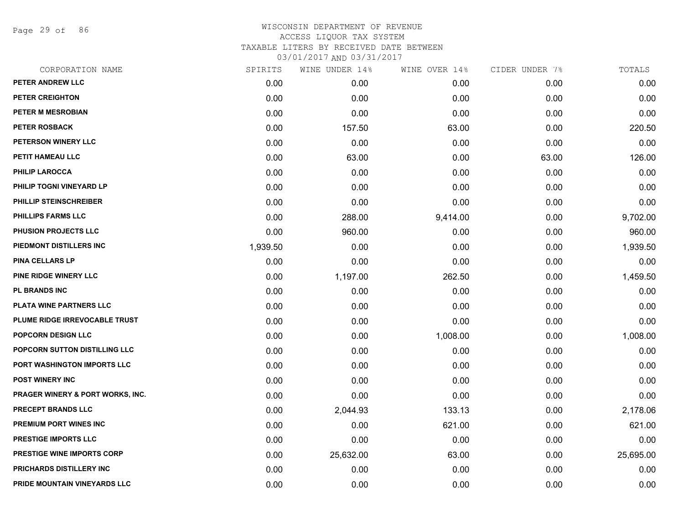Page 29 of 86

| CORPORATION NAME                            | SPIRITS  | WINE UNDER 14% | WINE OVER 14% | CIDER UNDER 7% | TOTALS    |
|---------------------------------------------|----------|----------------|---------------|----------------|-----------|
| PETER ANDREW LLC                            | 0.00     | 0.00           | 0.00          | 0.00           | 0.00      |
| PETER CREIGHTON                             | 0.00     | 0.00           | 0.00          | 0.00           | 0.00      |
| <b>PETER M MESROBIAN</b>                    | 0.00     | 0.00           | 0.00          | 0.00           | 0.00      |
| <b>PETER ROSBACK</b>                        | 0.00     | 157.50         | 63.00         | 0.00           | 220.50    |
| PETERSON WINERY LLC                         | 0.00     | 0.00           | 0.00          | 0.00           | 0.00      |
| PETIT HAMEAU LLC                            | 0.00     | 63.00          | 0.00          | 63.00          | 126.00    |
| <b>PHILIP LAROCCA</b>                       | 0.00     | 0.00           | 0.00          | 0.00           | 0.00      |
| PHILIP TOGNI VINEYARD LP                    | 0.00     | 0.00           | 0.00          | 0.00           | 0.00      |
| PHILLIP STEINSCHREIBER                      | 0.00     | 0.00           | 0.00          | 0.00           | 0.00      |
| <b>PHILLIPS FARMS LLC</b>                   | 0.00     | 288.00         | 9,414.00      | 0.00           | 9,702.00  |
| PHUSION PROJECTS LLC                        | 0.00     | 960.00         | 0.00          | 0.00           | 960.00    |
| PIEDMONT DISTILLERS INC                     | 1,939.50 | 0.00           | 0.00          | 0.00           | 1,939.50  |
| <b>PINA CELLARS LP</b>                      | 0.00     | 0.00           | 0.00          | 0.00           | 0.00      |
| <b>PINE RIDGE WINERY LLC</b>                | 0.00     | 1,197.00       | 262.50        | 0.00           | 1,459.50  |
| <b>PL BRANDS INC</b>                        | 0.00     | 0.00           | 0.00          | 0.00           | 0.00      |
| PLATA WINE PARTNERS LLC                     | 0.00     | 0.00           | 0.00          | 0.00           | 0.00      |
| PLUME RIDGE IRREVOCABLE TRUST               | 0.00     | 0.00           | 0.00          | 0.00           | 0.00      |
| <b>POPCORN DESIGN LLC</b>                   | 0.00     | 0.00           | 1,008.00      | 0.00           | 1,008.00  |
| POPCORN SUTTON DISTILLING LLC               | 0.00     | 0.00           | 0.00          | 0.00           | 0.00      |
| PORT WASHINGTON IMPORTS LLC                 | 0.00     | 0.00           | 0.00          | 0.00           | 0.00      |
| <b>POST WINERY INC</b>                      | 0.00     | 0.00           | 0.00          | 0.00           | 0.00      |
| <b>PRAGER WINERY &amp; PORT WORKS, INC.</b> | 0.00     | 0.00           | 0.00          | 0.00           | 0.00      |
| <b>PRECEPT BRANDS LLC</b>                   | 0.00     | 2,044.93       | 133.13        | 0.00           | 2,178.06  |
| PREMIUM PORT WINES INC                      | 0.00     | 0.00           | 621.00        | 0.00           | 621.00    |
| PRESTIGE IMPORTS LLC                        | 0.00     | 0.00           | 0.00          | 0.00           | 0.00      |
| <b>PRESTIGE WINE IMPORTS CORP</b>           | 0.00     | 25,632.00      | 63.00         | 0.00           | 25,695.00 |
| PRICHARDS DISTILLERY INC                    | 0.00     | 0.00           | 0.00          | 0.00           | 0.00      |
| PRIDE MOUNTAIN VINEYARDS LLC                | 0.00     | 0.00           | 0.00          | 0.00           | 0.00      |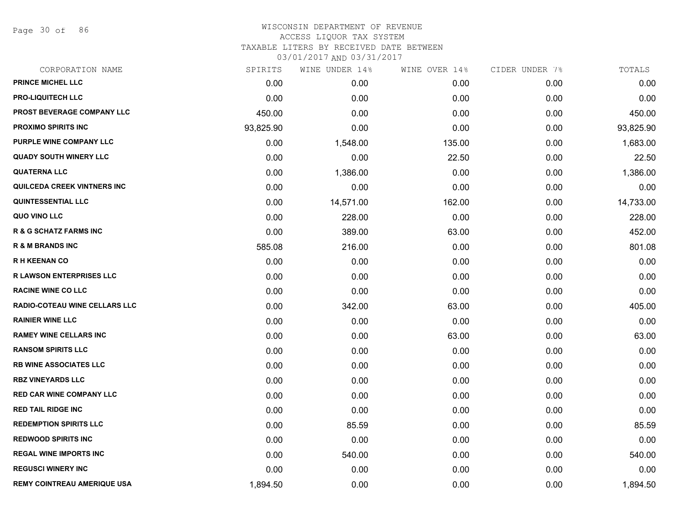Page 30 of 86

| CORPORATION NAME                     | SPIRITS   | WINE UNDER 14% | WINE OVER 14% | CIDER UNDER 7% | TOTALS    |
|--------------------------------------|-----------|----------------|---------------|----------------|-----------|
| PRINCE MICHEL LLC                    | 0.00      | 0.00           | 0.00          | 0.00           | 0.00      |
| <b>PRO-LIQUITECH LLC</b>             | 0.00      | 0.00           | 0.00          | 0.00           | 0.00      |
| PROST BEVERAGE COMPANY LLC           | 450.00    | 0.00           | 0.00          | 0.00           | 450.00    |
| <b>PROXIMO SPIRITS INC</b>           | 93,825.90 | 0.00           | 0.00          | 0.00           | 93,825.90 |
| PURPLE WINE COMPANY LLC              | 0.00      | 1,548.00       | 135.00        | 0.00           | 1,683.00  |
| <b>QUADY SOUTH WINERY LLC</b>        | 0.00      | 0.00           | 22.50         | 0.00           | 22.50     |
| <b>QUATERNA LLC</b>                  | 0.00      | 1,386.00       | 0.00          | 0.00           | 1,386.00  |
| <b>QUILCEDA CREEK VINTNERS INC</b>   | 0.00      | 0.00           | 0.00          | 0.00           | 0.00      |
| <b>QUINTESSENTIAL LLC</b>            | 0.00      | 14,571.00      | 162.00        | 0.00           | 14,733.00 |
| QUO VINO LLC                         | 0.00      | 228.00         | 0.00          | 0.00           | 228.00    |
| <b>R &amp; G SCHATZ FARMS INC</b>    | 0.00      | 389.00         | 63.00         | 0.00           | 452.00    |
| <b>R &amp; M BRANDS INC</b>          | 585.08    | 216.00         | 0.00          | 0.00           | 801.08    |
| <b>RH KEENAN CO</b>                  | 0.00      | 0.00           | 0.00          | 0.00           | 0.00      |
| <b>R LAWSON ENTERPRISES LLC</b>      | 0.00      | 0.00           | 0.00          | 0.00           | 0.00      |
| <b>RACINE WINE CO LLC</b>            | 0.00      | 0.00           | 0.00          | 0.00           | 0.00      |
| <b>RADIO-COTEAU WINE CELLARS LLC</b> | 0.00      | 342.00         | 63.00         | 0.00           | 405.00    |
| <b>RAINIER WINE LLC</b>              | 0.00      | 0.00           | 0.00          | 0.00           | 0.00      |
| <b>RAMEY WINE CELLARS INC</b>        | 0.00      | 0.00           | 63.00         | 0.00           | 63.00     |
| <b>RANSOM SPIRITS LLC</b>            | 0.00      | 0.00           | 0.00          | 0.00           | 0.00      |
| <b>RB WINE ASSOCIATES LLC</b>        | 0.00      | 0.00           | 0.00          | 0.00           | 0.00      |
| <b>RBZ VINEYARDS LLC</b>             | 0.00      | 0.00           | 0.00          | 0.00           | 0.00      |
| <b>RED CAR WINE COMPANY LLC</b>      | 0.00      | 0.00           | 0.00          | 0.00           | 0.00      |
| <b>RED TAIL RIDGE INC</b>            | 0.00      | 0.00           | 0.00          | 0.00           | 0.00      |
| <b>REDEMPTION SPIRITS LLC</b>        | 0.00      | 85.59          | 0.00          | 0.00           | 85.59     |
| <b>REDWOOD SPIRITS INC</b>           | 0.00      | 0.00           | 0.00          | 0.00           | 0.00      |
| <b>REGAL WINE IMPORTS INC</b>        | 0.00      | 540.00         | 0.00          | 0.00           | 540.00    |
| <b>REGUSCI WINERY INC</b>            | 0.00      | 0.00           | 0.00          | 0.00           | 0.00      |
| <b>REMY COINTREAU AMERIQUE USA</b>   | 1,894.50  | 0.00           | 0.00          | 0.00           | 1,894.50  |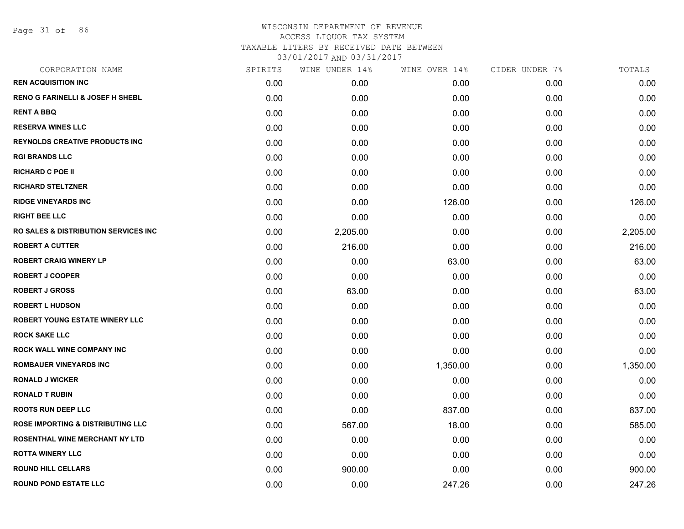Page 31 of 86

# WISCONSIN DEPARTMENT OF REVENUE ACCESS LIQUOR TAX SYSTEM TAXABLE LITERS BY RECEIVED DATE BETWEEN

| CORPORATION NAME                                | SPIRITS | WINE UNDER 14% | WINE OVER 14% | CIDER UNDER 7% | TOTALS   |
|-------------------------------------------------|---------|----------------|---------------|----------------|----------|
| <b>REN ACQUISITION INC</b>                      | 0.00    | 0.00           | 0.00          | 0.00           | 0.00     |
| <b>RENO G FARINELLI &amp; JOSEF H SHEBL</b>     | 0.00    | 0.00           | 0.00          | 0.00           | 0.00     |
| <b>RENT A BBQ</b>                               | 0.00    | 0.00           | 0.00          | 0.00           | 0.00     |
| <b>RESERVA WINES LLC</b>                        | 0.00    | 0.00           | 0.00          | 0.00           | 0.00     |
| <b>REYNOLDS CREATIVE PRODUCTS INC</b>           | 0.00    | 0.00           | 0.00          | 0.00           | 0.00     |
| <b>RGI BRANDS LLC</b>                           | 0.00    | 0.00           | 0.00          | 0.00           | 0.00     |
| <b>RICHARD C POE II</b>                         | 0.00    | 0.00           | 0.00          | 0.00           | 0.00     |
| <b>RICHARD STELTZNER</b>                        | 0.00    | 0.00           | 0.00          | 0.00           | 0.00     |
| <b>RIDGE VINEYARDS INC</b>                      | 0.00    | 0.00           | 126.00        | 0.00           | 126.00   |
| <b>RIGHT BEE LLC</b>                            | 0.00    | 0.00           | 0.00          | 0.00           | 0.00     |
| <b>RO SALES &amp; DISTRIBUTION SERVICES INC</b> | 0.00    | 2,205.00       | 0.00          | 0.00           | 2,205.00 |
| <b>ROBERT A CUTTER</b>                          | 0.00    | 216.00         | 0.00          | 0.00           | 216.00   |
| <b>ROBERT CRAIG WINERY LP</b>                   | 0.00    | 0.00           | 63.00         | 0.00           | 63.00    |
| <b>ROBERT J COOPER</b>                          | 0.00    | 0.00           | 0.00          | 0.00           | 0.00     |
| <b>ROBERT J GROSS</b>                           | 0.00    | 63.00          | 0.00          | 0.00           | 63.00    |
| <b>ROBERT L HUDSON</b>                          | 0.00    | 0.00           | 0.00          | 0.00           | 0.00     |
| <b>ROBERT YOUNG ESTATE WINERY LLC</b>           | 0.00    | 0.00           | 0.00          | 0.00           | 0.00     |
| <b>ROCK SAKE LLC</b>                            | 0.00    | 0.00           | 0.00          | 0.00           | 0.00     |
| ROCK WALL WINE COMPANY INC                      | 0.00    | 0.00           | 0.00          | 0.00           | 0.00     |
| <b>ROMBAUER VINEYARDS INC</b>                   | 0.00    | 0.00           | 1,350.00      | 0.00           | 1,350.00 |
| <b>RONALD J WICKER</b>                          | 0.00    | 0.00           | 0.00          | 0.00           | 0.00     |
| <b>RONALD T RUBIN</b>                           | 0.00    | 0.00           | 0.00          | 0.00           | 0.00     |
| <b>ROOTS RUN DEEP LLC</b>                       | 0.00    | 0.00           | 837.00        | 0.00           | 837.00   |
| <b>ROSE IMPORTING &amp; DISTRIBUTING LLC</b>    | 0.00    | 567.00         | 18.00         | 0.00           | 585.00   |
| <b>ROSENTHAL WINE MERCHANT NY LTD</b>           | 0.00    | 0.00           | 0.00          | 0.00           | 0.00     |
| <b>ROTTA WINERY LLC</b>                         | 0.00    | 0.00           | 0.00          | 0.00           | 0.00     |
| <b>ROUND HILL CELLARS</b>                       | 0.00    | 900.00         | 0.00          | 0.00           | 900.00   |
| <b>ROUND POND ESTATE LLC</b>                    | 0.00    | 0.00           | 247.26        | 0.00           | 247.26   |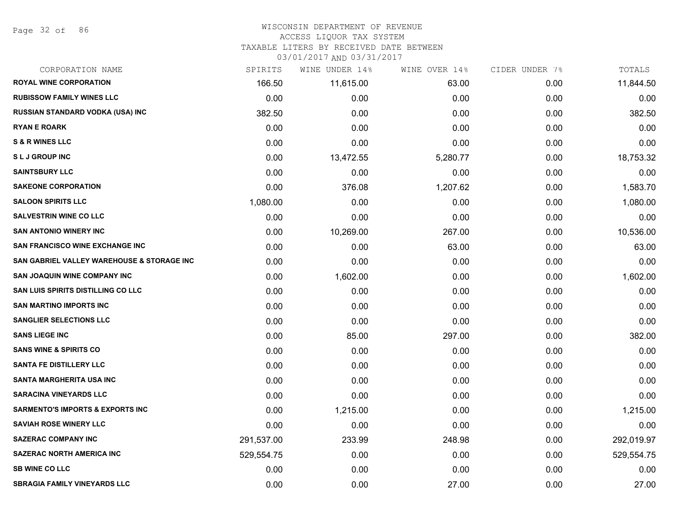Page 32 of 86

#### WISCONSIN DEPARTMENT OF REVENUE

#### ACCESS LIQUOR TAX SYSTEM

TAXABLE LITERS BY RECEIVED DATE BETWEEN

| CORPORATION NAME                            | SPIRITS    | WINE UNDER 14% | WINE OVER 14% | CIDER UNDER 7% | TOTALS     |
|---------------------------------------------|------------|----------------|---------------|----------------|------------|
| <b>ROYAL WINE CORPORATION</b>               | 166.50     | 11,615.00      | 63.00         | 0.00           | 11,844.50  |
| <b>RUBISSOW FAMILY WINES LLC</b>            | 0.00       | 0.00           | 0.00          | 0.00           | 0.00       |
| <b>RUSSIAN STANDARD VODKA (USA) INC</b>     | 382.50     | 0.00           | 0.00          | 0.00           | 382.50     |
| <b>RYAN E ROARK</b>                         | 0.00       | 0.00           | 0.00          | 0.00           | 0.00       |
| <b>S &amp; R WINES LLC</b>                  | 0.00       | 0.00           | 0.00          | 0.00           | 0.00       |
| <b>SLJ GROUP INC</b>                        | 0.00       | 13,472.55      | 5,280.77      | 0.00           | 18,753.32  |
| <b>SAINTSBURY LLC</b>                       | 0.00       | 0.00           | 0.00          | 0.00           | 0.00       |
| <b>SAKEONE CORPORATION</b>                  | 0.00       | 376.08         | 1,207.62      | 0.00           | 1,583.70   |
| <b>SALOON SPIRITS LLC</b>                   | 1,080.00   | 0.00           | 0.00          | 0.00           | 1,080.00   |
| <b>SALVESTRIN WINE CO LLC</b>               | 0.00       | 0.00           | 0.00          | 0.00           | 0.00       |
| <b>SAN ANTONIO WINERY INC</b>               | 0.00       | 10,269.00      | 267.00        | 0.00           | 10,536.00  |
| SAN FRANCISCO WINE EXCHANGE INC             | 0.00       | 0.00           | 63.00         | 0.00           | 63.00      |
| SAN GABRIEL VALLEY WAREHOUSE & STORAGE INC  | 0.00       | 0.00           | 0.00          | 0.00           | 0.00       |
| <b>SAN JOAQUIN WINE COMPANY INC</b>         | 0.00       | 1,602.00       | 0.00          | 0.00           | 1,602.00   |
| <b>SAN LUIS SPIRITS DISTILLING CO LLC</b>   | 0.00       | 0.00           | 0.00          | 0.00           | 0.00       |
| <b>SAN MARTINO IMPORTS INC</b>              | 0.00       | 0.00           | 0.00          | 0.00           | 0.00       |
| <b>SANGLIER SELECTIONS LLC</b>              | 0.00       | 0.00           | 0.00          | 0.00           | 0.00       |
| <b>SANS LIEGE INC</b>                       | 0.00       | 85.00          | 297.00        | 0.00           | 382.00     |
| <b>SANS WINE &amp; SPIRITS CO</b>           | 0.00       | 0.00           | 0.00          | 0.00           | 0.00       |
| <b>SANTA FE DISTILLERY LLC</b>              | 0.00       | 0.00           | 0.00          | 0.00           | 0.00       |
| SANTA MARGHERITA USA INC                    | 0.00       | 0.00           | 0.00          | 0.00           | 0.00       |
| <b>SARACINA VINEYARDS LLC</b>               | 0.00       | 0.00           | 0.00          | 0.00           | 0.00       |
| <b>SARMENTO'S IMPORTS &amp; EXPORTS INC</b> | 0.00       | 1,215.00       | 0.00          | 0.00           | 1,215.00   |
| <b>SAVIAH ROSE WINERY LLC</b>               | 0.00       | 0.00           | 0.00          | 0.00           | 0.00       |
| <b>SAZERAC COMPANY INC</b>                  | 291,537.00 | 233.99         | 248.98        | 0.00           | 292,019.97 |
| <b>SAZERAC NORTH AMERICA INC</b>            | 529,554.75 | 0.00           | 0.00          | 0.00           | 529,554.75 |
| <b>SB WINE CO LLC</b>                       | 0.00       | 0.00           | 0.00          | 0.00           | 0.00       |
| <b>SBRAGIA FAMILY VINEYARDS LLC</b>         | 0.00       | 0.00           | 27.00         | 0.00           | 27.00      |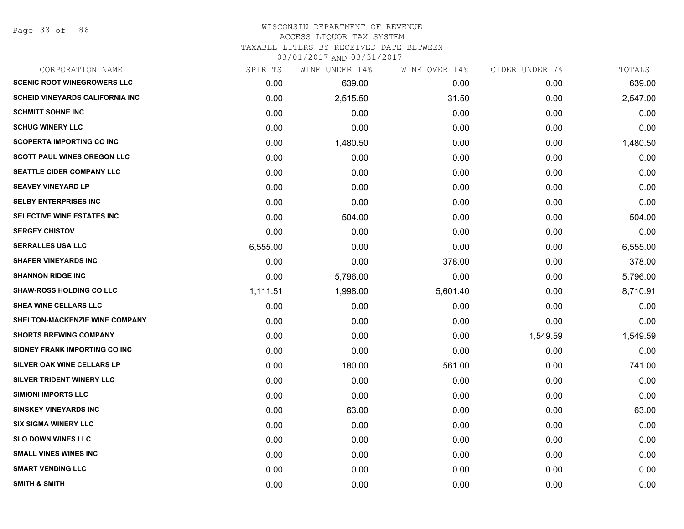#### WISCONSIN DEPARTMENT OF REVENUE ACCESS LIQUOR TAX SYSTEM

TAXABLE LITERS BY RECEIVED DATE BETWEEN

| CORPORATION NAME                       | SPIRITS  | WINE UNDER 14% | WINE OVER 14% | CIDER UNDER 7% | TOTALS   |
|----------------------------------------|----------|----------------|---------------|----------------|----------|
| <b>SCENIC ROOT WINEGROWERS LLC</b>     | 0.00     | 639.00         | 0.00          | 0.00           | 639.00   |
| <b>SCHEID VINEYARDS CALIFORNIA INC</b> | 0.00     | 2,515.50       | 31.50         | 0.00           | 2,547.00 |
| <b>SCHMITT SOHNE INC</b>               | 0.00     | 0.00           | 0.00          | 0.00           | 0.00     |
| <b>SCHUG WINERY LLC</b>                | 0.00     | 0.00           | 0.00          | 0.00           | 0.00     |
| <b>SCOPERTA IMPORTING CO INC</b>       | 0.00     | 1,480.50       | 0.00          | 0.00           | 1,480.50 |
| <b>SCOTT PAUL WINES OREGON LLC</b>     | 0.00     | 0.00           | 0.00          | 0.00           | 0.00     |
| <b>SEATTLE CIDER COMPANY LLC</b>       | 0.00     | 0.00           | 0.00          | 0.00           | 0.00     |
| <b>SEAVEY VINEYARD LP</b>              | 0.00     | 0.00           | 0.00          | 0.00           | 0.00     |
| <b>SELBY ENTERPRISES INC</b>           | 0.00     | 0.00           | 0.00          | 0.00           | 0.00     |
| SELECTIVE WINE ESTATES INC             | 0.00     | 504.00         | 0.00          | 0.00           | 504.00   |
| <b>SERGEY CHISTOV</b>                  | 0.00     | 0.00           | 0.00          | 0.00           | 0.00     |
| <b>SERRALLES USA LLC</b>               | 6,555.00 | 0.00           | 0.00          | 0.00           | 6,555.00 |
| <b>SHAFER VINEYARDS INC</b>            | 0.00     | 0.00           | 378.00        | 0.00           | 378.00   |
| <b>SHANNON RIDGE INC</b>               | 0.00     | 5,796.00       | 0.00          | 0.00           | 5,796.00 |
| <b>SHAW-ROSS HOLDING CO LLC</b>        | 1,111.51 | 1,998.00       | 5,601.40      | 0.00           | 8,710.91 |
| SHEA WINE CELLARS LLC                  | 0.00     | 0.00           | 0.00          | 0.00           | 0.00     |
| SHELTON-MACKENZIE WINE COMPANY         | 0.00     | 0.00           | 0.00          | 0.00           | 0.00     |
| <b>SHORTS BREWING COMPANY</b>          | 0.00     | 0.00           | 0.00          | 1,549.59       | 1,549.59 |
| SIDNEY FRANK IMPORTING CO INC          | 0.00     | 0.00           | 0.00          | 0.00           | 0.00     |
| SILVER OAK WINE CELLARS LP             | 0.00     | 180.00         | 561.00        | 0.00           | 741.00   |
| SILVER TRIDENT WINERY LLC              | 0.00     | 0.00           | 0.00          | 0.00           | 0.00     |
| <b>SIMIONI IMPORTS LLC</b>             | 0.00     | 0.00           | 0.00          | 0.00           | 0.00     |
| <b>SINSKEY VINEYARDS INC</b>           | 0.00     | 63.00          | 0.00          | 0.00           | 63.00    |
| <b>SIX SIGMA WINERY LLC</b>            | 0.00     | 0.00           | 0.00          | 0.00           | 0.00     |
| <b>SLO DOWN WINES LLC</b>              | 0.00     | 0.00           | 0.00          | 0.00           | 0.00     |
| <b>SMALL VINES WINES INC</b>           | 0.00     | 0.00           | 0.00          | 0.00           | 0.00     |
| <b>SMART VENDING LLC</b>               | 0.00     | 0.00           | 0.00          | 0.00           | 0.00     |
| <b>SMITH &amp; SMITH</b>               | 0.00     | 0.00           | 0.00          | 0.00           | 0.00     |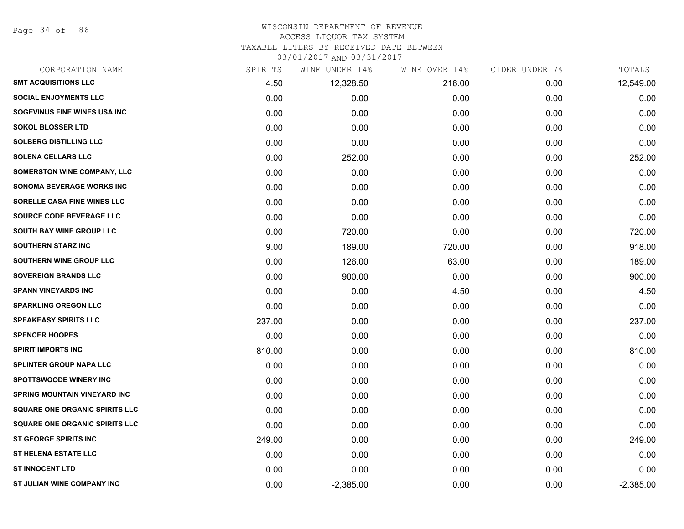Page 34 of 86

#### WISCONSIN DEPARTMENT OF REVENUE ACCESS LIQUOR TAX SYSTEM

TAXABLE LITERS BY RECEIVED DATE BETWEEN

| CORPORATION NAME                      | SPIRITS | WINE UNDER 14% | WINE OVER 14% | CIDER UNDER 7% | TOTALS      |
|---------------------------------------|---------|----------------|---------------|----------------|-------------|
| <b>SMT ACQUISITIONS LLC</b>           | 4.50    | 12,328.50      | 216.00        | 0.00           | 12,549.00   |
| <b>SOCIAL ENJOYMENTS LLC</b>          | 0.00    | 0.00           | 0.00          | 0.00           | 0.00        |
| SOGEVINUS FINE WINES USA INC          | 0.00    | 0.00           | 0.00          | 0.00           | 0.00        |
| <b>SOKOL BLOSSER LTD</b>              | 0.00    | 0.00           | 0.00          | 0.00           | 0.00        |
| <b>SOLBERG DISTILLING LLC</b>         | 0.00    | 0.00           | 0.00          | 0.00           | 0.00        |
| <b>SOLENA CELLARS LLC</b>             | 0.00    | 252.00         | 0.00          | 0.00           | 252.00      |
| <b>SOMERSTON WINE COMPANY, LLC</b>    | 0.00    | 0.00           | 0.00          | 0.00           | 0.00        |
| SONOMA BEVERAGE WORKS INC             | 0.00    | 0.00           | 0.00          | 0.00           | 0.00        |
| SORELLE CASA FINE WINES LLC           | 0.00    | 0.00           | 0.00          | 0.00           | 0.00        |
| SOURCE CODE BEVERAGE LLC              | 0.00    | 0.00           | 0.00          | 0.00           | 0.00        |
| <b>SOUTH BAY WINE GROUP LLC</b>       | 0.00    | 720.00         | 0.00          | 0.00           | 720.00      |
| <b>SOUTHERN STARZ INC</b>             | 9.00    | 189.00         | 720.00        | 0.00           | 918.00      |
| SOUTHERN WINE GROUP LLC               | 0.00    | 126.00         | 63.00         | 0.00           | 189.00      |
| <b>SOVEREIGN BRANDS LLC</b>           | 0.00    | 900.00         | 0.00          | 0.00           | 900.00      |
| <b>SPANN VINEYARDS INC</b>            | 0.00    | 0.00           | 4.50          | 0.00           | 4.50        |
| <b>SPARKLING OREGON LLC</b>           | 0.00    | 0.00           | 0.00          | 0.00           | 0.00        |
| <b>SPEAKEASY SPIRITS LLC</b>          | 237.00  | 0.00           | 0.00          | 0.00           | 237.00      |
| <b>SPENCER HOOPES</b>                 | 0.00    | 0.00           | 0.00          | 0.00           | 0.00        |
| <b>SPIRIT IMPORTS INC</b>             | 810.00  | 0.00           | 0.00          | 0.00           | 810.00      |
| <b>SPLINTER GROUP NAPA LLC</b>        | 0.00    | 0.00           | 0.00          | 0.00           | 0.00        |
| <b>SPOTTSWOODE WINERY INC</b>         | 0.00    | 0.00           | 0.00          | 0.00           | 0.00        |
| <b>SPRING MOUNTAIN VINEYARD INC</b>   | 0.00    | 0.00           | 0.00          | 0.00           | 0.00        |
| <b>SQUARE ONE ORGANIC SPIRITS LLC</b> | 0.00    | 0.00           | 0.00          | 0.00           | 0.00        |
| <b>SQUARE ONE ORGANIC SPIRITS LLC</b> | 0.00    | 0.00           | 0.00          | 0.00           | 0.00        |
| <b>ST GEORGE SPIRITS INC</b>          | 249.00  | 0.00           | 0.00          | 0.00           | 249.00      |
| ST HELENA ESTATE LLC                  | 0.00    | 0.00           | 0.00          | 0.00           | 0.00        |
| <b>ST INNOCENT LTD</b>                | 0.00    | 0.00           | 0.00          | 0.00           | 0.00        |
| ST JULIAN WINE COMPANY INC            | 0.00    | $-2,385.00$    | 0.00          | 0.00           | $-2,385.00$ |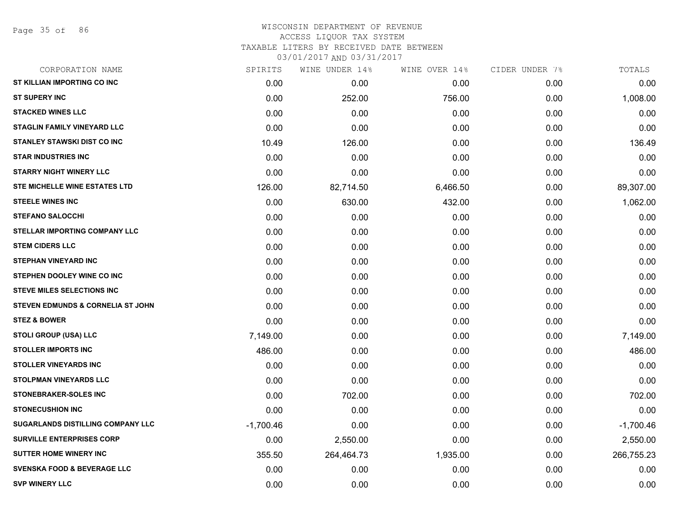# WISCONSIN DEPARTMENT OF REVENUE ACCESS LIQUOR TAX SYSTEM TAXABLE LITERS BY RECEIVED DATE BETWEEN

| CORPORATION NAME                       | SPIRITS     | WINE UNDER 14% | WINE OVER 14% | CIDER UNDER 7% | TOTALS      |
|----------------------------------------|-------------|----------------|---------------|----------------|-------------|
| ST KILLIAN IMPORTING CO INC            | 0.00        | 0.00           | 0.00          | 0.00           | 0.00        |
| <b>ST SUPERY INC</b>                   | 0.00        | 252.00         | 756.00        | 0.00           | 1,008.00    |
| <b>STACKED WINES LLC</b>               | 0.00        | 0.00           | 0.00          | 0.00           | 0.00        |
| <b>STAGLIN FAMILY VINEYARD LLC</b>     | 0.00        | 0.00           | 0.00          | 0.00           | 0.00        |
| <b>STANLEY STAWSKI DIST CO INC</b>     | 10.49       | 126.00         | 0.00          | 0.00           | 136.49      |
| <b>STAR INDUSTRIES INC</b>             | 0.00        | 0.00           | 0.00          | 0.00           | 0.00        |
| <b>STARRY NIGHT WINERY LLC</b>         | 0.00        | 0.00           | 0.00          | 0.00           | 0.00        |
| <b>STE MICHELLE WINE ESTATES LTD</b>   | 126.00      | 82,714.50      | 6,466.50      | 0.00           | 89,307.00   |
| <b>STEELE WINES INC</b>                | 0.00        | 630.00         | 432.00        | 0.00           | 1,062.00    |
| <b>STEFANO SALOCCHI</b>                | 0.00        | 0.00           | 0.00          | 0.00           | 0.00        |
| <b>STELLAR IMPORTING COMPANY LLC</b>   | 0.00        | 0.00           | 0.00          | 0.00           | 0.00        |
| <b>STEM CIDERS LLC</b>                 | 0.00        | 0.00           | 0.00          | 0.00           | 0.00        |
| <b>STEPHAN VINEYARD INC</b>            | 0.00        | 0.00           | 0.00          | 0.00           | 0.00        |
| STEPHEN DOOLEY WINE CO INC             | 0.00        | 0.00           | 0.00          | 0.00           | 0.00        |
| <b>STEVE MILES SELECTIONS INC</b>      | 0.00        | 0.00           | 0.00          | 0.00           | 0.00        |
| STEVEN EDMUNDS & CORNELIA ST JOHN      | 0.00        | 0.00           | 0.00          | 0.00           | 0.00        |
| <b>STEZ &amp; BOWER</b>                | 0.00        | 0.00           | 0.00          | 0.00           | 0.00        |
| STOLI GROUP (USA) LLC                  | 7,149.00    | 0.00           | 0.00          | 0.00           | 7,149.00    |
| <b>STOLLER IMPORTS INC</b>             | 486.00      | 0.00           | 0.00          | 0.00           | 486.00      |
| <b>STOLLER VINEYARDS INC</b>           | 0.00        | 0.00           | 0.00          | 0.00           | 0.00        |
| <b>STOLPMAN VINEYARDS LLC</b>          | 0.00        | 0.00           | 0.00          | 0.00           | 0.00        |
| STONEBRAKER-SOLES INC                  | 0.00        | 702.00         | 0.00          | 0.00           | 702.00      |
| <b>STONECUSHION INC</b>                | 0.00        | 0.00           | 0.00          | 0.00           | 0.00        |
| SUGARLANDS DISTILLING COMPANY LLC      | $-1,700.46$ | 0.00           | 0.00          | 0.00           | $-1,700.46$ |
| <b>SURVILLE ENTERPRISES CORP</b>       | 0.00        | 2,550.00       | 0.00          | 0.00           | 2,550.00    |
| <b>SUTTER HOME WINERY INC</b>          | 355.50      | 264,464.73     | 1,935.00      | 0.00           | 266,755.23  |
| <b>SVENSKA FOOD &amp; BEVERAGE LLC</b> | 0.00        | 0.00           | 0.00          | 0.00           | 0.00        |
| <b>SVP WINERY LLC</b>                  | 0.00        | 0.00           | 0.00          | 0.00           | 0.00        |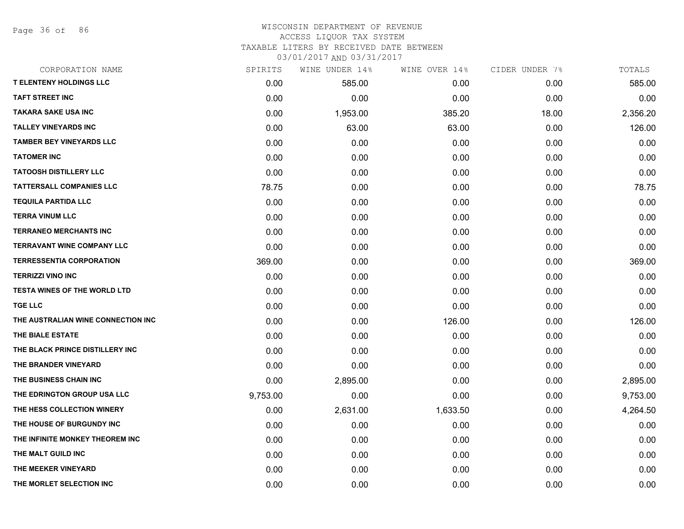Page 36 of 86

#### WISCONSIN DEPARTMENT OF REVENUE ACCESS LIQUOR TAX SYSTEM TAXABLE LITERS BY RECEIVED DATE BETWEEN

| CORPORATION NAME                    | SPIRITS  | WINE UNDER 14% | WINE OVER 14% | CIDER UNDER 7% | TOTALS   |
|-------------------------------------|----------|----------------|---------------|----------------|----------|
| <b>T ELENTENY HOLDINGS LLC</b>      | 0.00     | 585.00         | 0.00          | 0.00           | 585.00   |
| <b>TAFT STREET INC</b>              | 0.00     | 0.00           | 0.00          | 0.00           | 0.00     |
| <b>TAKARA SAKE USA INC</b>          | 0.00     | 1,953.00       | 385.20        | 18.00          | 2,356.20 |
| <b>TALLEY VINEYARDS INC</b>         | 0.00     | 63.00          | 63.00         | 0.00           | 126.00   |
| <b>TAMBER BEY VINEYARDS LLC</b>     | 0.00     | 0.00           | 0.00          | 0.00           | 0.00     |
| <b>TATOMER INC</b>                  | 0.00     | 0.00           | 0.00          | 0.00           | 0.00     |
| <b>TATOOSH DISTILLERY LLC</b>       | 0.00     | 0.00           | 0.00          | 0.00           | 0.00     |
| <b>TATTERSALL COMPANIES LLC</b>     | 78.75    | 0.00           | 0.00          | 0.00           | 78.75    |
| <b>TEQUILA PARTIDA LLC</b>          | 0.00     | 0.00           | 0.00          | 0.00           | 0.00     |
| <b>TERRA VINUM LLC</b>              | 0.00     | 0.00           | 0.00          | 0.00           | 0.00     |
| <b>TERRANEO MERCHANTS INC</b>       | 0.00     | 0.00           | 0.00          | 0.00           | 0.00     |
| <b>TERRAVANT WINE COMPANY LLC</b>   | 0.00     | 0.00           | 0.00          | 0.00           | 0.00     |
| <b>TERRESSENTIA CORPORATION</b>     | 369.00   | 0.00           | 0.00          | 0.00           | 369.00   |
| <b>TERRIZZI VINO INC</b>            | 0.00     | 0.00           | 0.00          | 0.00           | 0.00     |
| <b>TESTA WINES OF THE WORLD LTD</b> | 0.00     | 0.00           | 0.00          | 0.00           | 0.00     |
| <b>TGE LLC</b>                      | 0.00     | 0.00           | 0.00          | 0.00           | 0.00     |
| THE AUSTRALIAN WINE CONNECTION INC  | 0.00     | 0.00           | 126.00        | 0.00           | 126.00   |
| THE BIALE ESTATE                    | 0.00     | 0.00           | 0.00          | 0.00           | 0.00     |
| THE BLACK PRINCE DISTILLERY INC     | 0.00     | 0.00           | 0.00          | 0.00           | 0.00     |
| THE BRANDER VINEYARD                | 0.00     | 0.00           | 0.00          | 0.00           | 0.00     |
| THE BUSINESS CHAIN INC              | 0.00     | 2,895.00       | 0.00          | 0.00           | 2,895.00 |
| THE EDRINGTON GROUP USA LLC         | 9,753.00 | 0.00           | 0.00          | 0.00           | 9,753.00 |
| THE HESS COLLECTION WINERY          | 0.00     | 2,631.00       | 1,633.50      | 0.00           | 4,264.50 |
| THE HOUSE OF BURGUNDY INC           | 0.00     | 0.00           | 0.00          | 0.00           | 0.00     |
| THE INFINITE MONKEY THEOREM INC     | 0.00     | 0.00           | 0.00          | 0.00           | 0.00     |
| THE MALT GUILD INC                  | 0.00     | 0.00           | 0.00          | 0.00           | 0.00     |
| THE MEEKER VINEYARD                 | 0.00     | 0.00           | 0.00          | 0.00           | 0.00     |
| THE MORLET SELECTION INC            | 0.00     | 0.00           | 0.00          | 0.00           | 0.00     |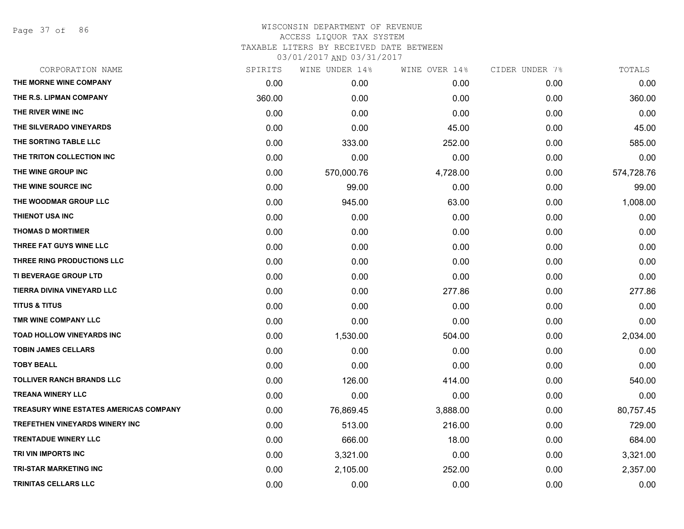Page 37 of 86

| CORPORATION NAME                       | SPIRITS | WINE UNDER 14% | WINE OVER 14% | CIDER UNDER 7% | TOTALS     |
|----------------------------------------|---------|----------------|---------------|----------------|------------|
| THE MORNE WINE COMPANY                 | 0.00    | 0.00           | 0.00          | 0.00           | 0.00       |
| THE R.S. LIPMAN COMPANY                | 360.00  | 0.00           | 0.00          | 0.00           | 360.00     |
| THE RIVER WINE INC                     | 0.00    | 0.00           | 0.00          | 0.00           | 0.00       |
| THE SILVERADO VINEYARDS                | 0.00    | 0.00           | 45.00         | 0.00           | 45.00      |
| THE SORTING TABLE LLC                  | 0.00    | 333.00         | 252.00        | 0.00           | 585.00     |
| THE TRITON COLLECTION INC              | 0.00    | 0.00           | 0.00          | 0.00           | 0.00       |
| THE WINE GROUP INC                     | 0.00    | 570,000.76     | 4,728.00      | 0.00           | 574,728.76 |
| THE WINE SOURCE INC                    | 0.00    | 99.00          | 0.00          | 0.00           | 99.00      |
| THE WOODMAR GROUP LLC                  | 0.00    | 945.00         | 63.00         | 0.00           | 1,008.00   |
| THIENOT USA INC                        | 0.00    | 0.00           | 0.00          | 0.00           | 0.00       |
| <b>THOMAS D MORTIMER</b>               | 0.00    | 0.00           | 0.00          | 0.00           | 0.00       |
| THREE FAT GUYS WINE LLC                | 0.00    | 0.00           | 0.00          | 0.00           | 0.00       |
| THREE RING PRODUCTIONS LLC             | 0.00    | 0.00           | 0.00          | 0.00           | 0.00       |
| <b>TI BEVERAGE GROUP LTD</b>           | 0.00    | 0.00           | 0.00          | 0.00           | 0.00       |
| TIERRA DIVINA VINEYARD LLC             | 0.00    | 0.00           | 277.86        | 0.00           | 277.86     |
| <b>TITUS &amp; TITUS</b>               | 0.00    | 0.00           | 0.00          | 0.00           | 0.00       |
| TMR WINE COMPANY LLC                   | 0.00    | 0.00           | 0.00          | 0.00           | 0.00       |
| <b>TOAD HOLLOW VINEYARDS INC</b>       | 0.00    | 1,530.00       | 504.00        | 0.00           | 2,034.00   |
| <b>TOBIN JAMES CELLARS</b>             | 0.00    | 0.00           | 0.00          | 0.00           | 0.00       |
| <b>TOBY BEALL</b>                      | 0.00    | 0.00           | 0.00          | 0.00           | 0.00       |
| <b>TOLLIVER RANCH BRANDS LLC</b>       | 0.00    | 126.00         | 414.00        | 0.00           | 540.00     |
| <b>TREANA WINERY LLC</b>               | 0.00    | 0.00           | 0.00          | 0.00           | 0.00       |
| TREASURY WINE ESTATES AMERICAS COMPANY | 0.00    | 76,869.45      | 3,888.00      | 0.00           | 80,757.45  |
| <b>TREFETHEN VINEYARDS WINERY INC</b>  | 0.00    | 513.00         | 216.00        | 0.00           | 729.00     |
| <b>TRENTADUE WINERY LLC</b>            | 0.00    | 666.00         | 18.00         | 0.00           | 684.00     |
| TRI VIN IMPORTS INC                    | 0.00    | 3,321.00       | 0.00          | 0.00           | 3,321.00   |
| <b>TRI-STAR MARKETING INC</b>          | 0.00    | 2,105.00       | 252.00        | 0.00           | 2,357.00   |
| <b>TRINITAS CELLARS LLC</b>            | 0.00    | 0.00           | 0.00          | 0.00           | 0.00       |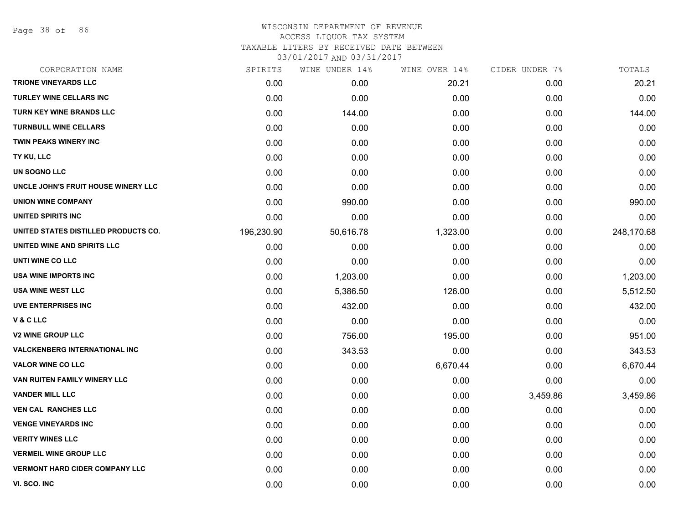Page 38 of 86

#### WISCONSIN DEPARTMENT OF REVENUE ACCESS LIQUOR TAX SYSTEM TAXABLE LITERS BY RECEIVED DATE BETWEEN

| CORPORATION NAME                      | SPIRITS    | WINE UNDER 14% | WINE OVER 14% | CIDER UNDER 7% | TOTALS     |
|---------------------------------------|------------|----------------|---------------|----------------|------------|
| <b>TRIONE VINEYARDS LLC</b>           | 0.00       | 0.00           | 20.21         | 0.00           | 20.21      |
| <b>TURLEY WINE CELLARS INC</b>        | 0.00       | 0.00           | 0.00          | 0.00           | 0.00       |
| TURN KEY WINE BRANDS LLC              | 0.00       | 144.00         | 0.00          | 0.00           | 144.00     |
| <b>TURNBULL WINE CELLARS</b>          | 0.00       | 0.00           | 0.00          | 0.00           | 0.00       |
| TWIN PEAKS WINERY INC                 | 0.00       | 0.00           | 0.00          | 0.00           | 0.00       |
| TY KU, LLC                            | 0.00       | 0.00           | 0.00          | 0.00           | 0.00       |
| UN SOGNO LLC                          | 0.00       | 0.00           | 0.00          | 0.00           | 0.00       |
| UNCLE JOHN'S FRUIT HOUSE WINERY LLC   | 0.00       | 0.00           | 0.00          | 0.00           | 0.00       |
| <b>UNION WINE COMPANY</b>             | 0.00       | 990.00         | 0.00          | 0.00           | 990.00     |
| UNITED SPIRITS INC                    | 0.00       | 0.00           | 0.00          | 0.00           | 0.00       |
| UNITED STATES DISTILLED PRODUCTS CO.  | 196,230.90 | 50,616.78      | 1,323.00      | 0.00           | 248,170.68 |
| UNITED WINE AND SPIRITS LLC           | 0.00       | 0.00           | 0.00          | 0.00           | 0.00       |
| UNTI WINE CO LLC                      | 0.00       | 0.00           | 0.00          | 0.00           | 0.00       |
| <b>USA WINE IMPORTS INC</b>           | 0.00       | 1,203.00       | 0.00          | 0.00           | 1,203.00   |
| <b>USA WINE WEST LLC</b>              | 0.00       | 5,386.50       | 126.00        | 0.00           | 5,512.50   |
| <b>UVE ENTERPRISES INC</b>            | 0.00       | 432.00         | 0.00          | 0.00           | 432.00     |
| V&CLLC                                | 0.00       | 0.00           | 0.00          | 0.00           | 0.00       |
| <b>V2 WINE GROUP LLC</b>              | 0.00       | 756.00         | 195.00        | 0.00           | 951.00     |
| <b>VALCKENBERG INTERNATIONAL INC</b>  | 0.00       | 343.53         | 0.00          | 0.00           | 343.53     |
| <b>VALOR WINE CO LLC</b>              | 0.00       | 0.00           | 6,670.44      | 0.00           | 6,670.44   |
| VAN RUITEN FAMILY WINERY LLC          | 0.00       | 0.00           | 0.00          | 0.00           | 0.00       |
| <b>VANDER MILL LLC</b>                | 0.00       | 0.00           | 0.00          | 3,459.86       | 3,459.86   |
| <b>VEN CAL RANCHES LLC</b>            | 0.00       | 0.00           | 0.00          | 0.00           | 0.00       |
| <b>VENGE VINEYARDS INC</b>            | 0.00       | 0.00           | 0.00          | 0.00           | 0.00       |
| <b>VERITY WINES LLC</b>               | 0.00       | 0.00           | 0.00          | 0.00           | 0.00       |
| <b>VERMEIL WINE GROUP LLC</b>         | 0.00       | 0.00           | 0.00          | 0.00           | 0.00       |
| <b>VERMONT HARD CIDER COMPANY LLC</b> | 0.00       | 0.00           | 0.00          | 0.00           | 0.00       |
| VI. SCO. INC                          | 0.00       | 0.00           | 0.00          | 0.00           | 0.00       |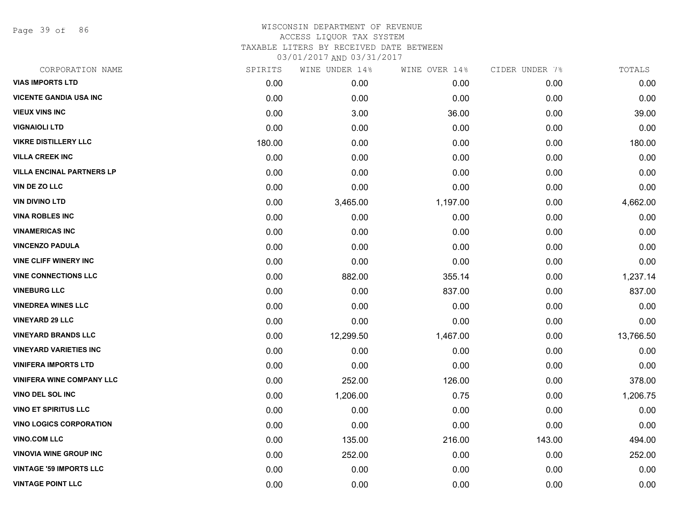Page 39 of 86

| CORPORATION NAME                 | SPIRITS | WINE UNDER 14% | WINE OVER 14% | CIDER UNDER 7% | TOTALS    |
|----------------------------------|---------|----------------|---------------|----------------|-----------|
| <b>VIAS IMPORTS LTD</b>          | 0.00    | 0.00           | 0.00          | 0.00           | 0.00      |
| <b>VICENTE GANDIA USA INC</b>    | 0.00    | 0.00           | 0.00          | 0.00           | 0.00      |
| <b>VIEUX VINS INC</b>            | 0.00    | 3.00           | 36.00         | 0.00           | 39.00     |
| <b>VIGNAIOLI LTD</b>             | 0.00    | 0.00           | 0.00          | 0.00           | 0.00      |
| <b>VIKRE DISTILLERY LLC</b>      | 180.00  | 0.00           | 0.00          | 0.00           | 180.00    |
| <b>VILLA CREEK INC</b>           | 0.00    | 0.00           | 0.00          | 0.00           | 0.00      |
| <b>VILLA ENCINAL PARTNERS LP</b> | 0.00    | 0.00           | 0.00          | 0.00           | 0.00      |
| VIN DE ZO LLC                    | 0.00    | 0.00           | 0.00          | 0.00           | 0.00      |
| <b>VIN DIVINO LTD</b>            | 0.00    | 3,465.00       | 1,197.00      | 0.00           | 4,662.00  |
| <b>VINA ROBLES INC</b>           | 0.00    | 0.00           | 0.00          | 0.00           | 0.00      |
| <b>VINAMERICAS INC</b>           | 0.00    | 0.00           | 0.00          | 0.00           | 0.00      |
| <b>VINCENZO PADULA</b>           | 0.00    | 0.00           | 0.00          | 0.00           | 0.00      |
| <b>VINE CLIFF WINERY INC</b>     | 0.00    | 0.00           | 0.00          | 0.00           | 0.00      |
| <b>VINE CONNECTIONS LLC</b>      | 0.00    | 882.00         | 355.14        | 0.00           | 1,237.14  |
| <b>VINEBURG LLC</b>              | 0.00    | 0.00           | 837.00        | 0.00           | 837.00    |
| <b>VINEDREA WINES LLC</b>        | 0.00    | 0.00           | 0.00          | 0.00           | 0.00      |
| <b>VINEYARD 29 LLC</b>           | 0.00    | 0.00           | 0.00          | 0.00           | 0.00      |
| <b>VINEYARD BRANDS LLC</b>       | 0.00    | 12,299.50      | 1,467.00      | 0.00           | 13,766.50 |
| <b>VINEYARD VARIETIES INC</b>    | 0.00    | 0.00           | 0.00          | 0.00           | 0.00      |
| <b>VINIFERA IMPORTS LTD</b>      | 0.00    | 0.00           | 0.00          | 0.00           | 0.00      |
| <b>VINIFERA WINE COMPANY LLC</b> | 0.00    | 252.00         | 126.00        | 0.00           | 378.00    |
| <b>VINO DEL SOL INC</b>          | 0.00    | 1,206.00       | 0.75          | 0.00           | 1,206.75  |
| <b>VINO ET SPIRITUS LLC</b>      | 0.00    | 0.00           | 0.00          | 0.00           | 0.00      |
| <b>VINO LOGICS CORPORATION</b>   | 0.00    | 0.00           | 0.00          | 0.00           | 0.00      |
| <b>VINO.COM LLC</b>              | 0.00    | 135.00         | 216.00        | 143.00         | 494.00    |
| <b>VINOVIA WINE GROUP INC</b>    | 0.00    | 252.00         | 0.00          | 0.00           | 252.00    |
| <b>VINTAGE '59 IMPORTS LLC</b>   | 0.00    | 0.00           | 0.00          | 0.00           | 0.00      |
| <b>VINTAGE POINT LLC</b>         | 0.00    | 0.00           | 0.00          | 0.00           | 0.00      |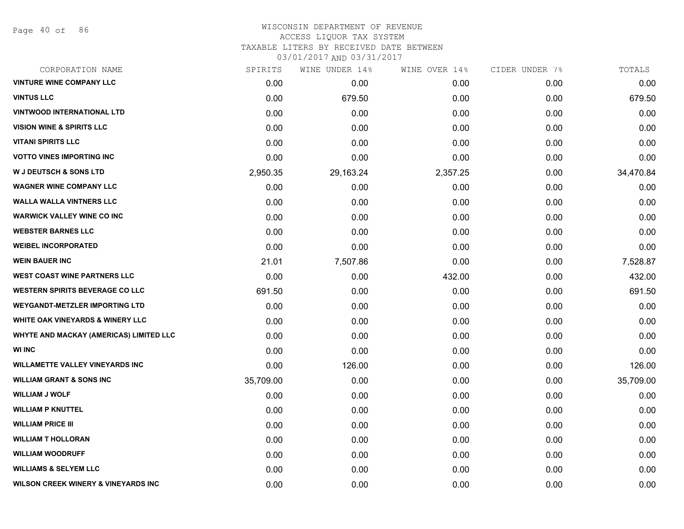Page 40 of 86

### WISCONSIN DEPARTMENT OF REVENUE ACCESS LIQUOR TAX SYSTEM TAXABLE LITERS BY RECEIVED DATE BETWEEN

| CORPORATION NAME                               | SPIRITS   | WINE UNDER 14% | WINE OVER 14% | CIDER UNDER 7% | TOTALS    |
|------------------------------------------------|-----------|----------------|---------------|----------------|-----------|
| <b>VINTURE WINE COMPANY LLC</b>                | 0.00      | 0.00           | 0.00          | 0.00           | 0.00      |
| <b>VINTUS LLC</b>                              | 0.00      | 679.50         | 0.00          | 0.00           | 679.50    |
| <b>VINTWOOD INTERNATIONAL LTD</b>              | 0.00      | 0.00           | 0.00          | 0.00           | 0.00      |
| <b>VISION WINE &amp; SPIRITS LLC</b>           | 0.00      | 0.00           | 0.00          | 0.00           | 0.00      |
| <b>VITANI SPIRITS LLC</b>                      | 0.00      | 0.00           | 0.00          | 0.00           | 0.00      |
| <b>VOTTO VINES IMPORTING INC</b>               | 0.00      | 0.00           | 0.00          | 0.00           | 0.00      |
| <b>W J DEUTSCH &amp; SONS LTD</b>              | 2,950.35  | 29,163.24      | 2,357.25      | 0.00           | 34,470.84 |
| <b>WAGNER WINE COMPANY LLC</b>                 | 0.00      | 0.00           | 0.00          | 0.00           | 0.00      |
| <b>WALLA WALLA VINTNERS LLC</b>                | 0.00      | 0.00           | 0.00          | 0.00           | 0.00      |
| <b>WARWICK VALLEY WINE CO INC</b>              | 0.00      | 0.00           | 0.00          | 0.00           | 0.00      |
| <b>WEBSTER BARNES LLC</b>                      | 0.00      | 0.00           | 0.00          | 0.00           | 0.00      |
| <b>WEIBEL INCORPORATED</b>                     | 0.00      | 0.00           | 0.00          | 0.00           | 0.00      |
| <b>WEIN BAUER INC</b>                          | 21.01     | 7,507.86       | 0.00          | 0.00           | 7,528.87  |
| <b>WEST COAST WINE PARTNERS LLC</b>            | 0.00      | 0.00           | 432.00        | 0.00           | 432.00    |
| <b>WESTERN SPIRITS BEVERAGE CO LLC</b>         | 691.50    | 0.00           | 0.00          | 0.00           | 691.50    |
| <b>WEYGANDT-METZLER IMPORTING LTD</b>          | 0.00      | 0.00           | 0.00          | 0.00           | 0.00      |
| <b>WHITE OAK VINEYARDS &amp; WINERY LLC</b>    | 0.00      | 0.00           | 0.00          | 0.00           | 0.00      |
| WHYTE AND MACKAY (AMERICAS) LIMITED LLC        | 0.00      | 0.00           | 0.00          | 0.00           | 0.00      |
| <b>WI INC</b>                                  | 0.00      | 0.00           | 0.00          | 0.00           | 0.00      |
| <b>WILLAMETTE VALLEY VINEYARDS INC</b>         | 0.00      | 126.00         | 0.00          | 0.00           | 126.00    |
| <b>WILLIAM GRANT &amp; SONS INC</b>            | 35,709.00 | 0.00           | 0.00          | 0.00           | 35,709.00 |
| <b>WILLIAM J WOLF</b>                          | 0.00      | 0.00           | 0.00          | 0.00           | 0.00      |
| <b>WILLIAM P KNUTTEL</b>                       | 0.00      | 0.00           | 0.00          | 0.00           | 0.00      |
| <b>WILLIAM PRICE III</b>                       | 0.00      | 0.00           | 0.00          | 0.00           | 0.00      |
| <b>WILLIAM T HOLLORAN</b>                      | 0.00      | 0.00           | 0.00          | 0.00           | 0.00      |
| <b>WILLIAM WOODRUFF</b>                        | 0.00      | 0.00           | 0.00          | 0.00           | 0.00      |
| <b>WILLIAMS &amp; SELYEM LLC</b>               | 0.00      | 0.00           | 0.00          | 0.00           | 0.00      |
| <b>WILSON CREEK WINERY &amp; VINEYARDS INC</b> | 0.00      | 0.00           | 0.00          | 0.00           | 0.00      |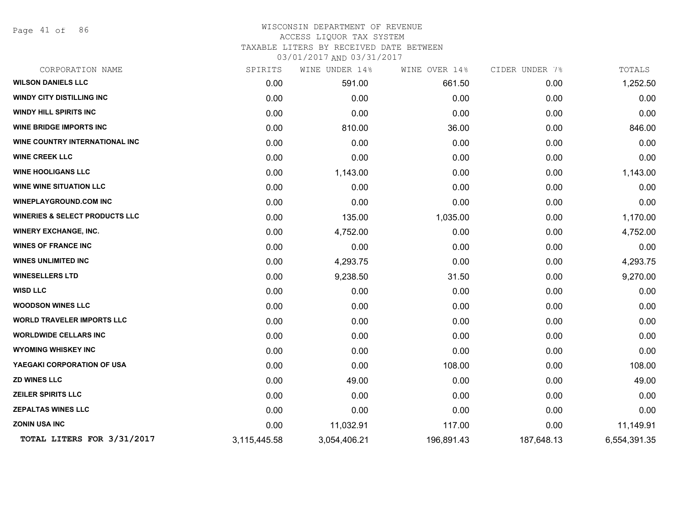Page 41 of 86

#### WISCONSIN DEPARTMENT OF REVENUE ACCESS LIQUOR TAX SYSTEM

TAXABLE LITERS BY RECEIVED DATE BETWEEN

| CORPORATION NAME                          | SPIRITS      | WINE UNDER 14% | WINE OVER 14% | CIDER UNDER 7% | TOTALS       |
|-------------------------------------------|--------------|----------------|---------------|----------------|--------------|
| <b>WILSON DANIELS LLC</b>                 | 0.00         | 591.00         | 661.50        | 0.00           | 1,252.50     |
| <b>WINDY CITY DISTILLING INC</b>          | 0.00         | 0.00           | 0.00          | 0.00           | 0.00         |
| <b>WINDY HILL SPIRITS INC</b>             | 0.00         | 0.00           | 0.00          | 0.00           | 0.00         |
| <b>WINE BRIDGE IMPORTS INC</b>            | 0.00         | 810.00         | 36.00         | 0.00           | 846.00       |
| WINE COUNTRY INTERNATIONAL INC            | 0.00         | 0.00           | 0.00          | 0.00           | 0.00         |
| <b>WINE CREEK LLC</b>                     | 0.00         | 0.00           | 0.00          | 0.00           | 0.00         |
| <b>WINE HOOLIGANS LLC</b>                 | 0.00         | 1,143.00       | 0.00          | 0.00           | 1,143.00     |
| <b>WINE WINE SITUATION LLC</b>            | 0.00         | 0.00           | 0.00          | 0.00           | 0.00         |
| <b>WINEPLAYGROUND.COM INC</b>             | 0.00         | 0.00           | 0.00          | 0.00           | 0.00         |
| <b>WINERIES &amp; SELECT PRODUCTS LLC</b> | 0.00         | 135.00         | 1,035.00      | 0.00           | 1,170.00     |
| <b>WINERY EXCHANGE, INC.</b>              | 0.00         | 4,752.00       | 0.00          | 0.00           | 4,752.00     |
| <b>WINES OF FRANCE INC</b>                | 0.00         | 0.00           | 0.00          | 0.00           | 0.00         |
| <b>WINES UNLIMITED INC</b>                | 0.00         | 4,293.75       | 0.00          | 0.00           | 4,293.75     |
| <b>WINESELLERS LTD</b>                    | 0.00         | 9,238.50       | 31.50         | 0.00           | 9,270.00     |
| <b>WISD LLC</b>                           | 0.00         | 0.00           | 0.00          | 0.00           | 0.00         |
| <b>WOODSON WINES LLC</b>                  | 0.00         | 0.00           | 0.00          | 0.00           | 0.00         |
| <b>WORLD TRAVELER IMPORTS LLC</b>         | 0.00         | 0.00           | 0.00          | 0.00           | 0.00         |
| <b>WORLDWIDE CELLARS INC</b>              | 0.00         | 0.00           | 0.00          | 0.00           | 0.00         |
| <b>WYOMING WHISKEY INC</b>                | 0.00         | 0.00           | 0.00          | 0.00           | 0.00         |
| YAEGAKI CORPORATION OF USA                | 0.00         | 0.00           | 108.00        | 0.00           | 108.00       |
| <b>ZD WINES LLC</b>                       | 0.00         | 49.00          | 0.00          | 0.00           | 49.00        |
| <b>ZEILER SPIRITS LLC</b>                 | 0.00         | 0.00           | 0.00          | 0.00           | 0.00         |
| <b>ZEPALTAS WINES LLC</b>                 | 0.00         | 0.00           | 0.00          | 0.00           | 0.00         |
| <b>ZONIN USA INC</b>                      | 0.00         | 11,032.91      | 117.00        | 0.00           | 11,149.91    |
| TOTAL LITERS FOR 3/31/2017                | 3,115,445.58 | 3,054,406.21   | 196,891.43    | 187,648.13     | 6,554,391.35 |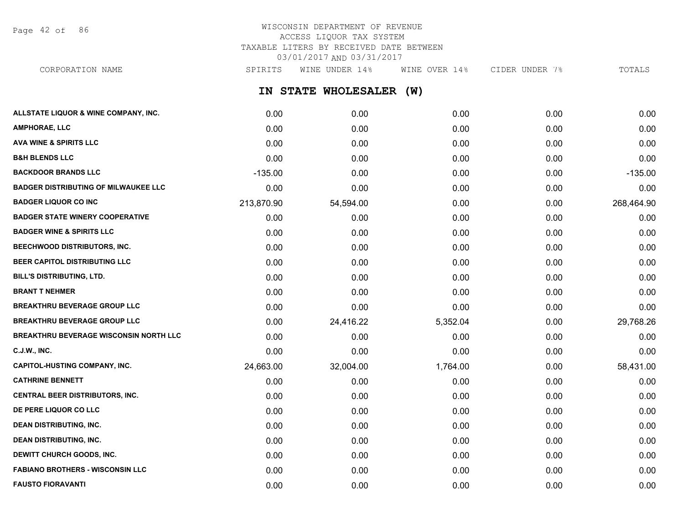Page 42 of 86

# WISCONSIN DEPARTMENT OF REVENUE ACCESS LIQUOR TAX SYSTEM TAXABLE LITERS BY RECEIVED DATE BETWEEN 03/01/2017 AND 03/31/2017

**IN STATE WHOLESALER (W) ALLSTATE LIQUOR & WINE COMPANY, INC.** 0.00 0.00 0.00 0.00 0.00 **AMPHORAE, LLC** 0.00 0.00 0.00 0.00 0.00 **AVA WINE & SPIRITS LLC** 0.00 0.00 0.00 0.00 0.00 **B&H BLENDS LLC** 0.00 0.00 0.00 0.00 0.00 **BACKDOOR BRANDS LLC** -135.00 0.00 0.00 0.00 -135.00 **BADGER DISTRIBUTING OF MILWAUKEE LLC** 0.00 0.00 0.00 0.00 0.00 **BADGER LIQUOR CO INC** 213,870.90 54,594.00 0.00 0.00 268,464.90 **BADGER STATE WINERY COOPERATIVE** 0.00 0.00 0.00 0.00 0.00 **BADGER WINE & SPIRITS LLC** 0.00 0.00 0.00 0.00 0.00 **BEECHWOOD DISTRIBUTORS, INC.** 0.00 0.00 0.00 0.00 0.00 **BEER CAPITOL DISTRIBUTING LLC** 0.00 0.00 0.00 0.00 0.00 **BILL'S DISTRIBUTING, LTD.** 0.00 0.00 0.00 0.00 0.00 **BRANT T NEHMER** 0.00 0.00 0.00 0.00 0.00 **BREAKTHRU BEVERAGE GROUP LLC**  $0.00$   $0.00$   $0.00$   $0.00$   $0.00$   $0.00$   $0.00$   $0.00$   $0.00$   $0.00$   $0.00$   $0.00$ **BREAKTHRU BEVERAGE GROUP LLC** 0.00 24,416.22 5,352.04 0.00 29,768.26 **BREAKTHRU BEVERAGE WISCONSIN NORTH LLC** 0.00 0.00 0.00 0.00 0.00 **C.J.W., INC.** 6.00 **0.00 0.00 0.00 0.00 0.00 0.00 0.00 0.00 0.00 0.00 0.00 0.00 0.00 CAPITOL-HUSTING COMPANY, INC.** 24,663.00 32,004.00 1,764.00 0.00 58,431.00 **CATHRINE BENNETT** 0.00 0.00 0.00 0.00 0.00 **CENTRAL BEER DISTRIBUTORS, INC.** 0.00 0.00 0.00 0.00 0.00 **DE PERE LIQUOR CO LLC** 0.00 0.00 0.00 0.00 0.00 **DEAN DISTRIBUTING, INC.** 0.00 0.00 0.00 0.00 0.00 CORPORATION NAME SPIRITS WINE UNDER 14% WINE OVER 14% CIDER UNDER 7% TOTALS

**DEAN DISTRIBUTING, INC.** 0.00 0.00 0.00 0.00 0.00 **DEWITT CHURCH GOODS, INC.** 0.00 0.00 0.00 0.00 0.00 **FABIANO BROTHERS - WISCONSIN LLC** 0.00 0.00 0.00 0.00 0.00 **FAUSTO FIORAVANTI** 0.00 0.00 0.00 0.00 0.00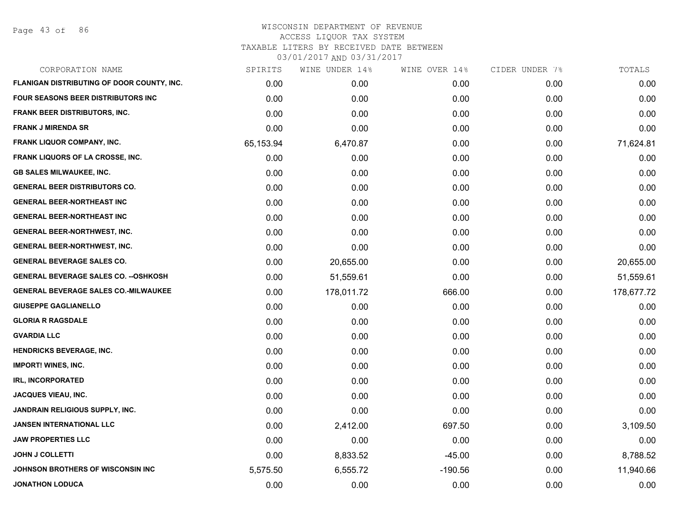Page 43 of 86

| CORPORATION NAME                            | SPIRITS   | WINE UNDER 14% | WINE OVER 14% | CIDER UNDER 7% | TOTALS     |
|---------------------------------------------|-----------|----------------|---------------|----------------|------------|
| FLANIGAN DISTRIBUTING OF DOOR COUNTY, INC.  | 0.00      | 0.00           | 0.00          | 0.00           | 0.00       |
| FOUR SEASONS BEER DISTRIBUTORS INC          | 0.00      | 0.00           | 0.00          | 0.00           | 0.00       |
| <b>FRANK BEER DISTRIBUTORS, INC.</b>        | 0.00      | 0.00           | 0.00          | 0.00           | 0.00       |
| <b>FRANK J MIRENDA SR</b>                   | 0.00      | 0.00           | 0.00          | 0.00           | 0.00       |
| FRANK LIQUOR COMPANY, INC.                  | 65,153.94 | 6,470.87       | 0.00          | 0.00           | 71,624.81  |
| <b>FRANK LIQUORS OF LA CROSSE, INC.</b>     | 0.00      | 0.00           | 0.00          | 0.00           | 0.00       |
| <b>GB SALES MILWAUKEE, INC.</b>             | 0.00      | 0.00           | 0.00          | 0.00           | 0.00       |
| <b>GENERAL BEER DISTRIBUTORS CO.</b>        | 0.00      | 0.00           | 0.00          | 0.00           | 0.00       |
| <b>GENERAL BEER-NORTHEAST INC</b>           | 0.00      | 0.00           | 0.00          | 0.00           | 0.00       |
| <b>GENERAL BEER-NORTHEAST INC</b>           | 0.00      | 0.00           | 0.00          | 0.00           | 0.00       |
| <b>GENERAL BEER-NORTHWEST, INC.</b>         | 0.00      | 0.00           | 0.00          | 0.00           | 0.00       |
| <b>GENERAL BEER-NORTHWEST, INC.</b>         | 0.00      | 0.00           | 0.00          | 0.00           | 0.00       |
| <b>GENERAL BEVERAGE SALES CO.</b>           | 0.00      | 20,655.00      | 0.00          | 0.00           | 20,655.00  |
| <b>GENERAL BEVERAGE SALES CO. --OSHKOSH</b> | 0.00      | 51,559.61      | 0.00          | 0.00           | 51,559.61  |
| <b>GENERAL BEVERAGE SALES CO.-MILWAUKEE</b> | 0.00      | 178,011.72     | 666.00        | 0.00           | 178,677.72 |
| <b>GIUSEPPE GAGLIANELLO</b>                 | 0.00      | 0.00           | 0.00          | 0.00           | 0.00       |
| <b>GLORIA R RAGSDALE</b>                    | 0.00      | 0.00           | 0.00          | 0.00           | 0.00       |
| <b>GVARDIA LLC</b>                          | 0.00      | 0.00           | 0.00          | 0.00           | 0.00       |
| <b>HENDRICKS BEVERAGE, INC.</b>             | 0.00      | 0.00           | 0.00          | 0.00           | 0.00       |
| <b>IMPORT! WINES, INC.</b>                  | 0.00      | 0.00           | 0.00          | 0.00           | 0.00       |
| IRL, INCORPORATED                           | 0.00      | 0.00           | 0.00          | 0.00           | 0.00       |
| JACQUES VIEAU, INC.                         | 0.00      | 0.00           | 0.00          | 0.00           | 0.00       |
| JANDRAIN RELIGIOUS SUPPLY, INC.             | 0.00      | 0.00           | 0.00          | 0.00           | 0.00       |
| <b>JANSEN INTERNATIONAL LLC</b>             | 0.00      | 2,412.00       | 697.50        | 0.00           | 3,109.50   |
| <b>JAW PROPERTIES LLC</b>                   | 0.00      | 0.00           | 0.00          | 0.00           | 0.00       |
| <b>JOHN J COLLETTI</b>                      | 0.00      | 8,833.52       | $-45.00$      | 0.00           | 8,788.52   |
| JOHNSON BROTHERS OF WISCONSIN INC           | 5,575.50  | 6,555.72       | $-190.56$     | 0.00           | 11,940.66  |
| <b>JONATHON LODUCA</b>                      | 0.00      | 0.00           | 0.00          | 0.00           | 0.00       |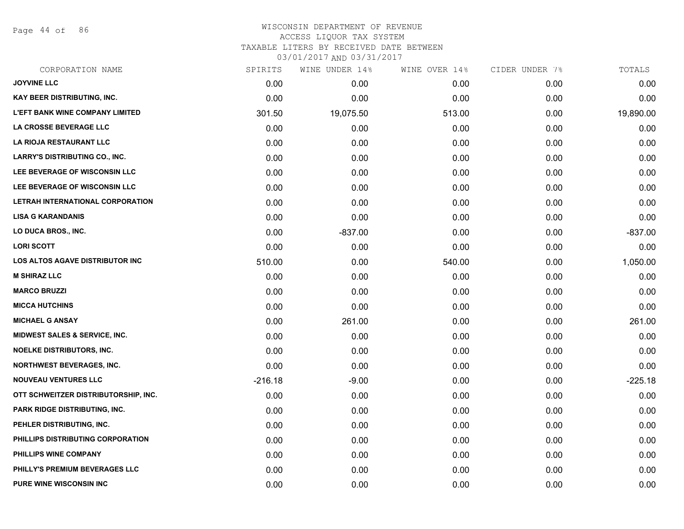Page 44 of 86

# WISCONSIN DEPARTMENT OF REVENUE ACCESS LIQUOR TAX SYSTEM TAXABLE LITERS BY RECEIVED DATE BETWEEN

| CORPORATION NAME                         | SPIRITS   | WINE UNDER 14% | WINE OVER 14% | CIDER UNDER 7% | TOTALS    |
|------------------------------------------|-----------|----------------|---------------|----------------|-----------|
| <b>JOYVINE LLC</b>                       | 0.00      | 0.00           | 0.00          | 0.00           | 0.00      |
| KAY BEER DISTRIBUTING, INC.              | 0.00      | 0.00           | 0.00          | 0.00           | 0.00      |
| <b>L'EFT BANK WINE COMPANY LIMITED</b>   | 301.50    | 19,075.50      | 513.00        | 0.00           | 19,890.00 |
| LA CROSSE BEVERAGE LLC                   | 0.00      | 0.00           | 0.00          | 0.00           | 0.00      |
| LA RIOJA RESTAURANT LLC                  | 0.00      | 0.00           | 0.00          | 0.00           | 0.00      |
| <b>LARRY'S DISTRIBUTING CO., INC.</b>    | 0.00      | 0.00           | 0.00          | 0.00           | 0.00      |
| LEE BEVERAGE OF WISCONSIN LLC            | 0.00      | 0.00           | 0.00          | 0.00           | 0.00      |
| LEE BEVERAGE OF WISCONSIN LLC            | 0.00      | 0.00           | 0.00          | 0.00           | 0.00      |
| LETRAH INTERNATIONAL CORPORATION         | 0.00      | 0.00           | 0.00          | 0.00           | 0.00      |
| <b>LISA G KARANDANIS</b>                 | 0.00      | 0.00           | 0.00          | 0.00           | 0.00      |
| LO DUCA BROS., INC.                      | 0.00      | $-837.00$      | 0.00          | 0.00           | $-837.00$ |
| <b>LORI SCOTT</b>                        | 0.00      | 0.00           | 0.00          | 0.00           | 0.00      |
| LOS ALTOS AGAVE DISTRIBUTOR INC          | 510.00    | 0.00           | 540.00        | 0.00           | 1,050.00  |
| <b>M SHIRAZ LLC</b>                      | 0.00      | 0.00           | 0.00          | 0.00           | 0.00      |
| <b>MARCO BRUZZI</b>                      | 0.00      | 0.00           | 0.00          | 0.00           | 0.00      |
| <b>MICCA HUTCHINS</b>                    | 0.00      | 0.00           | 0.00          | 0.00           | 0.00      |
| <b>MICHAEL G ANSAY</b>                   | 0.00      | 261.00         | 0.00          | 0.00           | 261.00    |
| <b>MIDWEST SALES &amp; SERVICE, INC.</b> | 0.00      | 0.00           | 0.00          | 0.00           | 0.00      |
| <b>NOELKE DISTRIBUTORS, INC.</b>         | 0.00      | 0.00           | 0.00          | 0.00           | 0.00      |
| <b>NORTHWEST BEVERAGES, INC.</b>         | 0.00      | 0.00           | 0.00          | 0.00           | 0.00      |
| <b>NOUVEAU VENTURES LLC</b>              | $-216.18$ | $-9.00$        | 0.00          | 0.00           | $-225.18$ |
| OTT SCHWEITZER DISTRIBUTORSHIP, INC.     | 0.00      | 0.00           | 0.00          | 0.00           | 0.00      |
| <b>PARK RIDGE DISTRIBUTING, INC.</b>     | 0.00      | 0.00           | 0.00          | 0.00           | 0.00      |
| PEHLER DISTRIBUTING, INC.                | 0.00      | 0.00           | 0.00          | 0.00           | 0.00      |
| PHILLIPS DISTRIBUTING CORPORATION        | 0.00      | 0.00           | 0.00          | 0.00           | 0.00      |
| PHILLIPS WINE COMPANY                    | 0.00      | 0.00           | 0.00          | 0.00           | 0.00      |
| PHILLY'S PREMIUM BEVERAGES LLC           | 0.00      | 0.00           | 0.00          | 0.00           | 0.00      |
| <b>PURE WINE WISCONSIN INC</b>           | 0.00      | 0.00           | 0.00          | 0.00           | 0.00      |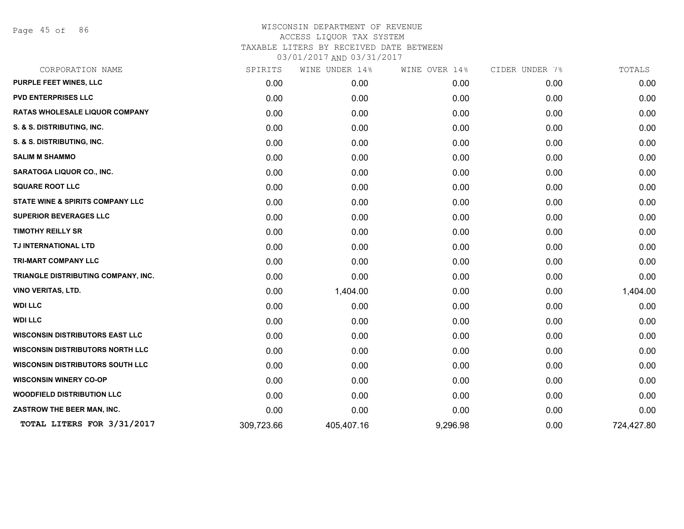Page 45 of 86

| CORPORATION NAME                        | SPIRITS    | WINE UNDER 14% | WINE OVER 14% | CIDER UNDER 7% | TOTALS     |
|-----------------------------------------|------------|----------------|---------------|----------------|------------|
| PURPLE FEET WINES, LLC                  | 0.00       | 0.00           | 0.00          | 0.00           | 0.00       |
| <b>PVD ENTERPRISES LLC</b>              | 0.00       | 0.00           | 0.00          | 0.00           | 0.00       |
| RATAS WHOLESALE LIQUOR COMPANY          | 0.00       | 0.00           | 0.00          | 0.00           | 0.00       |
| S. & S. DISTRIBUTING, INC.              | 0.00       | 0.00           | 0.00          | 0.00           | 0.00       |
| S. & S. DISTRIBUTING, INC.              | 0.00       | 0.00           | 0.00          | 0.00           | 0.00       |
| <b>SALIM M SHAMMO</b>                   | 0.00       | 0.00           | 0.00          | 0.00           | 0.00       |
| <b>SARATOGA LIQUOR CO., INC.</b>        | 0.00       | 0.00           | 0.00          | 0.00           | 0.00       |
| <b>SQUARE ROOT LLC</b>                  | 0.00       | 0.00           | 0.00          | 0.00           | 0.00       |
| STATE WINE & SPIRITS COMPANY LLC        | 0.00       | 0.00           | 0.00          | 0.00           | 0.00       |
| <b>SUPERIOR BEVERAGES LLC</b>           | 0.00       | 0.00           | 0.00          | 0.00           | 0.00       |
| <b>TIMOTHY REILLY SR</b>                | 0.00       | 0.00           | 0.00          | 0.00           | 0.00       |
| TJ INTERNATIONAL LTD                    | 0.00       | 0.00           | 0.00          | 0.00           | 0.00       |
| TRI-MART COMPANY LLC                    | 0.00       | 0.00           | 0.00          | 0.00           | 0.00       |
| TRIANGLE DISTRIBUTING COMPANY, INC.     | 0.00       | 0.00           | 0.00          | 0.00           | 0.00       |
| VINO VERITAS, LTD.                      | 0.00       | 1,404.00       | 0.00          | 0.00           | 1,404.00   |
| <b>WDI LLC</b>                          | 0.00       | 0.00           | 0.00          | 0.00           | 0.00       |
| <b>WDI LLC</b>                          | 0.00       | 0.00           | 0.00          | 0.00           | 0.00       |
| <b>WISCONSIN DISTRIBUTORS EAST LLC</b>  | 0.00       | 0.00           | 0.00          | 0.00           | 0.00       |
| <b>WISCONSIN DISTRIBUTORS NORTH LLC</b> | 0.00       | 0.00           | 0.00          | 0.00           | 0.00       |
| <b>WISCONSIN DISTRIBUTORS SOUTH LLC</b> | 0.00       | 0.00           | 0.00          | 0.00           | 0.00       |
| <b>WISCONSIN WINERY CO-OP</b>           | 0.00       | 0.00           | 0.00          | 0.00           | 0.00       |
| <b>WOODFIELD DISTRIBUTION LLC</b>       | 0.00       | 0.00           | 0.00          | 0.00           | 0.00       |
| ZASTROW THE BEER MAN, INC.              | 0.00       | 0.00           | 0.00          | 0.00           | 0.00       |
| TOTAL LITERS FOR 3/31/2017              | 309,723.66 | 405,407.16     | 9,296.98      | 0.00           | 724,427.80 |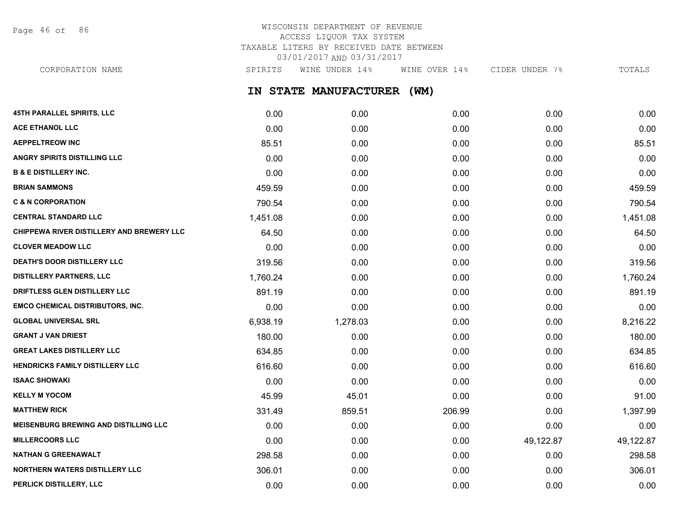Page 46 of 86

# WISCONSIN DEPARTMENT OF REVENUE ACCESS LIQUOR TAX SYSTEM TAXABLE LITERS BY RECEIVED DATE BETWEEN 03/01/2017 AND 03/31/2017

CORPORATION NAME SPIRITS WINE UNDER 14% WINE OVER 14% CIDER UNDER 7% TOTALS

**IN STATE MANUFACTURER (WM)**

| <b>45TH PARALLEL SPIRITS, LLC</b>         | 0.00     | 0.00     | 0.00   | 0.00      | 0.00      |
|-------------------------------------------|----------|----------|--------|-----------|-----------|
| <b>ACE ETHANOL LLC</b>                    | 0.00     | 0.00     | 0.00   | 0.00      | 0.00      |
| <b>AEPPELTREOW INC</b>                    | 85.51    | 0.00     | 0.00   | 0.00      | 85.51     |
| <b>ANGRY SPIRITS DISTILLING LLC</b>       | 0.00     | 0.00     | 0.00   | 0.00      | 0.00      |
| <b>B &amp; E DISTILLERY INC.</b>          | 0.00     | 0.00     | 0.00   | 0.00      | 0.00      |
| <b>BRIAN SAMMONS</b>                      | 459.59   | 0.00     | 0.00   | 0.00      | 459.59    |
| <b>C &amp; N CORPORATION</b>              | 790.54   | 0.00     | 0.00   | 0.00      | 790.54    |
| <b>CENTRAL STANDARD LLC</b>               | 1,451.08 | 0.00     | 0.00   | 0.00      | 1,451.08  |
| CHIPPEWA RIVER DISTILLERY AND BREWERY LLC | 64.50    | 0.00     | 0.00   | 0.00      | 64.50     |
| <b>CLOVER MEADOW LLC</b>                  | 0.00     | 0.00     | 0.00   | 0.00      | 0.00      |
| DEATH'S DOOR DISTILLERY LLC               | 319.56   | 0.00     | 0.00   | 0.00      | 319.56    |
| <b>DISTILLERY PARTNERS, LLC</b>           | 1,760.24 | 0.00     | 0.00   | 0.00      | 1,760.24  |
| DRIFTLESS GLEN DISTILLERY LLC             | 891.19   | 0.00     | 0.00   | 0.00      | 891.19    |
| <b>EMCO CHEMICAL DISTRIBUTORS, INC.</b>   | 0.00     | 0.00     | 0.00   | 0.00      | 0.00      |
| <b>GLOBAL UNIVERSAL SRL</b>               | 6,938.19 | 1,278.03 | 0.00   | 0.00      | 8,216.22  |
| <b>GRANT J VAN DRIEST</b>                 | 180.00   | 0.00     | 0.00   | 0.00      | 180.00    |
| <b>GREAT LAKES DISTILLERY LLC</b>         | 634.85   | 0.00     | 0.00   | 0.00      | 634.85    |
| <b>HENDRICKS FAMILY DISTILLERY LLC</b>    | 616.60   | 0.00     | 0.00   | 0.00      | 616.60    |
| <b>ISAAC SHOWAKI</b>                      | 0.00     | 0.00     | 0.00   | 0.00      | 0.00      |
| <b>KELLY M YOCOM</b>                      | 45.99    | 45.01    | 0.00   | 0.00      | 91.00     |
| <b>MATTHEW RICK</b>                       | 331.49   | 859.51   | 206.99 | 0.00      | 1,397.99  |
| MEISENBURG BREWING AND DISTILLING LLC     | 0.00     | 0.00     | 0.00   | 0.00      | 0.00      |
| <b>MILLERCOORS LLC</b>                    | 0.00     | 0.00     | 0.00   | 49,122.87 | 49,122.87 |
| <b>NATHAN G GREENAWALT</b>                | 298.58   | 0.00     | 0.00   | 0.00      | 298.58    |
| NORTHERN WATERS DISTILLERY LLC            | 306.01   | 0.00     | 0.00   | 0.00      | 306.01    |
| PERLICK DISTILLERY, LLC                   | 0.00     | 0.00     | 0.00   | 0.00      | 0.00      |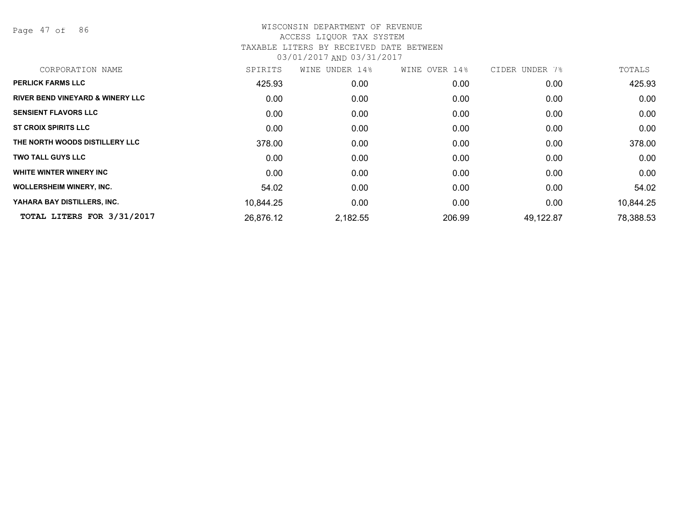Page 47 of 86

| CORPORATION NAME                            | SPIRITS   | WINE UNDER 14% | WINE OVER 14% | CIDER UNDER 7% | TOTALS    |
|---------------------------------------------|-----------|----------------|---------------|----------------|-----------|
| <b>PERLICK FARMS LLC</b>                    | 425.93    | 0.00           | 0.00          | 0.00           | 425.93    |
| <b>RIVER BEND VINEYARD &amp; WINERY LLC</b> | 0.00      | 0.00           | 0.00          | 0.00           | 0.00      |
| <b>SENSIENT FLAVORS LLC</b>                 | 0.00      | 0.00           | 0.00          | 0.00           | 0.00      |
| <b>ST CROIX SPIRITS LLC</b>                 | 0.00      | 0.00           | 0.00          | 0.00           | 0.00      |
| THE NORTH WOODS DISTILLERY LLC              | 378.00    | 0.00           | 0.00          | 0.00           | 378.00    |
| <b>TWO TALL GUYS LLC</b>                    | 0.00      | 0.00           | 0.00          | 0.00           | 0.00      |
| WHITE WINTER WINERY INC                     | 0.00      | 0.00           | 0.00          | 0.00           | 0.00      |
| <b>WOLLERSHEIM WINERY, INC.</b>             | 54.02     | 0.00           | 0.00          | 0.00           | 54.02     |
| YAHARA BAY DISTILLERS, INC.                 | 10,844.25 | 0.00           | 0.00          | 0.00           | 10,844.25 |
| TOTAL LITERS FOR 3/31/2017                  | 26,876.12 | 2,182.55       | 206.99        | 49,122.87      | 78,388.53 |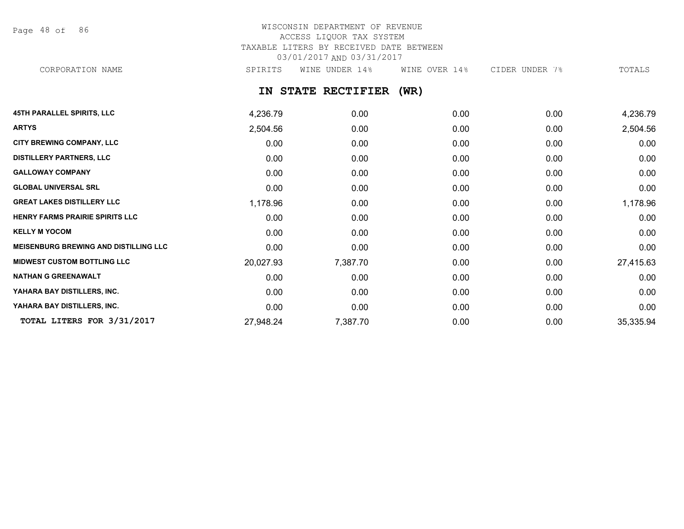Page 48 of 86

## WISCONSIN DEPARTMENT OF REVENUE ACCESS LIQUOR TAX SYSTEM TAXABLE LITERS BY RECEIVED DATE BETWEEN 03/01/2017 AND 03/31/2017 CORPORATION NAME SPIRITS WINE UNDER 14% WINE OVER 14% CIDER UNDER 7% TOTALS

### **IN STATE RECTIFIER (WR)**

| <b>45TH PARALLEL SPIRITS, LLC</b>            | 4,236.79  | 0.00     | 0.00 | 0.00 | 4,236.79  |
|----------------------------------------------|-----------|----------|------|------|-----------|
| <b>ARTYS</b>                                 | 2,504.56  | 0.00     | 0.00 | 0.00 | 2,504.56  |
| <b>CITY BREWING COMPANY, LLC</b>             | 0.00      | 0.00     | 0.00 | 0.00 | 0.00      |
| <b>DISTILLERY PARTNERS, LLC</b>              | 0.00      | 0.00     | 0.00 | 0.00 | 0.00      |
| <b>GALLOWAY COMPANY</b>                      | 0.00      | 0.00     | 0.00 | 0.00 | 0.00      |
| <b>GLOBAL UNIVERSAL SRL</b>                  | 0.00      | 0.00     | 0.00 | 0.00 | 0.00      |
| <b>GREAT LAKES DISTILLERY LLC</b>            | 1,178.96  | 0.00     | 0.00 | 0.00 | 1,178.96  |
| <b>HENRY FARMS PRAIRIE SPIRITS LLC</b>       | 0.00      | 0.00     | 0.00 | 0.00 | 0.00      |
| <b>KELLY M YOCOM</b>                         | 0.00      | 0.00     | 0.00 | 0.00 | 0.00      |
| <b>MEISENBURG BREWING AND DISTILLING LLC</b> | 0.00      | 0.00     | 0.00 | 0.00 | 0.00      |
| <b>MIDWEST CUSTOM BOTTLING LLC</b>           | 20,027.93 | 7,387.70 | 0.00 | 0.00 | 27,415.63 |
| <b>NATHAN G GREENAWALT</b>                   | 0.00      | 0.00     | 0.00 | 0.00 | 0.00      |
| YAHARA BAY DISTILLERS, INC.                  | 0.00      | 0.00     | 0.00 | 0.00 | 0.00      |
| YAHARA BAY DISTILLERS, INC.                  | 0.00      | 0.00     | 0.00 | 0.00 | 0.00      |
| TOTAL LITERS FOR 3/31/2017                   | 27,948.24 | 7,387.70 | 0.00 | 0.00 | 35,335.94 |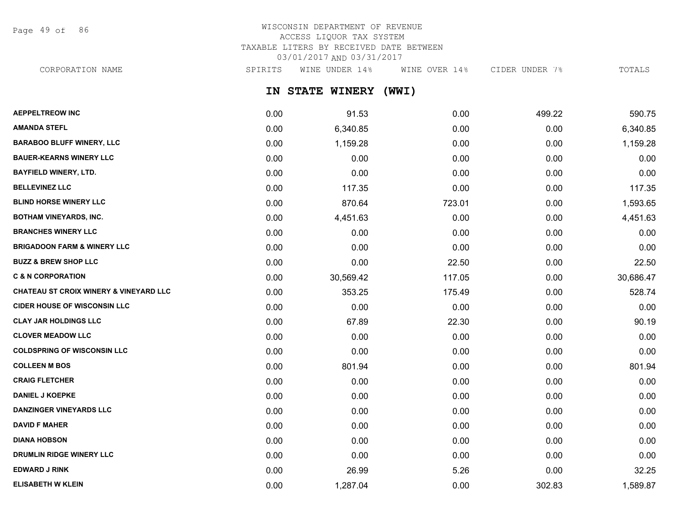Page 49 of 86

# WISCONSIN DEPARTMENT OF REVENUE ACCESS LIQUOR TAX SYSTEM TAXABLE LITERS BY RECEIVED DATE BETWEEN 03/01/2017 AND 03/31/2017

**IN STATE WINERY (WWI) AEPPELTREOW INC** 0.00 91.53 0.00 499.22 590.75 CORPORATION NAME SPIRITS WINE UNDER 14% WINE OVER 14% CIDER UNDER 7% TOTALS

| <b>AMANDA STEFL</b>                    | 0.00 | 6,340.85  | 0.00   | 0.00   | 6,340.85  |
|----------------------------------------|------|-----------|--------|--------|-----------|
| <b>BARABOO BLUFF WINERY, LLC</b>       | 0.00 | 1,159.28  | 0.00   | 0.00   | 1,159.28  |
| <b>BAUER-KEARNS WINERY LLC</b>         | 0.00 | 0.00      | 0.00   | 0.00   | 0.00      |
| <b>BAYFIELD WINERY, LTD.</b>           | 0.00 | 0.00      | 0.00   | 0.00   | 0.00      |
| <b>BELLEVINEZ LLC</b>                  | 0.00 | 117.35    | 0.00   | 0.00   | 117.35    |
| <b>BLIND HORSE WINERY LLC</b>          | 0.00 | 870.64    | 723.01 | 0.00   | 1,593.65  |
| <b>BOTHAM VINEYARDS, INC.</b>          | 0.00 | 4,451.63  | 0.00   | 0.00   | 4,451.63  |
| <b>BRANCHES WINERY LLC</b>             | 0.00 | 0.00      | 0.00   | 0.00   | 0.00      |
| <b>BRIGADOON FARM &amp; WINERY LLC</b> | 0.00 | 0.00      | 0.00   | 0.00   | 0.00      |
| <b>BUZZ &amp; BREW SHOP LLC</b>        | 0.00 | 0.00      | 22.50  | 0.00   | 22.50     |
| <b>C &amp; N CORPORATION</b>           | 0.00 | 30,569.42 | 117.05 | 0.00   | 30,686.47 |
| CHATEAU ST CROIX WINERY & VINEYARD LLC | 0.00 | 353.25    | 175.49 | 0.00   | 528.74    |
| <b>CIDER HOUSE OF WISCONSIN LLC</b>    | 0.00 | 0.00      | 0.00   | 0.00   | 0.00      |
| <b>CLAY JAR HOLDINGS LLC</b>           | 0.00 | 67.89     | 22.30  | 0.00   | 90.19     |
| <b>CLOVER MEADOW LLC</b>               | 0.00 | 0.00      | 0.00   | 0.00   | 0.00      |
| <b>COLDSPRING OF WISCONSIN LLC</b>     | 0.00 | 0.00      | 0.00   | 0.00   | 0.00      |
| <b>COLLEEN M BOS</b>                   | 0.00 | 801.94    | 0.00   | 0.00   | 801.94    |
| <b>CRAIG FLETCHER</b>                  | 0.00 | 0.00      | 0.00   | 0.00   | 0.00      |
| <b>DANIEL J KOEPKE</b>                 | 0.00 | 0.00      | 0.00   | 0.00   | 0.00      |
| <b>DANZINGER VINEYARDS LLC</b>         | 0.00 | 0.00      | 0.00   | 0.00   | 0.00      |
| <b>DAVID F MAHER</b>                   | 0.00 | 0.00      | 0.00   | 0.00   | 0.00      |
| <b>DIANA HOBSON</b>                    | 0.00 | 0.00      | 0.00   | 0.00   | 0.00      |
| DRUMLIN RIDGE WINERY LLC               | 0.00 | 0.00      | 0.00   | 0.00   | 0.00      |
| <b>EDWARD J RINK</b>                   | 0.00 | 26.99     | 5.26   | 0.00   | 32.25     |
| <b>ELISABETH W KLEIN</b>               | 0.00 | 1,287.04  | 0.00   | 302.83 | 1,589.87  |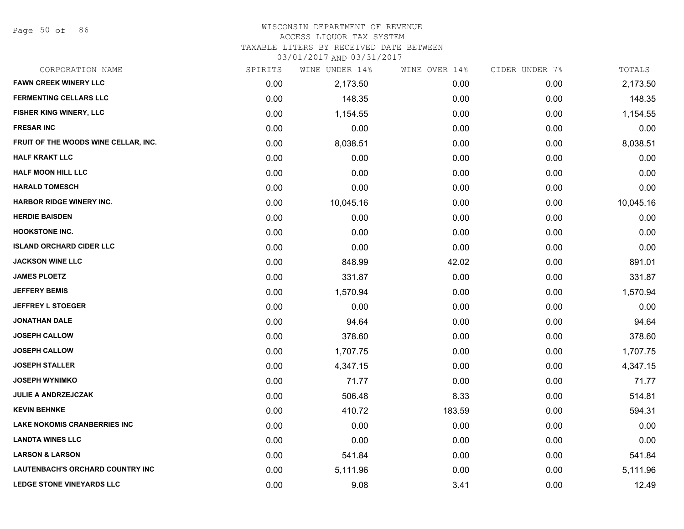Page 50 of 86

#### WISCONSIN DEPARTMENT OF REVENUE

#### ACCESS LIQUOR TAX SYSTEM

TAXABLE LITERS BY RECEIVED DATE BETWEEN

| CORPORATION NAME                     | SPIRITS | WINE UNDER 14% | WINE OVER 14% | CIDER UNDER 7% | TOTALS    |
|--------------------------------------|---------|----------------|---------------|----------------|-----------|
| <b>FAWN CREEK WINERY LLC</b>         | 0.00    | 2,173.50       | 0.00          | 0.00           | 2,173.50  |
| <b>FERMENTING CELLARS LLC</b>        | 0.00    | 148.35         | 0.00          | 0.00           | 148.35    |
| FISHER KING WINERY, LLC              | 0.00    | 1,154.55       | 0.00          | 0.00           | 1,154.55  |
| <b>FRESAR INC</b>                    | 0.00    | 0.00           | 0.00          | 0.00           | 0.00      |
| FRUIT OF THE WOODS WINE CELLAR, INC. | 0.00    | 8,038.51       | 0.00          | 0.00           | 8,038.51  |
| <b>HALF KRAKT LLC</b>                | 0.00    | 0.00           | 0.00          | 0.00           | 0.00      |
| <b>HALF MOON HILL LLC</b>            | 0.00    | 0.00           | 0.00          | 0.00           | 0.00      |
| <b>HARALD TOMESCH</b>                | 0.00    | 0.00           | 0.00          | 0.00           | 0.00      |
| <b>HARBOR RIDGE WINERY INC.</b>      | 0.00    | 10,045.16      | 0.00          | 0.00           | 10,045.16 |
| <b>HERDIE BAISDEN</b>                | 0.00    | 0.00           | 0.00          | 0.00           | 0.00      |
| <b>HOOKSTONE INC.</b>                | 0.00    | 0.00           | 0.00          | 0.00           | 0.00      |
| <b>ISLAND ORCHARD CIDER LLC</b>      | 0.00    | 0.00           | 0.00          | 0.00           | 0.00      |
| <b>JACKSON WINE LLC</b>              | 0.00    | 848.99         | 42.02         | 0.00           | 891.01    |
| <b>JAMES PLOETZ</b>                  | 0.00    | 331.87         | 0.00          | 0.00           | 331.87    |
| <b>JEFFERY BEMIS</b>                 | 0.00    | 1,570.94       | 0.00          | 0.00           | 1,570.94  |
| <b>JEFFREY L STOEGER</b>             | 0.00    | 0.00           | 0.00          | 0.00           | 0.00      |
| <b>JONATHAN DALE</b>                 | 0.00    | 94.64          | 0.00          | 0.00           | 94.64     |
| <b>JOSEPH CALLOW</b>                 | 0.00    | 378.60         | 0.00          | 0.00           | 378.60    |
| <b>JOSEPH CALLOW</b>                 | 0.00    | 1,707.75       | 0.00          | 0.00           | 1,707.75  |
| <b>JOSEPH STALLER</b>                | 0.00    | 4,347.15       | 0.00          | 0.00           | 4,347.15  |
| <b>JOSEPH WYNIMKO</b>                | 0.00    | 71.77          | 0.00          | 0.00           | 71.77     |
| <b>JULIE A ANDRZEJCZAK</b>           | 0.00    | 506.48         | 8.33          | 0.00           | 514.81    |
| <b>KEVIN BEHNKE</b>                  | 0.00    | 410.72         | 183.59        | 0.00           | 594.31    |
| <b>LAKE NOKOMIS CRANBERRIES INC</b>  | 0.00    | 0.00           | 0.00          | 0.00           | 0.00      |
| <b>LANDTA WINES LLC</b>              | 0.00    | 0.00           | 0.00          | 0.00           | 0.00      |
| <b>LARSON &amp; LARSON</b>           | 0.00    | 541.84         | 0.00          | 0.00           | 541.84    |
| LAUTENBACH'S ORCHARD COUNTRY INC     | 0.00    | 5,111.96       | 0.00          | 0.00           | 5,111.96  |
| <b>LEDGE STONE VINEYARDS LLC</b>     | 0.00    | 9.08           | 3.41          | 0.00           | 12.49     |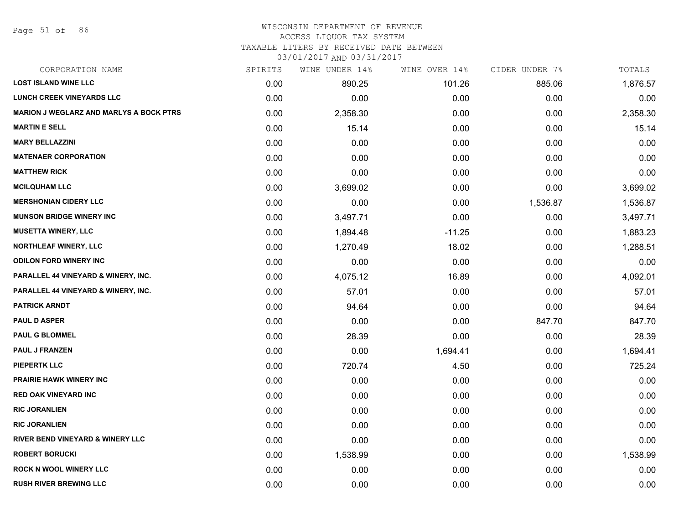Page 51 of 86

## WISCONSIN DEPARTMENT OF REVENUE

#### ACCESS LIQUOR TAX SYSTEM

TAXABLE LITERS BY RECEIVED DATE BETWEEN

| CORPORATION NAME                               | SPIRITS | WINE UNDER 14% | WINE OVER 14% | CIDER UNDER 7% | TOTALS   |
|------------------------------------------------|---------|----------------|---------------|----------------|----------|
| <b>LOST ISLAND WINE LLC</b>                    | 0.00    | 890.25         | 101.26        | 885.06         | 1,876.57 |
| <b>LUNCH CREEK VINEYARDS LLC</b>               | 0.00    | 0.00           | 0.00          | 0.00           | 0.00     |
| <b>MARION J WEGLARZ AND MARLYS A BOCK PTRS</b> | 0.00    | 2,358.30       | 0.00          | 0.00           | 2,358.30 |
| <b>MARTIN E SELL</b>                           | 0.00    | 15.14          | 0.00          | 0.00           | 15.14    |
| <b>MARY BELLAZZINI</b>                         | 0.00    | 0.00           | 0.00          | 0.00           | 0.00     |
| <b>MATENAER CORPORATION</b>                    | 0.00    | 0.00           | 0.00          | 0.00           | 0.00     |
| <b>MATTHEW RICK</b>                            | 0.00    | 0.00           | 0.00          | 0.00           | 0.00     |
| <b>MCILQUHAM LLC</b>                           | 0.00    | 3,699.02       | 0.00          | 0.00           | 3,699.02 |
| <b>MERSHONIAN CIDERY LLC</b>                   | 0.00    | 0.00           | 0.00          | 1,536.87       | 1,536.87 |
| <b>MUNSON BRIDGE WINERY INC</b>                | 0.00    | 3,497.71       | 0.00          | 0.00           | 3,497.71 |
| <b>MUSETTA WINERY, LLC</b>                     | 0.00    | 1,894.48       | $-11.25$      | 0.00           | 1,883.23 |
| NORTHLEAF WINERY, LLC                          | 0.00    | 1,270.49       | 18.02         | 0.00           | 1,288.51 |
| <b>ODILON FORD WINERY INC</b>                  | 0.00    | 0.00           | 0.00          | 0.00           | 0.00     |
| PARALLEL 44 VINEYARD & WINERY, INC.            | 0.00    | 4,075.12       | 16.89         | 0.00           | 4,092.01 |
| <b>PARALLEL 44 VINEYARD &amp; WINERY, INC.</b> | 0.00    | 57.01          | 0.00          | 0.00           | 57.01    |
| <b>PATRICK ARNDT</b>                           | 0.00    | 94.64          | 0.00          | 0.00           | 94.64    |
| <b>PAUL D ASPER</b>                            | 0.00    | 0.00           | 0.00          | 847.70         | 847.70   |
| <b>PAUL G BLOMMEL</b>                          | 0.00    | 28.39          | 0.00          | 0.00           | 28.39    |
| PAUL J FRANZEN                                 | 0.00    | 0.00           | 1,694.41      | 0.00           | 1,694.41 |
| <b>PIEPERTK LLC</b>                            | 0.00    | 720.74         | 4.50          | 0.00           | 725.24   |
| <b>PRAIRIE HAWK WINERY INC</b>                 | 0.00    | 0.00           | 0.00          | 0.00           | 0.00     |
| <b>RED OAK VINEYARD INC</b>                    | 0.00    | 0.00           | 0.00          | 0.00           | 0.00     |
| <b>RIC JORANLIEN</b>                           | 0.00    | 0.00           | 0.00          | 0.00           | 0.00     |
| <b>RIC JORANLIEN</b>                           | 0.00    | 0.00           | 0.00          | 0.00           | 0.00     |
| <b>RIVER BEND VINEYARD &amp; WINERY LLC</b>    | 0.00    | 0.00           | 0.00          | 0.00           | 0.00     |
| <b>ROBERT BORUCKI</b>                          | 0.00    | 1,538.99       | 0.00          | 0.00           | 1,538.99 |
| <b>ROCK N WOOL WINERY LLC</b>                  | 0.00    | 0.00           | 0.00          | 0.00           | 0.00     |
| <b>RUSH RIVER BREWING LLC</b>                  | 0.00    | 0.00           | 0.00          | 0.00           | 0.00     |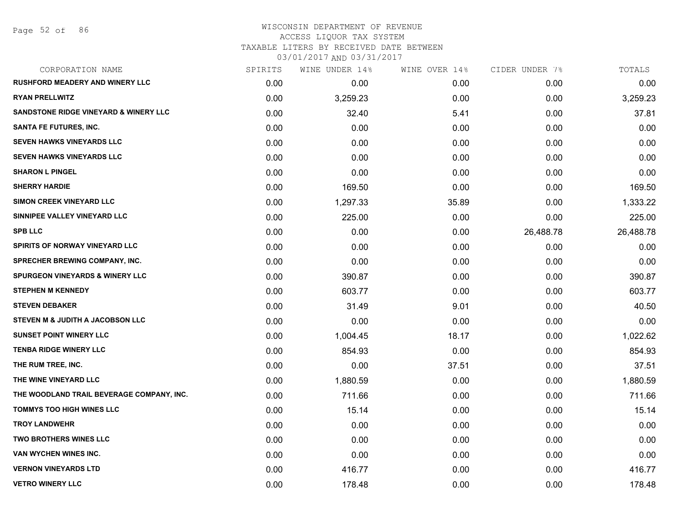# WISCONSIN DEPARTMENT OF REVENUE ACCESS LIQUOR TAX SYSTEM TAXABLE LITERS BY RECEIVED DATE BETWEEN

| CORPORATION NAME                                 | SPIRITS | WINE UNDER 14% | WINE OVER 14% | CIDER UNDER 7% | TOTALS    |
|--------------------------------------------------|---------|----------------|---------------|----------------|-----------|
| <b>RUSHFORD MEADERY AND WINERY LLC</b>           | 0.00    | 0.00           | 0.00          | 0.00           | 0.00      |
| <b>RYAN PRELLWITZ</b>                            | 0.00    | 3,259.23       | 0.00          | 0.00           | 3,259.23  |
| <b>SANDSTONE RIDGE VINEYARD &amp; WINERY LLC</b> | 0.00    | 32.40          | 5.41          | 0.00           | 37.81     |
| <b>SANTA FE FUTURES, INC.</b>                    | 0.00    | 0.00           | 0.00          | 0.00           | 0.00      |
| <b>SEVEN HAWKS VINEYARDS LLC</b>                 | 0.00    | 0.00           | 0.00          | 0.00           | 0.00      |
| <b>SEVEN HAWKS VINEYARDS LLC</b>                 | 0.00    | 0.00           | 0.00          | 0.00           | 0.00      |
| <b>SHARON L PINGEL</b>                           | 0.00    | 0.00           | 0.00          | 0.00           | 0.00      |
| <b>SHERRY HARDIE</b>                             | 0.00    | 169.50         | 0.00          | 0.00           | 169.50    |
| <b>SIMON CREEK VINEYARD LLC</b>                  | 0.00    | 1,297.33       | 35.89         | 0.00           | 1,333.22  |
| SINNIPEE VALLEY VINEYARD LLC                     | 0.00    | 225.00         | 0.00          | 0.00           | 225.00    |
| <b>SPB LLC</b>                                   | 0.00    | 0.00           | 0.00          | 26,488.78      | 26,488.78 |
| SPIRITS OF NORWAY VINEYARD LLC                   | 0.00    | 0.00           | 0.00          | 0.00           | 0.00      |
| SPRECHER BREWING COMPANY, INC.                   | 0.00    | 0.00           | 0.00          | 0.00           | 0.00      |
| <b>SPURGEON VINEYARDS &amp; WINERY LLC</b>       | 0.00    | 390.87         | 0.00          | 0.00           | 390.87    |
| <b>STEPHEN M KENNEDY</b>                         | 0.00    | 603.77         | 0.00          | 0.00           | 603.77    |
| <b>STEVEN DEBAKER</b>                            | 0.00    | 31.49          | 9.01          | 0.00           | 40.50     |
| STEVEN M & JUDITH A JACOBSON LLC                 | 0.00    | 0.00           | 0.00          | 0.00           | 0.00      |
| <b>SUNSET POINT WINERY LLC</b>                   | 0.00    | 1,004.45       | 18.17         | 0.00           | 1,022.62  |
| <b>TENBA RIDGE WINERY LLC</b>                    | 0.00    | 854.93         | 0.00          | 0.00           | 854.93    |
| THE RUM TREE, INC.                               | 0.00    | 0.00           | 37.51         | 0.00           | 37.51     |
| THE WINE VINEYARD LLC                            | 0.00    | 1,880.59       | 0.00          | 0.00           | 1,880.59  |
| THE WOODLAND TRAIL BEVERAGE COMPANY, INC.        | 0.00    | 711.66         | 0.00          | 0.00           | 711.66    |
| TOMMYS TOO HIGH WINES LLC                        | 0.00    | 15.14          | 0.00          | 0.00           | 15.14     |
| <b>TROY LANDWEHR</b>                             | 0.00    | 0.00           | 0.00          | 0.00           | 0.00      |
| <b>TWO BROTHERS WINES LLC</b>                    | 0.00    | 0.00           | 0.00          | 0.00           | 0.00      |
| VAN WYCHEN WINES INC.                            | 0.00    | 0.00           | 0.00          | 0.00           | 0.00      |
| <b>VERNON VINEYARDS LTD</b>                      | 0.00    | 416.77         | 0.00          | 0.00           | 416.77    |
| <b>VETRO WINERY LLC</b>                          | 0.00    | 178.48         | 0.00          | 0.00           | 178.48    |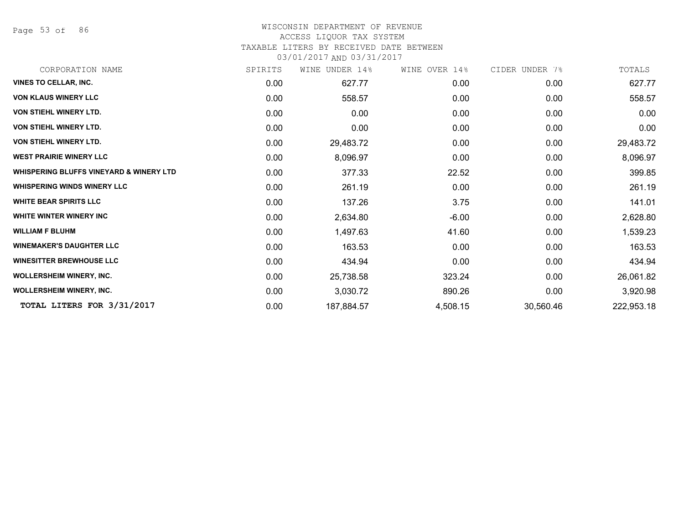Page 53 of 86

## WISCONSIN DEPARTMENT OF REVENUE

### ACCESS LIQUOR TAX SYSTEM

TAXABLE LITERS BY RECEIVED DATE BETWEEN

| CORPORATION NAME                                   | SPIRITS | UNDER 14%<br>WINE | WINE OVER 14% | CIDER UNDER 7% | TOTALS     |
|----------------------------------------------------|---------|-------------------|---------------|----------------|------------|
| <b>VINES TO CELLAR, INC.</b>                       | 0.00    | 627.77            | 0.00          | 0.00           | 627.77     |
| <b>VON KLAUS WINERY LLC</b>                        | 0.00    | 558.57            | 0.00          | 0.00           | 558.57     |
| <b>VON STIEHL WINERY LTD.</b>                      | 0.00    | 0.00              | 0.00          | 0.00           | 0.00       |
| <b>VON STIEHL WINERY LTD.</b>                      | 0.00    | 0.00              | 0.00          | 0.00           | 0.00       |
| <b>VON STIEHL WINERY LTD.</b>                      | 0.00    | 29,483.72         | 0.00          | 0.00           | 29,483.72  |
| <b>WEST PRAIRIE WINERY LLC</b>                     | 0.00    | 8,096.97          | 0.00          | 0.00           | 8,096.97   |
| <b>WHISPERING BLUFFS VINEYARD &amp; WINERY LTD</b> | 0.00    | 377.33            | 22.52         | 0.00           | 399.85     |
| <b>WHISPERING WINDS WINERY LLC</b>                 | 0.00    | 261.19            | 0.00          | 0.00           | 261.19     |
| <b>WHITE BEAR SPIRITS LLC</b>                      | 0.00    | 137.26            | 3.75          | 0.00           | 141.01     |
| <b>WHITE WINTER WINERY INC</b>                     | 0.00    | 2,634.80          | $-6.00$       | 0.00           | 2,628.80   |
| <b>WILLIAM F BLUHM</b>                             | 0.00    | 1,497.63          | 41.60         | 0.00           | 1,539.23   |
| <b>WINEMAKER'S DAUGHTER LLC</b>                    | 0.00    | 163.53            | 0.00          | 0.00           | 163.53     |
| <b>WINESITTER BREWHOUSE LLC</b>                    | 0.00    | 434.94            | 0.00          | 0.00           | 434.94     |
| <b>WOLLERSHEIM WINERY, INC.</b>                    | 0.00    | 25,738.58         | 323.24        | 0.00           | 26,061.82  |
| <b>WOLLERSHEIM WINERY, INC.</b>                    | 0.00    | 3,030.72          | 890.26        | 0.00           | 3,920.98   |
| TOTAL LITERS FOR 3/31/2017                         | 0.00    | 187,884.57        | 4,508.15      | 30,560.46      | 222,953.18 |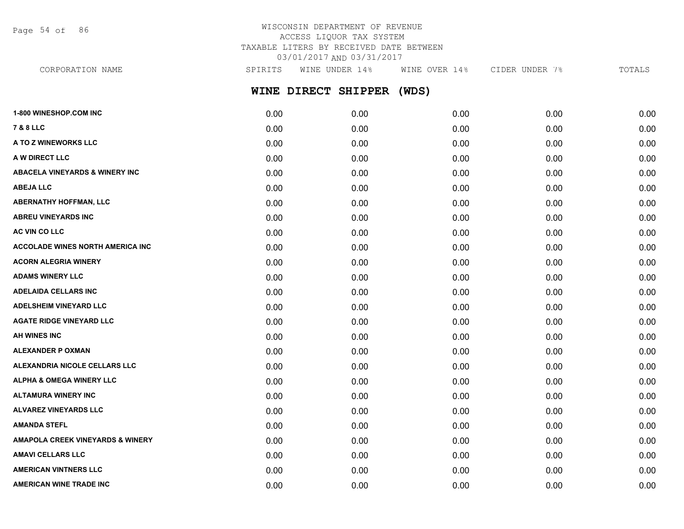Page 54 of 86

# WISCONSIN DEPARTMENT OF REVENUE ACCESS LIQUOR TAX SYSTEM TAXABLE LITERS BY RECEIVED DATE BETWEEN 03/01/2017 AND 03/31/2017

**WINE DIRECT SHIPPER (WDS)** CORPORATION NAME SPIRITS WINE UNDER 14% WINE OVER 14% CIDER UNDER 7% TOTALS

| <b>1-800 WINESHOP.COM INC</b>             | 0.00 | 0.00 | 0.00 | 0.00 | 0.00 |
|-------------------------------------------|------|------|------|------|------|
| <b>7 &amp; 8 LLC</b>                      | 0.00 | 0.00 | 0.00 | 0.00 | 0.00 |
| A TO Z WINEWORKS LLC                      | 0.00 | 0.00 | 0.00 | 0.00 | 0.00 |
| A W DIRECT LLC                            | 0.00 | 0.00 | 0.00 | 0.00 | 0.00 |
| <b>ABACELA VINEYARDS &amp; WINERY INC</b> | 0.00 | 0.00 | 0.00 | 0.00 | 0.00 |
| <b>ABEJA LLC</b>                          | 0.00 | 0.00 | 0.00 | 0.00 | 0.00 |
| <b>ABERNATHY HOFFMAN, LLC</b>             | 0.00 | 0.00 | 0.00 | 0.00 | 0.00 |
| <b>ABREU VINEYARDS INC</b>                | 0.00 | 0.00 | 0.00 | 0.00 | 0.00 |
| AC VIN CO LLC                             | 0.00 | 0.00 | 0.00 | 0.00 | 0.00 |
| <b>ACCOLADE WINES NORTH AMERICA INC</b>   | 0.00 | 0.00 | 0.00 | 0.00 | 0.00 |
| <b>ACORN ALEGRIA WINERY</b>               | 0.00 | 0.00 | 0.00 | 0.00 | 0.00 |
| <b>ADAMS WINERY LLC</b>                   | 0.00 | 0.00 | 0.00 | 0.00 | 0.00 |
| <b>ADELAIDA CELLARS INC</b>               | 0.00 | 0.00 | 0.00 | 0.00 | 0.00 |
| <b>ADELSHEIM VINEYARD LLC</b>             | 0.00 | 0.00 | 0.00 | 0.00 | 0.00 |
| <b>AGATE RIDGE VINEYARD LLC</b>           | 0.00 | 0.00 | 0.00 | 0.00 | 0.00 |
| <b>AH WINES INC</b>                       | 0.00 | 0.00 | 0.00 | 0.00 | 0.00 |
| <b>ALEXANDER P OXMAN</b>                  | 0.00 | 0.00 | 0.00 | 0.00 | 0.00 |
| ALEXANDRIA NICOLE CELLARS LLC             | 0.00 | 0.00 | 0.00 | 0.00 | 0.00 |
| ALPHA & OMEGA WINERY LLC                  | 0.00 | 0.00 | 0.00 | 0.00 | 0.00 |
| <b>ALTAMURA WINERY INC</b>                | 0.00 | 0.00 | 0.00 | 0.00 | 0.00 |
| <b>ALVAREZ VINEYARDS LLC</b>              | 0.00 | 0.00 | 0.00 | 0.00 | 0.00 |
| <b>AMANDA STEFL</b>                       | 0.00 | 0.00 | 0.00 | 0.00 | 0.00 |
| AMAPOLA CREEK VINEYARDS & WINERY          | 0.00 | 0.00 | 0.00 | 0.00 | 0.00 |
| <b>AMAVI CELLARS LLC</b>                  | 0.00 | 0.00 | 0.00 | 0.00 | 0.00 |
| <b>AMERICAN VINTNERS LLC</b>              | 0.00 | 0.00 | 0.00 | 0.00 | 0.00 |
| AMERICAN WINE TRADE INC                   | 0.00 | 0.00 | 0.00 | 0.00 | 0.00 |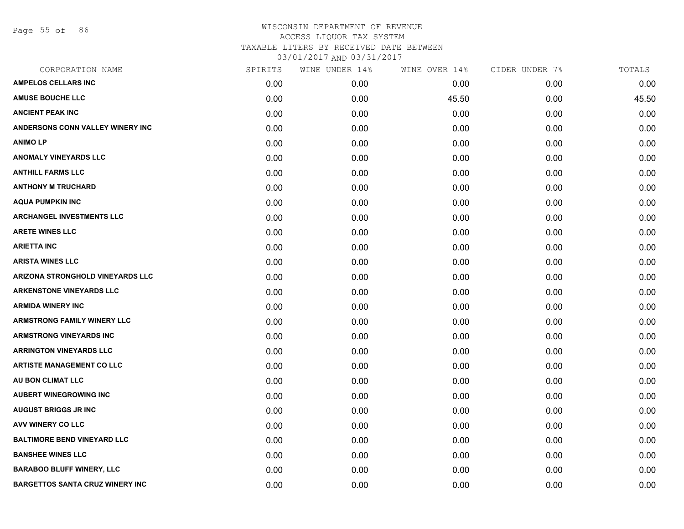Page 55 of 86

| CORPORATION NAME                       | SPIRITS | WINE UNDER 14% | WINE OVER 14% | CIDER UNDER 7% | TOTALS |
|----------------------------------------|---------|----------------|---------------|----------------|--------|
| <b>AMPELOS CELLARS INC</b>             | 0.00    | 0.00           | 0.00          | 0.00           | 0.00   |
| <b>AMUSE BOUCHE LLC</b>                | 0.00    | 0.00           | 45.50         | 0.00           | 45.50  |
| <b>ANCIENT PEAK INC</b>                | 0.00    | 0.00           | 0.00          | 0.00           | 0.00   |
| ANDERSONS CONN VALLEY WINERY INC       | 0.00    | 0.00           | 0.00          | 0.00           | 0.00   |
| <b>ANIMOLP</b>                         | 0.00    | 0.00           | 0.00          | 0.00           | 0.00   |
| <b>ANOMALY VINEYARDS LLC</b>           | 0.00    | 0.00           | 0.00          | 0.00           | 0.00   |
| <b>ANTHILL FARMS LLC</b>               | 0.00    | 0.00           | 0.00          | 0.00           | 0.00   |
| <b>ANTHONY M TRUCHARD</b>              | 0.00    | 0.00           | 0.00          | 0.00           | 0.00   |
| <b>AQUA PUMPKIN INC</b>                | 0.00    | 0.00           | 0.00          | 0.00           | 0.00   |
| <b>ARCHANGEL INVESTMENTS LLC</b>       | 0.00    | 0.00           | 0.00          | 0.00           | 0.00   |
| <b>ARETE WINES LLC</b>                 | 0.00    | 0.00           | 0.00          | 0.00           | 0.00   |
| <b>ARIETTA INC</b>                     | 0.00    | 0.00           | 0.00          | 0.00           | 0.00   |
| <b>ARISTA WINES LLC</b>                | 0.00    | 0.00           | 0.00          | 0.00           | 0.00   |
| ARIZONA STRONGHOLD VINEYARDS LLC       | 0.00    | 0.00           | 0.00          | 0.00           | 0.00   |
| <b>ARKENSTONE VINEYARDS LLC</b>        | 0.00    | 0.00           | 0.00          | 0.00           | 0.00   |
| <b>ARMIDA WINERY INC</b>               | 0.00    | 0.00           | 0.00          | 0.00           | 0.00   |
| <b>ARMSTRONG FAMILY WINERY LLC</b>     | 0.00    | 0.00           | 0.00          | 0.00           | 0.00   |
| <b>ARMSTRONG VINEYARDS INC</b>         | 0.00    | 0.00           | 0.00          | 0.00           | 0.00   |
| <b>ARRINGTON VINEYARDS LLC</b>         | 0.00    | 0.00           | 0.00          | 0.00           | 0.00   |
| <b>ARTISTE MANAGEMENT CO LLC</b>       | 0.00    | 0.00           | 0.00          | 0.00           | 0.00   |
| AU BON CLIMAT LLC                      | 0.00    | 0.00           | 0.00          | 0.00           | 0.00   |
| <b>AUBERT WINEGROWING INC</b>          | 0.00    | 0.00           | 0.00          | 0.00           | 0.00   |
| <b>AUGUST BRIGGS JR INC</b>            | 0.00    | 0.00           | 0.00          | 0.00           | 0.00   |
| AVV WINERY CO LLC                      | 0.00    | 0.00           | 0.00          | 0.00           | 0.00   |
| <b>BALTIMORE BEND VINEYARD LLC</b>     | 0.00    | 0.00           | 0.00          | 0.00           | 0.00   |
| <b>BANSHEE WINES LLC</b>               | 0.00    | 0.00           | 0.00          | 0.00           | 0.00   |
| <b>BARABOO BLUFF WINERY, LLC</b>       | 0.00    | 0.00           | 0.00          | 0.00           | 0.00   |
| <b>BARGETTOS SANTA CRUZ WINERY INC</b> | 0.00    | 0.00           | 0.00          | 0.00           | 0.00   |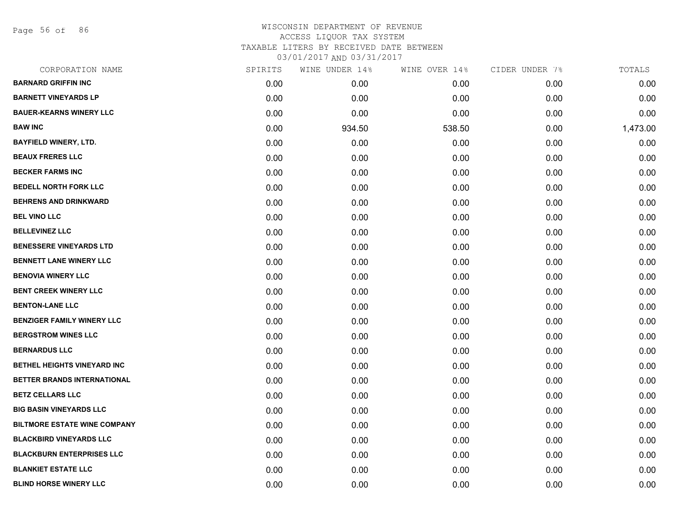Page 56 of 86

| CORPORATION NAME                    | SPIRITS | WINE UNDER 14% | WINE OVER 14% | CIDER UNDER 7% | TOTALS   |
|-------------------------------------|---------|----------------|---------------|----------------|----------|
| <b>BARNARD GRIFFIN INC</b>          | 0.00    | 0.00           | 0.00          | 0.00           | 0.00     |
| <b>BARNETT VINEYARDS LP</b>         | 0.00    | 0.00           | 0.00          | 0.00           | 0.00     |
| <b>BAUER-KEARNS WINERY LLC</b>      | 0.00    | 0.00           | 0.00          | 0.00           | 0.00     |
| <b>BAW INC</b>                      | 0.00    | 934.50         | 538.50        | 0.00           | 1,473.00 |
| <b>BAYFIELD WINERY, LTD.</b>        | 0.00    | 0.00           | 0.00          | 0.00           | 0.00     |
| <b>BEAUX FRERES LLC</b>             | 0.00    | 0.00           | 0.00          | 0.00           | 0.00     |
| <b>BECKER FARMS INC</b>             | 0.00    | 0.00           | 0.00          | 0.00           | 0.00     |
| <b>BEDELL NORTH FORK LLC</b>        | 0.00    | 0.00           | 0.00          | 0.00           | 0.00     |
| <b>BEHRENS AND DRINKWARD</b>        | 0.00    | 0.00           | 0.00          | 0.00           | 0.00     |
| <b>BEL VINO LLC</b>                 | 0.00    | 0.00           | 0.00          | 0.00           | 0.00     |
| <b>BELLEVINEZ LLC</b>               | 0.00    | 0.00           | 0.00          | 0.00           | 0.00     |
| <b>BENESSERE VINEYARDS LTD</b>      | 0.00    | 0.00           | 0.00          | 0.00           | 0.00     |
| <b>BENNETT LANE WINERY LLC</b>      | 0.00    | 0.00           | 0.00          | 0.00           | 0.00     |
| <b>BENOVIA WINERY LLC</b>           | 0.00    | 0.00           | 0.00          | 0.00           | 0.00     |
| <b>BENT CREEK WINERY LLC</b>        | 0.00    | 0.00           | 0.00          | 0.00           | 0.00     |
| <b>BENTON-LANE LLC</b>              | 0.00    | 0.00           | 0.00          | 0.00           | 0.00     |
| <b>BENZIGER FAMILY WINERY LLC</b>   | 0.00    | 0.00           | 0.00          | 0.00           | 0.00     |
| <b>BERGSTROM WINES LLC</b>          | 0.00    | 0.00           | 0.00          | 0.00           | 0.00     |
| <b>BERNARDUS LLC</b>                | 0.00    | 0.00           | 0.00          | 0.00           | 0.00     |
| <b>BETHEL HEIGHTS VINEYARD INC</b>  | 0.00    | 0.00           | 0.00          | 0.00           | 0.00     |
| BETTER BRANDS INTERNATIONAL         | 0.00    | 0.00           | 0.00          | 0.00           | 0.00     |
| <b>BETZ CELLARS LLC</b>             | 0.00    | 0.00           | 0.00          | 0.00           | 0.00     |
| <b>BIG BASIN VINEYARDS LLC</b>      | 0.00    | 0.00           | 0.00          | 0.00           | 0.00     |
| <b>BILTMORE ESTATE WINE COMPANY</b> | 0.00    | 0.00           | 0.00          | 0.00           | 0.00     |
| <b>BLACKBIRD VINEYARDS LLC</b>      | 0.00    | 0.00           | 0.00          | 0.00           | 0.00     |
| <b>BLACKBURN ENTERPRISES LLC</b>    | 0.00    | 0.00           | 0.00          | 0.00           | 0.00     |
| <b>BLANKIET ESTATE LLC</b>          | 0.00    | 0.00           | 0.00          | 0.00           | 0.00     |
| <b>BLIND HORSE WINERY LLC</b>       | 0.00    | 0.00           | 0.00          | 0.00           | 0.00     |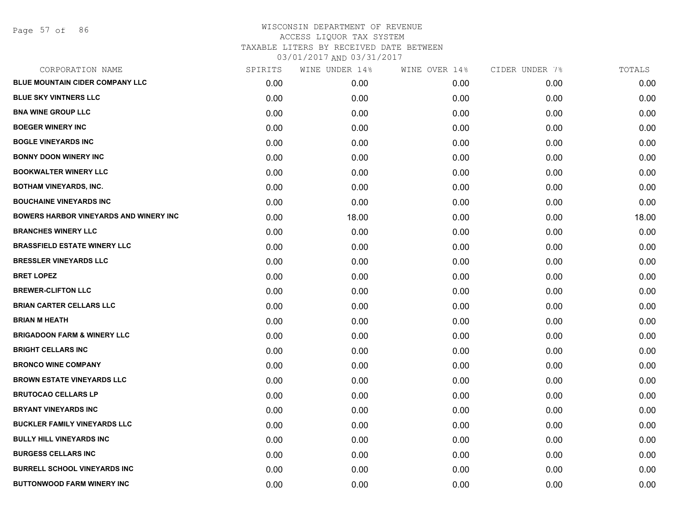Page 57 of 86

| CORPORATION NAME                              | SPIRITS | WINE UNDER 14% | WINE OVER 14% | CIDER UNDER 7% | TOTALS |
|-----------------------------------------------|---------|----------------|---------------|----------------|--------|
| <b>BLUE MOUNTAIN CIDER COMPANY LLC</b>        | 0.00    | 0.00           | 0.00          | 0.00           | 0.00   |
| <b>BLUE SKY VINTNERS LLC</b>                  | 0.00    | 0.00           | 0.00          | 0.00           | 0.00   |
| <b>BNA WINE GROUP LLC</b>                     | 0.00    | 0.00           | 0.00          | 0.00           | 0.00   |
| <b>BOEGER WINERY INC</b>                      | 0.00    | 0.00           | 0.00          | 0.00           | 0.00   |
| <b>BOGLE VINEYARDS INC</b>                    | 0.00    | 0.00           | 0.00          | 0.00           | 0.00   |
| <b>BONNY DOON WINERY INC</b>                  | 0.00    | 0.00           | 0.00          | 0.00           | 0.00   |
| <b>BOOKWALTER WINERY LLC</b>                  | 0.00    | 0.00           | 0.00          | 0.00           | 0.00   |
| <b>BOTHAM VINEYARDS, INC.</b>                 | 0.00    | 0.00           | 0.00          | 0.00           | 0.00   |
| <b>BOUCHAINE VINEYARDS INC</b>                | 0.00    | 0.00           | 0.00          | 0.00           | 0.00   |
| <b>BOWERS HARBOR VINEYARDS AND WINERY INC</b> | 0.00    | 18.00          | 0.00          | 0.00           | 18.00  |
| <b>BRANCHES WINERY LLC</b>                    | 0.00    | 0.00           | 0.00          | 0.00           | 0.00   |
| <b>BRASSFIELD ESTATE WINERY LLC</b>           | 0.00    | 0.00           | 0.00          | 0.00           | 0.00   |
| <b>BRESSLER VINEYARDS LLC</b>                 | 0.00    | 0.00           | 0.00          | 0.00           | 0.00   |
| <b>BRET LOPEZ</b>                             | 0.00    | 0.00           | 0.00          | 0.00           | 0.00   |
| <b>BREWER-CLIFTON LLC</b>                     | 0.00    | 0.00           | 0.00          | 0.00           | 0.00   |
| <b>BRIAN CARTER CELLARS LLC</b>               | 0.00    | 0.00           | 0.00          | 0.00           | 0.00   |
| <b>BRIAN M HEATH</b>                          | 0.00    | 0.00           | 0.00          | 0.00           | 0.00   |
| <b>BRIGADOON FARM &amp; WINERY LLC</b>        | 0.00    | 0.00           | 0.00          | 0.00           | 0.00   |
| <b>BRIGHT CELLARS INC</b>                     | 0.00    | 0.00           | 0.00          | 0.00           | 0.00   |
| <b>BRONCO WINE COMPANY</b>                    | 0.00    | 0.00           | 0.00          | 0.00           | 0.00   |
| <b>BROWN ESTATE VINEYARDS LLC</b>             | 0.00    | 0.00           | 0.00          | 0.00           | 0.00   |
| <b>BRUTOCAO CELLARS LP</b>                    | 0.00    | 0.00           | 0.00          | 0.00           | 0.00   |
| <b>BRYANT VINEYARDS INC</b>                   | 0.00    | 0.00           | 0.00          | 0.00           | 0.00   |
| <b>BUCKLER FAMILY VINEYARDS LLC</b>           | 0.00    | 0.00           | 0.00          | 0.00           | 0.00   |
| <b>BULLY HILL VINEYARDS INC</b>               | 0.00    | 0.00           | 0.00          | 0.00           | 0.00   |
| <b>BURGESS CELLARS INC</b>                    | 0.00    | 0.00           | 0.00          | 0.00           | 0.00   |
| <b>BURRELL SCHOOL VINEYARDS INC</b>           | 0.00    | 0.00           | 0.00          | 0.00           | 0.00   |
| <b>BUTTONWOOD FARM WINERY INC</b>             | 0.00    | 0.00           | 0.00          | 0.00           | 0.00   |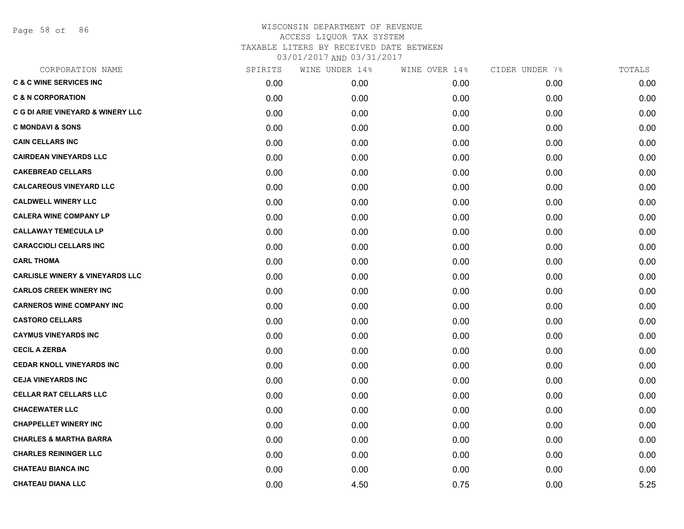Page 58 of 86

| CORPORATION NAME                           | SPIRITS | WINE UNDER 14% | WINE OVER 14% | CIDER UNDER 7% | TOTALS |
|--------------------------------------------|---------|----------------|---------------|----------------|--------|
| <b>C &amp; C WINE SERVICES INC</b>         | 0.00    | 0.00           | 0.00          | 0.00           | 0.00   |
| <b>C &amp; N CORPORATION</b>               | 0.00    | 0.00           | 0.00          | 0.00           | 0.00   |
| C G DI ARIE VINEYARD & WINERY LLC          | 0.00    | 0.00           | 0.00          | 0.00           | 0.00   |
| <b>C MONDAVI &amp; SONS</b>                | 0.00    | 0.00           | 0.00          | 0.00           | 0.00   |
| <b>CAIN CELLARS INC</b>                    | 0.00    | 0.00           | 0.00          | 0.00           | 0.00   |
| <b>CAIRDEAN VINEYARDS LLC</b>              | 0.00    | 0.00           | 0.00          | 0.00           | 0.00   |
| <b>CAKEBREAD CELLARS</b>                   | 0.00    | 0.00           | 0.00          | 0.00           | 0.00   |
| <b>CALCAREOUS VINEYARD LLC</b>             | 0.00    | 0.00           | 0.00          | 0.00           | 0.00   |
| <b>CALDWELL WINERY LLC</b>                 | 0.00    | 0.00           | 0.00          | 0.00           | 0.00   |
| <b>CALERA WINE COMPANY LP</b>              | 0.00    | 0.00           | 0.00          | 0.00           | 0.00   |
| <b>CALLAWAY TEMECULA LP</b>                | 0.00    | 0.00           | 0.00          | 0.00           | 0.00   |
| <b>CARACCIOLI CELLARS INC</b>              | 0.00    | 0.00           | 0.00          | 0.00           | 0.00   |
| <b>CARL THOMA</b>                          | 0.00    | 0.00           | 0.00          | 0.00           | 0.00   |
| <b>CARLISLE WINERY &amp; VINEYARDS LLC</b> | 0.00    | 0.00           | 0.00          | 0.00           | 0.00   |
| <b>CARLOS CREEK WINERY INC</b>             | 0.00    | 0.00           | 0.00          | 0.00           | 0.00   |
| <b>CARNEROS WINE COMPANY INC</b>           | 0.00    | 0.00           | 0.00          | 0.00           | 0.00   |
| <b>CASTORO CELLARS</b>                     | 0.00    | 0.00           | 0.00          | 0.00           | 0.00   |
| <b>CAYMUS VINEYARDS INC</b>                | 0.00    | 0.00           | 0.00          | 0.00           | 0.00   |
| <b>CECIL A ZERBA</b>                       | 0.00    | 0.00           | 0.00          | 0.00           | 0.00   |
| <b>CEDAR KNOLL VINEYARDS INC</b>           | 0.00    | 0.00           | 0.00          | 0.00           | 0.00   |
| <b>CEJA VINEYARDS INC</b>                  | 0.00    | 0.00           | 0.00          | 0.00           | 0.00   |
| <b>CELLAR RAT CELLARS LLC</b>              | 0.00    | 0.00           | 0.00          | 0.00           | 0.00   |
| <b>CHACEWATER LLC</b>                      | 0.00    | 0.00           | 0.00          | 0.00           | 0.00   |
| <b>CHAPPELLET WINERY INC</b>               | 0.00    | 0.00           | 0.00          | 0.00           | 0.00   |
| <b>CHARLES &amp; MARTHA BARRA</b>          | 0.00    | 0.00           | 0.00          | 0.00           | 0.00   |
| <b>CHARLES REININGER LLC</b>               | 0.00    | 0.00           | 0.00          | 0.00           | 0.00   |
| <b>CHATEAU BIANCA INC</b>                  | 0.00    | 0.00           | 0.00          | 0.00           | 0.00   |
| <b>CHATEAU DIANA LLC</b>                   | 0.00    | 4.50           | 0.75          | 0.00           | 5.25   |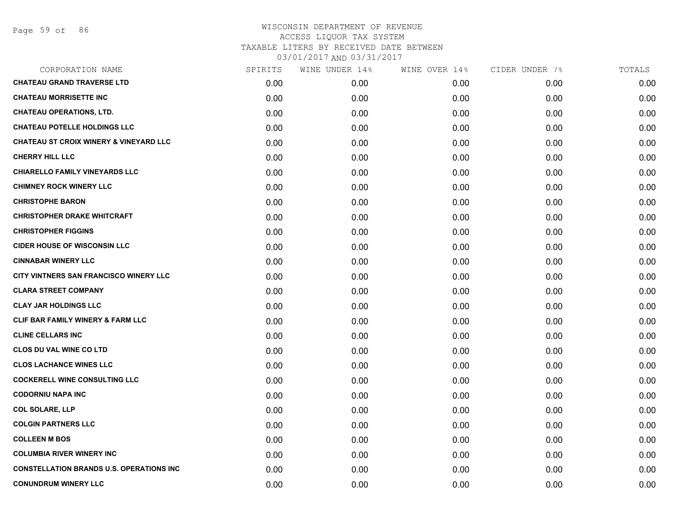| CORPORATION NAME                                  | SPIRITS | WINE UNDER 14% | WINE OVER 14% | CIDER UNDER 7% | TOTALS |
|---------------------------------------------------|---------|----------------|---------------|----------------|--------|
| <b>CHATEAU GRAND TRAVERSE LTD</b>                 | 0.00    | 0.00           | 0.00          | 0.00           | 0.00   |
| <b>CHATEAU MORRISETTE INC</b>                     | 0.00    | 0.00           | 0.00          | 0.00           | 0.00   |
| <b>CHATEAU OPERATIONS, LTD.</b>                   | 0.00    | 0.00           | 0.00          | 0.00           | 0.00   |
| <b>CHATEAU POTELLE HOLDINGS LLC</b>               | 0.00    | 0.00           | 0.00          | 0.00           | 0.00   |
| <b>CHATEAU ST CROIX WINERY &amp; VINEYARD LLC</b> | 0.00    | 0.00           | 0.00          | 0.00           | 0.00   |
| <b>CHERRY HILL LLC</b>                            | 0.00    | 0.00           | 0.00          | 0.00           | 0.00   |
| <b>CHIARELLO FAMILY VINEYARDS LLC</b>             | 0.00    | 0.00           | 0.00          | 0.00           | 0.00   |
| <b>CHIMNEY ROCK WINERY LLC</b>                    | 0.00    | 0.00           | 0.00          | 0.00           | 0.00   |
| <b>CHRISTOPHE BARON</b>                           | 0.00    | 0.00           | 0.00          | 0.00           | 0.00   |
| <b>CHRISTOPHER DRAKE WHITCRAFT</b>                | 0.00    | 0.00           | 0.00          | 0.00           | 0.00   |
| <b>CHRISTOPHER FIGGINS</b>                        | 0.00    | 0.00           | 0.00          | 0.00           | 0.00   |
| <b>CIDER HOUSE OF WISCONSIN LLC</b>               | 0.00    | 0.00           | 0.00          | 0.00           | 0.00   |
| <b>CINNABAR WINERY LLC</b>                        | 0.00    | 0.00           | 0.00          | 0.00           | 0.00   |
| CITY VINTNERS SAN FRANCISCO WINERY LLC            | 0.00    | 0.00           | 0.00          | 0.00           | 0.00   |
| <b>CLARA STREET COMPANY</b>                       | 0.00    | 0.00           | 0.00          | 0.00           | 0.00   |
| <b>CLAY JAR HOLDINGS LLC</b>                      | 0.00    | 0.00           | 0.00          | 0.00           | 0.00   |
| <b>CLIF BAR FAMILY WINERY &amp; FARM LLC</b>      | 0.00    | 0.00           | 0.00          | 0.00           | 0.00   |
| <b>CLINE CELLARS INC</b>                          | 0.00    | 0.00           | 0.00          | 0.00           | 0.00   |
| <b>CLOS DU VAL WINE CO LTD</b>                    | 0.00    | 0.00           | 0.00          | 0.00           | 0.00   |
| <b>CLOS LACHANCE WINES LLC</b>                    | 0.00    | 0.00           | 0.00          | 0.00           | 0.00   |
| <b>COCKERELL WINE CONSULTING LLC</b>              | 0.00    | 0.00           | 0.00          | 0.00           | 0.00   |
| <b>CODORNIU NAPA INC</b>                          | 0.00    | 0.00           | 0.00          | 0.00           | 0.00   |
| <b>COL SOLARE, LLP</b>                            | 0.00    | 0.00           | 0.00          | 0.00           | 0.00   |
| <b>COLGIN PARTNERS LLC</b>                        | 0.00    | 0.00           | 0.00          | 0.00           | 0.00   |
| <b>COLLEEN M BOS</b>                              | 0.00    | 0.00           | 0.00          | 0.00           | 0.00   |
| <b>COLUMBIA RIVER WINERY INC</b>                  | 0.00    | 0.00           | 0.00          | 0.00           | 0.00   |
| <b>CONSTELLATION BRANDS U.S. OPERATIONS INC</b>   | 0.00    | 0.00           | 0.00          | 0.00           | 0.00   |
| <b>CONUNDRUM WINERY LLC</b>                       | 0.00    | 0.00           | 0.00          | 0.00           | 0.00   |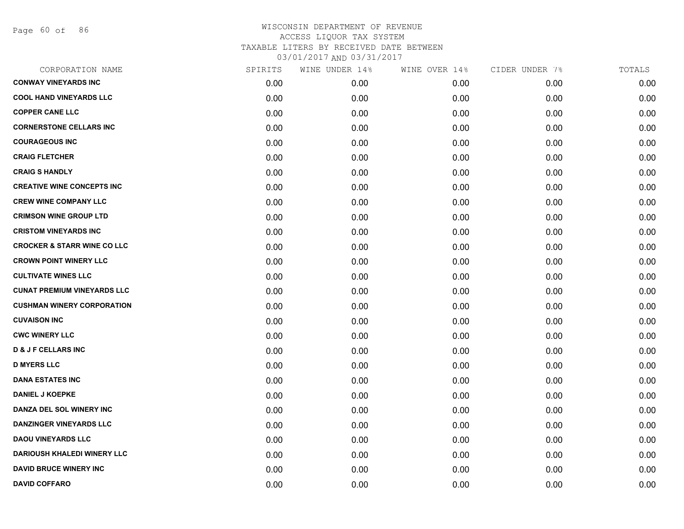Page 60 of 86

| CORPORATION NAME                       | SPIRITS | WINE UNDER 14% | WINE OVER 14% | CIDER UNDER 7% | TOTALS |
|----------------------------------------|---------|----------------|---------------|----------------|--------|
| <b>CONWAY VINEYARDS INC</b>            | 0.00    | 0.00           | 0.00          | 0.00           | 0.00   |
| <b>COOL HAND VINEYARDS LLC</b>         | 0.00    | 0.00           | 0.00          | 0.00           | 0.00   |
| <b>COPPER CANE LLC</b>                 | 0.00    | 0.00           | 0.00          | 0.00           | 0.00   |
| <b>CORNERSTONE CELLARS INC</b>         | 0.00    | 0.00           | 0.00          | 0.00           | 0.00   |
| <b>COURAGEOUS INC</b>                  | 0.00    | 0.00           | 0.00          | 0.00           | 0.00   |
| <b>CRAIG FLETCHER</b>                  | 0.00    | 0.00           | 0.00          | 0.00           | 0.00   |
| <b>CRAIG S HANDLY</b>                  | 0.00    | 0.00           | 0.00          | 0.00           | 0.00   |
| <b>CREATIVE WINE CONCEPTS INC</b>      | 0.00    | 0.00           | 0.00          | 0.00           | 0.00   |
| <b>CREW WINE COMPANY LLC</b>           | 0.00    | 0.00           | 0.00          | 0.00           | 0.00   |
| <b>CRIMSON WINE GROUP LTD</b>          | 0.00    | 0.00           | 0.00          | 0.00           | 0.00   |
| <b>CRISTOM VINEYARDS INC</b>           | 0.00    | 0.00           | 0.00          | 0.00           | 0.00   |
| <b>CROCKER &amp; STARR WINE CO LLC</b> | 0.00    | 0.00           | 0.00          | 0.00           | 0.00   |
| <b>CROWN POINT WINERY LLC</b>          | 0.00    | 0.00           | 0.00          | 0.00           | 0.00   |
| <b>CULTIVATE WINES LLC</b>             | 0.00    | 0.00           | 0.00          | 0.00           | 0.00   |
| <b>CUNAT PREMIUM VINEYARDS LLC</b>     | 0.00    | 0.00           | 0.00          | 0.00           | 0.00   |
| <b>CUSHMAN WINERY CORPORATION</b>      | 0.00    | 0.00           | 0.00          | 0.00           | 0.00   |
| <b>CUVAISON INC</b>                    | 0.00    | 0.00           | 0.00          | 0.00           | 0.00   |
| <b>CWC WINERY LLC</b>                  | 0.00    | 0.00           | 0.00          | 0.00           | 0.00   |
| <b>D &amp; J F CELLARS INC</b>         | 0.00    | 0.00           | 0.00          | 0.00           | 0.00   |
| <b>D MYERS LLC</b>                     | 0.00    | 0.00           | 0.00          | 0.00           | 0.00   |
| <b>DANA ESTATES INC</b>                | 0.00    | 0.00           | 0.00          | 0.00           | 0.00   |
| <b>DANIEL J KOEPKE</b>                 | 0.00    | 0.00           | 0.00          | 0.00           | 0.00   |
| DANZA DEL SOL WINERY INC               | 0.00    | 0.00           | 0.00          | 0.00           | 0.00   |
| <b>DANZINGER VINEYARDS LLC</b>         | 0.00    | 0.00           | 0.00          | 0.00           | 0.00   |
| <b>DAOU VINEYARDS LLC</b>              | 0.00    | 0.00           | 0.00          | 0.00           | 0.00   |
| <b>DARIOUSH KHALEDI WINERY LLC</b>     | 0.00    | 0.00           | 0.00          | 0.00           | 0.00   |
| <b>DAVID BRUCE WINERY INC</b>          | 0.00    | 0.00           | 0.00          | 0.00           | 0.00   |
| <b>DAVID COFFARO</b>                   | 0.00    | 0.00           | 0.00          | 0.00           | 0.00   |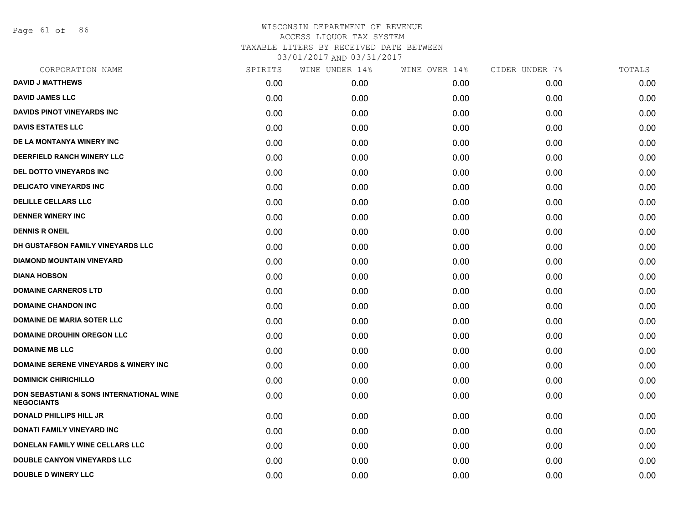Page 61 of 86

| CORPORATION NAME                                              | SPIRITS | WINE UNDER 14% | WINE OVER 14% | CIDER UNDER 7% | TOTALS |
|---------------------------------------------------------------|---------|----------------|---------------|----------------|--------|
| <b>DAVID J MATTHEWS</b>                                       | 0.00    | 0.00           | 0.00          | 0.00           | 0.00   |
| <b>DAVID JAMES LLC</b>                                        | 0.00    | 0.00           | 0.00          | 0.00           | 0.00   |
| <b>DAVIDS PINOT VINEYARDS INC</b>                             | 0.00    | 0.00           | 0.00          | 0.00           | 0.00   |
| <b>DAVIS ESTATES LLC</b>                                      | 0.00    | 0.00           | 0.00          | 0.00           | 0.00   |
| DE LA MONTANYA WINERY INC                                     | 0.00    | 0.00           | 0.00          | 0.00           | 0.00   |
| DEERFIELD RANCH WINERY LLC                                    | 0.00    | 0.00           | 0.00          | 0.00           | 0.00   |
| DEL DOTTO VINEYARDS INC                                       | 0.00    | 0.00           | 0.00          | 0.00           | 0.00   |
| <b>DELICATO VINEYARDS INC</b>                                 | 0.00    | 0.00           | 0.00          | 0.00           | 0.00   |
| <b>DELILLE CELLARS LLC</b>                                    | 0.00    | 0.00           | 0.00          | 0.00           | 0.00   |
| <b>DENNER WINERY INC</b>                                      | 0.00    | 0.00           | 0.00          | 0.00           | 0.00   |
| <b>DENNIS R ONEIL</b>                                         | 0.00    | 0.00           | 0.00          | 0.00           | 0.00   |
| DH GUSTAFSON FAMILY VINEYARDS LLC                             | 0.00    | 0.00           | 0.00          | 0.00           | 0.00   |
| <b>DIAMOND MOUNTAIN VINEYARD</b>                              | 0.00    | 0.00           | 0.00          | 0.00           | 0.00   |
| <b>DIANA HOBSON</b>                                           | 0.00    | 0.00           | 0.00          | 0.00           | 0.00   |
| <b>DOMAINE CARNEROS LTD</b>                                   | 0.00    | 0.00           | 0.00          | 0.00           | 0.00   |
| <b>DOMAINE CHANDON INC</b>                                    | 0.00    | 0.00           | 0.00          | 0.00           | 0.00   |
| <b>DOMAINE DE MARIA SOTER LLC</b>                             | 0.00    | 0.00           | 0.00          | 0.00           | 0.00   |
| <b>DOMAINE DROUHIN OREGON LLC</b>                             | 0.00    | 0.00           | 0.00          | 0.00           | 0.00   |
| <b>DOMAINE MB LLC</b>                                         | 0.00    | 0.00           | 0.00          | 0.00           | 0.00   |
| <b>DOMAINE SERENE VINEYARDS &amp; WINERY INC</b>              | 0.00    | 0.00           | 0.00          | 0.00           | 0.00   |
| <b>DOMINICK CHIRICHILLO</b>                                   | 0.00    | 0.00           | 0.00          | 0.00           | 0.00   |
| DON SEBASTIANI & SONS INTERNATIONAL WINE<br><b>NEGOCIANTS</b> | 0.00    | 0.00           | 0.00          | 0.00           | 0.00   |
| <b>DONALD PHILLIPS HILL JR</b>                                | 0.00    | 0.00           | 0.00          | 0.00           | 0.00   |
| DONATI FAMILY VINEYARD INC                                    | 0.00    | 0.00           | 0.00          | 0.00           | 0.00   |
| DONELAN FAMILY WINE CELLARS LLC                               | 0.00    | 0.00           | 0.00          | 0.00           | 0.00   |
| DOUBLE CANYON VINEYARDS LLC                                   | 0.00    | 0.00           | 0.00          | 0.00           | 0.00   |
| <b>DOUBLE D WINERY LLC</b>                                    | 0.00    | 0.00           | 0.00          | 0.00           | 0.00   |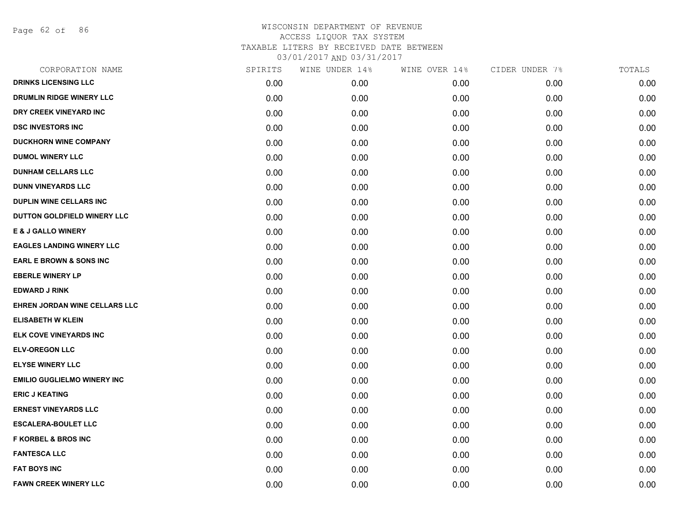Page 62 of 86

| CORPORATION NAME                   | SPIRITS | WINE UNDER 14% | WINE OVER 14% | CIDER UNDER 7% | TOTALS |
|------------------------------------|---------|----------------|---------------|----------------|--------|
| <b>DRINKS LICENSING LLC</b>        | 0.00    | 0.00           | 0.00          | 0.00           | 0.00   |
| DRUMLIN RIDGE WINERY LLC           | 0.00    | 0.00           | 0.00          | 0.00           | 0.00   |
| DRY CREEK VINEYARD INC             | 0.00    | 0.00           | 0.00          | 0.00           | 0.00   |
| <b>DSC INVESTORS INC</b>           | 0.00    | 0.00           | 0.00          | 0.00           | 0.00   |
| <b>DUCKHORN WINE COMPANY</b>       | 0.00    | 0.00           | 0.00          | 0.00           | 0.00   |
| <b>DUMOL WINERY LLC</b>            | 0.00    | 0.00           | 0.00          | 0.00           | 0.00   |
| <b>DUNHAM CELLARS LLC</b>          | 0.00    | 0.00           | 0.00          | 0.00           | 0.00   |
| <b>DUNN VINEYARDS LLC</b>          | 0.00    | 0.00           | 0.00          | 0.00           | 0.00   |
| <b>DUPLIN WINE CELLARS INC</b>     | 0.00    | 0.00           | 0.00          | 0.00           | 0.00   |
| DUTTON GOLDFIELD WINERY LLC        | 0.00    | 0.00           | 0.00          | 0.00           | 0.00   |
| <b>E &amp; J GALLO WINERY</b>      | 0.00    | 0.00           | 0.00          | 0.00           | 0.00   |
| <b>EAGLES LANDING WINERY LLC</b>   | 0.00    | 0.00           | 0.00          | 0.00           | 0.00   |
| <b>EARL E BROWN &amp; SONS INC</b> | 0.00    | 0.00           | 0.00          | 0.00           | 0.00   |
| <b>EBERLE WINERY LP</b>            | 0.00    | 0.00           | 0.00          | 0.00           | 0.00   |
| <b>EDWARD J RINK</b>               | 0.00    | 0.00           | 0.00          | 0.00           | 0.00   |
| EHREN JORDAN WINE CELLARS LLC      | 0.00    | 0.00           | 0.00          | 0.00           | 0.00   |
| <b>ELISABETH W KLEIN</b>           | 0.00    | 0.00           | 0.00          | 0.00           | 0.00   |
| ELK COVE VINEYARDS INC             | 0.00    | 0.00           | 0.00          | 0.00           | 0.00   |
| <b>ELV-OREGON LLC</b>              | 0.00    | 0.00           | 0.00          | 0.00           | 0.00   |
| <b>ELYSE WINERY LLC</b>            | 0.00    | 0.00           | 0.00          | 0.00           | 0.00   |
| <b>EMILIO GUGLIELMO WINERY INC</b> | 0.00    | 0.00           | 0.00          | 0.00           | 0.00   |
| <b>ERIC J KEATING</b>              | 0.00    | 0.00           | 0.00          | 0.00           | 0.00   |
| <b>ERNEST VINEYARDS LLC</b>        | 0.00    | 0.00           | 0.00          | 0.00           | 0.00   |
| <b>ESCALERA-BOULET LLC</b>         | 0.00    | 0.00           | 0.00          | 0.00           | 0.00   |
| <b>F KORBEL &amp; BROS INC</b>     | 0.00    | 0.00           | 0.00          | 0.00           | 0.00   |
| <b>FANTESCA LLC</b>                | 0.00    | 0.00           | 0.00          | 0.00           | 0.00   |
| <b>FAT BOYS INC</b>                | 0.00    | 0.00           | 0.00          | 0.00           | 0.00   |
| <b>FAWN CREEK WINERY LLC</b>       | 0.00    | 0.00           | 0.00          | 0.00           | 0.00   |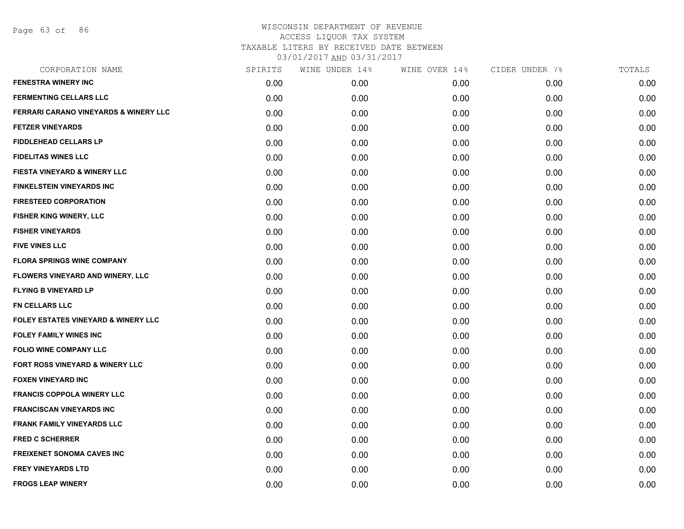Page 63 of 86

| CORPORATION NAME                               | SPIRITS | WINE UNDER 14% | WINE OVER 14% | CIDER UNDER 7% | TOTALS |
|------------------------------------------------|---------|----------------|---------------|----------------|--------|
| <b>FENESTRA WINERY INC</b>                     | 0.00    | 0.00           | 0.00          | 0.00           | 0.00   |
| <b>FERMENTING CELLARS LLC</b>                  | 0.00    | 0.00           | 0.00          | 0.00           | 0.00   |
| FERRARI CARANO VINEYARDS & WINERY LLC          | 0.00    | 0.00           | 0.00          | 0.00           | 0.00   |
| <b>FETZER VINEYARDS</b>                        | 0.00    | 0.00           | 0.00          | 0.00           | 0.00   |
| <b>FIDDLEHEAD CELLARS LP</b>                   | 0.00    | 0.00           | 0.00          | 0.00           | 0.00   |
| <b>FIDELITAS WINES LLC</b>                     | 0.00    | 0.00           | 0.00          | 0.00           | 0.00   |
| <b>FIESTA VINEYARD &amp; WINERY LLC</b>        | 0.00    | 0.00           | 0.00          | 0.00           | 0.00   |
| FINKELSTEIN VINEYARDS INC                      | 0.00    | 0.00           | 0.00          | 0.00           | 0.00   |
| <b>FIRESTEED CORPORATION</b>                   | 0.00    | 0.00           | 0.00          | 0.00           | 0.00   |
| FISHER KING WINERY, LLC                        | 0.00    | 0.00           | 0.00          | 0.00           | 0.00   |
| <b>FISHER VINEYARDS</b>                        | 0.00    | 0.00           | 0.00          | 0.00           | 0.00   |
| <b>FIVE VINES LLC</b>                          | 0.00    | 0.00           | 0.00          | 0.00           | 0.00   |
| <b>FLORA SPRINGS WINE COMPANY</b>              | 0.00    | 0.00           | 0.00          | 0.00           | 0.00   |
| FLOWERS VINEYARD AND WINERY, LLC               | 0.00    | 0.00           | 0.00          | 0.00           | 0.00   |
| <b>FLYING B VINEYARD LP</b>                    | 0.00    | 0.00           | 0.00          | 0.00           | 0.00   |
| FN CELLARS LLC                                 | 0.00    | 0.00           | 0.00          | 0.00           | 0.00   |
| <b>FOLEY ESTATES VINEYARD &amp; WINERY LLC</b> | 0.00    | 0.00           | 0.00          | 0.00           | 0.00   |
| <b>FOLEY FAMILY WINES INC</b>                  | 0.00    | 0.00           | 0.00          | 0.00           | 0.00   |
| <b>FOLIO WINE COMPANY LLC</b>                  | 0.00    | 0.00           | 0.00          | 0.00           | 0.00   |
| FORT ROSS VINEYARD & WINERY LLC                | 0.00    | 0.00           | 0.00          | 0.00           | 0.00   |
| <b>FOXEN VINEYARD INC</b>                      | 0.00    | 0.00           | 0.00          | 0.00           | 0.00   |
| <b>FRANCIS COPPOLA WINERY LLC</b>              | 0.00    | 0.00           | 0.00          | 0.00           | 0.00   |
| <b>FRANCISCAN VINEYARDS INC</b>                | 0.00    | 0.00           | 0.00          | 0.00           | 0.00   |
| <b>FRANK FAMILY VINEYARDS LLC</b>              | 0.00    | 0.00           | 0.00          | 0.00           | 0.00   |
| <b>FRED C SCHERRER</b>                         | 0.00    | 0.00           | 0.00          | 0.00           | 0.00   |
| <b>FREIXENET SONOMA CAVES INC</b>              | 0.00    | 0.00           | 0.00          | 0.00           | 0.00   |
| <b>FREY VINEYARDS LTD</b>                      | 0.00    | 0.00           | 0.00          | 0.00           | 0.00   |
| <b>FROGS LEAP WINERY</b>                       | 0.00    | 0.00           | 0.00          | 0.00           | 0.00   |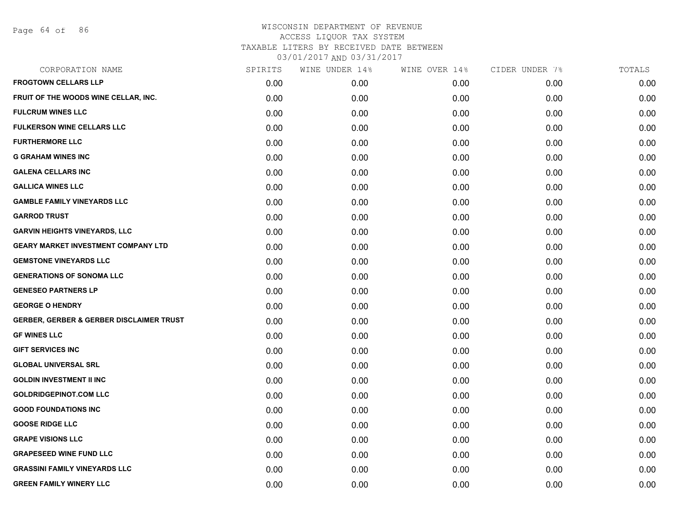Page 64 of 86

| CORPORATION NAME                                    | SPIRITS | WINE UNDER 14% | WINE OVER 14% | CIDER UNDER 7% | TOTALS |
|-----------------------------------------------------|---------|----------------|---------------|----------------|--------|
| <b>FROGTOWN CELLARS LLP</b>                         | 0.00    | 0.00           | 0.00          | 0.00           | 0.00   |
| FRUIT OF THE WOODS WINE CELLAR, INC.                | 0.00    | 0.00           | 0.00          | 0.00           | 0.00   |
| <b>FULCRUM WINES LLC</b>                            | 0.00    | 0.00           | 0.00          | 0.00           | 0.00   |
| <b>FULKERSON WINE CELLARS LLC</b>                   | 0.00    | 0.00           | 0.00          | 0.00           | 0.00   |
| <b>FURTHERMORE LLC</b>                              | 0.00    | 0.00           | 0.00          | 0.00           | 0.00   |
| <b>G GRAHAM WINES INC</b>                           | 0.00    | 0.00           | 0.00          | 0.00           | 0.00   |
| <b>GALENA CELLARS INC</b>                           | 0.00    | 0.00           | 0.00          | 0.00           | 0.00   |
| <b>GALLICA WINES LLC</b>                            | 0.00    | 0.00           | 0.00          | 0.00           | 0.00   |
| <b>GAMBLE FAMILY VINEYARDS LLC</b>                  | 0.00    | 0.00           | 0.00          | 0.00           | 0.00   |
| <b>GARROD TRUST</b>                                 | 0.00    | 0.00           | 0.00          | 0.00           | 0.00   |
| <b>GARVIN HEIGHTS VINEYARDS, LLC</b>                | 0.00    | 0.00           | 0.00          | 0.00           | 0.00   |
| <b>GEARY MARKET INVESTMENT COMPANY LTD</b>          | 0.00    | 0.00           | 0.00          | 0.00           | 0.00   |
| <b>GEMSTONE VINEYARDS LLC</b>                       | 0.00    | 0.00           | 0.00          | 0.00           | 0.00   |
| <b>GENERATIONS OF SONOMA LLC</b>                    | 0.00    | 0.00           | 0.00          | 0.00           | 0.00   |
| <b>GENESEO PARTNERS LP</b>                          | 0.00    | 0.00           | 0.00          | 0.00           | 0.00   |
| <b>GEORGE O HENDRY</b>                              | 0.00    | 0.00           | 0.00          | 0.00           | 0.00   |
| <b>GERBER, GERBER &amp; GERBER DISCLAIMER TRUST</b> | 0.00    | 0.00           | 0.00          | 0.00           | 0.00   |
| <b>GF WINES LLC</b>                                 | 0.00    | 0.00           | 0.00          | 0.00           | 0.00   |
| <b>GIFT SERVICES INC</b>                            | 0.00    | 0.00           | 0.00          | 0.00           | 0.00   |
| <b>GLOBAL UNIVERSAL SRL</b>                         | 0.00    | 0.00           | 0.00          | 0.00           | 0.00   |
| <b>GOLDIN INVESTMENT II INC</b>                     | 0.00    | 0.00           | 0.00          | 0.00           | 0.00   |
| <b>GOLDRIDGEPINOT.COM LLC</b>                       | 0.00    | 0.00           | 0.00          | 0.00           | 0.00   |
| <b>GOOD FOUNDATIONS INC</b>                         | 0.00    | 0.00           | 0.00          | 0.00           | 0.00   |
| <b>GOOSE RIDGE LLC</b>                              | 0.00    | 0.00           | 0.00          | 0.00           | 0.00   |
| <b>GRAPE VISIONS LLC</b>                            | 0.00    | 0.00           | 0.00          | 0.00           | 0.00   |
| <b>GRAPESEED WINE FUND LLC</b>                      | 0.00    | 0.00           | 0.00          | 0.00           | 0.00   |
| <b>GRASSINI FAMILY VINEYARDS LLC</b>                | 0.00    | 0.00           | 0.00          | 0.00           | 0.00   |
| <b>GREEN FAMILY WINERY LLC</b>                      | 0.00    | 0.00           | 0.00          | 0.00           | 0.00   |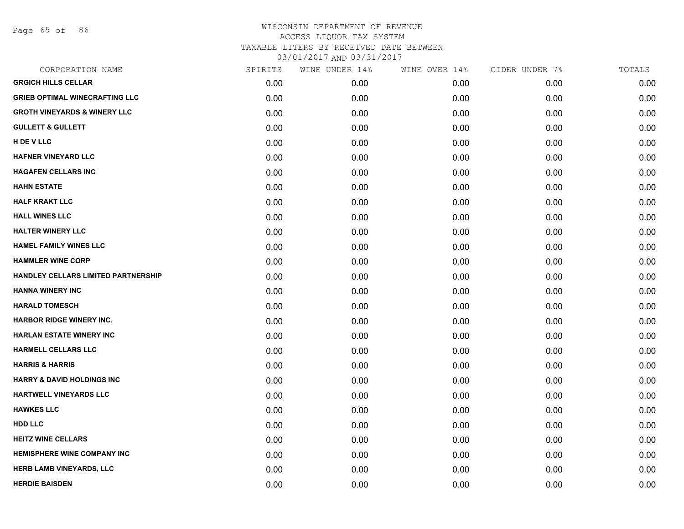Page 65 of 86

| CORPORATION NAME                        | SPIRITS | WINE UNDER 14% | WINE OVER 14% | CIDER UNDER 7% | TOTALS |
|-----------------------------------------|---------|----------------|---------------|----------------|--------|
| <b>GRGICH HILLS CELLAR</b>              | 0.00    | 0.00           | 0.00          | 0.00           | 0.00   |
| <b>GRIEB OPTIMAL WINECRAFTING LLC</b>   | 0.00    | 0.00           | 0.00          | 0.00           | 0.00   |
| <b>GROTH VINEYARDS &amp; WINERY LLC</b> | 0.00    | 0.00           | 0.00          | 0.00           | 0.00   |
| <b>GULLETT &amp; GULLETT</b>            | 0.00    | 0.00           | 0.00          | 0.00           | 0.00   |
| <b>H DE V LLC</b>                       | 0.00    | 0.00           | 0.00          | 0.00           | 0.00   |
| <b>HAFNER VINEYARD LLC</b>              | 0.00    | 0.00           | 0.00          | 0.00           | 0.00   |
| <b>HAGAFEN CELLARS INC</b>              | 0.00    | 0.00           | 0.00          | 0.00           | 0.00   |
| <b>HAHN ESTATE</b>                      | 0.00    | 0.00           | 0.00          | 0.00           | 0.00   |
| <b>HALF KRAKT LLC</b>                   | 0.00    | 0.00           | 0.00          | 0.00           | 0.00   |
| <b>HALL WINES LLC</b>                   | 0.00    | 0.00           | 0.00          | 0.00           | 0.00   |
| <b>HALTER WINERY LLC</b>                | 0.00    | 0.00           | 0.00          | 0.00           | 0.00   |
| <b>HAMEL FAMILY WINES LLC</b>           | 0.00    | 0.00           | 0.00          | 0.00           | 0.00   |
| <b>HAMMLER WINE CORP</b>                | 0.00    | 0.00           | 0.00          | 0.00           | 0.00   |
| HANDLEY CELLARS LIMITED PARTNERSHIP     | 0.00    | 0.00           | 0.00          | 0.00           | 0.00   |
| <b>HANNA WINERY INC</b>                 | 0.00    | 0.00           | 0.00          | 0.00           | 0.00   |
| <b>HARALD TOMESCH</b>                   | 0.00    | 0.00           | 0.00          | 0.00           | 0.00   |
| <b>HARBOR RIDGE WINERY INC.</b>         | 0.00    | 0.00           | 0.00          | 0.00           | 0.00   |
| <b>HARLAN ESTATE WINERY INC</b>         | 0.00    | 0.00           | 0.00          | 0.00           | 0.00   |
| <b>HARMELL CELLARS LLC</b>              | 0.00    | 0.00           | 0.00          | 0.00           | 0.00   |
| <b>HARRIS &amp; HARRIS</b>              | 0.00    | 0.00           | 0.00          | 0.00           | 0.00   |
| <b>HARRY &amp; DAVID HOLDINGS INC</b>   | 0.00    | 0.00           | 0.00          | 0.00           | 0.00   |
| HARTWELL VINEYARDS LLC                  | 0.00    | 0.00           | 0.00          | 0.00           | 0.00   |
| <b>HAWKES LLC</b>                       | 0.00    | 0.00           | 0.00          | 0.00           | 0.00   |
| <b>HDD LLC</b>                          | 0.00    | 0.00           | 0.00          | 0.00           | 0.00   |
| <b>HEITZ WINE CELLARS</b>               | 0.00    | 0.00           | 0.00          | 0.00           | 0.00   |
| <b>HEMISPHERE WINE COMPANY INC</b>      | 0.00    | 0.00           | 0.00          | 0.00           | 0.00   |
| <b>HERB LAMB VINEYARDS, LLC</b>         | 0.00    | 0.00           | 0.00          | 0.00           | 0.00   |
| <b>HERDIE BAISDEN</b>                   | 0.00    | 0.00           | 0.00          | 0.00           | 0.00   |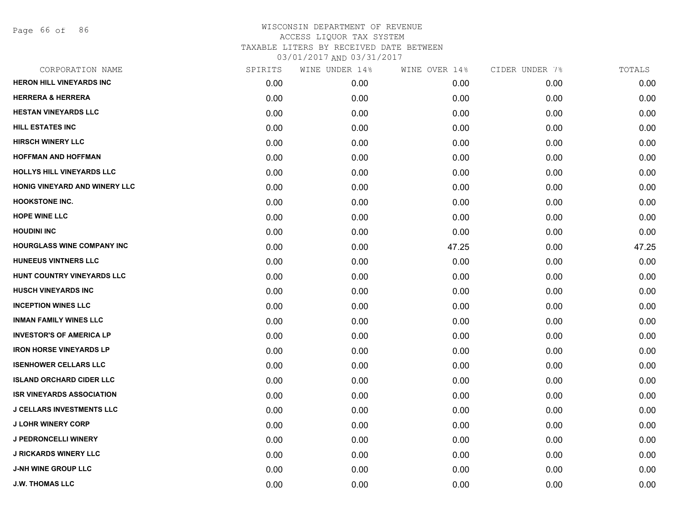Page 66 of 86

| CORPORATION NAME                  | SPIRITS | WINE UNDER 14% | WINE OVER 14% | CIDER UNDER 7% | TOTALS |
|-----------------------------------|---------|----------------|---------------|----------------|--------|
| <b>HERON HILL VINEYARDS INC</b>   | 0.00    | 0.00           | 0.00          | 0.00           | 0.00   |
| <b>HERRERA &amp; HERRERA</b>      | 0.00    | 0.00           | 0.00          | 0.00           | 0.00   |
| <b>HESTAN VINEYARDS LLC</b>       | 0.00    | 0.00           | 0.00          | 0.00           | 0.00   |
| <b>HILL ESTATES INC</b>           | 0.00    | 0.00           | 0.00          | 0.00           | 0.00   |
| <b>HIRSCH WINERY LLC</b>          | 0.00    | 0.00           | 0.00          | 0.00           | 0.00   |
| <b>HOFFMAN AND HOFFMAN</b>        | 0.00    | 0.00           | 0.00          | 0.00           | 0.00   |
| HOLLYS HILL VINEYARDS LLC         | 0.00    | 0.00           | 0.00          | 0.00           | 0.00   |
| HONIG VINEYARD AND WINERY LLC     | 0.00    | 0.00           | 0.00          | 0.00           | 0.00   |
| <b>HOOKSTONE INC.</b>             | 0.00    | 0.00           | 0.00          | 0.00           | 0.00   |
| <b>HOPE WINE LLC</b>              | 0.00    | 0.00           | 0.00          | 0.00           | 0.00   |
| <b>HOUDINI INC</b>                | 0.00    | 0.00           | 0.00          | 0.00           | 0.00   |
| <b>HOURGLASS WINE COMPANY INC</b> | 0.00    | 0.00           | 47.25         | 0.00           | 47.25  |
| <b>HUNEEUS VINTNERS LLC</b>       | 0.00    | 0.00           | 0.00          | 0.00           | 0.00   |
| HUNT COUNTRY VINEYARDS LLC        | 0.00    | 0.00           | 0.00          | 0.00           | 0.00   |
| <b>HUSCH VINEYARDS INC</b>        | 0.00    | 0.00           | 0.00          | 0.00           | 0.00   |
| <b>INCEPTION WINES LLC</b>        | 0.00    | 0.00           | 0.00          | 0.00           | 0.00   |
| <b>INMAN FAMILY WINES LLC</b>     | 0.00    | 0.00           | 0.00          | 0.00           | 0.00   |
| <b>INVESTOR'S OF AMERICA LP</b>   | 0.00    | 0.00           | 0.00          | 0.00           | 0.00   |
| <b>IRON HORSE VINEYARDS LP</b>    | 0.00    | 0.00           | 0.00          | 0.00           | 0.00   |
| <b>ISENHOWER CELLARS LLC</b>      | 0.00    | 0.00           | 0.00          | 0.00           | 0.00   |
| <b>ISLAND ORCHARD CIDER LLC</b>   | 0.00    | 0.00           | 0.00          | 0.00           | 0.00   |
| <b>ISR VINEYARDS ASSOCIATION</b>  | 0.00    | 0.00           | 0.00          | 0.00           | 0.00   |
| <b>J CELLARS INVESTMENTS LLC</b>  | 0.00    | 0.00           | 0.00          | 0.00           | 0.00   |
| <b>J LOHR WINERY CORP</b>         | 0.00    | 0.00           | 0.00          | 0.00           | 0.00   |
| <b>J PEDRONCELLI WINERY</b>       | 0.00    | 0.00           | 0.00          | 0.00           | 0.00   |
| <b>J RICKARDS WINERY LLC</b>      | 0.00    | 0.00           | 0.00          | 0.00           | 0.00   |
| <b>J-NH WINE GROUP LLC</b>        | 0.00    | 0.00           | 0.00          | 0.00           | 0.00   |
| <b>J.W. THOMAS LLC</b>            | 0.00    | 0.00           | 0.00          | 0.00           | 0.00   |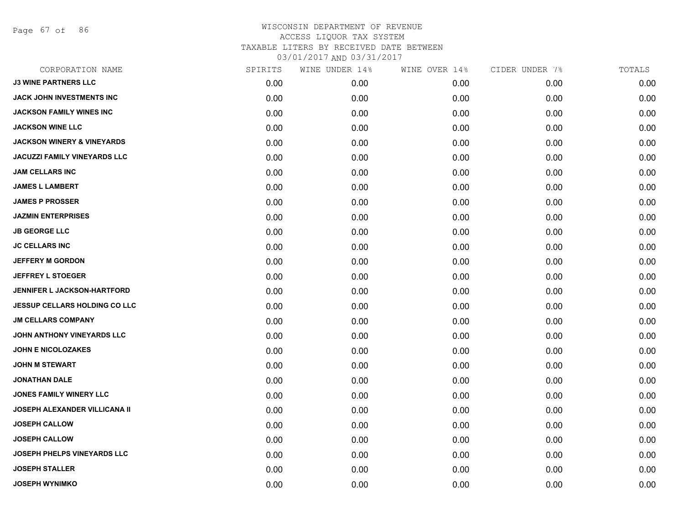Page 67 of 86

| SPIRITS | WINE UNDER 14% | WINE OVER 14% | CIDER UNDER 7% | TOTALS |
|---------|----------------|---------------|----------------|--------|
| 0.00    | 0.00           | 0.00          | 0.00           | 0.00   |
| 0.00    | 0.00           | 0.00          | 0.00           | 0.00   |
| 0.00    | 0.00           | 0.00          | 0.00           | 0.00   |
| 0.00    | 0.00           | 0.00          | 0.00           | 0.00   |
| 0.00    | 0.00           | 0.00          | 0.00           | 0.00   |
| 0.00    | 0.00           | 0.00          | 0.00           | 0.00   |
| 0.00    | 0.00           | 0.00          | 0.00           | 0.00   |
| 0.00    | 0.00           | 0.00          | 0.00           | 0.00   |
| 0.00    | 0.00           | 0.00          | 0.00           | 0.00   |
| 0.00    | 0.00           | 0.00          | 0.00           | 0.00   |
| 0.00    | 0.00           | 0.00          | 0.00           | 0.00   |
| 0.00    | 0.00           | 0.00          | 0.00           | 0.00   |
| 0.00    | 0.00           | 0.00          | 0.00           | 0.00   |
| 0.00    | 0.00           | 0.00          | 0.00           | 0.00   |
| 0.00    | 0.00           | 0.00          | 0.00           | 0.00   |
| 0.00    | 0.00           | 0.00          | 0.00           | 0.00   |
| 0.00    | 0.00           | 0.00          | 0.00           | 0.00   |
| 0.00    | 0.00           | 0.00          | 0.00           | 0.00   |
| 0.00    | 0.00           | 0.00          | 0.00           | 0.00   |
| 0.00    | 0.00           | 0.00          | 0.00           | 0.00   |
| 0.00    | 0.00           | 0.00          | 0.00           | 0.00   |
| 0.00    | 0.00           | 0.00          | 0.00           | 0.00   |
| 0.00    | 0.00           | 0.00          | 0.00           | 0.00   |
| 0.00    | 0.00           | 0.00          | 0.00           | 0.00   |
| 0.00    | 0.00           | 0.00          | 0.00           | 0.00   |
| 0.00    | 0.00           | 0.00          | 0.00           | 0.00   |
| 0.00    | 0.00           | 0.00          | 0.00           | 0.00   |
| 0.00    | 0.00           | 0.00          | 0.00           | 0.00   |
|         |                |               |                |        |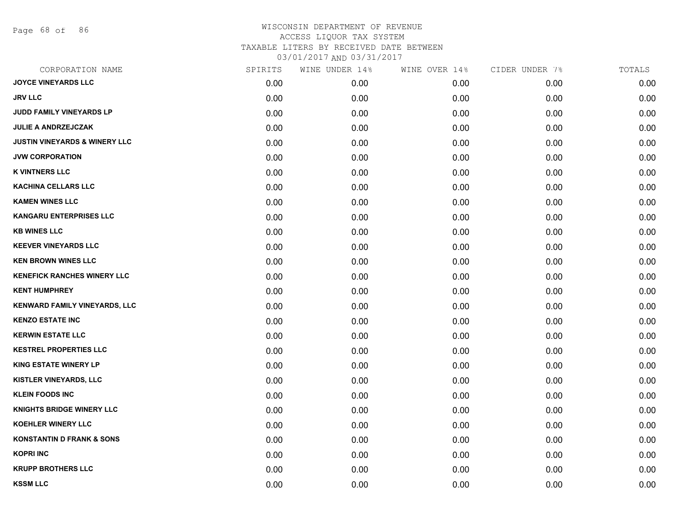Page 68 of 86

| CORPORATION NAME                         | SPIRITS | WINE UNDER 14% | WINE OVER 14% | CIDER UNDER 7% | TOTALS |
|------------------------------------------|---------|----------------|---------------|----------------|--------|
| <b>JOYCE VINEYARDS LLC</b>               | 0.00    | 0.00           | 0.00          | 0.00           | 0.00   |
| <b>JRV LLC</b>                           | 0.00    | 0.00           | 0.00          | 0.00           | 0.00   |
| JUDD FAMILY VINEYARDS LP                 | 0.00    | 0.00           | 0.00          | 0.00           | 0.00   |
| <b>JULIE A ANDRZEJCZAK</b>               | 0.00    | 0.00           | 0.00          | 0.00           | 0.00   |
| <b>JUSTIN VINEYARDS &amp; WINERY LLC</b> | 0.00    | 0.00           | 0.00          | 0.00           | 0.00   |
| <b>JVW CORPORATION</b>                   | 0.00    | 0.00           | 0.00          | 0.00           | 0.00   |
| <b>K VINTNERS LLC</b>                    | 0.00    | 0.00           | 0.00          | 0.00           | 0.00   |
| <b>KACHINA CELLARS LLC</b>               | 0.00    | 0.00           | 0.00          | 0.00           | 0.00   |
| <b>KAMEN WINES LLC</b>                   | 0.00    | 0.00           | 0.00          | 0.00           | 0.00   |
| <b>KANGARU ENTERPRISES LLC</b>           | 0.00    | 0.00           | 0.00          | 0.00           | 0.00   |
| <b>KB WINES LLC</b>                      | 0.00    | 0.00           | 0.00          | 0.00           | 0.00   |
| <b>KEEVER VINEYARDS LLC</b>              | 0.00    | 0.00           | 0.00          | 0.00           | 0.00   |
| <b>KEN BROWN WINES LLC</b>               | 0.00    | 0.00           | 0.00          | 0.00           | 0.00   |
| <b>KENEFICK RANCHES WINERY LLC</b>       | 0.00    | 0.00           | 0.00          | 0.00           | 0.00   |
| <b>KENT HUMPHREY</b>                     | 0.00    | 0.00           | 0.00          | 0.00           | 0.00   |
| KENWARD FAMILY VINEYARDS, LLC            | 0.00    | 0.00           | 0.00          | 0.00           | 0.00   |
| <b>KENZO ESTATE INC</b>                  | 0.00    | 0.00           | 0.00          | 0.00           | 0.00   |
| <b>KERWIN ESTATE LLC</b>                 | 0.00    | 0.00           | 0.00          | 0.00           | 0.00   |
| <b>KESTREL PROPERTIES LLC</b>            | 0.00    | 0.00           | 0.00          | 0.00           | 0.00   |
| <b>KING ESTATE WINERY LP</b>             | 0.00    | 0.00           | 0.00          | 0.00           | 0.00   |
| <b>KISTLER VINEYARDS, LLC</b>            | 0.00    | 0.00           | 0.00          | 0.00           | 0.00   |
| <b>KLEIN FOODS INC</b>                   | 0.00    | 0.00           | 0.00          | 0.00           | 0.00   |
| <b>KNIGHTS BRIDGE WINERY LLC</b>         | 0.00    | 0.00           | 0.00          | 0.00           | 0.00   |
| <b>KOEHLER WINERY LLC</b>                | 0.00    | 0.00           | 0.00          | 0.00           | 0.00   |
| <b>KONSTANTIN D FRANK &amp; SONS</b>     | 0.00    | 0.00           | 0.00          | 0.00           | 0.00   |
| <b>KOPRI INC</b>                         | 0.00    | 0.00           | 0.00          | 0.00           | 0.00   |
| <b>KRUPP BROTHERS LLC</b>                | 0.00    | 0.00           | 0.00          | 0.00           | 0.00   |
| <b>KSSM LLC</b>                          | 0.00    | 0.00           | 0.00          | 0.00           | 0.00   |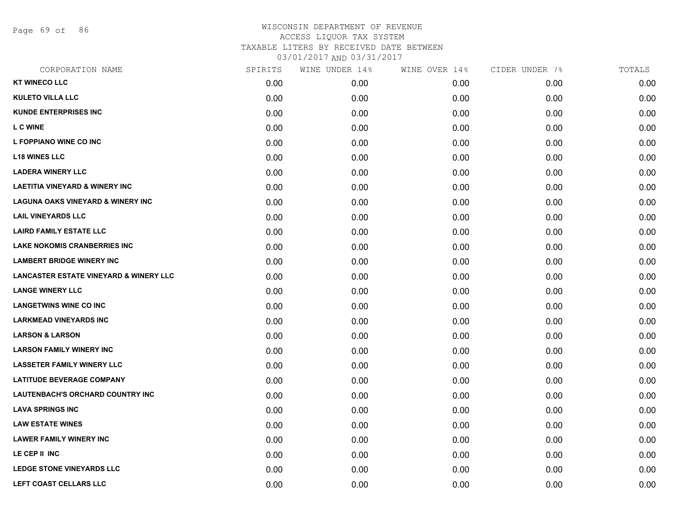Page 69 of 86

| CORPORATION NAME                                  | SPIRITS | WINE UNDER 14% | WINE OVER 14% | CIDER UNDER 7% | TOTALS |
|---------------------------------------------------|---------|----------------|---------------|----------------|--------|
| <b>KT WINECO LLC</b>                              | 0.00    | 0.00           | 0.00          | 0.00           | 0.00   |
| <b>KULETO VILLA LLC</b>                           | 0.00    | 0.00           | 0.00          | 0.00           | 0.00   |
| <b>KUNDE ENTERPRISES INC</b>                      | 0.00    | 0.00           | 0.00          | 0.00           | 0.00   |
| <b>L C WINE</b>                                   | 0.00    | 0.00           | 0.00          | 0.00           | 0.00   |
| L FOPPIANO WINE CO INC                            | 0.00    | 0.00           | 0.00          | 0.00           | 0.00   |
| <b>L18 WINES LLC</b>                              | 0.00    | 0.00           | 0.00          | 0.00           | 0.00   |
| <b>LADERA WINERY LLC</b>                          | 0.00    | 0.00           | 0.00          | 0.00           | 0.00   |
| <b>LAETITIA VINEYARD &amp; WINERY INC</b>         | 0.00    | 0.00           | 0.00          | 0.00           | 0.00   |
| <b>LAGUNA OAKS VINEYARD &amp; WINERY INC</b>      | 0.00    | 0.00           | 0.00          | 0.00           | 0.00   |
| <b>LAIL VINEYARDS LLC</b>                         | 0.00    | 0.00           | 0.00          | 0.00           | 0.00   |
| <b>LAIRD FAMILY ESTATE LLC</b>                    | 0.00    | 0.00           | 0.00          | 0.00           | 0.00   |
| <b>LAKE NOKOMIS CRANBERRIES INC</b>               | 0.00    | 0.00           | 0.00          | 0.00           | 0.00   |
| <b>LAMBERT BRIDGE WINERY INC</b>                  | 0.00    | 0.00           | 0.00          | 0.00           | 0.00   |
| <b>LANCASTER ESTATE VINEYARD &amp; WINERY LLC</b> | 0.00    | 0.00           | 0.00          | 0.00           | 0.00   |
| <b>LANGE WINERY LLC</b>                           | 0.00    | 0.00           | 0.00          | 0.00           | 0.00   |
| <b>LANGETWINS WINE CO INC</b>                     | 0.00    | 0.00           | 0.00          | 0.00           | 0.00   |
| <b>LARKMEAD VINEYARDS INC</b>                     | 0.00    | 0.00           | 0.00          | 0.00           | 0.00   |
| <b>LARSON &amp; LARSON</b>                        | 0.00    | 0.00           | 0.00          | 0.00           | 0.00   |
| <b>LARSON FAMILY WINERY INC</b>                   | 0.00    | 0.00           | 0.00          | 0.00           | 0.00   |
| <b>LASSETER FAMILY WINERY LLC</b>                 | 0.00    | 0.00           | 0.00          | 0.00           | 0.00   |
| <b>LATITUDE BEVERAGE COMPANY</b>                  | 0.00    | 0.00           | 0.00          | 0.00           | 0.00   |
| LAUTENBACH'S ORCHARD COUNTRY INC                  | 0.00    | 0.00           | 0.00          | 0.00           | 0.00   |
| <b>LAVA SPRINGS INC</b>                           | 0.00    | 0.00           | 0.00          | 0.00           | 0.00   |
| <b>LAW ESTATE WINES</b>                           | 0.00    | 0.00           | 0.00          | 0.00           | 0.00   |
| <b>LAWER FAMILY WINERY INC</b>                    | 0.00    | 0.00           | 0.00          | 0.00           | 0.00   |
| LE CEP II INC                                     | 0.00    | 0.00           | 0.00          | 0.00           | 0.00   |
| <b>LEDGE STONE VINEYARDS LLC</b>                  | 0.00    | 0.00           | 0.00          | 0.00           | 0.00   |
| <b>LEFT COAST CELLARS LLC</b>                     | 0.00    | 0.00           | 0.00          | 0.00           | 0.00   |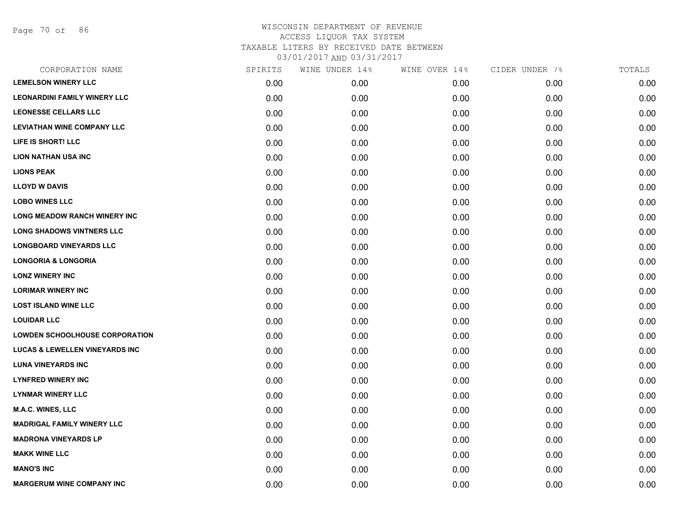Page 70 of 86

| CORPORATION NAME                          | SPIRITS | WINE UNDER 14% | WINE OVER 14% | CIDER UNDER 7% | TOTALS |
|-------------------------------------------|---------|----------------|---------------|----------------|--------|
| <b>LEMELSON WINERY LLC</b>                | 0.00    | 0.00           | 0.00          | 0.00           | 0.00   |
| <b>LEONARDINI FAMILY WINERY LLC</b>       | 0.00    | 0.00           | 0.00          | 0.00           | 0.00   |
| <b>LEONESSE CELLARS LLC</b>               | 0.00    | 0.00           | 0.00          | 0.00           | 0.00   |
| <b>LEVIATHAN WINE COMPANY LLC</b>         | 0.00    | 0.00           | 0.00          | 0.00           | 0.00   |
| LIFE IS SHORT! LLC                        | 0.00    | 0.00           | 0.00          | 0.00           | 0.00   |
| <b>LION NATHAN USA INC</b>                | 0.00    | 0.00           | 0.00          | 0.00           | 0.00   |
| <b>LIONS PEAK</b>                         | 0.00    | 0.00           | 0.00          | 0.00           | 0.00   |
| <b>LLOYD W DAVIS</b>                      | 0.00    | 0.00           | 0.00          | 0.00           | 0.00   |
| <b>LOBO WINES LLC</b>                     | 0.00    | 0.00           | 0.00          | 0.00           | 0.00   |
| <b>LONG MEADOW RANCH WINERY INC</b>       | 0.00    | 0.00           | 0.00          | 0.00           | 0.00   |
| <b>LONG SHADOWS VINTNERS LLC</b>          | 0.00    | 0.00           | 0.00          | 0.00           | 0.00   |
| <b>LONGBOARD VINEYARDS LLC</b>            | 0.00    | 0.00           | 0.00          | 0.00           | 0.00   |
| <b>LONGORIA &amp; LONGORIA</b>            | 0.00    | 0.00           | 0.00          | 0.00           | 0.00   |
| <b>LONZ WINERY INC</b>                    | 0.00    | 0.00           | 0.00          | 0.00           | 0.00   |
| <b>LORIMAR WINERY INC</b>                 | 0.00    | 0.00           | 0.00          | 0.00           | 0.00   |
| <b>LOST ISLAND WINE LLC</b>               | 0.00    | 0.00           | 0.00          | 0.00           | 0.00   |
| <b>LOUIDAR LLC</b>                        | 0.00    | 0.00           | 0.00          | 0.00           | 0.00   |
| <b>LOWDEN SCHOOLHOUSE CORPORATION</b>     | 0.00    | 0.00           | 0.00          | 0.00           | 0.00   |
| <b>LUCAS &amp; LEWELLEN VINEYARDS INC</b> | 0.00    | 0.00           | 0.00          | 0.00           | 0.00   |
| <b>LUNA VINEYARDS INC</b>                 | 0.00    | 0.00           | 0.00          | 0.00           | 0.00   |
| <b>LYNFRED WINERY INC</b>                 | 0.00    | 0.00           | 0.00          | 0.00           | 0.00   |
| <b>LYNMAR WINERY LLC</b>                  | 0.00    | 0.00           | 0.00          | 0.00           | 0.00   |
| <b>M.A.C. WINES, LLC</b>                  | 0.00    | 0.00           | 0.00          | 0.00           | 0.00   |
| <b>MADRIGAL FAMILY WINERY LLC</b>         | 0.00    | 0.00           | 0.00          | 0.00           | 0.00   |
| <b>MADRONA VINEYARDS LP</b>               | 0.00    | 0.00           | 0.00          | 0.00           | 0.00   |
| <b>MAKK WINE LLC</b>                      | 0.00    | 0.00           | 0.00          | 0.00           | 0.00   |
| <b>MANO'S INC</b>                         | 0.00    | 0.00           | 0.00          | 0.00           | 0.00   |
| <b>MARGERUM WINE COMPANY INC</b>          | 0.00    | 0.00           | 0.00          | 0.00           | 0.00   |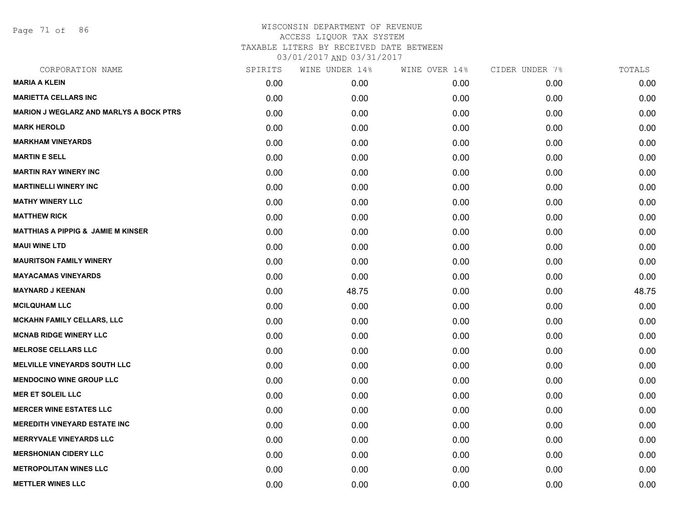Page 71 of 86

| CORPORATION NAME                               | SPIRITS | WINE UNDER 14% | WINE OVER 14% | CIDER UNDER 7% | TOTALS |
|------------------------------------------------|---------|----------------|---------------|----------------|--------|
| <b>MARIA A KLEIN</b>                           | 0.00    | 0.00           | 0.00          | 0.00           | 0.00   |
| <b>MARIETTA CELLARS INC</b>                    | 0.00    | 0.00           | 0.00          | 0.00           | 0.00   |
| <b>MARION J WEGLARZ AND MARLYS A BOCK PTRS</b> | 0.00    | 0.00           | 0.00          | 0.00           | 0.00   |
| <b>MARK HEROLD</b>                             | 0.00    | 0.00           | 0.00          | 0.00           | 0.00   |
| <b>MARKHAM VINEYARDS</b>                       | 0.00    | 0.00           | 0.00          | 0.00           | 0.00   |
| <b>MARTIN E SELL</b>                           | 0.00    | 0.00           | 0.00          | 0.00           | 0.00   |
| <b>MARTIN RAY WINERY INC</b>                   | 0.00    | 0.00           | 0.00          | 0.00           | 0.00   |
| <b>MARTINELLI WINERY INC</b>                   | 0.00    | 0.00           | 0.00          | 0.00           | 0.00   |
| <b>MATHY WINERY LLC</b>                        | 0.00    | 0.00           | 0.00          | 0.00           | 0.00   |
| <b>MATTHEW RICK</b>                            | 0.00    | 0.00           | 0.00          | 0.00           | 0.00   |
| <b>MATTHIAS A PIPPIG &amp; JAMIE M KINSER</b>  | 0.00    | 0.00           | 0.00          | 0.00           | 0.00   |
| <b>MAUI WINE LTD</b>                           | 0.00    | 0.00           | 0.00          | 0.00           | 0.00   |
| <b>MAURITSON FAMILY WINERY</b>                 | 0.00    | 0.00           | 0.00          | 0.00           | 0.00   |
| <b>MAYACAMAS VINEYARDS</b>                     | 0.00    | 0.00           | 0.00          | 0.00           | 0.00   |
| <b>MAYNARD J KEENAN</b>                        | 0.00    | 48.75          | 0.00          | 0.00           | 48.75  |
| <b>MCILQUHAM LLC</b>                           | 0.00    | 0.00           | 0.00          | 0.00           | 0.00   |
| <b>MCKAHN FAMILY CELLARS, LLC</b>              | 0.00    | 0.00           | 0.00          | 0.00           | 0.00   |
| <b>MCNAB RIDGE WINERY LLC</b>                  | 0.00    | 0.00           | 0.00          | 0.00           | 0.00   |
| <b>MELROSE CELLARS LLC</b>                     | 0.00    | 0.00           | 0.00          | 0.00           | 0.00   |
| <b>MELVILLE VINEYARDS SOUTH LLC</b>            | 0.00    | 0.00           | 0.00          | 0.00           | 0.00   |
| <b>MENDOCINO WINE GROUP LLC</b>                | 0.00    | 0.00           | 0.00          | 0.00           | 0.00   |
| <b>MER ET SOLEIL LLC</b>                       | 0.00    | 0.00           | 0.00          | 0.00           | 0.00   |
| <b>MERCER WINE ESTATES LLC</b>                 | 0.00    | 0.00           | 0.00          | 0.00           | 0.00   |
| <b>MEREDITH VINEYARD ESTATE INC</b>            | 0.00    | 0.00           | 0.00          | 0.00           | 0.00   |
| <b>MERRYVALE VINEYARDS LLC</b>                 | 0.00    | 0.00           | 0.00          | 0.00           | 0.00   |
| <b>MERSHONIAN CIDERY LLC</b>                   | 0.00    | 0.00           | 0.00          | 0.00           | 0.00   |
| <b>METROPOLITAN WINES LLC</b>                  | 0.00    | 0.00           | 0.00          | 0.00           | 0.00   |
| <b>METTLER WINES LLC</b>                       | 0.00    | 0.00           | 0.00          | 0.00           | 0.00   |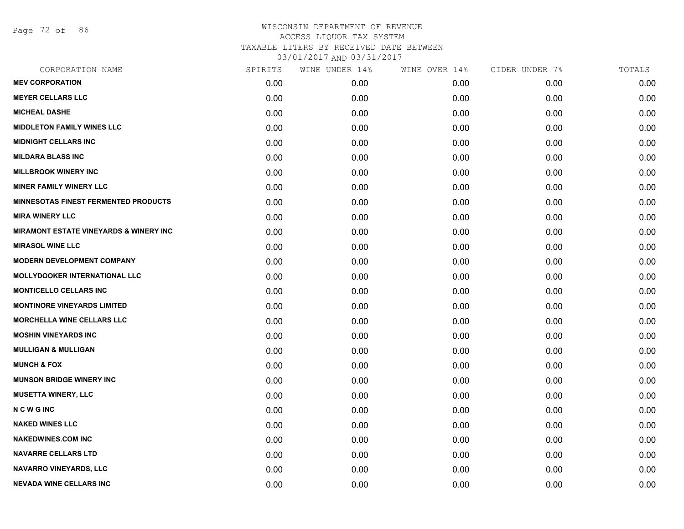Page 72 of 86

| CORPORATION NAME                                  | SPIRITS | WINE UNDER 14% | WINE OVER 14% | CIDER UNDER 7% | TOTALS |
|---------------------------------------------------|---------|----------------|---------------|----------------|--------|
| <b>MEV CORPORATION</b>                            | 0.00    | 0.00           | 0.00          | 0.00           | 0.00   |
| <b>MEYER CELLARS LLC</b>                          | 0.00    | 0.00           | 0.00          | 0.00           | 0.00   |
| <b>MICHEAL DASHE</b>                              | 0.00    | 0.00           | 0.00          | 0.00           | 0.00   |
| <b>MIDDLETON FAMILY WINES LLC</b>                 | 0.00    | 0.00           | 0.00          | 0.00           | 0.00   |
| <b>MIDNIGHT CELLARS INC</b>                       | 0.00    | 0.00           | 0.00          | 0.00           | 0.00   |
| <b>MILDARA BLASS INC</b>                          | 0.00    | 0.00           | 0.00          | 0.00           | 0.00   |
| <b>MILLBROOK WINERY INC</b>                       | 0.00    | 0.00           | 0.00          | 0.00           | 0.00   |
| <b>MINER FAMILY WINERY LLC</b>                    | 0.00    | 0.00           | 0.00          | 0.00           | 0.00   |
| <b>MINNESOTAS FINEST FERMENTED PRODUCTS</b>       | 0.00    | 0.00           | 0.00          | 0.00           | 0.00   |
| <b>MIRA WINERY LLC</b>                            | 0.00    | 0.00           | 0.00          | 0.00           | 0.00   |
| <b>MIRAMONT ESTATE VINEYARDS &amp; WINERY INC</b> | 0.00    | 0.00           | 0.00          | 0.00           | 0.00   |
| <b>MIRASOL WINE LLC</b>                           | 0.00    | 0.00           | 0.00          | 0.00           | 0.00   |
| <b>MODERN DEVELOPMENT COMPANY</b>                 | 0.00    | 0.00           | 0.00          | 0.00           | 0.00   |
| <b>MOLLYDOOKER INTERNATIONAL LLC</b>              | 0.00    | 0.00           | 0.00          | 0.00           | 0.00   |
| <b>MONTICELLO CELLARS INC</b>                     | 0.00    | 0.00           | 0.00          | 0.00           | 0.00   |
| <b>MONTINORE VINEYARDS LIMITED</b>                | 0.00    | 0.00           | 0.00          | 0.00           | 0.00   |
| <b>MORCHELLA WINE CELLARS LLC</b>                 | 0.00    | 0.00           | 0.00          | 0.00           | 0.00   |
| <b>MOSHIN VINEYARDS INC</b>                       | 0.00    | 0.00           | 0.00          | 0.00           | 0.00   |
| <b>MULLIGAN &amp; MULLIGAN</b>                    | 0.00    | 0.00           | 0.00          | 0.00           | 0.00   |
| <b>MUNCH &amp; FOX</b>                            | 0.00    | 0.00           | 0.00          | 0.00           | 0.00   |
| <b>MUNSON BRIDGE WINERY INC</b>                   | 0.00    | 0.00           | 0.00          | 0.00           | 0.00   |
| <b>MUSETTA WINERY, LLC</b>                        | 0.00    | 0.00           | 0.00          | 0.00           | 0.00   |
| <b>NCWGINC</b>                                    | 0.00    | 0.00           | 0.00          | 0.00           | 0.00   |
| <b>NAKED WINES LLC</b>                            | 0.00    | 0.00           | 0.00          | 0.00           | 0.00   |
| <b>NAKEDWINES.COM INC</b>                         | 0.00    | 0.00           | 0.00          | 0.00           | 0.00   |
| <b>NAVARRE CELLARS LTD</b>                        | 0.00    | 0.00           | 0.00          | 0.00           | 0.00   |
| <b>NAVARRO VINEYARDS, LLC</b>                     | 0.00    | 0.00           | 0.00          | 0.00           | 0.00   |
| <b>NEVADA WINE CELLARS INC</b>                    | 0.00    | 0.00           | 0.00          | 0.00           | 0.00   |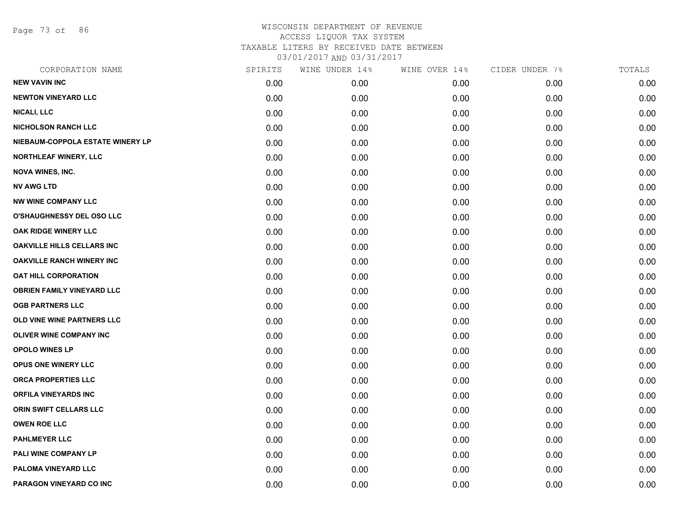Page 73 of 86

| CORPORATION NAME                  | SPIRITS | WINE UNDER 14% | WINE OVER 14% | CIDER UNDER 7% | TOTALS |
|-----------------------------------|---------|----------------|---------------|----------------|--------|
| <b>NEW VAVIN INC</b>              | 0.00    | 0.00           | 0.00          | 0.00           | 0.00   |
| <b>NEWTON VINEYARD LLC</b>        | 0.00    | 0.00           | 0.00          | 0.00           | 0.00   |
| <b>NICALI, LLC</b>                | 0.00    | 0.00           | 0.00          | 0.00           | 0.00   |
| <b>NICHOLSON RANCH LLC</b>        | 0.00    | 0.00           | 0.00          | 0.00           | 0.00   |
| NIEBAUM-COPPOLA ESTATE WINERY LP  | 0.00    | 0.00           | 0.00          | 0.00           | 0.00   |
| <b>NORTHLEAF WINERY, LLC</b>      | 0.00    | 0.00           | 0.00          | 0.00           | 0.00   |
| <b>NOVA WINES, INC.</b>           | 0.00    | 0.00           | 0.00          | 0.00           | 0.00   |
| <b>NV AWG LTD</b>                 | 0.00    | 0.00           | 0.00          | 0.00           | 0.00   |
| <b>NW WINE COMPANY LLC</b>        | 0.00    | 0.00           | 0.00          | 0.00           | 0.00   |
| O'SHAUGHNESSY DEL OSO LLC         | 0.00    | 0.00           | 0.00          | 0.00           | 0.00   |
| OAK RIDGE WINERY LLC              | 0.00    | 0.00           | 0.00          | 0.00           | 0.00   |
| <b>OAKVILLE HILLS CELLARS INC</b> | 0.00    | 0.00           | 0.00          | 0.00           | 0.00   |
| <b>OAKVILLE RANCH WINERY INC</b>  | 0.00    | 0.00           | 0.00          | 0.00           | 0.00   |
| <b>OAT HILL CORPORATION</b>       | 0.00    | 0.00           | 0.00          | 0.00           | 0.00   |
| <b>OBRIEN FAMILY VINEYARD LLC</b> | 0.00    | 0.00           | 0.00          | 0.00           | 0.00   |
| <b>OGB PARTNERS LLC</b>           | 0.00    | 0.00           | 0.00          | 0.00           | 0.00   |
| OLD VINE WINE PARTNERS LLC        | 0.00    | 0.00           | 0.00          | 0.00           | 0.00   |
| <b>OLIVER WINE COMPANY INC</b>    | 0.00    | 0.00           | 0.00          | 0.00           | 0.00   |
| <b>OPOLO WINES LP</b>             | 0.00    | 0.00           | 0.00          | 0.00           | 0.00   |
| OPUS ONE WINERY LLC               | 0.00    | 0.00           | 0.00          | 0.00           | 0.00   |
| <b>ORCA PROPERTIES LLC</b>        | 0.00    | 0.00           | 0.00          | 0.00           | 0.00   |
| <b>ORFILA VINEYARDS INC</b>       | 0.00    | 0.00           | 0.00          | 0.00           | 0.00   |
| ORIN SWIFT CELLARS LLC            | 0.00    | 0.00           | 0.00          | 0.00           | 0.00   |
| <b>OWEN ROE LLC</b>               | 0.00    | 0.00           | 0.00          | 0.00           | 0.00   |
| <b>PAHLMEYER LLC</b>              | 0.00    | 0.00           | 0.00          | 0.00           | 0.00   |
| PALI WINE COMPANY LP              | 0.00    | 0.00           | 0.00          | 0.00           | 0.00   |
| PALOMA VINEYARD LLC               | 0.00    | 0.00           | 0.00          | 0.00           | 0.00   |
| PARAGON VINEYARD CO INC           | 0.00    | 0.00           | 0.00          | 0.00           | 0.00   |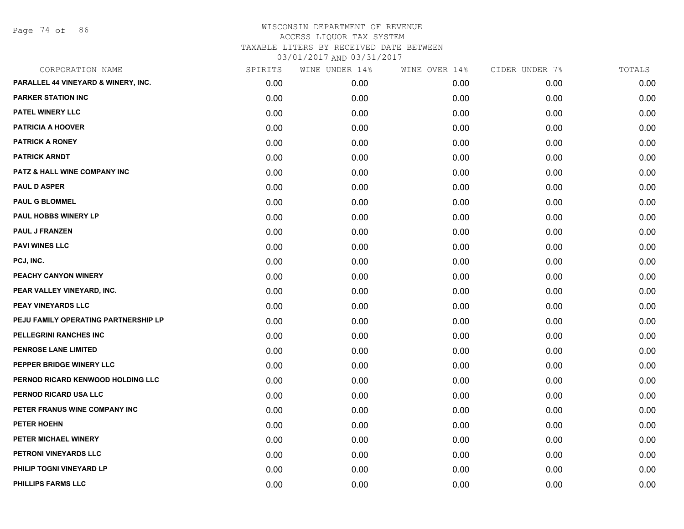Page 74 of 86

| CORPORATION NAME                     | SPIRITS | WINE UNDER 14% | WINE OVER 14% | CIDER UNDER 7% | TOTALS |
|--------------------------------------|---------|----------------|---------------|----------------|--------|
| PARALLEL 44 VINEYARD & WINERY, INC.  | 0.00    | 0.00           | 0.00          | 0.00           | 0.00   |
| <b>PARKER STATION INC</b>            | 0.00    | 0.00           | 0.00          | 0.00           | 0.00   |
| PATEL WINERY LLC                     | 0.00    | 0.00           | 0.00          | 0.00           | 0.00   |
| <b>PATRICIA A HOOVER</b>             | 0.00    | 0.00           | 0.00          | 0.00           | 0.00   |
| <b>PATRICK A RONEY</b>               | 0.00    | 0.00           | 0.00          | 0.00           | 0.00   |
| <b>PATRICK ARNDT</b>                 | 0.00    | 0.00           | 0.00          | 0.00           | 0.00   |
| PATZ & HALL WINE COMPANY INC         | 0.00    | 0.00           | 0.00          | 0.00           | 0.00   |
| <b>PAUL D ASPER</b>                  | 0.00    | 0.00           | 0.00          | 0.00           | 0.00   |
| <b>PAUL G BLOMMEL</b>                | 0.00    | 0.00           | 0.00          | 0.00           | 0.00   |
| PAUL HOBBS WINERY LP                 | 0.00    | 0.00           | 0.00          | 0.00           | 0.00   |
| <b>PAUL J FRANZEN</b>                | 0.00    | 0.00           | 0.00          | 0.00           | 0.00   |
| <b>PAVI WINES LLC</b>                | 0.00    | 0.00           | 0.00          | 0.00           | 0.00   |
| PCJ, INC.                            | 0.00    | 0.00           | 0.00          | 0.00           | 0.00   |
| PEACHY CANYON WINERY                 | 0.00    | 0.00           | 0.00          | 0.00           | 0.00   |
| PEAR VALLEY VINEYARD, INC.           | 0.00    | 0.00           | 0.00          | 0.00           | 0.00   |
| <b>PEAY VINEYARDS LLC</b>            | 0.00    | 0.00           | 0.00          | 0.00           | 0.00   |
| PEJU FAMILY OPERATING PARTNERSHIP LP | 0.00    | 0.00           | 0.00          | 0.00           | 0.00   |
| PELLEGRINI RANCHES INC               | 0.00    | 0.00           | 0.00          | 0.00           | 0.00   |
| PENROSE LANE LIMITED                 | 0.00    | 0.00           | 0.00          | 0.00           | 0.00   |
| PEPPER BRIDGE WINERY LLC             | 0.00    | 0.00           | 0.00          | 0.00           | 0.00   |
| PERNOD RICARD KENWOOD HOLDING LLC    | 0.00    | 0.00           | 0.00          | 0.00           | 0.00   |
| PERNOD RICARD USA LLC                | 0.00    | 0.00           | 0.00          | 0.00           | 0.00   |
| PETER FRANUS WINE COMPANY INC        | 0.00    | 0.00           | 0.00          | 0.00           | 0.00   |
| <b>PETER HOEHN</b>                   | 0.00    | 0.00           | 0.00          | 0.00           | 0.00   |
| PETER MICHAEL WINERY                 | 0.00    | 0.00           | 0.00          | 0.00           | 0.00   |
| PETRONI VINEYARDS LLC                | 0.00    | 0.00           | 0.00          | 0.00           | 0.00   |
| PHILIP TOGNI VINEYARD LP             | 0.00    | 0.00           | 0.00          | 0.00           | 0.00   |
| PHILLIPS FARMS LLC                   | 0.00    | 0.00           | 0.00          | 0.00           | 0.00   |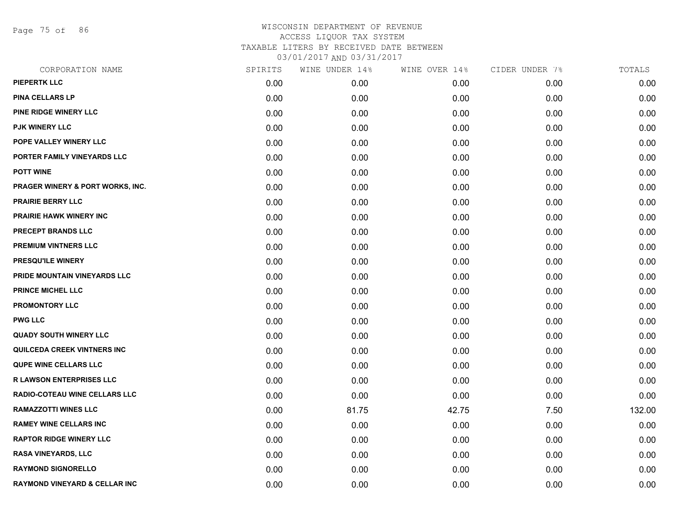Page 75 of 86

| CORPORATION NAME                         | SPIRITS | WINE UNDER 14% | WINE OVER 14% | CIDER UNDER 7% | TOTALS |
|------------------------------------------|---------|----------------|---------------|----------------|--------|
| PIEPERTK LLC                             | 0.00    | 0.00           | 0.00          | 0.00           | 0.00   |
| <b>PINA CELLARS LP</b>                   | 0.00    | 0.00           | 0.00          | 0.00           | 0.00   |
| PINE RIDGE WINERY LLC                    | 0.00    | 0.00           | 0.00          | 0.00           | 0.00   |
| <b>PJK WINERY LLC</b>                    | 0.00    | 0.00           | 0.00          | 0.00           | 0.00   |
| POPE VALLEY WINERY LLC                   | 0.00    | 0.00           | 0.00          | 0.00           | 0.00   |
| PORTER FAMILY VINEYARDS LLC              | 0.00    | 0.00           | 0.00          | 0.00           | 0.00   |
| <b>POTT WINE</b>                         | 0.00    | 0.00           | 0.00          | 0.00           | 0.00   |
| PRAGER WINERY & PORT WORKS, INC.         | 0.00    | 0.00           | 0.00          | 0.00           | 0.00   |
| <b>PRAIRIE BERRY LLC</b>                 | 0.00    | 0.00           | 0.00          | 0.00           | 0.00   |
| <b>PRAIRIE HAWK WINERY INC</b>           | 0.00    | 0.00           | 0.00          | 0.00           | 0.00   |
| PRECEPT BRANDS LLC                       | 0.00    | 0.00           | 0.00          | 0.00           | 0.00   |
| PREMIUM VINTNERS LLC                     | 0.00    | 0.00           | 0.00          | 0.00           | 0.00   |
| PRESQU'ILE WINERY                        | 0.00    | 0.00           | 0.00          | 0.00           | 0.00   |
| PRIDE MOUNTAIN VINEYARDS LLC             | 0.00    | 0.00           | 0.00          | 0.00           | 0.00   |
| <b>PRINCE MICHEL LLC</b>                 | 0.00    | 0.00           | 0.00          | 0.00           | 0.00   |
| <b>PROMONTORY LLC</b>                    | 0.00    | 0.00           | 0.00          | 0.00           | 0.00   |
| <b>PWG LLC</b>                           | 0.00    | 0.00           | 0.00          | 0.00           | 0.00   |
| <b>QUADY SOUTH WINERY LLC</b>            | 0.00    | 0.00           | 0.00          | 0.00           | 0.00   |
| QUILCEDA CREEK VINTNERS INC              | 0.00    | 0.00           | 0.00          | 0.00           | 0.00   |
| <b>QUPE WINE CELLARS LLC</b>             | 0.00    | 0.00           | 0.00          | 0.00           | 0.00   |
| R LAWSON ENTERPRISES LLC                 | 0.00    | 0.00           | 0.00          | 0.00           | 0.00   |
| RADIO-COTEAU WINE CELLARS LLC            | 0.00    | 0.00           | 0.00          | 0.00           | 0.00   |
| <b>RAMAZZOTTI WINES LLC</b>              | 0.00    | 81.75          | 42.75         | 7.50           | 132.00 |
| <b>RAMEY WINE CELLARS INC</b>            | 0.00    | 0.00           | 0.00          | 0.00           | 0.00   |
| <b>RAPTOR RIDGE WINERY LLC</b>           | 0.00    | 0.00           | 0.00          | 0.00           | 0.00   |
| <b>RASA VINEYARDS, LLC</b>               | 0.00    | 0.00           | 0.00          | 0.00           | 0.00   |
| <b>RAYMOND SIGNORELLO</b>                | 0.00    | 0.00           | 0.00          | 0.00           | 0.00   |
| <b>RAYMOND VINEYARD &amp; CELLAR INC</b> | 0.00    | 0.00           | 0.00          | 0.00           | 0.00   |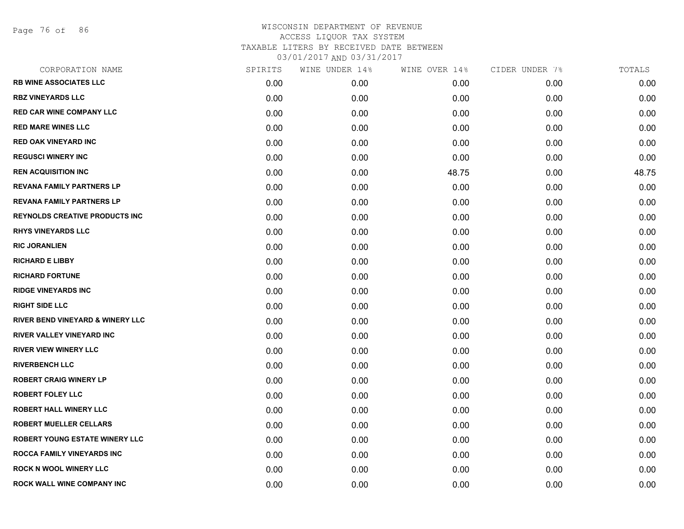Page 76 of 86

| CORPORATION NAME                      | SPIRITS | WINE UNDER 14% | WINE OVER 14% | CIDER UNDER 7% | TOTALS |
|---------------------------------------|---------|----------------|---------------|----------------|--------|
| <b>RB WINE ASSOCIATES LLC</b>         | 0.00    | 0.00           | 0.00          | 0.00           | 0.00   |
| <b>RBZ VINEYARDS LLC</b>              | 0.00    | 0.00           | 0.00          | 0.00           | 0.00   |
| <b>RED CAR WINE COMPANY LLC</b>       | 0.00    | 0.00           | 0.00          | 0.00           | 0.00   |
| <b>RED MARE WINES LLC</b>             | 0.00    | 0.00           | 0.00          | 0.00           | 0.00   |
| <b>RED OAK VINEYARD INC</b>           | 0.00    | 0.00           | 0.00          | 0.00           | 0.00   |
| <b>REGUSCI WINERY INC</b>             | 0.00    | 0.00           | 0.00          | 0.00           | 0.00   |
| <b>REN ACQUISITION INC</b>            | 0.00    | 0.00           | 48.75         | 0.00           | 48.75  |
| <b>REVANA FAMILY PARTNERS LP</b>      | 0.00    | 0.00           | 0.00          | 0.00           | 0.00   |
| <b>REVANA FAMILY PARTNERS LP</b>      | 0.00    | 0.00           | 0.00          | 0.00           | 0.00   |
| <b>REYNOLDS CREATIVE PRODUCTS INC</b> | 0.00    | 0.00           | 0.00          | 0.00           | 0.00   |
| <b>RHYS VINEYARDS LLC</b>             | 0.00    | 0.00           | 0.00          | 0.00           | 0.00   |
| <b>RIC JORANLIEN</b>                  | 0.00    | 0.00           | 0.00          | 0.00           | 0.00   |
| <b>RICHARD E LIBBY</b>                | 0.00    | 0.00           | 0.00          | 0.00           | 0.00   |
| <b>RICHARD FORTUNE</b>                | 0.00    | 0.00           | 0.00          | 0.00           | 0.00   |
| <b>RIDGE VINEYARDS INC</b>            | 0.00    | 0.00           | 0.00          | 0.00           | 0.00   |
| <b>RIGHT SIDE LLC</b>                 | 0.00    | 0.00           | 0.00          | 0.00           | 0.00   |
| RIVER BEND VINEYARD & WINERY LLC      | 0.00    | 0.00           | 0.00          | 0.00           | 0.00   |
| RIVER VALLEY VINEYARD INC             | 0.00    | 0.00           | 0.00          | 0.00           | 0.00   |
| <b>RIVER VIEW WINERY LLC</b>          | 0.00    | 0.00           | 0.00          | 0.00           | 0.00   |
| <b>RIVERBENCH LLC</b>                 | 0.00    | 0.00           | 0.00          | 0.00           | 0.00   |
| <b>ROBERT CRAIG WINERY LP</b>         | 0.00    | 0.00           | 0.00          | 0.00           | 0.00   |
| <b>ROBERT FOLEY LLC</b>               | 0.00    | 0.00           | 0.00          | 0.00           | 0.00   |
| <b>ROBERT HALL WINERY LLC</b>         | 0.00    | 0.00           | 0.00          | 0.00           | 0.00   |
| <b>ROBERT MUELLER CELLARS</b>         | 0.00    | 0.00           | 0.00          | 0.00           | 0.00   |
| <b>ROBERT YOUNG ESTATE WINERY LLC</b> | 0.00    | 0.00           | 0.00          | 0.00           | 0.00   |
| <b>ROCCA FAMILY VINEYARDS INC</b>     | 0.00    | 0.00           | 0.00          | 0.00           | 0.00   |
| <b>ROCK N WOOL WINERY LLC</b>         | 0.00    | 0.00           | 0.00          | 0.00           | 0.00   |
| <b>ROCK WALL WINE COMPANY INC</b>     | 0.00    | 0.00           | 0.00          | 0.00           | 0.00   |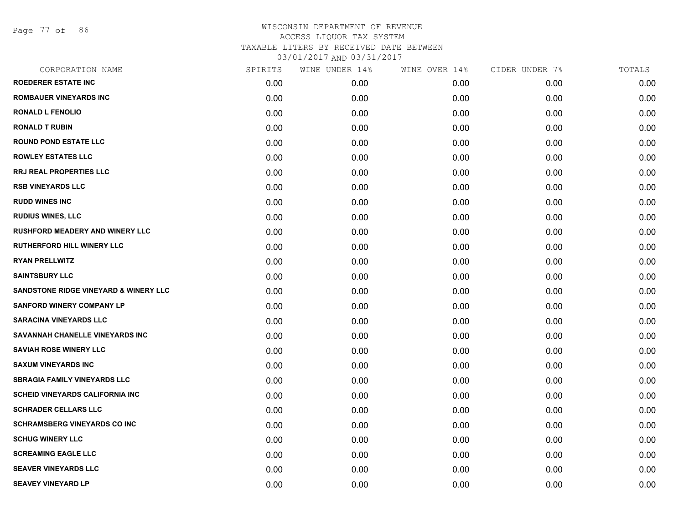Page 77 of 86

| CORPORATION NAME                                 | SPIRITS | WINE UNDER 14% | WINE OVER 14% | CIDER UNDER 7% | TOTALS |
|--------------------------------------------------|---------|----------------|---------------|----------------|--------|
| <b>ROEDERER ESTATE INC</b>                       | 0.00    | 0.00           | 0.00          | 0.00           | 0.00   |
| <b>ROMBAUER VINEYARDS INC</b>                    | 0.00    | 0.00           | 0.00          | 0.00           | 0.00   |
| <b>RONALD L FENOLIO</b>                          | 0.00    | 0.00           | 0.00          | 0.00           | 0.00   |
| <b>RONALD T RUBIN</b>                            | 0.00    | 0.00           | 0.00          | 0.00           | 0.00   |
| <b>ROUND POND ESTATE LLC</b>                     | 0.00    | 0.00           | 0.00          | 0.00           | 0.00   |
| <b>ROWLEY ESTATES LLC</b>                        | 0.00    | 0.00           | 0.00          | 0.00           | 0.00   |
| <b>RRJ REAL PROPERTIES LLC</b>                   | 0.00    | 0.00           | 0.00          | 0.00           | 0.00   |
| <b>RSB VINEYARDS LLC</b>                         | 0.00    | 0.00           | 0.00          | 0.00           | 0.00   |
| <b>RUDD WINES INC</b>                            | 0.00    | 0.00           | 0.00          | 0.00           | 0.00   |
| <b>RUDIUS WINES, LLC</b>                         | 0.00    | 0.00           | 0.00          | 0.00           | 0.00   |
| <b>RUSHFORD MEADERY AND WINERY LLC</b>           | 0.00    | 0.00           | 0.00          | 0.00           | 0.00   |
| <b>RUTHERFORD HILL WINERY LLC</b>                | 0.00    | 0.00           | 0.00          | 0.00           | 0.00   |
| <b>RYAN PRELLWITZ</b>                            | 0.00    | 0.00           | 0.00          | 0.00           | 0.00   |
| <b>SAINTSBURY LLC</b>                            | 0.00    | 0.00           | 0.00          | 0.00           | 0.00   |
| <b>SANDSTONE RIDGE VINEYARD &amp; WINERY LLC</b> | 0.00    | 0.00           | 0.00          | 0.00           | 0.00   |
| <b>SANFORD WINERY COMPANY LP</b>                 | 0.00    | 0.00           | 0.00          | 0.00           | 0.00   |
| <b>SARACINA VINEYARDS LLC</b>                    | 0.00    | 0.00           | 0.00          | 0.00           | 0.00   |
| SAVANNAH CHANELLE VINEYARDS INC                  | 0.00    | 0.00           | 0.00          | 0.00           | 0.00   |
| <b>SAVIAH ROSE WINERY LLC</b>                    | 0.00    | 0.00           | 0.00          | 0.00           | 0.00   |
| <b>SAXUM VINEYARDS INC</b>                       | 0.00    | 0.00           | 0.00          | 0.00           | 0.00   |
| <b>SBRAGIA FAMILY VINEYARDS LLC</b>              | 0.00    | 0.00           | 0.00          | 0.00           | 0.00   |
| <b>SCHEID VINEYARDS CALIFORNIA INC</b>           | 0.00    | 0.00           | 0.00          | 0.00           | 0.00   |
| <b>SCHRADER CELLARS LLC</b>                      | 0.00    | 0.00           | 0.00          | 0.00           | 0.00   |
| <b>SCHRAMSBERG VINEYARDS CO INC</b>              | 0.00    | 0.00           | 0.00          | 0.00           | 0.00   |
| <b>SCHUG WINERY LLC</b>                          | 0.00    | 0.00           | 0.00          | 0.00           | 0.00   |
| <b>SCREAMING EAGLE LLC</b>                       | 0.00    | 0.00           | 0.00          | 0.00           | 0.00   |
| <b>SEAVER VINEYARDS LLC</b>                      | 0.00    | 0.00           | 0.00          | 0.00           | 0.00   |
| <b>SEAVEY VINEYARD LP</b>                        | 0.00    | 0.00           | 0.00          | 0.00           | 0.00   |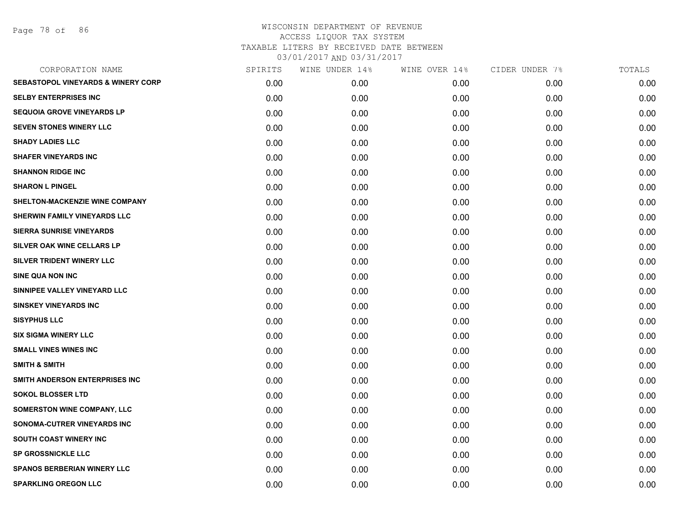Page 78 of 86

| CORPORATION NAME                              | SPIRITS | WINE UNDER 14% | WINE OVER 14% | CIDER UNDER 7% | TOTALS |
|-----------------------------------------------|---------|----------------|---------------|----------------|--------|
| <b>SEBASTOPOL VINEYARDS &amp; WINERY CORP</b> | 0.00    | 0.00           | 0.00          | 0.00           | 0.00   |
| <b>SELBY ENTERPRISES INC</b>                  | 0.00    | 0.00           | 0.00          | 0.00           | 0.00   |
| <b>SEQUOIA GROVE VINEYARDS LP</b>             | 0.00    | 0.00           | 0.00          | 0.00           | 0.00   |
| SEVEN STONES WINERY LLC                       | 0.00    | 0.00           | 0.00          | 0.00           | 0.00   |
| <b>SHADY LADIES LLC</b>                       | 0.00    | 0.00           | 0.00          | 0.00           | 0.00   |
| <b>SHAFER VINEYARDS INC</b>                   | 0.00    | 0.00           | 0.00          | 0.00           | 0.00   |
| <b>SHANNON RIDGE INC</b>                      | 0.00    | 0.00           | 0.00          | 0.00           | 0.00   |
| <b>SHARON L PINGEL</b>                        | 0.00    | 0.00           | 0.00          | 0.00           | 0.00   |
| SHELTON-MACKENZIE WINE COMPANY                | 0.00    | 0.00           | 0.00          | 0.00           | 0.00   |
| SHERWIN FAMILY VINEYARDS LLC                  | 0.00    | 0.00           | 0.00          | 0.00           | 0.00   |
| <b>SIERRA SUNRISE VINEYARDS</b>               | 0.00    | 0.00           | 0.00          | 0.00           | 0.00   |
| SILVER OAK WINE CELLARS LP                    | 0.00    | 0.00           | 0.00          | 0.00           | 0.00   |
| SILVER TRIDENT WINERY LLC                     | 0.00    | 0.00           | 0.00          | 0.00           | 0.00   |
| <b>SINE QUA NON INC</b>                       | 0.00    | 0.00           | 0.00          | 0.00           | 0.00   |
| SINNIPEE VALLEY VINEYARD LLC                  | 0.00    | 0.00           | 0.00          | 0.00           | 0.00   |
| <b>SINSKEY VINEYARDS INC</b>                  | 0.00    | 0.00           | 0.00          | 0.00           | 0.00   |
| <b>SISYPHUS LLC</b>                           | 0.00    | 0.00           | 0.00          | 0.00           | 0.00   |
| <b>SIX SIGMA WINERY LLC</b>                   | 0.00    | 0.00           | 0.00          | 0.00           | 0.00   |
| <b>SMALL VINES WINES INC</b>                  | 0.00    | 0.00           | 0.00          | 0.00           | 0.00   |
| <b>SMITH &amp; SMITH</b>                      | 0.00    | 0.00           | 0.00          | 0.00           | 0.00   |
| SMITH ANDERSON ENTERPRISES INC                | 0.00    | 0.00           | 0.00          | 0.00           | 0.00   |
| <b>SOKOL BLOSSER LTD</b>                      | 0.00    | 0.00           | 0.00          | 0.00           | 0.00   |
| SOMERSTON WINE COMPANY, LLC                   | 0.00    | 0.00           | 0.00          | 0.00           | 0.00   |
| SONOMA-CUTRER VINEYARDS INC                   | 0.00    | 0.00           | 0.00          | 0.00           | 0.00   |
| SOUTH COAST WINERY INC                        | 0.00    | 0.00           | 0.00          | 0.00           | 0.00   |
| <b>SP GROSSNICKLE LLC</b>                     | 0.00    | 0.00           | 0.00          | 0.00           | 0.00   |
| <b>SPANOS BERBERIAN WINERY LLC</b>            | 0.00    | 0.00           | 0.00          | 0.00           | 0.00   |
| <b>SPARKLING OREGON LLC</b>                   | 0.00    | 0.00           | 0.00          | 0.00           | 0.00   |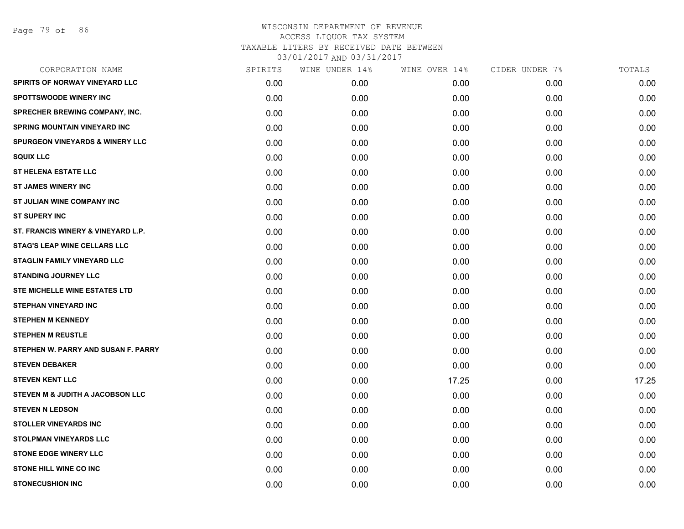Page 79 of 86

| CORPORATION NAME                           | SPIRITS | WINE UNDER 14% | WINE OVER 14% | CIDER UNDER 7% | TOTALS |
|--------------------------------------------|---------|----------------|---------------|----------------|--------|
| SPIRITS OF NORWAY VINEYARD LLC             | 0.00    | 0.00           | 0.00          | 0.00           | 0.00   |
| <b>SPOTTSWOODE WINERY INC</b>              | 0.00    | 0.00           | 0.00          | 0.00           | 0.00   |
| SPRECHER BREWING COMPANY, INC.             | 0.00    | 0.00           | 0.00          | 0.00           | 0.00   |
| <b>SPRING MOUNTAIN VINEYARD INC</b>        | 0.00    | 0.00           | 0.00          | 0.00           | 0.00   |
| <b>SPURGEON VINEYARDS &amp; WINERY LLC</b> | 0.00    | 0.00           | 0.00          | 0.00           | 0.00   |
| <b>SQUIX LLC</b>                           | 0.00    | 0.00           | 0.00          | 0.00           | 0.00   |
| <b>ST HELENA ESTATE LLC</b>                | 0.00    | 0.00           | 0.00          | 0.00           | 0.00   |
| <b>ST JAMES WINERY INC</b>                 | 0.00    | 0.00           | 0.00          | 0.00           | 0.00   |
| ST JULIAN WINE COMPANY INC                 | 0.00    | 0.00           | 0.00          | 0.00           | 0.00   |
| <b>ST SUPERY INC</b>                       | 0.00    | 0.00           | 0.00          | 0.00           | 0.00   |
| ST. FRANCIS WINERY & VINEYARD L.P.         | 0.00    | 0.00           | 0.00          | 0.00           | 0.00   |
| <b>STAG'S LEAP WINE CELLARS LLC</b>        | 0.00    | 0.00           | 0.00          | 0.00           | 0.00   |
| STAGLIN FAMILY VINEYARD LLC                | 0.00    | 0.00           | 0.00          | 0.00           | 0.00   |
| <b>STANDING JOURNEY LLC</b>                | 0.00    | 0.00           | 0.00          | 0.00           | 0.00   |
| <b>STE MICHELLE WINE ESTATES LTD</b>       | 0.00    | 0.00           | 0.00          | 0.00           | 0.00   |
| <b>STEPHAN VINEYARD INC</b>                | 0.00    | 0.00           | 0.00          | 0.00           | 0.00   |
| <b>STEPHEN M KENNEDY</b>                   | 0.00    | 0.00           | 0.00          | 0.00           | 0.00   |
| <b>STEPHEN M REUSTLE</b>                   | 0.00    | 0.00           | 0.00          | 0.00           | 0.00   |
| STEPHEN W. PARRY AND SUSAN F. PARRY        | 0.00    | 0.00           | 0.00          | 0.00           | 0.00   |
| <b>STEVEN DEBAKER</b>                      | 0.00    | 0.00           | 0.00          | 0.00           | 0.00   |
| <b>STEVEN KENT LLC</b>                     | 0.00    | 0.00           | 17.25         | 0.00           | 17.25  |
| STEVEN M & JUDITH A JACOBSON LLC           | 0.00    | 0.00           | 0.00          | 0.00           | 0.00   |
| <b>STEVEN N LEDSON</b>                     | 0.00    | 0.00           | 0.00          | 0.00           | 0.00   |
| <b>STOLLER VINEYARDS INC</b>               | 0.00    | 0.00           | 0.00          | 0.00           | 0.00   |
| <b>STOLPMAN VINEYARDS LLC</b>              | 0.00    | 0.00           | 0.00          | 0.00           | 0.00   |
| <b>STONE EDGE WINERY LLC</b>               | 0.00    | 0.00           | 0.00          | 0.00           | 0.00   |
| <b>STONE HILL WINE CO INC</b>              | 0.00    | 0.00           | 0.00          | 0.00           | 0.00   |
| <b>STONECUSHION INC</b>                    | 0.00    | 0.00           | 0.00          | 0.00           | 0.00   |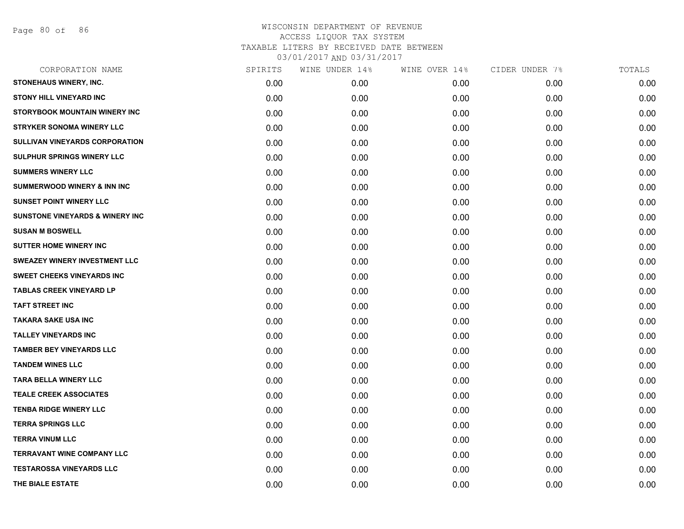Page 80 of 86

| CORPORATION NAME                           | SPIRITS | WINE UNDER 14% | WINE OVER 14% | CIDER UNDER 7% | TOTALS |
|--------------------------------------------|---------|----------------|---------------|----------------|--------|
| <b>STONEHAUS WINERY, INC.</b>              | 0.00    | 0.00           | 0.00          | 0.00           | 0.00   |
| <b>STONY HILL VINEYARD INC</b>             | 0.00    | 0.00           | 0.00          | 0.00           | 0.00   |
| STORYBOOK MOUNTAIN WINERY INC              | 0.00    | 0.00           | 0.00          | 0.00           | 0.00   |
| <b>STRYKER SONOMA WINERY LLC</b>           | 0.00    | 0.00           | 0.00          | 0.00           | 0.00   |
| <b>SULLIVAN VINEYARDS CORPORATION</b>      | 0.00    | 0.00           | 0.00          | 0.00           | 0.00   |
| <b>SULPHUR SPRINGS WINERY LLC</b>          | 0.00    | 0.00           | 0.00          | 0.00           | 0.00   |
| <b>SUMMERS WINERY LLC</b>                  | 0.00    | 0.00           | 0.00          | 0.00           | 0.00   |
| <b>SUMMERWOOD WINERY &amp; INN INC</b>     | 0.00    | 0.00           | 0.00          | 0.00           | 0.00   |
| <b>SUNSET POINT WINERY LLC</b>             | 0.00    | 0.00           | 0.00          | 0.00           | 0.00   |
| <b>SUNSTONE VINEYARDS &amp; WINERY INC</b> | 0.00    | 0.00           | 0.00          | 0.00           | 0.00   |
| <b>SUSAN M BOSWELL</b>                     | 0.00    | 0.00           | 0.00          | 0.00           | 0.00   |
| SUTTER HOME WINERY INC                     | 0.00    | 0.00           | 0.00          | 0.00           | 0.00   |
| SWEAZEY WINERY INVESTMENT LLC              | 0.00    | 0.00           | 0.00          | 0.00           | 0.00   |
| <b>SWEET CHEEKS VINEYARDS INC</b>          | 0.00    | 0.00           | 0.00          | 0.00           | 0.00   |
| <b>TABLAS CREEK VINEYARD LP</b>            | 0.00    | 0.00           | 0.00          | 0.00           | 0.00   |
| <b>TAFT STREET INC</b>                     | 0.00    | 0.00           | 0.00          | 0.00           | 0.00   |
| <b>TAKARA SAKE USA INC</b>                 | 0.00    | 0.00           | 0.00          | 0.00           | 0.00   |
| <b>TALLEY VINEYARDS INC</b>                | 0.00    | 0.00           | 0.00          | 0.00           | 0.00   |
| <b>TAMBER BEY VINEYARDS LLC</b>            | 0.00    | 0.00           | 0.00          | 0.00           | 0.00   |
| <b>TANDEM WINES LLC</b>                    | 0.00    | 0.00           | 0.00          | 0.00           | 0.00   |
| <b>TARA BELLA WINERY LLC</b>               | 0.00    | 0.00           | 0.00          | 0.00           | 0.00   |
| <b>TEALE CREEK ASSOCIATES</b>              | 0.00    | 0.00           | 0.00          | 0.00           | 0.00   |
| <b>TENBA RIDGE WINERY LLC</b>              | 0.00    | 0.00           | 0.00          | 0.00           | 0.00   |
| <b>TERRA SPRINGS LLC</b>                   | 0.00    | 0.00           | 0.00          | 0.00           | 0.00   |
| <b>TERRA VINUM LLC</b>                     | 0.00    | 0.00           | 0.00          | 0.00           | 0.00   |
| <b>TERRAVANT WINE COMPANY LLC</b>          | 0.00    | 0.00           | 0.00          | 0.00           | 0.00   |
| <b>TESTAROSSA VINEYARDS LLC</b>            | 0.00    | 0.00           | 0.00          | 0.00           | 0.00   |
| THE BIALE ESTATE                           | 0.00    | 0.00           | 0.00          | 0.00           | 0.00   |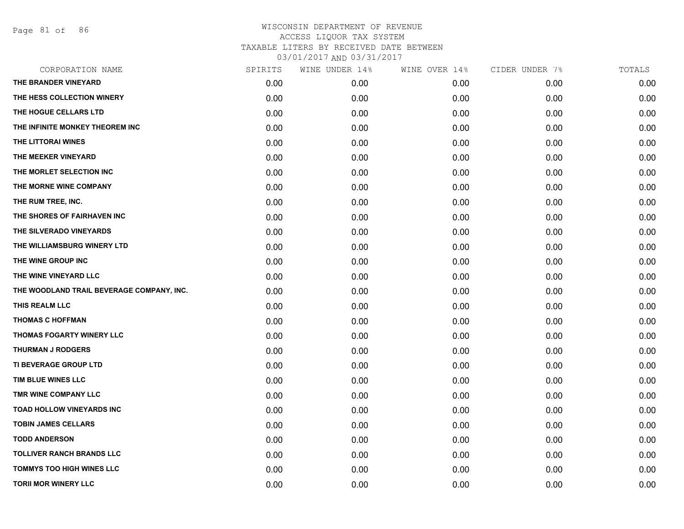Page 81 of 86

| CORPORATION NAME                          | SPIRITS | WINE UNDER 14% | WINE OVER 14% | CIDER UNDER 7% | TOTALS |
|-------------------------------------------|---------|----------------|---------------|----------------|--------|
| THE BRANDER VINEYARD                      | 0.00    | 0.00           | 0.00          | 0.00           | 0.00   |
| THE HESS COLLECTION WINERY                | 0.00    | 0.00           | 0.00          | 0.00           | 0.00   |
| THE HOGUE CELLARS LTD                     | 0.00    | 0.00           | 0.00          | 0.00           | 0.00   |
| THE INFINITE MONKEY THEOREM INC           | 0.00    | 0.00           | 0.00          | 0.00           | 0.00   |
| THE LITTORAI WINES                        | 0.00    | 0.00           | 0.00          | 0.00           | 0.00   |
| THE MEEKER VINEYARD                       | 0.00    | 0.00           | 0.00          | 0.00           | 0.00   |
| THE MORLET SELECTION INC                  | 0.00    | 0.00           | 0.00          | 0.00           | 0.00   |
| THE MORNE WINE COMPANY                    | 0.00    | 0.00           | 0.00          | 0.00           | 0.00   |
| THE RUM TREE, INC.                        | 0.00    | 0.00           | 0.00          | 0.00           | 0.00   |
| THE SHORES OF FAIRHAVEN INC               | 0.00    | 0.00           | 0.00          | 0.00           | 0.00   |
| THE SILVERADO VINEYARDS                   | 0.00    | 0.00           | 0.00          | 0.00           | 0.00   |
| THE WILLIAMSBURG WINERY LTD               | 0.00    | 0.00           | 0.00          | 0.00           | 0.00   |
| THE WINE GROUP INC                        | 0.00    | 0.00           | 0.00          | 0.00           | 0.00   |
| THE WINE VINEYARD LLC                     | 0.00    | 0.00           | 0.00          | 0.00           | 0.00   |
| THE WOODLAND TRAIL BEVERAGE COMPANY, INC. | 0.00    | 0.00           | 0.00          | 0.00           | 0.00   |
| THIS REALM LLC                            | 0.00    | 0.00           | 0.00          | 0.00           | 0.00   |
| <b>THOMAS C HOFFMAN</b>                   | 0.00    | 0.00           | 0.00          | 0.00           | 0.00   |
| THOMAS FOGARTY WINERY LLC                 | 0.00    | 0.00           | 0.00          | 0.00           | 0.00   |
| <b>THURMAN J RODGERS</b>                  | 0.00    | 0.00           | 0.00          | 0.00           | 0.00   |
| TI BEVERAGE GROUP LTD                     | 0.00    | 0.00           | 0.00          | 0.00           | 0.00   |
| TIM BLUE WINES LLC                        | 0.00    | 0.00           | 0.00          | 0.00           | 0.00   |
| TMR WINE COMPANY LLC                      | 0.00    | 0.00           | 0.00          | 0.00           | 0.00   |
| <b>TOAD HOLLOW VINEYARDS INC</b>          | 0.00    | 0.00           | 0.00          | 0.00           | 0.00   |
| <b>TOBIN JAMES CELLARS</b>                | 0.00    | 0.00           | 0.00          | 0.00           | 0.00   |
| <b>TODD ANDERSON</b>                      | 0.00    | 0.00           | 0.00          | 0.00           | 0.00   |
| <b>TOLLIVER RANCH BRANDS LLC</b>          | 0.00    | 0.00           | 0.00          | 0.00           | 0.00   |
| <b>TOMMYS TOO HIGH WINES LLC</b>          | 0.00    | 0.00           | 0.00          | 0.00           | 0.00   |
| <b>TORII MOR WINERY LLC</b>               | 0.00    | 0.00           | 0.00          | 0.00           | 0.00   |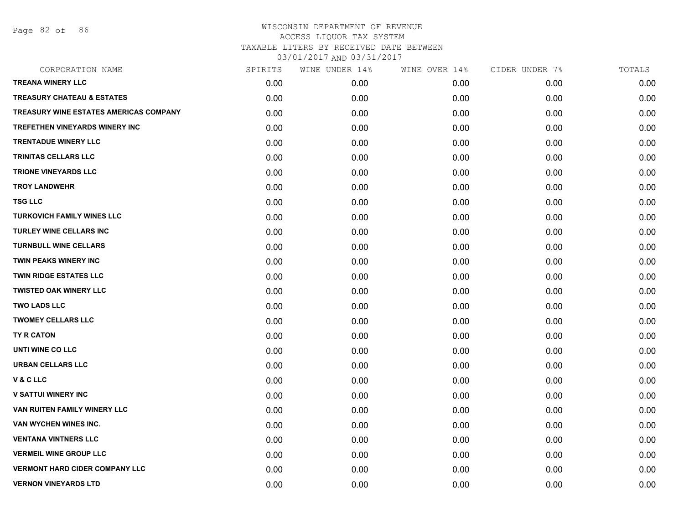Page 82 of 86

| CORPORATION NAME                       | SPIRITS | WINE UNDER 14% | WINE OVER 14% | CIDER UNDER 7% | TOTALS |
|----------------------------------------|---------|----------------|---------------|----------------|--------|
| <b>TREANA WINERY LLC</b>               | 0.00    | 0.00           | 0.00          | 0.00           | 0.00   |
| <b>TREASURY CHATEAU &amp; ESTATES</b>  | 0.00    | 0.00           | 0.00          | 0.00           | 0.00   |
| TREASURY WINE ESTATES AMERICAS COMPANY | 0.00    | 0.00           | 0.00          | 0.00           | 0.00   |
| TREFETHEN VINEYARDS WINERY INC         | 0.00    | 0.00           | 0.00          | 0.00           | 0.00   |
| <b>TRENTADUE WINERY LLC</b>            | 0.00    | 0.00           | 0.00          | 0.00           | 0.00   |
| TRINITAS CELLARS LLC                   | 0.00    | 0.00           | 0.00          | 0.00           | 0.00   |
| <b>TRIONE VINEYARDS LLC</b>            | 0.00    | 0.00           | 0.00          | 0.00           | 0.00   |
| <b>TROY LANDWEHR</b>                   | 0.00    | 0.00           | 0.00          | 0.00           | 0.00   |
| <b>TSG LLC</b>                         | 0.00    | 0.00           | 0.00          | 0.00           | 0.00   |
| <b>TURKOVICH FAMILY WINES LLC</b>      | 0.00    | 0.00           | 0.00          | 0.00           | 0.00   |
| <b>TURLEY WINE CELLARS INC</b>         | 0.00    | 0.00           | 0.00          | 0.00           | 0.00   |
| <b>TURNBULL WINE CELLARS</b>           | 0.00    | 0.00           | 0.00          | 0.00           | 0.00   |
| <b>TWIN PEAKS WINERY INC</b>           | 0.00    | 0.00           | 0.00          | 0.00           | 0.00   |
| <b>TWIN RIDGE ESTATES LLC</b>          | 0.00    | 0.00           | 0.00          | 0.00           | 0.00   |
| <b>TWISTED OAK WINERY LLC</b>          | 0.00    | 0.00           | 0.00          | 0.00           | 0.00   |
| <b>TWO LADS LLC</b>                    | 0.00    | 0.00           | 0.00          | 0.00           | 0.00   |
| <b>TWOMEY CELLARS LLC</b>              | 0.00    | 0.00           | 0.00          | 0.00           | 0.00   |
| TY R CATON                             | 0.00    | 0.00           | 0.00          | 0.00           | 0.00   |
| UNTI WINE CO LLC                       | 0.00    | 0.00           | 0.00          | 0.00           | 0.00   |
| URBAN CELLARS LLC                      | 0.00    | 0.00           | 0.00          | 0.00           | 0.00   |
| <b>V&amp;CLLC</b>                      | 0.00    | 0.00           | 0.00          | 0.00           | 0.00   |
| <b>V SATTUI WINERY INC</b>             | 0.00    | 0.00           | 0.00          | 0.00           | 0.00   |
| VAN RUITEN FAMILY WINERY LLC           | 0.00    | 0.00           | 0.00          | 0.00           | 0.00   |
| VAN WYCHEN WINES INC.                  | 0.00    | 0.00           | 0.00          | 0.00           | 0.00   |
| <b>VENTANA VINTNERS LLC</b>            | 0.00    | 0.00           | 0.00          | 0.00           | 0.00   |
| <b>VERMEIL WINE GROUP LLC</b>          | 0.00    | 0.00           | 0.00          | 0.00           | 0.00   |
| <b>VERMONT HARD CIDER COMPANY LLC</b>  | 0.00    | 0.00           | 0.00          | 0.00           | 0.00   |
| <b>VERNON VINEYARDS LTD</b>            | 0.00    | 0.00           | 0.00          | 0.00           | 0.00   |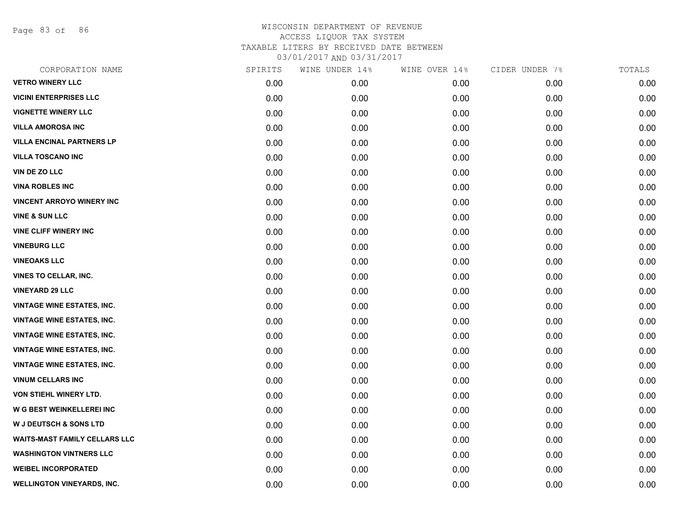Page 83 of 86

| SPIRITS | WINE UNDER 14% | WINE OVER 14% | CIDER UNDER 7% | TOTALS |
|---------|----------------|---------------|----------------|--------|
| 0.00    | 0.00           | 0.00          | 0.00           | 0.00   |
| 0.00    | 0.00           | 0.00          | 0.00           | 0.00   |
| 0.00    | 0.00           | 0.00          | 0.00           | 0.00   |
| 0.00    | 0.00           | 0.00          | 0.00           | 0.00   |
| 0.00    | 0.00           | 0.00          | 0.00           | 0.00   |
| 0.00    | 0.00           | 0.00          | 0.00           | 0.00   |
| 0.00    | 0.00           | 0.00          | 0.00           | 0.00   |
| 0.00    | 0.00           | 0.00          | 0.00           | 0.00   |
| 0.00    | 0.00           | 0.00          | 0.00           | 0.00   |
| 0.00    | 0.00           | 0.00          | 0.00           | 0.00   |
| 0.00    | 0.00           | 0.00          | 0.00           | 0.00   |
| 0.00    | 0.00           | 0.00          | 0.00           | 0.00   |
| 0.00    | 0.00           | 0.00          | 0.00           | 0.00   |
| 0.00    | 0.00           | 0.00          | 0.00           | 0.00   |
| 0.00    | 0.00           | 0.00          | 0.00           | 0.00   |
| 0.00    | 0.00           | 0.00          | 0.00           | 0.00   |
| 0.00    | 0.00           | 0.00          | 0.00           | 0.00   |
| 0.00    | 0.00           | 0.00          | 0.00           | 0.00   |
| 0.00    | 0.00           | 0.00          | 0.00           | 0.00   |
| 0.00    | 0.00           | 0.00          | 0.00           | 0.00   |
| 0.00    | 0.00           | 0.00          | 0.00           | 0.00   |
| 0.00    | 0.00           | 0.00          | 0.00           | 0.00   |
| 0.00    | 0.00           | 0.00          | 0.00           | 0.00   |
| 0.00    | 0.00           | 0.00          | 0.00           | 0.00   |
| 0.00    | 0.00           | 0.00          | 0.00           | 0.00   |
| 0.00    | 0.00           | 0.00          | 0.00           | 0.00   |
| 0.00    | 0.00           | 0.00          | 0.00           | 0.00   |
| 0.00    | 0.00           | 0.00          | 0.00           | 0.00   |
|         |                |               |                |        |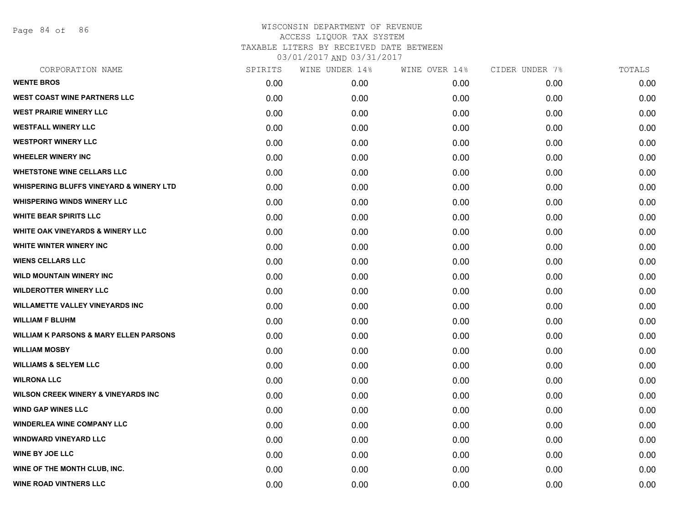Page 84 of 86

| CORPORATION NAME                                   | SPIRITS | WINE UNDER 14% | WINE OVER 14% | CIDER UNDER 7% | TOTALS |
|----------------------------------------------------|---------|----------------|---------------|----------------|--------|
| <b>WENTE BROS</b>                                  | 0.00    | 0.00           | 0.00          | 0.00           | 0.00   |
| <b>WEST COAST WINE PARTNERS LLC</b>                | 0.00    | 0.00           | 0.00          | 0.00           | 0.00   |
| <b>WEST PRAIRIE WINERY LLC</b>                     | 0.00    | 0.00           | 0.00          | 0.00           | 0.00   |
| <b>WESTFALL WINERY LLC</b>                         | 0.00    | 0.00           | 0.00          | 0.00           | 0.00   |
| <b>WESTPORT WINERY LLC</b>                         | 0.00    | 0.00           | 0.00          | 0.00           | 0.00   |
| <b>WHEELER WINERY INC</b>                          | 0.00    | 0.00           | 0.00          | 0.00           | 0.00   |
| <b>WHETSTONE WINE CELLARS LLC</b>                  | 0.00    | 0.00           | 0.00          | 0.00           | 0.00   |
| <b>WHISPERING BLUFFS VINEYARD &amp; WINERY LTD</b> | 0.00    | 0.00           | 0.00          | 0.00           | 0.00   |
| <b>WHISPERING WINDS WINERY LLC</b>                 | 0.00    | 0.00           | 0.00          | 0.00           | 0.00   |
| <b>WHITE BEAR SPIRITS LLC</b>                      | 0.00    | 0.00           | 0.00          | 0.00           | 0.00   |
| <b>WHITE OAK VINEYARDS &amp; WINERY LLC</b>        | 0.00    | 0.00           | 0.00          | 0.00           | 0.00   |
| <b>WHITE WINTER WINERY INC.</b>                    | 0.00    | 0.00           | 0.00          | 0.00           | 0.00   |
| <b>WIENS CELLARS LLC</b>                           | 0.00    | 0.00           | 0.00          | 0.00           | 0.00   |
| <b>WILD MOUNTAIN WINERY INC</b>                    | 0.00    | 0.00           | 0.00          | 0.00           | 0.00   |
| <b>WILDEROTTER WINERY LLC</b>                      | 0.00    | 0.00           | 0.00          | 0.00           | 0.00   |
| <b>WILLAMETTE VALLEY VINEYARDS INC</b>             | 0.00    | 0.00           | 0.00          | 0.00           | 0.00   |
| <b>WILLIAM F BLUHM</b>                             | 0.00    | 0.00           | 0.00          | 0.00           | 0.00   |
| <b>WILLIAM K PARSONS &amp; MARY ELLEN PARSONS</b>  | 0.00    | 0.00           | 0.00          | 0.00           | 0.00   |
| <b>WILLIAM MOSBY</b>                               | 0.00    | 0.00           | 0.00          | 0.00           | 0.00   |
| <b>WILLIAMS &amp; SELYEM LLC</b>                   | 0.00    | 0.00           | 0.00          | 0.00           | 0.00   |
| <b>WILRONA LLC</b>                                 | 0.00    | 0.00           | 0.00          | 0.00           | 0.00   |
| <b>WILSON CREEK WINERY &amp; VINEYARDS INC</b>     | 0.00    | 0.00           | 0.00          | 0.00           | 0.00   |
| <b>WIND GAP WINES LLC</b>                          | 0.00    | 0.00           | 0.00          | 0.00           | 0.00   |
| <b>WINDERLEA WINE COMPANY LLC</b>                  | 0.00    | 0.00           | 0.00          | 0.00           | 0.00   |
| <b>WINDWARD VINEYARD LLC</b>                       | 0.00    | 0.00           | 0.00          | 0.00           | 0.00   |
| <b>WINE BY JOE LLC</b>                             | 0.00    | 0.00           | 0.00          | 0.00           | 0.00   |
| WINE OF THE MONTH CLUB, INC.                       | 0.00    | 0.00           | 0.00          | 0.00           | 0.00   |
| <b>WINE ROAD VINTNERS LLC</b>                      | 0.00    | 0.00           | 0.00          | 0.00           | 0.00   |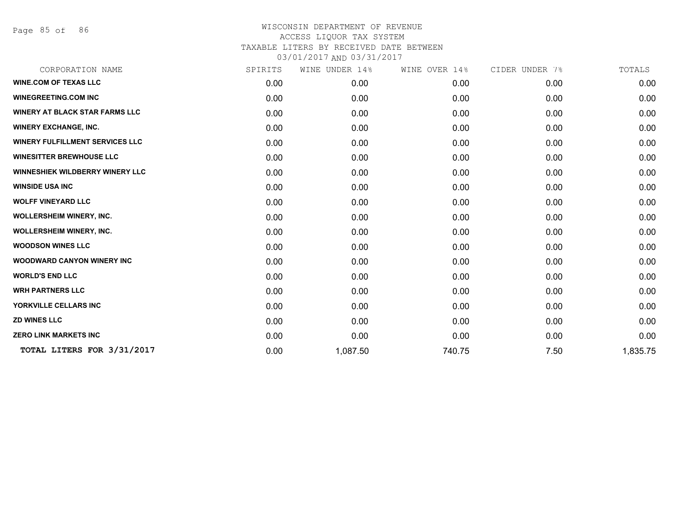Page 85 of 86

| CORPORATION NAME                       | SPIRITS | WINE UNDER 14% | WINE OVER 14% | CIDER UNDER 7% | TOTALS   |
|----------------------------------------|---------|----------------|---------------|----------------|----------|
| <b>WINE.COM OF TEXAS LLC</b>           | 0.00    | 0.00           | 0.00          | 0.00           | 0.00     |
| <b>WINEGREETING.COM INC</b>            | 0.00    | 0.00           | 0.00          | 0.00           | 0.00     |
| <b>WINERY AT BLACK STAR FARMS LLC</b>  | 0.00    | 0.00           | 0.00          | 0.00           | 0.00     |
| <b>WINERY EXCHANGE, INC.</b>           | 0.00    | 0.00           | 0.00          | 0.00           | 0.00     |
| <b>WINERY FULFILLMENT SERVICES LLC</b> | 0.00    | 0.00           | 0.00          | 0.00           | 0.00     |
| <b>WINESITTER BREWHOUSE LLC</b>        | 0.00    | 0.00           | 0.00          | 0.00           | 0.00     |
| <b>WINNESHIEK WILDBERRY WINERY LLC</b> | 0.00    | 0.00           | 0.00          | 0.00           | 0.00     |
| <b>WINSIDE USA INC</b>                 | 0.00    | 0.00           | 0.00          | 0.00           | 0.00     |
| <b>WOLFF VINEYARD LLC</b>              | 0.00    | 0.00           | 0.00          | 0.00           | 0.00     |
| <b>WOLLERSHEIM WINERY, INC.</b>        | 0.00    | 0.00           | 0.00          | 0.00           | 0.00     |
| <b>WOLLERSHEIM WINERY, INC.</b>        | 0.00    | 0.00           | 0.00          | 0.00           | 0.00     |
| <b>WOODSON WINES LLC</b>               | 0.00    | 0.00           | 0.00          | 0.00           | 0.00     |
| <b>WOODWARD CANYON WINERY INC</b>      | 0.00    | 0.00           | 0.00          | 0.00           | 0.00     |
| <b>WORLD'S END LLC</b>                 | 0.00    | 0.00           | 0.00          | 0.00           | 0.00     |
| <b>WRH PARTNERS LLC</b>                | 0.00    | 0.00           | 0.00          | 0.00           | 0.00     |
| YORKVILLE CELLARS INC                  | 0.00    | 0.00           | 0.00          | 0.00           | 0.00     |
| <b>ZD WINES LLC</b>                    | 0.00    | 0.00           | 0.00          | 0.00           | 0.00     |
| <b>ZERO LINK MARKETS INC</b>           | 0.00    | 0.00           | 0.00          | 0.00           | 0.00     |
| TOTAL LITERS FOR 3/31/2017             | 0.00    | 1,087.50       | 740.75        | 7.50           | 1,835.75 |